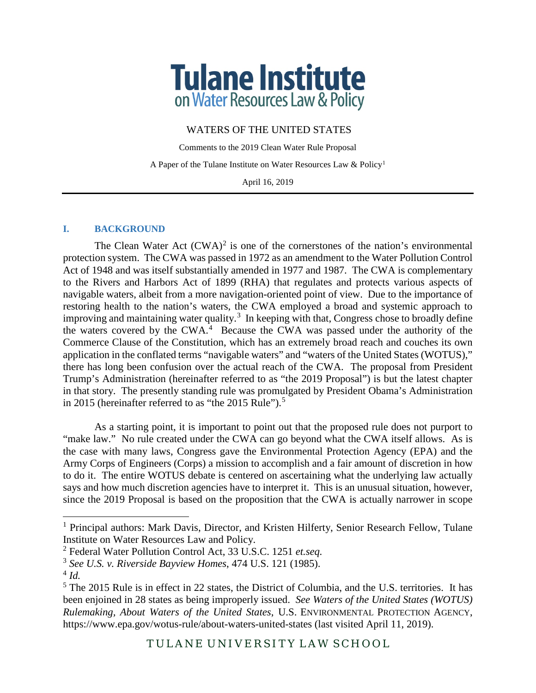

## WATERS OF THE UNITED STATES

Comments to the 2019 Clean Water Rule Proposal

A Paper of the Tulane Institute on Water Resources Law & Policy[1](#page-0-0)

April 16, 2019

#### **I. BACKGROUND**

The Clean Water Act  $(CWA)^2$  $(CWA)^2$  is one of the cornerstones of the nation's environmental protection system. The CWA was passed in 1972 as an amendment to the Water Pollution Control Act of 1948 and was itself substantially amended in 1977 and 1987. The CWA is complementary to the Rivers and Harbors Act of 1899 (RHA) that regulates and protects various aspects of navigable waters, albeit from a more navigation-oriented point of view. Due to the importance of restoring health to the nation's waters, the CWA employed a broad and systemic approach to improving and maintaining water quality. $3\,$  $3\,$  In keeping with that, Congress chose to broadly define the waters covered by the CWA.<sup>[4](#page-0-3)</sup> Because the CWA was passed under the authority of the Commerce Clause of the Constitution, which has an extremely broad reach and couches its own application in the conflated terms "navigable waters" and "waters of the United States (WOTUS)," there has long been confusion over the actual reach of the CWA. The proposal from President Trump's Administration (hereinafter referred to as "the 2019 Proposal") is but the latest chapter in that story. The presently standing rule was promulgated by President Obama's Administration in 201[5](#page-0-4) (hereinafter referred to as "the 2015 Rule").<sup>5</sup>

As a starting point, it is important to point out that the proposed rule does not purport to "make law." No rule created under the CWA can go beyond what the CWA itself allows. As is the case with many laws, Congress gave the Environmental Protection Agency (EPA) and the Army Corps of Engineers (Corps) a mission to accomplish and a fair amount of discretion in how to do it. The entire WOTUS debate is centered on ascertaining what the underlying law actually says and how much discretion agencies have to interpret it. This is an unusual situation, however, since the 2019 Proposal is based on the proposition that the CWA is actually narrower in scope

 $\overline{\phantom{a}}$ 

<span id="page-0-0"></span><sup>&</sup>lt;sup>1</sup> Principal authors: Mark Davis, Director, and Kristen Hilferty, Senior Research Fellow, Tulane Institute on Water Resources Law and Policy.

<span id="page-0-1"></span><sup>2</sup> Federal Water Pollution Control Act, 33 U.S.C. 1251 *et.seq.*

<span id="page-0-2"></span><sup>3</sup> *See U.S. v. Riverside Bayview Homes*, 474 U.S. 121 (1985).

<span id="page-0-3"></span><sup>4</sup> *Id.*

<span id="page-0-4"></span><sup>&</sup>lt;sup>5</sup> The 2015 Rule is in effect in 22 states, the District of Columbia, and the U.S. territories. It has been enjoined in 28 states as being improperly issued. *See Waters of the United States (WOTUS) Rulemaking, About Waters of the United States*, U.S. ENVIRONMENTAL PROTECTION AGENCY, https://www.epa.gov/wotus-rule/about-waters-united-states (last visited April 11, 2019).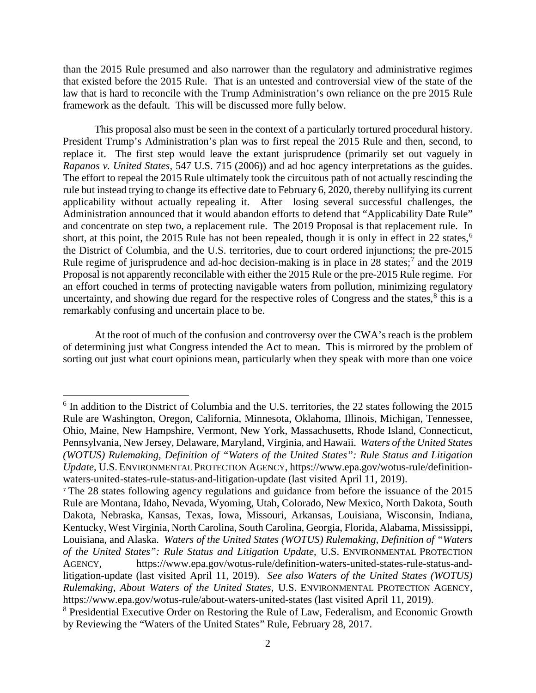than the 2015 Rule presumed and also narrower than the regulatory and administrative regimes that existed before the 2015 Rule. That is an untested and controversial view of the state of the law that is hard to reconcile with the Trump Administration's own reliance on the pre 2015 Rule framework as the default. This will be discussed more fully below.

This proposal also must be seen in the context of a particularly tortured procedural history. President Trump's Administration's plan was to first repeal the 2015 Rule and then, second, to replace it. The first step would leave the extant jurisprudence (primarily set out vaguely in *Rapanos v. United States*, 547 U.S. 715 (2006)) and ad hoc agency interpretations as the guides. The effort to repeal the 2015 Rule ultimately took the circuitous path of not actually rescinding the rule but instead trying to change its effective date to February 6, 2020, thereby nullifying its current applicability without actually repealing it. After losing several successful challenges, the Administration announced that it would abandon efforts to defend that "Applicability Date Rule" and concentrate on step two, a replacement rule. The 2019 Proposal is that replacement rule. In short, at this point, the 2015 Rule has not been repealed, though it is only in effect in 22 states,<sup>[6](#page-1-0)</sup> the District of Columbia, and the U.S. territories, due to court ordered injunctions; the pre-2015 Rule regime of jurisprudence and ad-hoc decision-making is in place in 28 states;<sup>[7](#page-1-1)</sup> and the 2019 Proposal is not apparently reconcilable with either the 2015 Rule or the pre-2015 Rule regime. For an effort couched in terms of protecting navigable waters from pollution, minimizing regulatory uncertainty, and showing due regard for the respective roles of Congress and the states, [8](#page-1-2) this is a remarkably confusing and uncertain place to be.

At the root of much of the confusion and controversy over the CWA's reach is the problem of determining just what Congress intended the Act to mean. This is mirrored by the problem of sorting out just what court opinions mean, particularly when they speak with more than one voice

l

<span id="page-1-0"></span> $6$  In addition to the District of Columbia and the U.S. territories, the 22 states following the 2015 Rule are Washington, Oregon, California, Minnesota, Oklahoma, Illinois, Michigan, Tennessee, Ohio, Maine, New Hampshire, Vermont, New York, Massachusetts, Rhode Island, Connecticut, Pennsylvania, New Jersey, Delaware, Maryland, Virginia, and Hawaii. *Waters of the United States (WOTUS) Rulemaking, Definition of "Waters of the United States": Rule Status and Litigation Update*, U.S. ENVIRONMENTAL PROTECTION AGENCY, https://www.epa.gov/wotus-rule/definitionwaters-united-states-rule-status-and-litigation-update (last visited April 11, 2019).

<span id="page-1-1"></span><sup>7</sup> The 28 states following agency regulations and guidance from before the issuance of the 2015 Rule are Montana, Idaho, Nevada, Wyoming, Utah, Colorado, New Mexico, North Dakota, South Dakota, Nebraska, Kansas, Texas, Iowa, Missouri, Arkansas, Louisiana, Wisconsin, Indiana, Kentucky, West Virginia, North Carolina, South Carolina, Georgia, Florida, Alabama, Mississippi, Louisiana, and Alaska. *Waters of the United States (WOTUS) Rulemaking, Definition of "Waters of the United States": Rule Status and Litigation Update*, U.S. ENVIRONMENTAL PROTECTION AGENCY, https://www.epa.gov/wotus-rule/definition-waters-united-states-rule-status-andlitigation-update (last visited April 11, 2019). *See also Waters of the United States (WOTUS) Rulemaking*, *About Waters of the United States*, U.S. ENVIRONMENTAL PROTECTION AGENCY, https://www.epa.gov/wotus-rule/about-waters-united-states (last visited April 11, 2019).

<span id="page-1-2"></span><sup>&</sup>lt;sup>8</sup> Presidential Executive Order on Restoring the Rule of Law, Federalism, and Economic Growth by Reviewing the "Waters of the United States" Rule, February 28, 2017.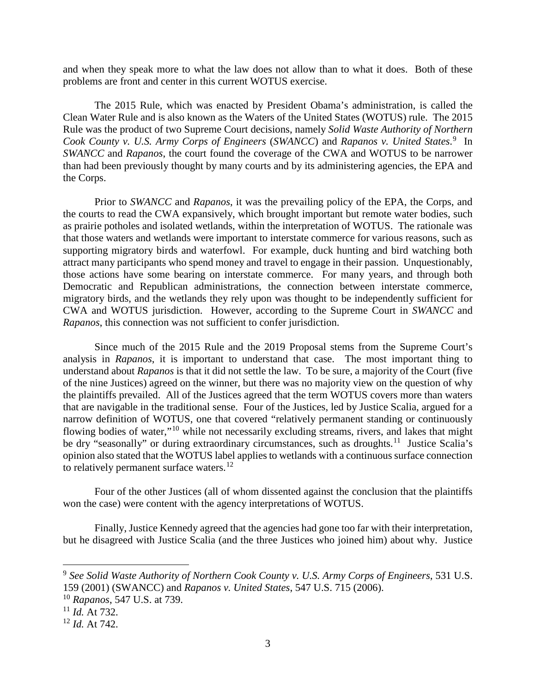and when they speak more to what the law does not allow than to what it does. Both of these problems are front and center in this current WOTUS exercise.

The 2015 Rule, which was enacted by President Obama's administration, is called the Clean Water Rule and is also known as the Waters of the United States (WOTUS) rule. The 2015 Rule was the product of two Supreme Court decisions, namely *Solid Waste Authority of Northern Cook County v. U.S. Army Corps of Engineers* (*SWANCC*) and *Rapanos v. United States*. [9](#page-2-0) In *SWANCC* and *Rapanos*, the court found the coverage of the CWA and WOTUS to be narrower than had been previously thought by many courts and by its administering agencies, the EPA and the Corps.

Prior to *SWANCC* and *Rapanos*, it was the prevailing policy of the EPA, the Corps, and the courts to read the CWA expansively, which brought important but remote water bodies, such as prairie potholes and isolated wetlands, within the interpretation of WOTUS. The rationale was that those waters and wetlands were important to interstate commerce for various reasons, such as supporting migratory birds and waterfowl. For example, duck hunting and bird watching both attract many participants who spend money and travel to engage in their passion. Unquestionably, those actions have some bearing on interstate commerce. For many years, and through both Democratic and Republican administrations, the connection between interstate commerce, migratory birds, and the wetlands they rely upon was thought to be independently sufficient for CWA and WOTUS jurisdiction. However, according to the Supreme Court in *SWANCC* and *Rapanos*, this connection was not sufficient to confer jurisdiction.

Since much of the 2015 Rule and the 2019 Proposal stems from the Supreme Court's analysis in *Rapanos*, it is important to understand that case. The most important thing to understand about *Rapanos* is that it did not settle the law. To be sure, a majority of the Court (five of the nine Justices) agreed on the winner, but there was no majority view on the question of why the plaintiffs prevailed. All of the Justices agreed that the term WOTUS covers more than waters that are navigable in the traditional sense. Four of the Justices, led by Justice Scalia, argued for a narrow definition of WOTUS, one that covered "relatively permanent standing or continuously flowing bodies of water,"[10](#page-2-1) while not necessarily excluding streams, rivers, and lakes that might be dry "seasonally" or during extraordinary circumstances, such as droughts.<sup>11</sup> Justice Scalia's opinion also stated that the WOTUS label applies to wetlands with a continuous surface connection to relatively permanent surface waters.<sup>[12](#page-2-3)</sup>

Four of the other Justices (all of whom dissented against the conclusion that the plaintiffs won the case) were content with the agency interpretations of WOTUS.

Finally, Justice Kennedy agreed that the agencies had gone too far with their interpretation, but he disagreed with Justice Scalia (and the three Justices who joined him) about why. Justice

 $\overline{a}$ 

<span id="page-2-0"></span><sup>9</sup> *See Solid Waste Authority of Northern Cook County v. U.S. Army Corps of Engineers*, 531 U.S. 159 (2001) (SWANCC) and *Rapanos v. United States*, 547 U.S. 715 (2006).

<span id="page-2-1"></span><sup>10</sup> *Rapanos*, 547 U.S. at 739.

<span id="page-2-2"></span><sup>11</sup> *Id.* At 732.

<span id="page-2-3"></span><sup>12</sup> *Id.* At 742.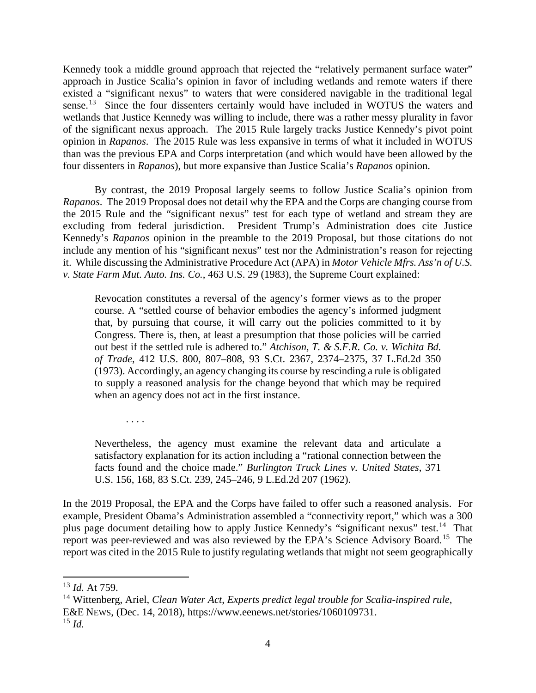Kennedy took a middle ground approach that rejected the "relatively permanent surface water" approach in Justice Scalia's opinion in favor of including wetlands and remote waters if there existed a "significant nexus" to waters that were considered navigable in the traditional legal sense.<sup>13</sup> Since the four dissenters certainly would have included in WOTUS the waters and wetlands that Justice Kennedy was willing to include, there was a rather messy plurality in favor of the significant nexus approach. The 2015 Rule largely tracks Justice Kennedy's pivot point opinion in *Rapanos*. The 2015 Rule was less expansive in terms of what it included in WOTUS than was the previous EPA and Corps interpretation (and which would have been allowed by the four dissenters in *Rapanos*), but more expansive than Justice Scalia's *Rapanos* opinion.

By contrast, the 2019 Proposal largely seems to follow Justice Scalia's opinion from *Rapanos*. The 2019 Proposal does not detail why the EPA and the Corps are changing course from the 2015 Rule and the "significant nexus" test for each type of wetland and stream they are excluding from federal jurisdiction. President Trump's Administration does cite Justice Kennedy's *Rapanos* opinion in the preamble to the 2019 Proposal, but those citations do not include any mention of his "significant nexus" test nor the Administration's reason for rejecting it. While discussing the Administrative Procedure Act (APA) in *Motor Vehicle Mfrs. Ass'n of U.S. v. State Farm Mut. Auto. Ins. Co.*, 463 U.S. 29 (1983), the Supreme Court explained:

Revocation constitutes a reversal of the agency's former views as to the proper course. A "settled course of behavior embodies the agency's informed judgment that, by pursuing that course, it will carry out the policies committed to it by Congress. There is, then, at least a presumption that those policies will be carried out best if the settled rule is adhered to." *Atchison, T. & S.F.R. Co. v. Wichita Bd. of Trade*, 412 U.S. 800, 807–808, 93 S.Ct. 2367, 2374–2375, 37 L.Ed.2d 350 (1973). Accordingly, an agency changing its course by rescinding a rule is obligated to supply a reasoned analysis for the change beyond that which may be required when an agency does not act in the first instance.

. . . .

Nevertheless, the agency must examine the relevant data and articulate a satisfactory explanation for its action including a "rational connection between the facts found and the choice made." *Burlington Truck Lines v. United States*, 371 U.S. 156, 168, 83 S.Ct. 239, 245–246, 9 L.Ed.2d 207 (1962).

In the 2019 Proposal, the EPA and the Corps have failed to offer such a reasoned analysis. For example, President Obama's Administration assembled a "connectivity report," which was a 300 plus page document detailing how to apply Justice Kennedy's "significant nexus" test.<sup>[14](#page-3-1)</sup> That report was peer-reviewed and was also reviewed by the EPA's Science Advisory Board.[15](#page-3-2) The report was cited in the 2015 Rule to justify regulating wetlands that might not seem geographically

 $\overline{\phantom{a}}$ 

<span id="page-3-0"></span><sup>13</sup> *Id.* At 759.

<span id="page-3-2"></span><span id="page-3-1"></span><sup>14</sup> Wittenberg, Ariel, *Clean Water Act*, *Experts predict legal trouble for Scalia-inspired rule*, E&E NEWS, (Dec. 14, 2018), https://www.eenews.net/stories/1060109731. <sup>15</sup> *Id.*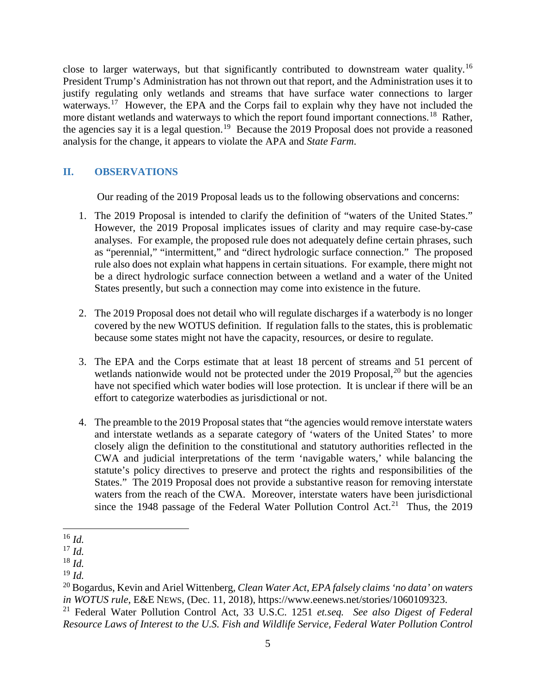close to larger waterways, but that significantly contributed to downstream water quality.[16](#page-4-0) President Trump's Administration has not thrown out that report, and the Administration uses it to justify regulating only wetlands and streams that have surface water connections to larger waterways.<sup>[17](#page-4-1)</sup> However, the EPA and the Corps fail to explain why they have not included the more distant wetlands and waterways to which the report found important connections.<sup>[18](#page-4-2)</sup> Rather, the agencies say it is a legal question.<sup>19</sup> Because the 20[19](#page-4-3) Proposal does not provide a reasoned analysis for the change, it appears to violate the APA and *State Farm*.

## **II. OBSERVATIONS**

Our reading of the 2019 Proposal leads us to the following observations and concerns:

- 1. The 2019 Proposal is intended to clarify the definition of "waters of the United States." However, the 2019 Proposal implicates issues of clarity and may require case-by-case analyses. For example, the proposed rule does not adequately define certain phrases, such as "perennial," "intermittent," and "direct hydrologic surface connection." The proposed rule also does not explain what happens in certain situations. For example, there might not be a direct hydrologic surface connection between a wetland and a water of the United States presently, but such a connection may come into existence in the future.
- 2. The 2019 Proposal does not detail who will regulate discharges if a waterbody is no longer covered by the new WOTUS definition. If regulation falls to the states, this is problematic because some states might not have the capacity, resources, or desire to regulate.
- 3. The EPA and the Corps estimate that at least 18 percent of streams and 51 percent of wetlands nationwide would not be protected under the  $2019$  $2019$  Proposal,<sup>20</sup> but the agencies have not specified which water bodies will lose protection. It is unclear if there will be an effort to categorize waterbodies as jurisdictional or not.
- 4. The preamble to the 2019 Proposal states that "the agencies would remove interstate waters and interstate wetlands as a separate category of 'waters of the United States' to more closely align the definition to the constitutional and statutory authorities reflected in the CWA and judicial interpretations of the term 'navigable waters,' while balancing the statute's policy directives to preserve and protect the rights and responsibilities of the States." The 2019 Proposal does not provide a substantive reason for removing interstate waters from the reach of the CWA. Moreover, interstate waters have been jurisdictional since the 1948 passage of the Federal Water Pollution Control Act.<sup>21</sup> Thus, the 2019

<span id="page-4-0"></span> $\overline{\phantom{a}}$ <sup>16</sup> *Id.*

<span id="page-4-1"></span><sup>17</sup> *Id.*

<span id="page-4-2"></span><sup>18</sup> *Id.*

<sup>19</sup> *Id.*

<span id="page-4-4"></span><span id="page-4-3"></span><sup>20</sup> Bogardus, Kevin and Ariel Wittenberg, *Clean Water Act*, *EPA falsely claims 'no data' on waters in WOTUS rule*, E&E NEWS, (Dec. 11, 2018), https://www.eenews.net/stories/1060109323.

<span id="page-4-5"></span><sup>21</sup> Federal Water Pollution Control Act, 33 U.S.C. 1251 *et.seq. See also Digest of Federal Resource Laws of Interest to the U.S. Fish and Wildlife Service, Federal Water Pollution Control*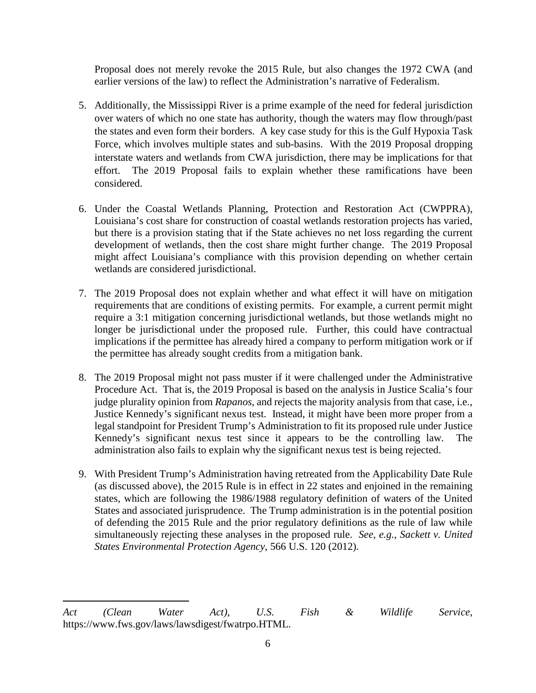Proposal does not merely revoke the 2015 Rule, but also changes the 1972 CWA (and earlier versions of the law) to reflect the Administration's narrative of Federalism.

- 5. Additionally, the Mississippi River is a prime example of the need for federal jurisdiction over waters of which no one state has authority, though the waters may flow through/past the states and even form their borders. A key case study for this is the Gulf Hypoxia Task Force, which involves multiple states and sub-basins. With the 2019 Proposal dropping interstate waters and wetlands from CWA jurisdiction, there may be implications for that effort. The 2019 Proposal fails to explain whether these ramifications have been considered.
- 6. Under the Coastal Wetlands Planning, Protection and Restoration Act (CWPPRA), Louisiana's cost share for construction of coastal wetlands restoration projects has varied, but there is a provision stating that if the State achieves no net loss regarding the current development of wetlands, then the cost share might further change. The 2019 Proposal might affect Louisiana's compliance with this provision depending on whether certain wetlands are considered jurisdictional.
- 7. The 2019 Proposal does not explain whether and what effect it will have on mitigation requirements that are conditions of existing permits. For example, a current permit might require a 3:1 mitigation concerning jurisdictional wetlands, but those wetlands might no longer be jurisdictional under the proposed rule. Further, this could have contractual implications if the permittee has already hired a company to perform mitigation work or if the permittee has already sought credits from a mitigation bank.
- 8. The 2019 Proposal might not pass muster if it were challenged under the Administrative Procedure Act. That is, the 2019 Proposal is based on the analysis in Justice Scalia's four judge plurality opinion from *Rapanos*, and rejects the majority analysis from that case, i.e., Justice Kennedy's significant nexus test. Instead, it might have been more proper from a legal standpoint for President Trump's Administration to fit its proposed rule under Justice Kennedy's significant nexus test since it appears to be the controlling law. The administration also fails to explain why the significant nexus test is being rejected.
- 9. With President Trump's Administration having retreated from the Applicability Date Rule (as discussed above), the 2015 Rule is in effect in 22 states and enjoined in the remaining states, which are following the 1986/1988 regulatory definition of waters of the United States and associated jurisprudence. The Trump administration is in the potential position of defending the 2015 Rule and the prior regulatory definitions as the rule of law while simultaneously rejecting these analyses in the proposed rule. *See, e.g., Sackett v. United States Environmental Protection Agency*, 566 U.S. 120 (2012).

l *Act (Clean Water Act)*, *U.S. Fish & Wildlife Service*, https://www.fws.gov/laws/lawsdigest/fwatrpo.HTML.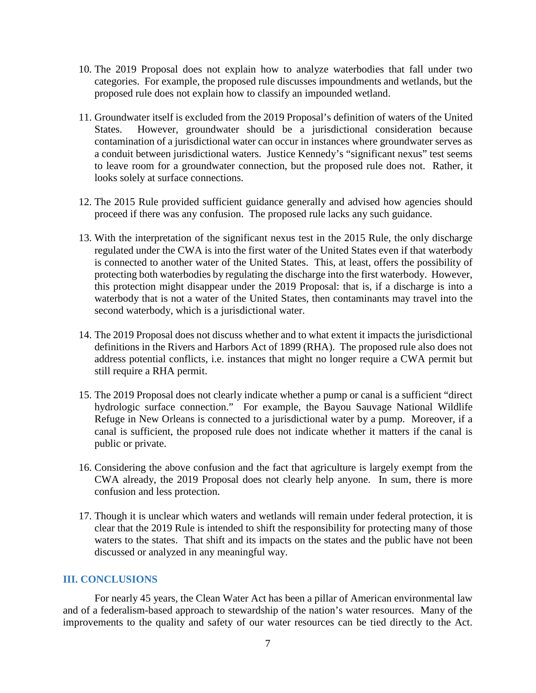- 10. The 2019 Proposal does not explain how to analyze waterbodies that fall under two categories. For example, the proposed rule discusses impoundments and wetlands, but the proposed rule does not explain how to classify an impounded wetland.
- 11. Groundwater itself is excluded from the 2019 Proposal's definition of waters of the United States. However, groundwater should be a jurisdictional consideration because contamination of a jurisdictional water can occur in instances where groundwater serves as a conduit between jurisdictional waters. Justice Kennedy's "significant nexus" test seems to leave room for a groundwater connection, but the proposed rule does not. Rather, it looks solely at surface connections.
- 12. The 2015 Rule provided sufficient guidance generally and advised how agencies should proceed if there was any confusion. The proposed rule lacks any such guidance.
- 13. With the interpretation of the significant nexus test in the 2015 Rule, the only discharge regulated under the CWA is into the first water of the United States even if that waterbody is connected to another water of the United States. This, at least, offers the possibility of protecting both waterbodies by regulating the discharge into the first waterbody. However, this protection might disappear under the 2019 Proposal: that is, if a discharge is into a waterbody that is not a water of the United States, then contaminants may travel into the second waterbody, which is a jurisdictional water.
- 14. The 2019 Proposal does not discuss whether and to what extent it impacts the jurisdictional definitions in the Rivers and Harbors Act of 1899 (RHA). The proposed rule also does not address potential conflicts, i.e. instances that might no longer require a CWA permit but still require a RHA permit.
- 15. The 2019 Proposal does not clearly indicate whether a pump or canal is a sufficient "direct hydrologic surface connection." For example, the Bayou Sauvage National Wildlife Refuge in New Orleans is connected to a jurisdictional water by a pump. Moreover, if a canal is sufficient, the proposed rule does not indicate whether it matters if the canal is public or private.
- 16. Considering the above confusion and the fact that agriculture is largely exempt from the CWA already, the 2019 Proposal does not clearly help anyone. In sum, there is more confusion and less protection.
- 17. Though it is unclear which waters and wetlands will remain under federal protection, it is clear that the 2019 Rule is intended to shift the responsibility for protecting many of those waters to the states. That shift and its impacts on the states and the public have not been discussed or analyzed in any meaningful way.

#### **III. CONCLUSIONS**

For nearly 45 years, the Clean Water Act has been a pillar of American environmental law and of a federalism-based approach to stewardship of the nation's water resources. Many of the improvements to the quality and safety of our water resources can be tied directly to the Act.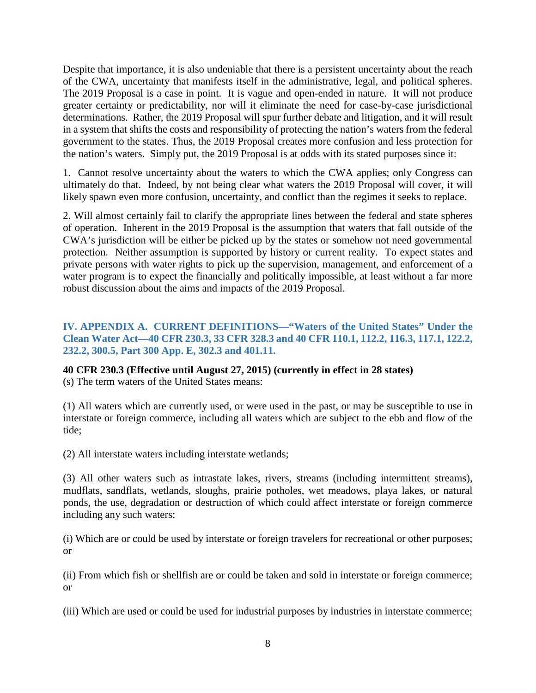Despite that importance, it is also undeniable that there is a persistent uncertainty about the reach of the CWA, uncertainty that manifests itself in the administrative, legal, and political spheres. The 2019 Proposal is a case in point. It is vague and open-ended in nature. It will not produce greater certainty or predictability, nor will it eliminate the need for case-by-case jurisdictional determinations. Rather, the 2019 Proposal will spur further debate and litigation, and it will result in a system that shifts the costs and responsibility of protecting the nation's waters from the federal government to the states. Thus, the 2019 Proposal creates more confusion and less protection for the nation's waters. Simply put, the 2019 Proposal is at odds with its stated purposes since it:

1. Cannot resolve uncertainty about the waters to which the CWA applies; only Congress can ultimately do that. Indeed, by not being clear what waters the 2019 Proposal will cover, it will likely spawn even more confusion, uncertainty, and conflict than the regimes it seeks to replace.

2. Will almost certainly fail to clarify the appropriate lines between the federal and state spheres of operation. Inherent in the 2019 Proposal is the assumption that waters that fall outside of the CWA's jurisdiction will be either be picked up by the states or somehow not need governmental protection. Neither assumption is supported by history or current reality. To expect states and private persons with water rights to pick up the supervision, management, and enforcement of a water program is to expect the financially and politically impossible, at least without a far more robust discussion about the aims and impacts of the 2019 Proposal.

### **IV. APPENDIX A. CURRENT DEFINITIONS—"Waters of the United States" Under the Clean Water Act—40 CFR 230.3, 33 CFR 328.3 and 40 CFR 110.1, 112.2, 116.3, 117.1, 122.2, 232.2, 300.5, Part 300 App. E, 302.3 and 401.11.**

# **40 CFR 230.3 (Effective until August 27, 2015) (currently in effect in 28 states)**

(s) The term waters of the United States means:

(1) All waters which are currently used, or were used in the past, or may be susceptible to use in interstate or foreign commerce, including all waters which are subject to the ebb and flow of the tide;

(2) All interstate waters including interstate wetlands;

(3) All other waters such as intrastate lakes, rivers, streams (including intermittent streams), mudflats, sandflats, wetlands, sloughs, prairie potholes, wet meadows, playa lakes, or natural ponds, the use, degradation or destruction of which could affect interstate or foreign commerce including any such waters:

(i) Which are or could be used by interstate or foreign travelers for recreational or other purposes; or

(ii) From which fish or shellfish are or could be taken and sold in interstate or foreign commerce; or

(iii) Which are used or could be used for industrial purposes by industries in interstate commerce;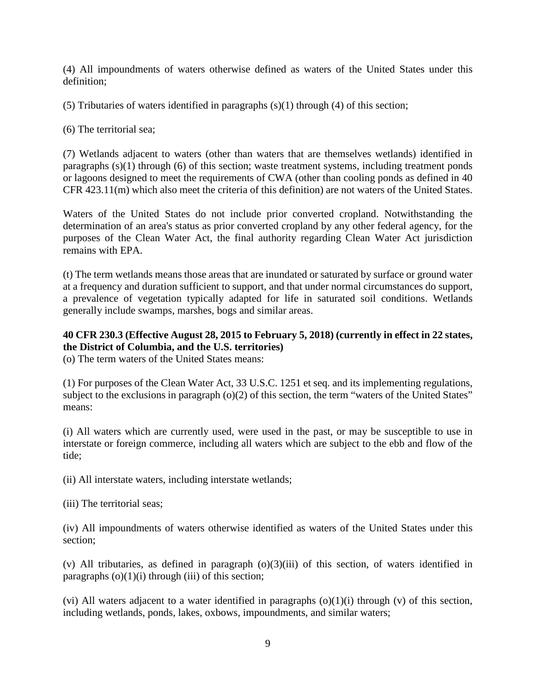(4) All impoundments of waters otherwise defined as waters of the United States under this definition;

(5) Tributaries of waters identified in paragraphs (s)(1) through (4) of this section;

(6) The territorial sea;

(7) Wetlands adjacent to waters (other than waters that are themselves wetlands) identified in paragraphs (s)(1) through (6) of this section; waste treatment systems, including treatment ponds or lagoons designed to meet the requirements of CWA (other than cooling ponds as defined in 40 CFR 423.11(m) which also meet the criteria of this definition) are not waters of the United States.

Waters of the United States do not include prior converted cropland. Notwithstanding the determination of an area's status as prior converted cropland by any other federal agency, for the purposes of the Clean Water Act, the final authority regarding Clean Water Act jurisdiction remains with EPA.

(t) The term wetlands means those areas that are inundated or saturated by surface or ground water at a frequency and duration sufficient to support, and that under normal circumstances do support, a prevalence of vegetation typically adapted for life in saturated soil conditions. Wetlands generally include swamps, marshes, bogs and similar areas.

## **40 CFR 230.3 (Effective August 28, 2015 to February 5, 2018) (currently in effect in 22 states, the District of Columbia, and the U.S. territories)**

(o) The term waters of the United States means:

(1) For purposes of the Clean Water Act, 33 U.S.C. 1251 et seq. and its implementing regulations, subject to the exclusions in paragraph (o)(2) of this section, the term "waters of the United States" means:

(i) All waters which are currently used, were used in the past, or may be susceptible to use in interstate or foreign commerce, including all waters which are subject to the ebb and flow of the tide;

(ii) All interstate waters, including interstate wetlands;

(iii) The territorial seas;

(iv) All impoundments of waters otherwise identified as waters of the United States under this section;

(v) All tributaries, as defined in paragraph  $(o)(3)(iii)$  of this section, of waters identified in paragraphs  $(o)(1)(i)$  through (iii) of this section;

(vi) All waters adjacent to a water identified in paragraphs  $(o)(1)(i)$  through (v) of this section, including wetlands, ponds, lakes, oxbows, impoundments, and similar waters;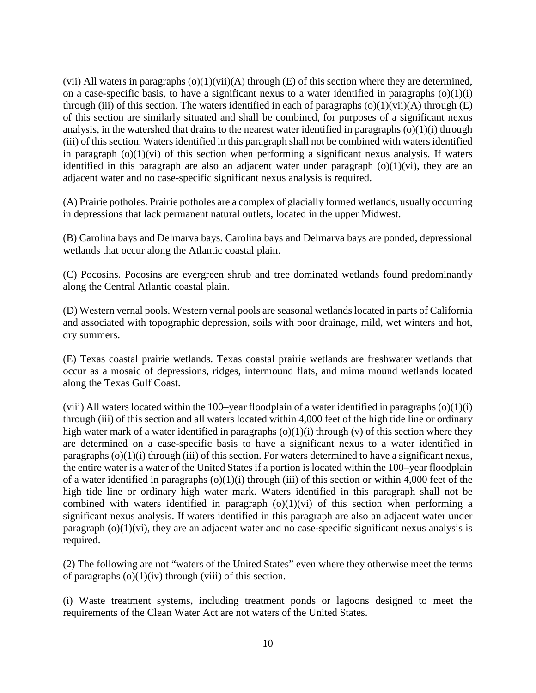(vii) All waters in paragraphs  $(o)(1)(vi)(A)$  through  $(E)$  of this section where they are determined, on a case-specific basis, to have a significant nexus to a water identified in paragraphs  $(o)(1)(i)$ through (iii) of this section. The waters identified in each of paragraphs  $(o)(1)(vii)(A)$  through  $(E)$ of this section are similarly situated and shall be combined, for purposes of a significant nexus analysis, in the watershed that drains to the nearest water identified in paragraphs  $(o)(1)(i)$  through (iii) of this section. Waters identified in this paragraph shall not be combined with waters identified in paragraph  $(o)(1)(vi)$  of this section when performing a significant nexus analysis. If waters identified in this paragraph are also an adjacent water under paragraph  $(o)(1)(vi)$ , they are an adjacent water and no case-specific significant nexus analysis is required.

(A) Prairie potholes. Prairie potholes are a complex of glacially formed wetlands, usually occurring in depressions that lack permanent natural outlets, located in the upper Midwest.

(B) Carolina bays and Delmarva bays. Carolina bays and Delmarva bays are ponded, depressional wetlands that occur along the Atlantic coastal plain.

(C) Pocosins. Pocosins are evergreen shrub and tree dominated wetlands found predominantly along the Central Atlantic coastal plain.

(D) Western vernal pools. Western vernal pools are seasonal wetlands located in parts of California and associated with topographic depression, soils with poor drainage, mild, wet winters and hot, dry summers.

(E) Texas coastal prairie wetlands. Texas coastal prairie wetlands are freshwater wetlands that occur as a mosaic of depressions, ridges, intermound flats, and mima mound wetlands located along the Texas Gulf Coast.

(viii) All waters located within the 100–year floodplain of a water identified in paragraphs (o)(1)(i) through (iii) of this section and all waters located within 4,000 feet of the high tide line or ordinary high water mark of a water identified in paragraphs  $(o)(1)(i)$  through  $(v)$  of this section where they are determined on a case-specific basis to have a significant nexus to a water identified in paragraphs (o)(1)(i) through (iii) of this section. For waters determined to have a significant nexus, the entire water is a water of the United States if a portion is located within the 100–year floodplain of a water identified in paragraphs  $(o)(1)(i)$  through (iii) of this section or within 4,000 feet of the high tide line or ordinary high water mark. Waters identified in this paragraph shall not be combined with waters identified in paragraph  $(o)(1)(vi)$  of this section when performing a significant nexus analysis. If waters identified in this paragraph are also an adjacent water under paragraph (o)(1)(vi), they are an adjacent water and no case-specific significant nexus analysis is required.

(2) The following are not "waters of the United States" even where they otherwise meet the terms of paragraphs  $(o)(1)(iv)$  through (viii) of this section.

(i) Waste treatment systems, including treatment ponds or lagoons designed to meet the requirements of the Clean Water Act are not waters of the United States.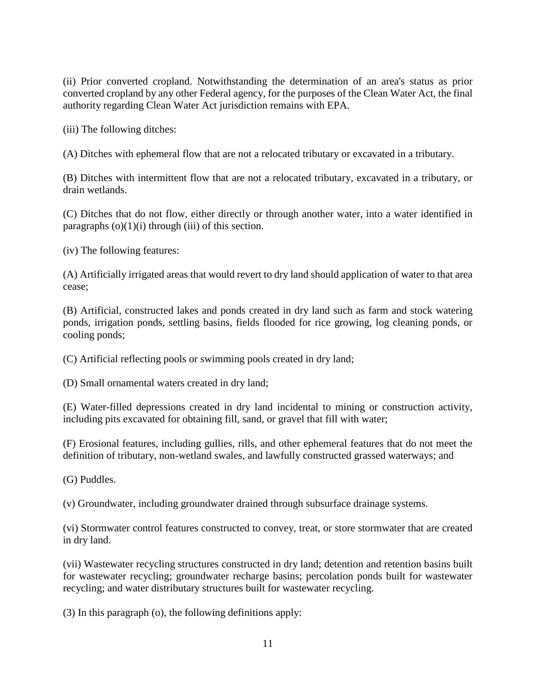(ii) Prior converted cropland. Notwithstanding the determination of an area's status as prior converted cropland by any other Federal agency, for the purposes of the Clean Water Act, the final authority regarding Clean Water Act jurisdiction remains with EPA.

(iii) The following ditches:

(A) Ditches with ephemeral flow that are not a relocated tributary or excavated in a tributary.

(B) Ditches with intermittent flow that are not a relocated tributary, excavated in a tributary, or drain wetlands.

(C) Ditches that do not flow, either directly or through another water, into a water identified in paragraphs  $(o)(1)(i)$  through (iii) of this section.

(iv) The following features:

(A) Artificially irrigated areas that would revert to dry land should application of water to that area cease;

(B) Artificial, constructed lakes and ponds created in dry land such as farm and stock watering ponds, irrigation ponds, settling basins, fields flooded for rice growing, log cleaning ponds, or cooling ponds;

(C) Artificial reflecting pools or swimming pools created in dry land;

(D) Small ornamental waters created in dry land;

(E) Water-filled depressions created in dry land incidental to mining or construction activity, including pits excavated for obtaining fill, sand, or gravel that fill with water;

(F) Erosional features, including gullies, rills, and other ephemeral features that do not meet the definition of tributary, non-wetland swales, and lawfully constructed grassed waterways; and

(G) Puddles.

(v) Groundwater, including groundwater drained through subsurface drainage systems.

(vi) Stormwater control features constructed to convey, treat, or store stormwater that are created in dry land.

(vii) Wastewater recycling structures constructed in dry land; detention and retention basins built for wastewater recycling; groundwater recharge basins; percolation ponds built for wastewater recycling; and water distributary structures built for wastewater recycling.

(3) In this paragraph (o), the following definitions apply: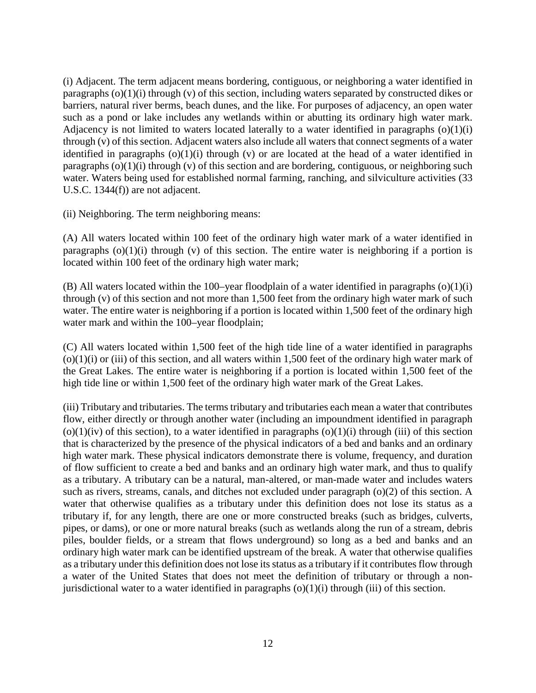(i) Adjacent. The term adjacent means bordering, contiguous, or neighboring a water identified in paragraphs  $(o)(1)(i)$  through  $(v)$  of this section, including waters separated by constructed dikes or barriers, natural river berms, beach dunes, and the like. For purposes of adjacency, an open water such as a pond or lake includes any wetlands within or abutting its ordinary high water mark. Adjacency is not limited to waters located laterally to a water identified in paragraphs  $(o)(1)(i)$ through (v) of this section. Adjacent waters also include all waters that connect segments of a water identified in paragraphs  $(o)(1)(i)$  through  $(v)$  or are located at the head of a water identified in paragraphs  $(o)(1)(i)$  through  $(v)$  of this section and are bordering, contiguous, or neighboring such water. Waters being used for established normal farming, ranching, and silviculture activities (33 U.S.C. 1344(f)) are not adjacent.

(ii) Neighboring. The term neighboring means:

(A) All waters located within 100 feet of the ordinary high water mark of a water identified in paragraphs  $(o)(1)(i)$  through  $(v)$  of this section. The entire water is neighboring if a portion is located within 100 feet of the ordinary high water mark;

(B) All waters located within the 100–year floodplain of a water identified in paragraphs  $(o)(1)(i)$ through (v) of this section and not more than 1,500 feet from the ordinary high water mark of such water. The entire water is neighboring if a portion is located within 1,500 feet of the ordinary high water mark and within the 100–year floodplain;

(C) All waters located within 1,500 feet of the high tide line of a water identified in paragraphs  $(o)(1)(i)$  or (iii) of this section, and all waters within 1,500 feet of the ordinary high water mark of the Great Lakes. The entire water is neighboring if a portion is located within 1,500 feet of the high tide line or within 1,500 feet of the ordinary high water mark of the Great Lakes.

(iii) Tributary and tributaries. The terms tributary and tributaries each mean a water that contributes flow, either directly or through another water (including an impoundment identified in paragraph  $(0)(1)(iv)$  of this section), to a water identified in paragraphs  $(0)(1)(i)$  through (iii) of this section that is characterized by the presence of the physical indicators of a bed and banks and an ordinary high water mark. These physical indicators demonstrate there is volume, frequency, and duration of flow sufficient to create a bed and banks and an ordinary high water mark, and thus to qualify as a tributary. A tributary can be a natural, man-altered, or man-made water and includes waters such as rivers, streams, canals, and ditches not excluded under paragraph (o)(2) of this section. A water that otherwise qualifies as a tributary under this definition does not lose its status as a tributary if, for any length, there are one or more constructed breaks (such as bridges, culverts, pipes, or dams), or one or more natural breaks (such as wetlands along the run of a stream, debris piles, boulder fields, or a stream that flows underground) so long as a bed and banks and an ordinary high water mark can be identified upstream of the break. A water that otherwise qualifies as a tributary under this definition does not lose its status as a tributary if it contributes flow through a water of the United States that does not meet the definition of tributary or through a nonjurisdictional water to a water identified in paragraphs  $(o)(1)(i)$  through (iii) of this section.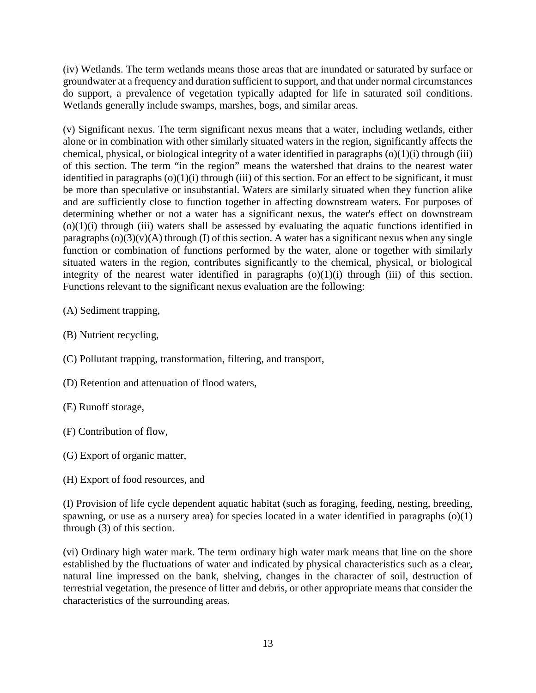(iv) Wetlands. The term wetlands means those areas that are inundated or saturated by surface or groundwater at a frequency and duration sufficient to support, and that under normal circumstances do support, a prevalence of vegetation typically adapted for life in saturated soil conditions. Wetlands generally include swamps, marshes, bogs, and similar areas.

(v) Significant nexus. The term significant nexus means that a water, including wetlands, either alone or in combination with other similarly situated waters in the region, significantly affects the chemical, physical, or biological integrity of a water identified in paragraphs  $(o)(1)(i)$  through (iii) of this section. The term "in the region" means the watershed that drains to the nearest water identified in paragraphs  $(o)(1)(i)$  through (iii) of this section. For an effect to be significant, it must be more than speculative or insubstantial. Waters are similarly situated when they function alike and are sufficiently close to function together in affecting downstream waters. For purposes of determining whether or not a water has a significant nexus, the water's effect on downstream  $(o)(1)(i)$  through (iii) waters shall be assessed by evaluating the aquatic functions identified in paragraphs  $(o)(3)(v)(A)$  through (I) of this section. A water has a significant nexus when any single function or combination of functions performed by the water, alone or together with similarly situated waters in the region, contributes significantly to the chemical, physical, or biological integrity of the nearest water identified in paragraphs  $(o)(1)(i)$  through (iii) of this section. Functions relevant to the significant nexus evaluation are the following:

(A) Sediment trapping,

- (B) Nutrient recycling,
- (C) Pollutant trapping, transformation, filtering, and transport,
- (D) Retention and attenuation of flood waters,
- (E) Runoff storage,
- (F) Contribution of flow,
- (G) Export of organic matter,
- (H) Export of food resources, and

(I) Provision of life cycle dependent aquatic habitat (such as foraging, feeding, nesting, breeding, spawning, or use as a nursery area) for species located in a water identified in paragraphs (o)(1) through (3) of this section.

(vi) Ordinary high water mark. The term ordinary high water mark means that line on the shore established by the fluctuations of water and indicated by physical characteristics such as a clear, natural line impressed on the bank, shelving, changes in the character of soil, destruction of terrestrial vegetation, the presence of litter and debris, or other appropriate means that consider the characteristics of the surrounding areas.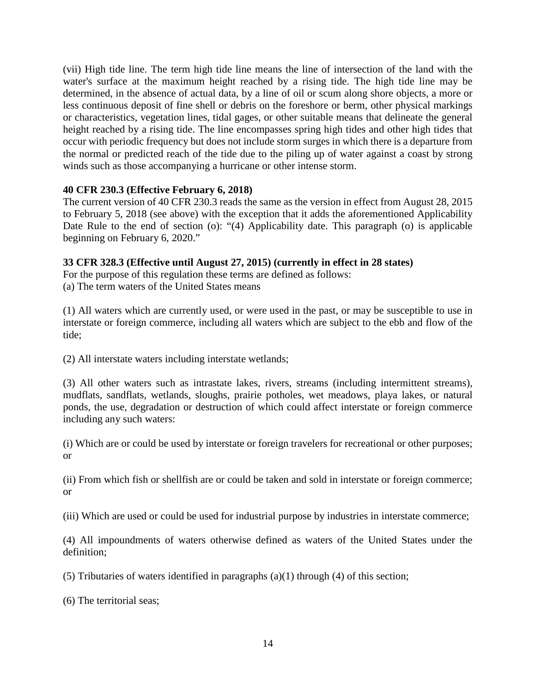(vii) High tide line. The term high tide line means the line of intersection of the land with the water's surface at the maximum height reached by a rising tide. The high tide line may be determined, in the absence of actual data, by a line of oil or scum along shore objects, a more or less continuous deposit of fine shell or debris on the foreshore or berm, other physical markings or characteristics, vegetation lines, tidal gages, or other suitable means that delineate the general height reached by a rising tide. The line encompasses spring high tides and other high tides that occur with periodic frequency but does not include storm surges in which there is a departure from the normal or predicted reach of the tide due to the piling up of water against a coast by strong winds such as those accompanying a hurricane or other intense storm.

### **40 CFR 230.3 (Effective February 6, 2018)**

The current version of 40 CFR 230.3 reads the same as the version in effect from August 28, 2015 to February 5, 2018 (see above) with the exception that it adds the aforementioned Applicability Date Rule to the end of section (o): "(4) Applicability date. This paragraph (o) is applicable beginning on February 6, 2020."

### **33 CFR 328.3 (Effective until August 27, 2015) (currently in effect in 28 states)**

For the purpose of this regulation these terms are defined as follows: (a) The term waters of the United States means

(1) All waters which are currently used, or were used in the past, or may be susceptible to use in interstate or foreign commerce, including all waters which are subject to the ebb and flow of the tide;

(2) All interstate waters including interstate wetlands;

(3) All other waters such as intrastate lakes, rivers, streams (including intermittent streams), mudflats, sandflats, wetlands, sloughs, prairie potholes, wet meadows, playa lakes, or natural ponds, the use, degradation or destruction of which could affect interstate or foreign commerce including any such waters:

(i) Which are or could be used by interstate or foreign travelers for recreational or other purposes; or

(ii) From which fish or shellfish are or could be taken and sold in interstate or foreign commerce; or

(iii) Which are used or could be used for industrial purpose by industries in interstate commerce;

(4) All impoundments of waters otherwise defined as waters of the United States under the definition;

(5) Tributaries of waters identified in paragraphs (a)(1) through (4) of this section;

(6) The territorial seas;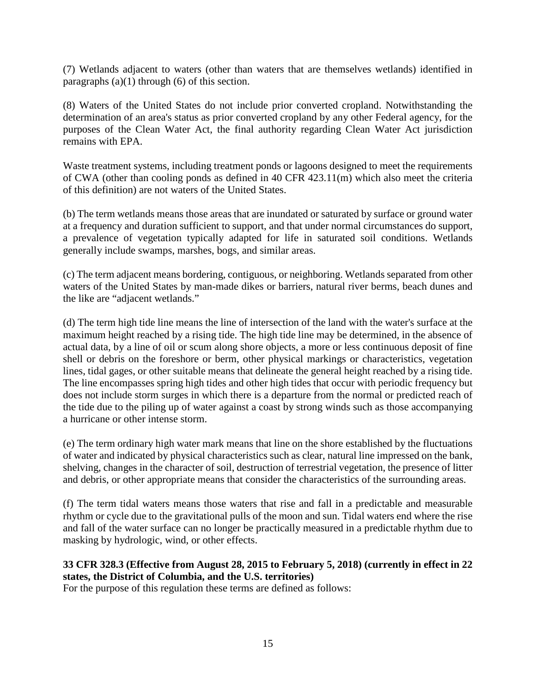(7) Wetlands adjacent to waters (other than waters that are themselves wetlands) identified in paragraphs (a)(1) through (6) of this section.

(8) Waters of the United States do not include prior converted cropland. Notwithstanding the determination of an area's status as prior converted cropland by any other Federal agency, for the purposes of the Clean Water Act, the final authority regarding Clean Water Act jurisdiction remains with EPA.

Waste treatment systems, including treatment ponds or lagoons designed to meet the requirements of CWA (other than cooling ponds as defined in 40 CFR 423.11(m) which also meet the criteria of this definition) are not waters of the United States.

(b) The term wetlands means those areas that are inundated or saturated by surface or ground water at a frequency and duration sufficient to support, and that under normal circumstances do support, a prevalence of vegetation typically adapted for life in saturated soil conditions. Wetlands generally include swamps, marshes, bogs, and similar areas.

(c) The term adjacent means bordering, contiguous, or neighboring. Wetlands separated from other waters of the United States by man-made dikes or barriers, natural river berms, beach dunes and the like are "adjacent wetlands."

(d) The term high tide line means the line of intersection of the land with the water's surface at the maximum height reached by a rising tide. The high tide line may be determined, in the absence of actual data, by a line of oil or scum along shore objects, a more or less continuous deposit of fine shell or debris on the foreshore or berm, other physical markings or characteristics, vegetation lines, tidal gages, or other suitable means that delineate the general height reached by a rising tide. The line encompasses spring high tides and other high tides that occur with periodic frequency but does not include storm surges in which there is a departure from the normal or predicted reach of the tide due to the piling up of water against a coast by strong winds such as those accompanying a hurricane or other intense storm.

(e) The term ordinary high water mark means that line on the shore established by the fluctuations of water and indicated by physical characteristics such as clear, natural line impressed on the bank, shelving, changes in the character of soil, destruction of terrestrial vegetation, the presence of litter and debris, or other appropriate means that consider the characteristics of the surrounding areas.

(f) The term tidal waters means those waters that rise and fall in a predictable and measurable rhythm or cycle due to the gravitational pulls of the moon and sun. Tidal waters end where the rise and fall of the water surface can no longer be practically measured in a predictable rhythm due to masking by hydrologic, wind, or other effects.

# **33 CFR 328.3 (Effective from August 28, 2015 to February 5, 2018) (currently in effect in 22 states, the District of Columbia, and the U.S. territories)**

For the purpose of this regulation these terms are defined as follows: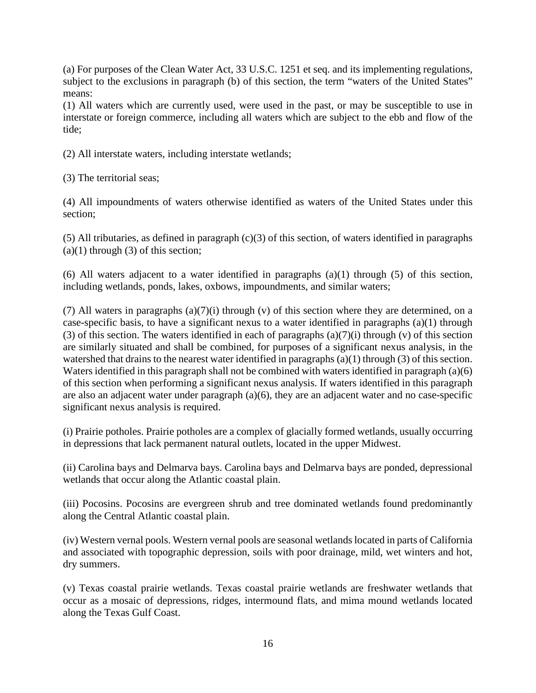(a) For purposes of the Clean Water Act, 33 U.S.C. 1251 et seq. and its implementing regulations, subject to the exclusions in paragraph (b) of this section, the term "waters of the United States" means:

(1) All waters which are currently used, were used in the past, or may be susceptible to use in interstate or foreign commerce, including all waters which are subject to the ebb and flow of the tide;

(2) All interstate waters, including interstate wetlands;

(3) The territorial seas;

(4) All impoundments of waters otherwise identified as waters of the United States under this section;

 $(5)$  All tributaries, as defined in paragraph  $(c)(3)$  of this section, of waters identified in paragraphs  $(a)(1)$  through  $(3)$  of this section;

(6) All waters adjacent to a water identified in paragraphs (a)(1) through (5) of this section, including wetlands, ponds, lakes, oxbows, impoundments, and similar waters;

(7) All waters in paragraphs  $(a)(7)(i)$  through (v) of this section where they are determined, on a case-specific basis, to have a significant nexus to a water identified in paragraphs (a)(1) through (3) of this section. The waters identified in each of paragraphs  $(a)(7)(i)$  through (v) of this section are similarly situated and shall be combined, for purposes of a significant nexus analysis, in the watershed that drains to the nearest water identified in paragraphs (a)(1) through (3) of this section. Waters identified in this paragraph shall not be combined with waters identified in paragraph (a)(6) of this section when performing a significant nexus analysis. If waters identified in this paragraph are also an adjacent water under paragraph (a)(6), they are an adjacent water and no case-specific significant nexus analysis is required.

(i) Prairie potholes. Prairie potholes are a complex of glacially formed wetlands, usually occurring in depressions that lack permanent natural outlets, located in the upper Midwest.

(ii) Carolina bays and Delmarva bays. Carolina bays and Delmarva bays are ponded, depressional wetlands that occur along the Atlantic coastal plain.

(iii) Pocosins. Pocosins are evergreen shrub and tree dominated wetlands found predominantly along the Central Atlantic coastal plain.

(iv) Western vernal pools. Western vernal pools are seasonal wetlands located in parts of California and associated with topographic depression, soils with poor drainage, mild, wet winters and hot, dry summers.

(v) Texas coastal prairie wetlands. Texas coastal prairie wetlands are freshwater wetlands that occur as a mosaic of depressions, ridges, intermound flats, and mima mound wetlands located along the Texas Gulf Coast.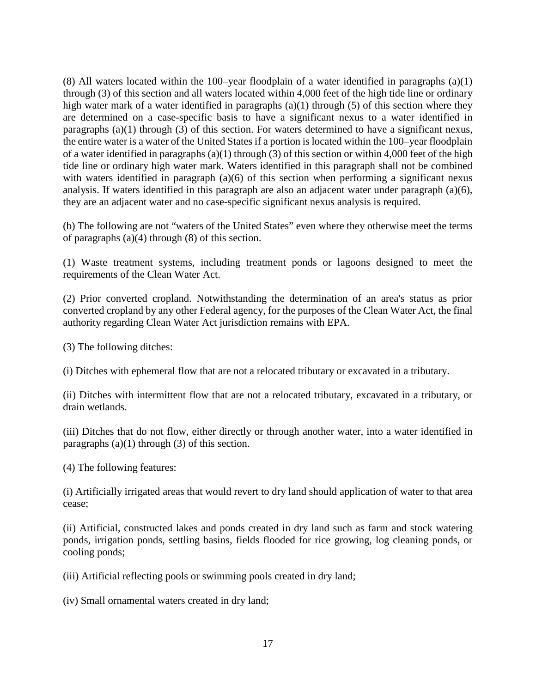(8) All waters located within the 100–year floodplain of a water identified in paragraphs (a)(1) through (3) of this section and all waters located within 4,000 feet of the high tide line or ordinary high water mark of a water identified in paragraphs (a)(1) through (5) of this section where they are determined on a case-specific basis to have a significant nexus to a water identified in paragraphs (a)(1) through (3) of this section. For waters determined to have a significant nexus, the entire water is a water of the United States if a portion is located within the 100–year floodplain of a water identified in paragraphs (a)(1) through (3) of this section or within 4,000 feet of the high tide line or ordinary high water mark. Waters identified in this paragraph shall not be combined with waters identified in paragraph (a)(6) of this section when performing a significant nexus analysis. If waters identified in this paragraph are also an adjacent water under paragraph (a)(6), they are an adjacent water and no case-specific significant nexus analysis is required.

(b) The following are not "waters of the United States" even where they otherwise meet the terms of paragraphs (a)(4) through (8) of this section.

(1) Waste treatment systems, including treatment ponds or lagoons designed to meet the requirements of the Clean Water Act.

(2) Prior converted cropland. Notwithstanding the determination of an area's status as prior converted cropland by any other Federal agency, for the purposes of the Clean Water Act, the final authority regarding Clean Water Act jurisdiction remains with EPA.

(3) The following ditches:

(i) Ditches with ephemeral flow that are not a relocated tributary or excavated in a tributary.

(ii) Ditches with intermittent flow that are not a relocated tributary, excavated in a tributary, or drain wetlands.

(iii) Ditches that do not flow, either directly or through another water, into a water identified in paragraphs  $(a)(1)$  through  $(3)$  of this section.

(4) The following features:

(i) Artificially irrigated areas that would revert to dry land should application of water to that area cease;

(ii) Artificial, constructed lakes and ponds created in dry land such as farm and stock watering ponds, irrigation ponds, settling basins, fields flooded for rice growing, log cleaning ponds, or cooling ponds;

(iii) Artificial reflecting pools or swimming pools created in dry land;

(iv) Small ornamental waters created in dry land;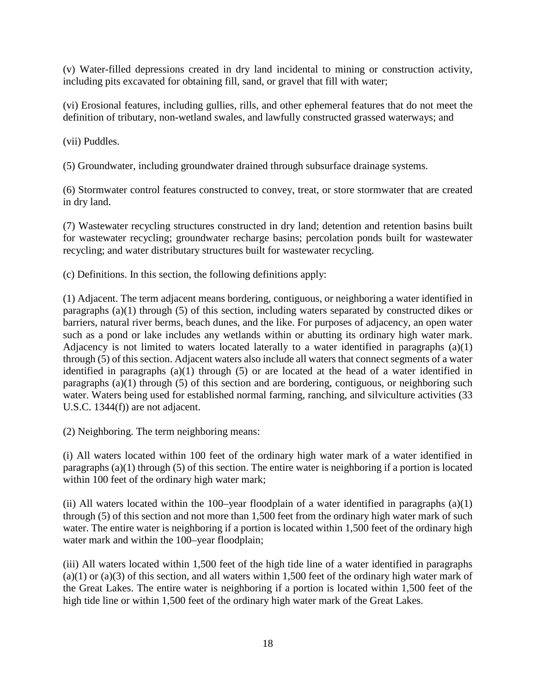(v) Water-filled depressions created in dry land incidental to mining or construction activity, including pits excavated for obtaining fill, sand, or gravel that fill with water;

(vi) Erosional features, including gullies, rills, and other ephemeral features that do not meet the definition of tributary, non-wetland swales, and lawfully constructed grassed waterways; and

(vii) Puddles.

(5) Groundwater, including groundwater drained through subsurface drainage systems.

(6) Stormwater control features constructed to convey, treat, or store stormwater that are created in dry land.

(7) Wastewater recycling structures constructed in dry land; detention and retention basins built for wastewater recycling; groundwater recharge basins; percolation ponds built for wastewater recycling; and water distributary structures built for wastewater recycling.

(c) Definitions. In this section, the following definitions apply:

(1) Adjacent. The term adjacent means bordering, contiguous, or neighboring a water identified in paragraphs (a)(1) through (5) of this section, including waters separated by constructed dikes or barriers, natural river berms, beach dunes, and the like. For purposes of adjacency, an open water such as a pond or lake includes any wetlands within or abutting its ordinary high water mark. Adjacency is not limited to waters located laterally to a water identified in paragraphs (a)(1) through (5) of this section. Adjacent waters also include all waters that connect segments of a water identified in paragraphs (a)(1) through (5) or are located at the head of a water identified in paragraphs (a)(1) through (5) of this section and are bordering, contiguous, or neighboring such water. Waters being used for established normal farming, ranching, and silviculture activities (33) U.S.C. 1344(f)) are not adjacent.

(2) Neighboring. The term neighboring means:

(i) All waters located within 100 feet of the ordinary high water mark of a water identified in paragraphs (a)(1) through (5) of this section. The entire water is neighboring if a portion is located within 100 feet of the ordinary high water mark;

(ii) All waters located within the 100–year floodplain of a water identified in paragraphs (a)(1) through (5) of this section and not more than 1,500 feet from the ordinary high water mark of such water. The entire water is neighboring if a portion is located within 1,500 feet of the ordinary high water mark and within the 100–year floodplain;

(iii) All waters located within 1,500 feet of the high tide line of a water identified in paragraphs (a)(1) or (a)(3) of this section, and all waters within 1,500 feet of the ordinary high water mark of the Great Lakes. The entire water is neighboring if a portion is located within 1,500 feet of the high tide line or within 1,500 feet of the ordinary high water mark of the Great Lakes.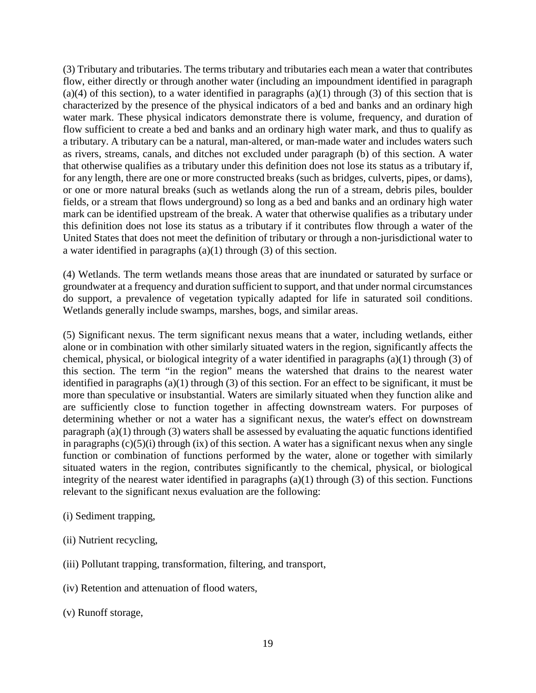(3) Tributary and tributaries. The terms tributary and tributaries each mean a water that contributes flow, either directly or through another water (including an impoundment identified in paragraph  $(a)(4)$  of this section), to a water identified in paragraphs  $(a)(1)$  through  $(3)$  of this section that is characterized by the presence of the physical indicators of a bed and banks and an ordinary high water mark. These physical indicators demonstrate there is volume, frequency, and duration of flow sufficient to create a bed and banks and an ordinary high water mark, and thus to qualify as a tributary. A tributary can be a natural, man-altered, or man-made water and includes waters such as rivers, streams, canals, and ditches not excluded under paragraph (b) of this section. A water that otherwise qualifies as a tributary under this definition does not lose its status as a tributary if, for any length, there are one or more constructed breaks (such as bridges, culverts, pipes, or dams), or one or more natural breaks (such as wetlands along the run of a stream, debris piles, boulder fields, or a stream that flows underground) so long as a bed and banks and an ordinary high water mark can be identified upstream of the break. A water that otherwise qualifies as a tributary under this definition does not lose its status as a tributary if it contributes flow through a water of the United States that does not meet the definition of tributary or through a non-jurisdictional water to a water identified in paragraphs (a)(1) through (3) of this section.

(4) Wetlands. The term wetlands means those areas that are inundated or saturated by surface or groundwater at a frequency and duration sufficient to support, and that under normal circumstances do support, a prevalence of vegetation typically adapted for life in saturated soil conditions. Wetlands generally include swamps, marshes, bogs, and similar areas.

(5) Significant nexus. The term significant nexus means that a water, including wetlands, either alone or in combination with other similarly situated waters in the region, significantly affects the chemical, physical, or biological integrity of a water identified in paragraphs (a)(1) through (3) of this section. The term "in the region" means the watershed that drains to the nearest water identified in paragraphs (a)(1) through (3) of this section. For an effect to be significant, it must be more than speculative or insubstantial. Waters are similarly situated when they function alike and are sufficiently close to function together in affecting downstream waters. For purposes of determining whether or not a water has a significant nexus, the water's effect on downstream paragraph (a)(1) through (3) waters shall be assessed by evaluating the aquatic functions identified in paragraphs  $(c)(5)(i)$  through  $(ix)$  of this section. A water has a significant nexus when any single function or combination of functions performed by the water, alone or together with similarly situated waters in the region, contributes significantly to the chemical, physical, or biological integrity of the nearest water identified in paragraphs (a)(1) through (3) of this section. Functions relevant to the significant nexus evaluation are the following:

- (i) Sediment trapping,
- (ii) Nutrient recycling,
- (iii) Pollutant trapping, transformation, filtering, and transport,
- (iv) Retention and attenuation of flood waters,
- (v) Runoff storage,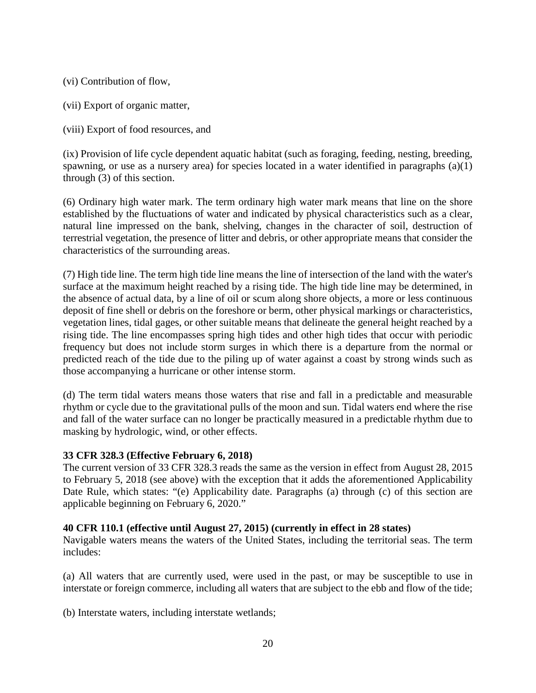(vi) Contribution of flow,

(vii) Export of organic matter,

(viii) Export of food resources, and

(ix) Provision of life cycle dependent aquatic habitat (such as foraging, feeding, nesting, breeding, spawning, or use as a nursery area) for species located in a water identified in paragraphs (a)(1) through (3) of this section.

(6) Ordinary high water mark. The term ordinary high water mark means that line on the shore established by the fluctuations of water and indicated by physical characteristics such as a clear, natural line impressed on the bank, shelving, changes in the character of soil, destruction of terrestrial vegetation, the presence of litter and debris, or other appropriate means that consider the characteristics of the surrounding areas.

(7) High tide line. The term high tide line means the line of intersection of the land with the water's surface at the maximum height reached by a rising tide. The high tide line may be determined, in the absence of actual data, by a line of oil or scum along shore objects, a more or less continuous deposit of fine shell or debris on the foreshore or berm, other physical markings or characteristics, vegetation lines, tidal gages, or other suitable means that delineate the general height reached by a rising tide. The line encompasses spring high tides and other high tides that occur with periodic frequency but does not include storm surges in which there is a departure from the normal or predicted reach of the tide due to the piling up of water against a coast by strong winds such as those accompanying a hurricane or other intense storm.

(d) The term tidal waters means those waters that rise and fall in a predictable and measurable rhythm or cycle due to the gravitational pulls of the moon and sun. Tidal waters end where the rise and fall of the water surface can no longer be practically measured in a predictable rhythm due to masking by hydrologic, wind, or other effects.

#### **33 CFR 328.3 (Effective February 6, 2018)**

The current version of 33 CFR 328.3 reads the same as the version in effect from August 28, 2015 to February 5, 2018 (see above) with the exception that it adds the aforementioned Applicability Date Rule, which states: "(e) Applicability date. Paragraphs (a) through (c) of this section are applicable beginning on February 6, 2020."

#### **40 CFR 110.1 (effective until August 27, 2015) (currently in effect in 28 states)**

Navigable waters means the waters of the United States, including the territorial seas. The term includes:

(a) All waters that are currently used, were used in the past, or may be susceptible to use in interstate or foreign commerce, including all waters that are subject to the ebb and flow of the tide;

(b) Interstate waters, including interstate wetlands;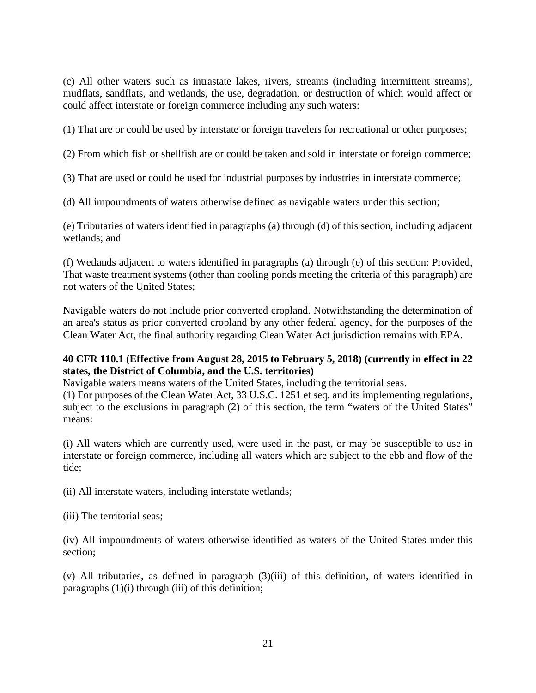(c) All other waters such as intrastate lakes, rivers, streams (including intermittent streams), mudflats, sandflats, and wetlands, the use, degradation, or destruction of which would affect or could affect interstate or foreign commerce including any such waters:

(1) That are or could be used by interstate or foreign travelers for recreational or other purposes;

(2) From which fish or shellfish are or could be taken and sold in interstate or foreign commerce;

(3) That are used or could be used for industrial purposes by industries in interstate commerce;

(d) All impoundments of waters otherwise defined as navigable waters under this section;

(e) Tributaries of waters identified in paragraphs (a) through (d) of this section, including adjacent wetlands; and

(f) Wetlands adjacent to waters identified in paragraphs (a) through (e) of this section: Provided, That waste treatment systems (other than cooling ponds meeting the criteria of this paragraph) are not waters of the United States;

Navigable waters do not include prior converted cropland. Notwithstanding the determination of an area's status as prior converted cropland by any other federal agency, for the purposes of the Clean Water Act, the final authority regarding Clean Water Act jurisdiction remains with EPA.

# **40 CFR 110.1 (Effective from August 28, 2015 to February 5, 2018) (currently in effect in 22 states, the District of Columbia, and the U.S. territories)**

Navigable waters means waters of the United States, including the territorial seas.

(1) For purposes of the Clean Water Act, 33 U.S.C. 1251 et seq. and its implementing regulations, subject to the exclusions in paragraph (2) of this section, the term "waters of the United States" means:

(i) All waters which are currently used, were used in the past, or may be susceptible to use in interstate or foreign commerce, including all waters which are subject to the ebb and flow of the tide;

(ii) All interstate waters, including interstate wetlands;

(iii) The territorial seas;

(iv) All impoundments of waters otherwise identified as waters of the United States under this section;

(v) All tributaries, as defined in paragraph (3)(iii) of this definition, of waters identified in paragraphs  $(1)(i)$  through  $(iii)$  of this definition;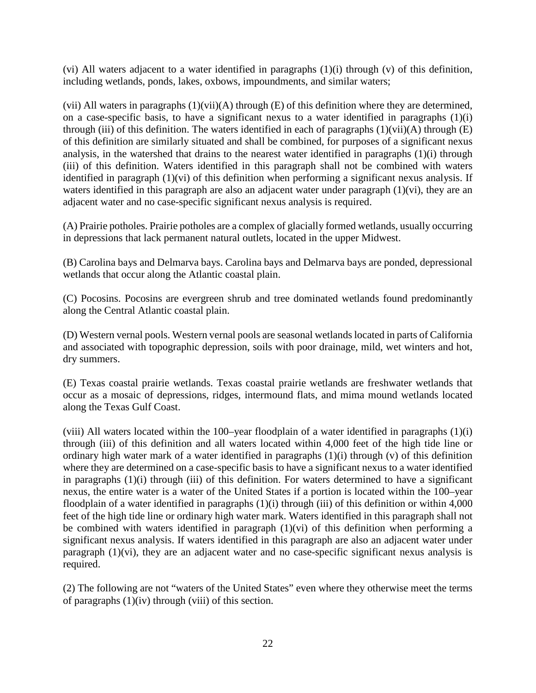(vi) All waters adjacent to a water identified in paragraphs (1)(i) through (v) of this definition, including wetlands, ponds, lakes, oxbows, impoundments, and similar waters;

(vii) All waters in paragraphs (1)(vii)(A) through (E) of this definition where they are determined, on a case-specific basis, to have a significant nexus to a water identified in paragraphs (1)(i) through (iii) of this definition. The waters identified in each of paragraphs  $(1)(\n{\rm vii})(A)$  through  $(E)$ of this definition are similarly situated and shall be combined, for purposes of a significant nexus analysis, in the watershed that drains to the nearest water identified in paragraphs (1)(i) through (iii) of this definition. Waters identified in this paragraph shall not be combined with waters identified in paragraph (1)(vi) of this definition when performing a significant nexus analysis. If waters identified in this paragraph are also an adjacent water under paragraph (1)(vi), they are an adjacent water and no case-specific significant nexus analysis is required.

(A) Prairie potholes. Prairie potholes are a complex of glacially formed wetlands, usually occurring in depressions that lack permanent natural outlets, located in the upper Midwest.

(B) Carolina bays and Delmarva bays. Carolina bays and Delmarva bays are ponded, depressional wetlands that occur along the Atlantic coastal plain.

(C) Pocosins. Pocosins are evergreen shrub and tree dominated wetlands found predominantly along the Central Atlantic coastal plain.

(D) Western vernal pools. Western vernal pools are seasonal wetlands located in parts of California and associated with topographic depression, soils with poor drainage, mild, wet winters and hot, dry summers.

(E) Texas coastal prairie wetlands. Texas coastal prairie wetlands are freshwater wetlands that occur as a mosaic of depressions, ridges, intermound flats, and mima mound wetlands located along the Texas Gulf Coast.

(viii) All waters located within the 100–year floodplain of a water identified in paragraphs (1)(i) through (iii) of this definition and all waters located within 4,000 feet of the high tide line or ordinary high water mark of a water identified in paragraphs (1)(i) through (v) of this definition where they are determined on a case-specific basis to have a significant nexus to a water identified in paragraphs (1)(i) through (iii) of this definition. For waters determined to have a significant nexus, the entire water is a water of the United States if a portion is located within the 100–year floodplain of a water identified in paragraphs (1)(i) through (iii) of this definition or within 4,000 feet of the high tide line or ordinary high water mark. Waters identified in this paragraph shall not be combined with waters identified in paragraph (1)(vi) of this definition when performing a significant nexus analysis. If waters identified in this paragraph are also an adjacent water under paragraph (1)(vi), they are an adjacent water and no case-specific significant nexus analysis is required.

(2) The following are not "waters of the United States" even where they otherwise meet the terms of paragraphs (1)(iv) through (viii) of this section.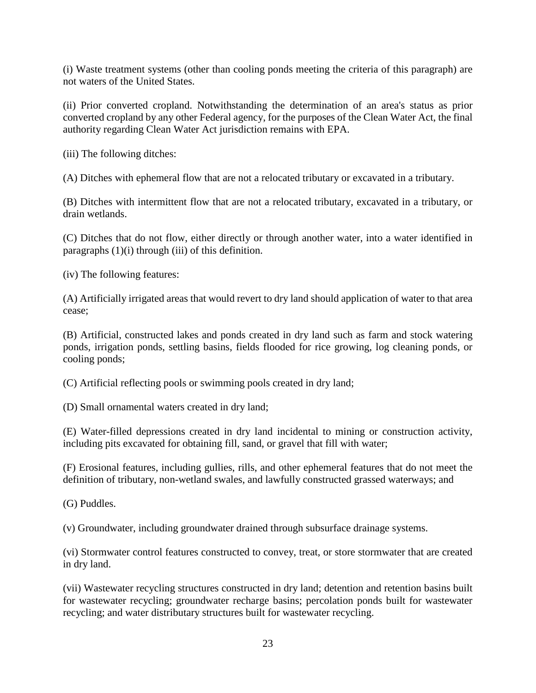(i) Waste treatment systems (other than cooling ponds meeting the criteria of this paragraph) are not waters of the United States.

(ii) Prior converted cropland. Notwithstanding the determination of an area's status as prior converted cropland by any other Federal agency, for the purposes of the Clean Water Act, the final authority regarding Clean Water Act jurisdiction remains with EPA.

(iii) The following ditches:

(A) Ditches with ephemeral flow that are not a relocated tributary or excavated in a tributary.

(B) Ditches with intermittent flow that are not a relocated tributary, excavated in a tributary, or drain wetlands.

(C) Ditches that do not flow, either directly or through another water, into a water identified in paragraphs (1)(i) through (iii) of this definition.

(iv) The following features:

(A) Artificially irrigated areas that would revert to dry land should application of water to that area cease;

(B) Artificial, constructed lakes and ponds created in dry land such as farm and stock watering ponds, irrigation ponds, settling basins, fields flooded for rice growing, log cleaning ponds, or cooling ponds;

(C) Artificial reflecting pools or swimming pools created in dry land;

(D) Small ornamental waters created in dry land;

(E) Water-filled depressions created in dry land incidental to mining or construction activity, including pits excavated for obtaining fill, sand, or gravel that fill with water;

(F) Erosional features, including gullies, rills, and other ephemeral features that do not meet the definition of tributary, non-wetland swales, and lawfully constructed grassed waterways; and

(G) Puddles.

(v) Groundwater, including groundwater drained through subsurface drainage systems.

(vi) Stormwater control features constructed to convey, treat, or store stormwater that are created in dry land.

(vii) Wastewater recycling structures constructed in dry land; detention and retention basins built for wastewater recycling; groundwater recharge basins; percolation ponds built for wastewater recycling; and water distributary structures built for wastewater recycling.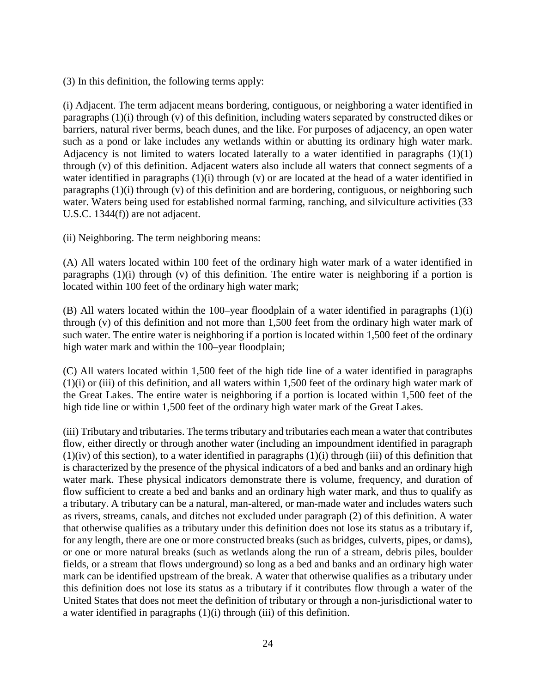(3) In this definition, the following terms apply:

(i) Adjacent. The term adjacent means bordering, contiguous, or neighboring a water identified in paragraphs (1)(i) through (v) of this definition, including waters separated by constructed dikes or barriers, natural river berms, beach dunes, and the like. For purposes of adjacency, an open water such as a pond or lake includes any wetlands within or abutting its ordinary high water mark. Adjacency is not limited to waters located laterally to a water identified in paragraphs (1)(1) through (v) of this definition. Adjacent waters also include all waters that connect segments of a water identified in paragraphs (1)(i) through (v) or are located at the head of a water identified in paragraphs (1)(i) through (v) of this definition and are bordering, contiguous, or neighboring such water. Waters being used for established normal farming, ranching, and silviculture activities (33 U.S.C. 1344(f)) are not adjacent.

(ii) Neighboring. The term neighboring means:

(A) All waters located within 100 feet of the ordinary high water mark of a water identified in paragraphs (1)(i) through (v) of this definition. The entire water is neighboring if a portion is located within 100 feet of the ordinary high water mark;

(B) All waters located within the 100–year floodplain of a water identified in paragraphs (1)(i) through (v) of this definition and not more than 1,500 feet from the ordinary high water mark of such water. The entire water is neighboring if a portion is located within 1,500 feet of the ordinary high water mark and within the 100–year floodplain;

(C) All waters located within 1,500 feet of the high tide line of a water identified in paragraphs (1)(i) or (iii) of this definition, and all waters within 1,500 feet of the ordinary high water mark of the Great Lakes. The entire water is neighboring if a portion is located within 1,500 feet of the high tide line or within 1,500 feet of the ordinary high water mark of the Great Lakes.

(iii) Tributary and tributaries. The terms tributary and tributaries each mean a water that contributes flow, either directly or through another water (including an impoundment identified in paragraph  $(1)(iv)$  of this section), to a water identified in paragraphs  $(1)(i)$  through  $(iii)$  of this definition that is characterized by the presence of the physical indicators of a bed and banks and an ordinary high water mark. These physical indicators demonstrate there is volume, frequency, and duration of flow sufficient to create a bed and banks and an ordinary high water mark, and thus to qualify as a tributary. A tributary can be a natural, man-altered, or man-made water and includes waters such as rivers, streams, canals, and ditches not excluded under paragraph (2) of this definition. A water that otherwise qualifies as a tributary under this definition does not lose its status as a tributary if, for any length, there are one or more constructed breaks (such as bridges, culverts, pipes, or dams), or one or more natural breaks (such as wetlands along the run of a stream, debris piles, boulder fields, or a stream that flows underground) so long as a bed and banks and an ordinary high water mark can be identified upstream of the break. A water that otherwise qualifies as a tributary under this definition does not lose its status as a tributary if it contributes flow through a water of the United States that does not meet the definition of tributary or through a non-jurisdictional water to a water identified in paragraphs (1)(i) through (iii) of this definition.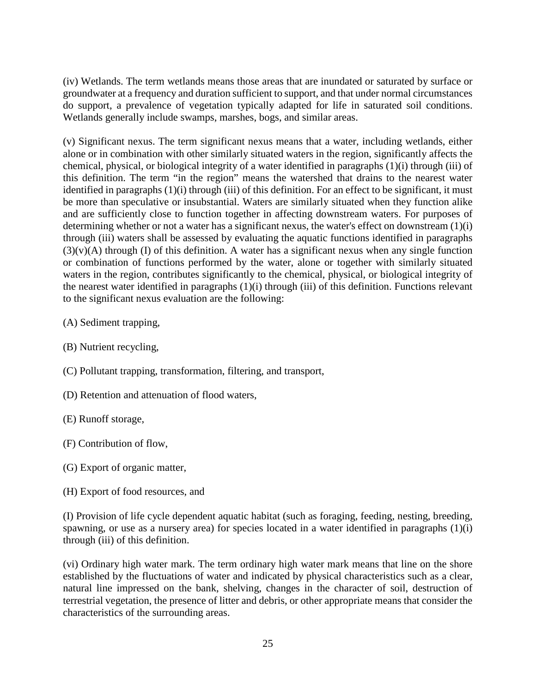(iv) Wetlands. The term wetlands means those areas that are inundated or saturated by surface or groundwater at a frequency and duration sufficient to support, and that under normal circumstances do support, a prevalence of vegetation typically adapted for life in saturated soil conditions. Wetlands generally include swamps, marshes, bogs, and similar areas.

(v) Significant nexus. The term significant nexus means that a water, including wetlands, either alone or in combination with other similarly situated waters in the region, significantly affects the chemical, physical, or biological integrity of a water identified in paragraphs (1)(i) through (iii) of this definition. The term "in the region" means the watershed that drains to the nearest water identified in paragraphs (1)(i) through (iii) of this definition. For an effect to be significant, it must be more than speculative or insubstantial. Waters are similarly situated when they function alike and are sufficiently close to function together in affecting downstream waters. For purposes of determining whether or not a water has a significant nexus, the water's effect on downstream (1)(i) through (iii) waters shall be assessed by evaluating the aquatic functions identified in paragraphs  $(3)(v)(A)$  through (I) of this definition. A water has a significant nexus when any single function or combination of functions performed by the water, alone or together with similarly situated waters in the region, contributes significantly to the chemical, physical, or biological integrity of the nearest water identified in paragraphs (1)(i) through (iii) of this definition. Functions relevant to the significant nexus evaluation are the following:

- (A) Sediment trapping,
- (B) Nutrient recycling,
- (C) Pollutant trapping, transformation, filtering, and transport,
- (D) Retention and attenuation of flood waters,
- (E) Runoff storage,
- (F) Contribution of flow,
- (G) Export of organic matter,
- (H) Export of food resources, and

(I) Provision of life cycle dependent aquatic habitat (such as foraging, feeding, nesting, breeding, spawning, or use as a nursery area) for species located in a water identified in paragraphs (1)(i) through (iii) of this definition.

(vi) Ordinary high water mark. The term ordinary high water mark means that line on the shore established by the fluctuations of water and indicated by physical characteristics such as a clear, natural line impressed on the bank, shelving, changes in the character of soil, destruction of terrestrial vegetation, the presence of litter and debris, or other appropriate means that consider the characteristics of the surrounding areas.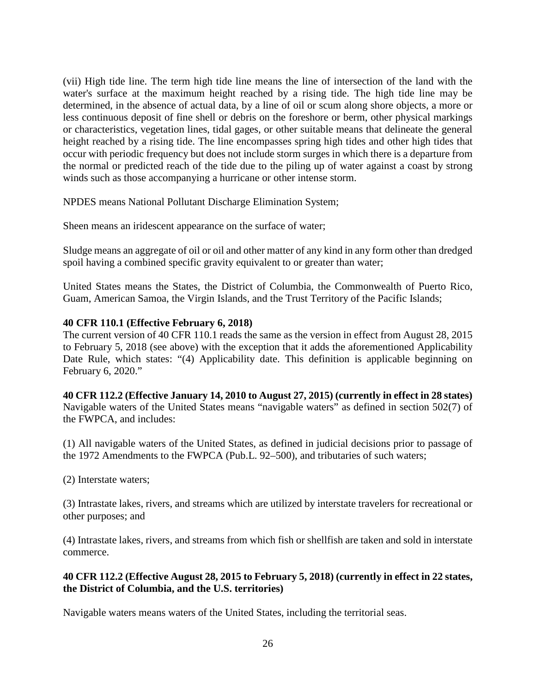(vii) High tide line. The term high tide line means the line of intersection of the land with the water's surface at the maximum height reached by a rising tide. The high tide line may be determined, in the absence of actual data, by a line of oil or scum along shore objects, a more or less continuous deposit of fine shell or debris on the foreshore or berm, other physical markings or characteristics, vegetation lines, tidal gages, or other suitable means that delineate the general height reached by a rising tide. The line encompasses spring high tides and other high tides that occur with periodic frequency but does not include storm surges in which there is a departure from the normal or predicted reach of the tide due to the piling up of water against a coast by strong winds such as those accompanying a hurricane or other intense storm.

NPDES means National Pollutant Discharge Elimination System;

Sheen means an iridescent appearance on the surface of water;

Sludge means an aggregate of oil or oil and other matter of any kind in any form other than dredged spoil having a combined specific gravity equivalent to or greater than water;

United States means the States, the District of Columbia, the Commonwealth of Puerto Rico, Guam, American Samoa, the Virgin Islands, and the Trust Territory of the Pacific Islands;

### **40 CFR 110.1 (Effective February 6, 2018)**

The current version of 40 CFR 110.1 reads the same as the version in effect from August 28, 2015 to February 5, 2018 (see above) with the exception that it adds the aforementioned Applicability Date Rule, which states: "(4) Applicability date. This definition is applicable beginning on February 6, 2020."

# **40 CFR 112.2 (Effective January 14, 2010 to August 27, 2015) (currently in effect in 28 states)**

Navigable waters of the United States means "navigable waters" as defined in section 502(7) of the FWPCA, and includes:

(1) All navigable waters of the United States, as defined in judicial decisions prior to passage of the 1972 Amendments to the FWPCA (Pub.L. 92–500), and tributaries of such waters;

(2) Interstate waters;

(3) Intrastate lakes, rivers, and streams which are utilized by interstate travelers for recreational or other purposes; and

(4) Intrastate lakes, rivers, and streams from which fish or shellfish are taken and sold in interstate commerce.

### **40 CFR 112.2 (Effective August 28, 2015 to February 5, 2018) (currently in effect in 22 states, the District of Columbia, and the U.S. territories)**

Navigable waters means waters of the United States, including the territorial seas.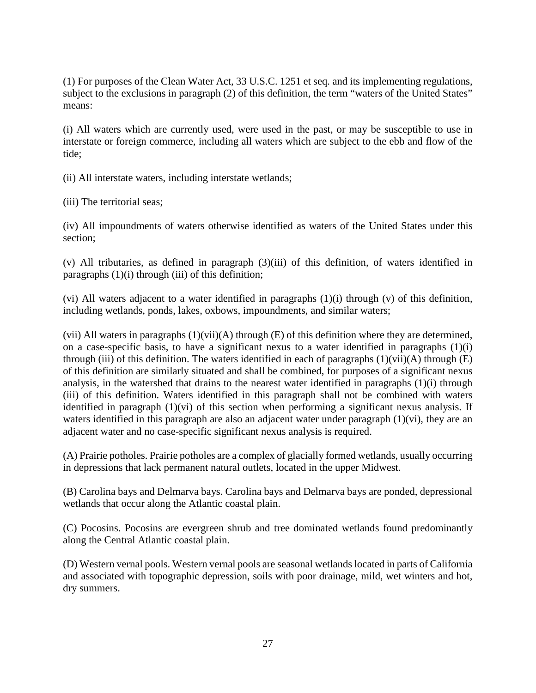(1) For purposes of the Clean Water Act, 33 U.S.C. 1251 et seq. and its implementing regulations, subject to the exclusions in paragraph (2) of this definition, the term "waters of the United States" means:

(i) All waters which are currently used, were used in the past, or may be susceptible to use in interstate or foreign commerce, including all waters which are subject to the ebb and flow of the tide;

(ii) All interstate waters, including interstate wetlands;

(iii) The territorial seas;

(iv) All impoundments of waters otherwise identified as waters of the United States under this section;

(v) All tributaries, as defined in paragraph (3)(iii) of this definition, of waters identified in paragraphs (1)(i) through (iii) of this definition;

(vi) All waters adjacent to a water identified in paragraphs (1)(i) through (v) of this definition, including wetlands, ponds, lakes, oxbows, impoundments, and similar waters;

(vii) All waters in paragraphs (1)(vii)(A) through (E) of this definition where they are determined, on a case-specific basis, to have a significant nexus to a water identified in paragraphs  $(1)(i)$ through (iii) of this definition. The waters identified in each of paragraphs  $(1)(\n{\rm vii})(A)$  through  $(E)$ of this definition are similarly situated and shall be combined, for purposes of a significant nexus analysis, in the watershed that drains to the nearest water identified in paragraphs (1)(i) through (iii) of this definition. Waters identified in this paragraph shall not be combined with waters identified in paragraph (1)(vi) of this section when performing a significant nexus analysis. If waters identified in this paragraph are also an adjacent water under paragraph (1)(vi), they are an adjacent water and no case-specific significant nexus analysis is required.

(A) Prairie potholes. Prairie potholes are a complex of glacially formed wetlands, usually occurring in depressions that lack permanent natural outlets, located in the upper Midwest.

(B) Carolina bays and Delmarva bays. Carolina bays and Delmarva bays are ponded, depressional wetlands that occur along the Atlantic coastal plain.

(C) Pocosins. Pocosins are evergreen shrub and tree dominated wetlands found predominantly along the Central Atlantic coastal plain.

(D) Western vernal pools. Western vernal pools are seasonal wetlands located in parts of California and associated with topographic depression, soils with poor drainage, mild, wet winters and hot, dry summers.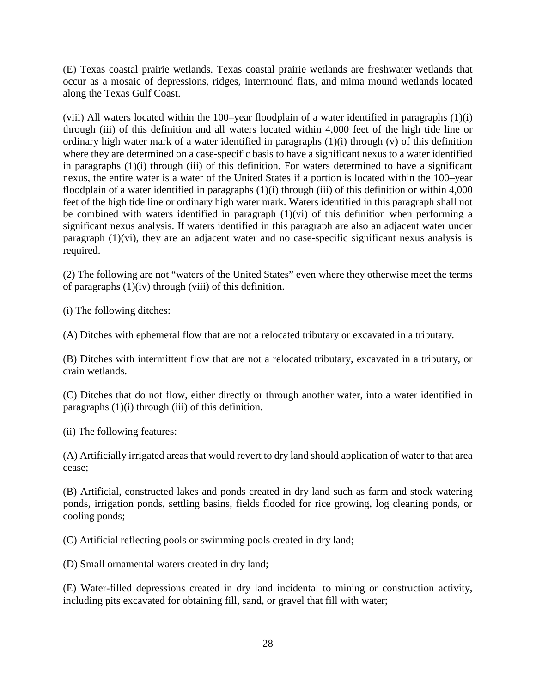(E) Texas coastal prairie wetlands. Texas coastal prairie wetlands are freshwater wetlands that occur as a mosaic of depressions, ridges, intermound flats, and mima mound wetlands located along the Texas Gulf Coast.

(viii) All waters located within the 100–year floodplain of a water identified in paragraphs (1)(i) through (iii) of this definition and all waters located within 4,000 feet of the high tide line or ordinary high water mark of a water identified in paragraphs (1)(i) through (v) of this definition where they are determined on a case-specific basis to have a significant nexus to a water identified in paragraphs (1)(i) through (iii) of this definition. For waters determined to have a significant nexus, the entire water is a water of the United States if a portion is located within the 100–year floodplain of a water identified in paragraphs (1)(i) through (iii) of this definition or within 4,000 feet of the high tide line or ordinary high water mark. Waters identified in this paragraph shall not be combined with waters identified in paragraph (1)(vi) of this definition when performing a significant nexus analysis. If waters identified in this paragraph are also an adjacent water under paragraph (1)(vi), they are an adjacent water and no case-specific significant nexus analysis is required.

(2) The following are not "waters of the United States" even where they otherwise meet the terms of paragraphs (1)(iv) through (viii) of this definition.

(i) The following ditches:

(A) Ditches with ephemeral flow that are not a relocated tributary or excavated in a tributary.

(B) Ditches with intermittent flow that are not a relocated tributary, excavated in a tributary, or drain wetlands.

(C) Ditches that do not flow, either directly or through another water, into a water identified in paragraphs (1)(i) through (iii) of this definition.

(ii) The following features:

(A) Artificially irrigated areas that would revert to dry land should application of water to that area cease;

(B) Artificial, constructed lakes and ponds created in dry land such as farm and stock watering ponds, irrigation ponds, settling basins, fields flooded for rice growing, log cleaning ponds, or cooling ponds;

(C) Artificial reflecting pools or swimming pools created in dry land;

(D) Small ornamental waters created in dry land;

(E) Water-filled depressions created in dry land incidental to mining or construction activity, including pits excavated for obtaining fill, sand, or gravel that fill with water;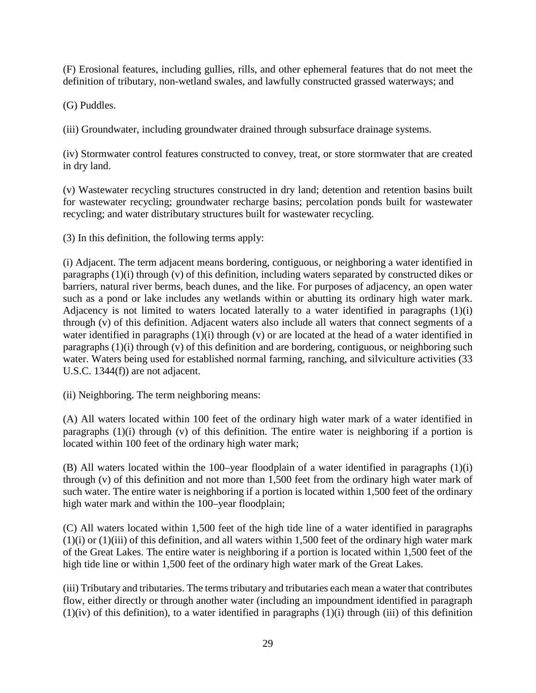(F) Erosional features, including gullies, rills, and other ephemeral features that do not meet the definition of tributary, non-wetland swales, and lawfully constructed grassed waterways; and

(G) Puddles.

(iii) Groundwater, including groundwater drained through subsurface drainage systems.

(iv) Stormwater control features constructed to convey, treat, or store stormwater that are created in dry land.

(v) Wastewater recycling structures constructed in dry land; detention and retention basins built for wastewater recycling; groundwater recharge basins; percolation ponds built for wastewater recycling; and water distributary structures built for wastewater recycling.

(3) In this definition, the following terms apply:

(i) Adjacent. The term adjacent means bordering, contiguous, or neighboring a water identified in paragraphs (1)(i) through (v) of this definition, including waters separated by constructed dikes or barriers, natural river berms, beach dunes, and the like. For purposes of adjacency, an open water such as a pond or lake includes any wetlands within or abutting its ordinary high water mark. Adjacency is not limited to waters located laterally to a water identified in paragraphs (1)(i) through (v) of this definition. Adjacent waters also include all waters that connect segments of a water identified in paragraphs (1)(i) through (v) or are located at the head of a water identified in paragraphs (1)(i) through (v) of this definition and are bordering, contiguous, or neighboring such water. Waters being used for established normal farming, ranching, and silviculture activities (33 U.S.C. 1344(f)) are not adjacent.

(ii) Neighboring. The term neighboring means:

(A) All waters located within 100 feet of the ordinary high water mark of a water identified in paragraphs (1)(i) through (v) of this definition. The entire water is neighboring if a portion is located within 100 feet of the ordinary high water mark;

(B) All waters located within the 100–year floodplain of a water identified in paragraphs (1)(i) through (v) of this definition and not more than 1,500 feet from the ordinary high water mark of such water. The entire water is neighboring if a portion is located within 1,500 feet of the ordinary high water mark and within the 100–year floodplain;

(C) All waters located within 1,500 feet of the high tide line of a water identified in paragraphs (1)(i) or (1)(iii) of this definition, and all waters within 1,500 feet of the ordinary high water mark of the Great Lakes. The entire water is neighboring if a portion is located within 1,500 feet of the high tide line or within 1,500 feet of the ordinary high water mark of the Great Lakes.

(iii) Tributary and tributaries. The terms tributary and tributaries each mean a water that contributes flow, either directly or through another water (including an impoundment identified in paragraph  $(1)(iv)$  of this definition), to a water identified in paragraphs  $(1)(i)$  through  $(iii)$  of this definition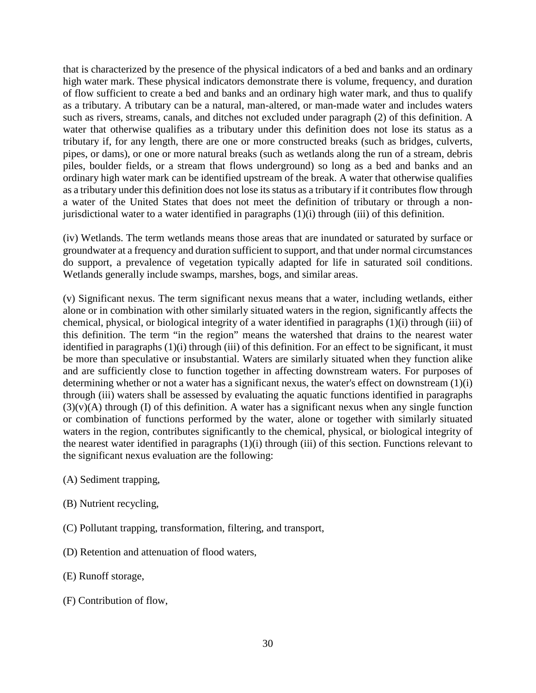that is characterized by the presence of the physical indicators of a bed and banks and an ordinary high water mark. These physical indicators demonstrate there is volume, frequency, and duration of flow sufficient to create a bed and banks and an ordinary high water mark, and thus to qualify as a tributary. A tributary can be a natural, man-altered, or man-made water and includes waters such as rivers, streams, canals, and ditches not excluded under paragraph (2) of this definition. A water that otherwise qualifies as a tributary under this definition does not lose its status as a tributary if, for any length, there are one or more constructed breaks (such as bridges, culverts, pipes, or dams), or one or more natural breaks (such as wetlands along the run of a stream, debris piles, boulder fields, or a stream that flows underground) so long as a bed and banks and an ordinary high water mark can be identified upstream of the break. A water that otherwise qualifies as a tributary under this definition does not lose its status as a tributary if it contributes flow through a water of the United States that does not meet the definition of tributary or through a nonjurisdictional water to a water identified in paragraphs (1)(i) through (iii) of this definition.

(iv) Wetlands. The term wetlands means those areas that are inundated or saturated by surface or groundwater at a frequency and duration sufficient to support, and that under normal circumstances do support, a prevalence of vegetation typically adapted for life in saturated soil conditions. Wetlands generally include swamps, marshes, bogs, and similar areas.

(v) Significant nexus. The term significant nexus means that a water, including wetlands, either alone or in combination with other similarly situated waters in the region, significantly affects the chemical, physical, or biological integrity of a water identified in paragraphs (1)(i) through (iii) of this definition. The term "in the region" means the watershed that drains to the nearest water identified in paragraphs (1)(i) through (iii) of this definition. For an effect to be significant, it must be more than speculative or insubstantial. Waters are similarly situated when they function alike and are sufficiently close to function together in affecting downstream waters. For purposes of determining whether or not a water has a significant nexus, the water's effect on downstream (1)(i) through (iii) waters shall be assessed by evaluating the aquatic functions identified in paragraphs  $(3)(v)(A)$  through (I) of this definition. A water has a significant nexus when any single function or combination of functions performed by the water, alone or together with similarly situated waters in the region, contributes significantly to the chemical, physical, or biological integrity of the nearest water identified in paragraphs (1)(i) through (iii) of this section. Functions relevant to the significant nexus evaluation are the following:

- (A) Sediment trapping,
- (B) Nutrient recycling,
- (C) Pollutant trapping, transformation, filtering, and transport,
- (D) Retention and attenuation of flood waters,
- (E) Runoff storage,
- (F) Contribution of flow,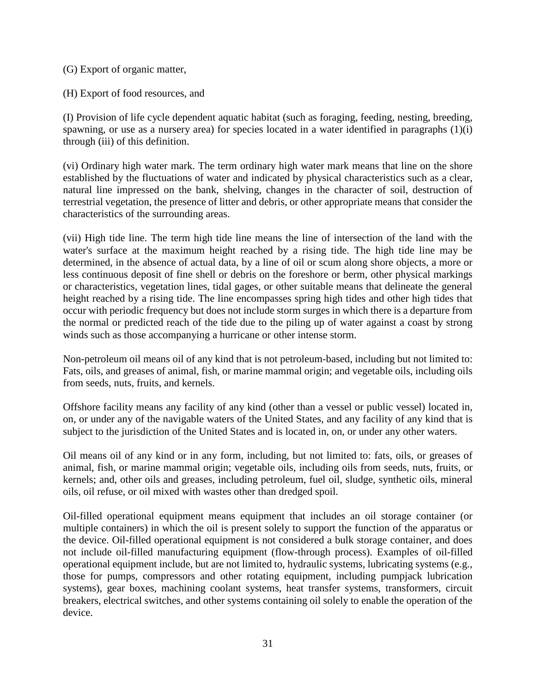(G) Export of organic matter,

(H) Export of food resources, and

(I) Provision of life cycle dependent aquatic habitat (such as foraging, feeding, nesting, breeding, spawning, or use as a nursery area) for species located in a water identified in paragraphs (1)(i) through (iii) of this definition.

(vi) Ordinary high water mark. The term ordinary high water mark means that line on the shore established by the fluctuations of water and indicated by physical characteristics such as a clear, natural line impressed on the bank, shelving, changes in the character of soil, destruction of terrestrial vegetation, the presence of litter and debris, or other appropriate means that consider the characteristics of the surrounding areas.

(vii) High tide line. The term high tide line means the line of intersection of the land with the water's surface at the maximum height reached by a rising tide. The high tide line may be determined, in the absence of actual data, by a line of oil or scum along shore objects, a more or less continuous deposit of fine shell or debris on the foreshore or berm, other physical markings or characteristics, vegetation lines, tidal gages, or other suitable means that delineate the general height reached by a rising tide. The line encompasses spring high tides and other high tides that occur with periodic frequency but does not include storm surges in which there is a departure from the normal or predicted reach of the tide due to the piling up of water against a coast by strong winds such as those accompanying a hurricane or other intense storm.

Non-petroleum oil means oil of any kind that is not petroleum-based, including but not limited to: Fats, oils, and greases of animal, fish, or marine mammal origin; and vegetable oils, including oils from seeds, nuts, fruits, and kernels.

Offshore facility means any facility of any kind (other than a vessel or public vessel) located in, on, or under any of the navigable waters of the United States, and any facility of any kind that is subject to the jurisdiction of the United States and is located in, on, or under any other waters.

Oil means oil of any kind or in any form, including, but not limited to: fats, oils, or greases of animal, fish, or marine mammal origin; vegetable oils, including oils from seeds, nuts, fruits, or kernels; and, other oils and greases, including petroleum, fuel oil, sludge, synthetic oils, mineral oils, oil refuse, or oil mixed with wastes other than dredged spoil.

Oil-filled operational equipment means equipment that includes an oil storage container (or multiple containers) in which the oil is present solely to support the function of the apparatus or the device. Oil-filled operational equipment is not considered a bulk storage container, and does not include oil-filled manufacturing equipment (flow-through process). Examples of oil-filled operational equipment include, but are not limited to, hydraulic systems, lubricating systems (e.g., those for pumps, compressors and other rotating equipment, including pumpjack lubrication systems), gear boxes, machining coolant systems, heat transfer systems, transformers, circuit breakers, electrical switches, and other systems containing oil solely to enable the operation of the device.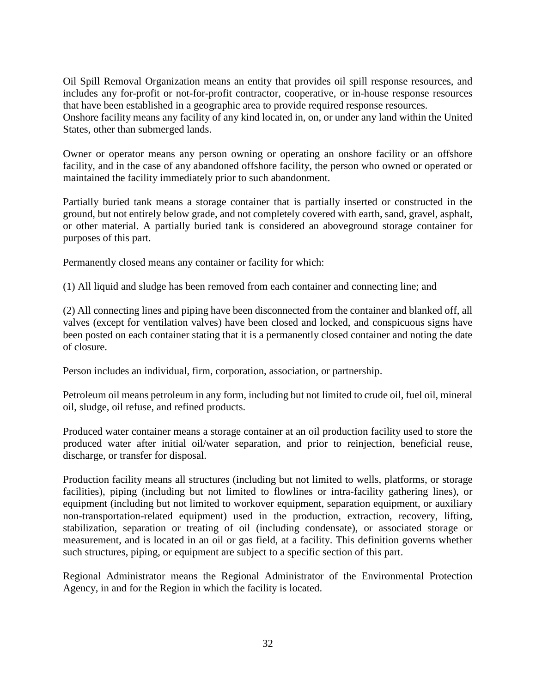Oil Spill Removal Organization means an entity that provides oil spill response resources, and includes any for-profit or not-for-profit contractor, cooperative, or in-house response resources that have been established in a geographic area to provide required response resources. Onshore facility means any facility of any kind located in, on, or under any land within the United States, other than submerged lands.

Owner or operator means any person owning or operating an onshore facility or an offshore facility, and in the case of any abandoned offshore facility, the person who owned or operated or maintained the facility immediately prior to such abandonment.

Partially buried tank means a storage container that is partially inserted or constructed in the ground, but not entirely below grade, and not completely covered with earth, sand, gravel, asphalt, or other material. A partially buried tank is considered an aboveground storage container for purposes of this part.

Permanently closed means any container or facility for which:

(1) All liquid and sludge has been removed from each container and connecting line; and

(2) All connecting lines and piping have been disconnected from the container and blanked off, all valves (except for ventilation valves) have been closed and locked, and conspicuous signs have been posted on each container stating that it is a permanently closed container and noting the date of closure.

Person includes an individual, firm, corporation, association, or partnership.

Petroleum oil means petroleum in any form, including but not limited to crude oil, fuel oil, mineral oil, sludge, oil refuse, and refined products.

Produced water container means a storage container at an oil production facility used to store the produced water after initial oil/water separation, and prior to reinjection, beneficial reuse, discharge, or transfer for disposal.

Production facility means all structures (including but not limited to wells, platforms, or storage facilities), piping (including but not limited to flowlines or intra-facility gathering lines), or equipment (including but not limited to workover equipment, separation equipment, or auxiliary non-transportation-related equipment) used in the production, extraction, recovery, lifting, stabilization, separation or treating of oil (including condensate), or associated storage or measurement, and is located in an oil or gas field, at a facility. This definition governs whether such structures, piping, or equipment are subject to a specific section of this part.

Regional Administrator means the Regional Administrator of the Environmental Protection Agency, in and for the Region in which the facility is located.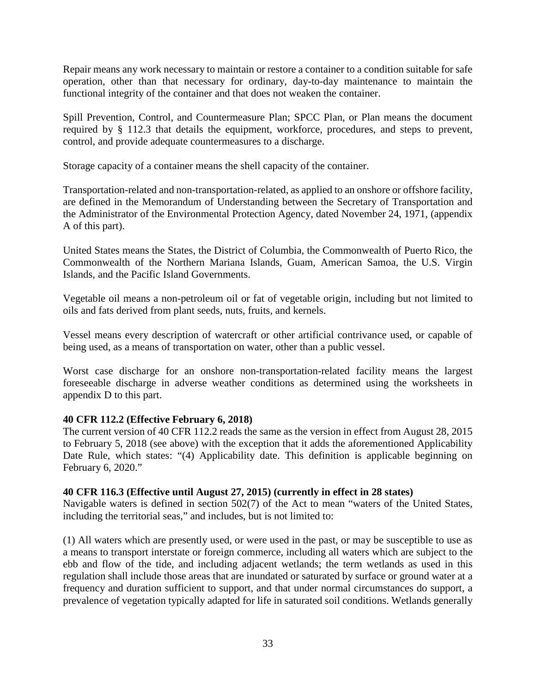Repair means any work necessary to maintain or restore a container to a condition suitable for safe operation, other than that necessary for ordinary, day-to-day maintenance to maintain the functional integrity of the container and that does not weaken the container.

Spill Prevention, Control, and Countermeasure Plan; SPCC Plan, or Plan means the document required by § 112.3 that details the equipment, workforce, procedures, and steps to prevent, control, and provide adequate countermeasures to a discharge.

Storage capacity of a container means the shell capacity of the container.

Transportation-related and non-transportation-related, as applied to an onshore or offshore facility, are defined in the Memorandum of Understanding between the Secretary of Transportation and the Administrator of the Environmental Protection Agency, dated November 24, 1971, (appendix A of this part).

United States means the States, the District of Columbia, the Commonwealth of Puerto Rico, the Commonwealth of the Northern Mariana Islands, Guam, American Samoa, the U.S. Virgin Islands, and the Pacific Island Governments.

Vegetable oil means a non-petroleum oil or fat of vegetable origin, including but not limited to oils and fats derived from plant seeds, nuts, fruits, and kernels.

Vessel means every description of watercraft or other artificial contrivance used, or capable of being used, as a means of transportation on water, other than a public vessel.

Worst case discharge for an onshore non-transportation-related facility means the largest foreseeable discharge in adverse weather conditions as determined using the worksheets in appendix D to this part.

## **40 CFR 112.2 (Effective February 6, 2018)**

The current version of 40 CFR 112.2 reads the same as the version in effect from August 28, 2015 to February 5, 2018 (see above) with the exception that it adds the aforementioned Applicability Date Rule, which states: "(4) Applicability date. This definition is applicable beginning on February 6, 2020."

#### **40 CFR 116.3 (Effective until August 27, 2015) (currently in effect in 28 states)**

Navigable waters is defined in section 502(7) of the Act to mean "waters of the United States, including the territorial seas," and includes, but is not limited to:

(1) All waters which are presently used, or were used in the past, or may be susceptible to use as a means to transport interstate or foreign commerce, including all waters which are subject to the ebb and flow of the tide, and including adjacent wetlands; the term wetlands as used in this regulation shall include those areas that are inundated or saturated by surface or ground water at a frequency and duration sufficient to support, and that under normal circumstances do support, a prevalence of vegetation typically adapted for life in saturated soil conditions. Wetlands generally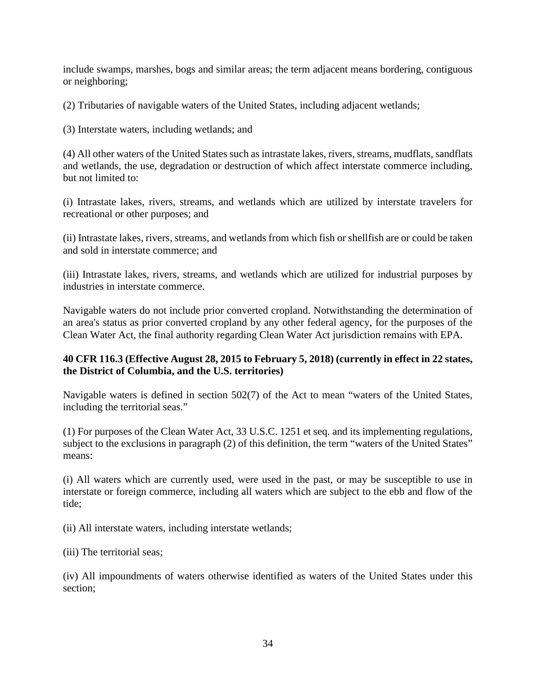include swamps, marshes, bogs and similar areas; the term adjacent means bordering, contiguous or neighboring;

(2) Tributaries of navigable waters of the United States, including adjacent wetlands;

(3) Interstate waters, including wetlands; and

(4) All other waters of the United States such as intrastate lakes, rivers, streams, mudflats, sandflats and wetlands, the use, degradation or destruction of which affect interstate commerce including, but not limited to:

(i) Intrastate lakes, rivers, streams, and wetlands which are utilized by interstate travelers for recreational or other purposes; and

(ii) Intrastate lakes, rivers, streams, and wetlands from which fish or shellfish are or could be taken and sold in interstate commerce; and

(iii) Intrastate lakes, rivers, streams, and wetlands which are utilized for industrial purposes by industries in interstate commerce.

Navigable waters do not include prior converted cropland. Notwithstanding the determination of an area's status as prior converted cropland by any other federal agency, for the purposes of the Clean Water Act, the final authority regarding Clean Water Act jurisdiction remains with EPA.

## **40 CFR 116.3 (Effective August 28, 2015 to February 5, 2018) (currently in effect in 22 states, the District of Columbia, and the U.S. territories)**

Navigable waters is defined in section 502(7) of the Act to mean "waters of the United States, including the territorial seas."

(1) For purposes of the Clean Water Act, 33 U.S.C. 1251 et seq. and its implementing regulations, subject to the exclusions in paragraph (2) of this definition, the term "waters of the United States" means:

(i) All waters which are currently used, were used in the past, or may be susceptible to use in interstate or foreign commerce, including all waters which are subject to the ebb and flow of the tide;

(ii) All interstate waters, including interstate wetlands;

(iii) The territorial seas;

(iv) All impoundments of waters otherwise identified as waters of the United States under this section;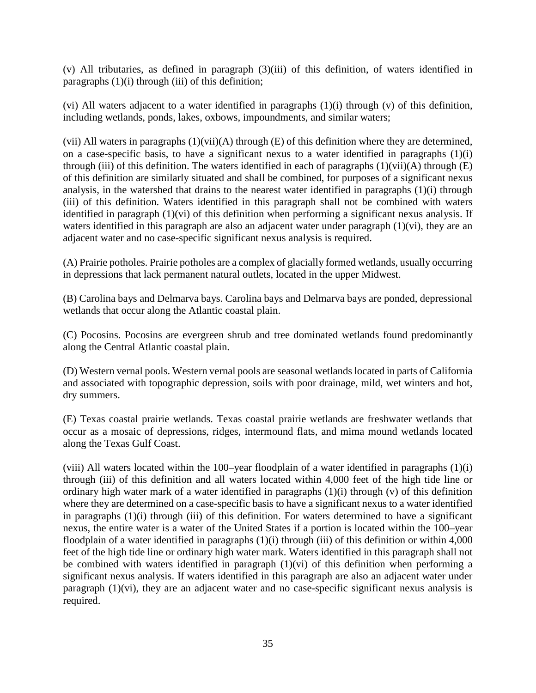(v) All tributaries, as defined in paragraph (3)(iii) of this definition, of waters identified in paragraphs (1)(i) through (iii) of this definition;

(vi) All waters adjacent to a water identified in paragraphs (1)(i) through (v) of this definition, including wetlands, ponds, lakes, oxbows, impoundments, and similar waters;

(vii) All waters in paragraphs (1)(vii)(A) through (E) of this definition where they are determined, on a case-specific basis, to have a significant nexus to a water identified in paragraphs (1)(i) through (iii) of this definition. The waters identified in each of paragraphs  $(1)(\n{\rm vii})(A)$  through  $(E)$ of this definition are similarly situated and shall be combined, for purposes of a significant nexus analysis, in the watershed that drains to the nearest water identified in paragraphs (1)(i) through (iii) of this definition. Waters identified in this paragraph shall not be combined with waters identified in paragraph (1)(vi) of this definition when performing a significant nexus analysis. If waters identified in this paragraph are also an adjacent water under paragraph (1)(vi), they are an adjacent water and no case-specific significant nexus analysis is required.

(A) Prairie potholes. Prairie potholes are a complex of glacially formed wetlands, usually occurring in depressions that lack permanent natural outlets, located in the upper Midwest.

(B) Carolina bays and Delmarva bays. Carolina bays and Delmarva bays are ponded, depressional wetlands that occur along the Atlantic coastal plain.

(C) Pocosins. Pocosins are evergreen shrub and tree dominated wetlands found predominantly along the Central Atlantic coastal plain.

(D) Western vernal pools. Western vernal pools are seasonal wetlands located in parts of California and associated with topographic depression, soils with poor drainage, mild, wet winters and hot, dry summers.

(E) Texas coastal prairie wetlands. Texas coastal prairie wetlands are freshwater wetlands that occur as a mosaic of depressions, ridges, intermound flats, and mima mound wetlands located along the Texas Gulf Coast.

(viii) All waters located within the 100–year floodplain of a water identified in paragraphs (1)(i) through (iii) of this definition and all waters located within 4,000 feet of the high tide line or ordinary high water mark of a water identified in paragraphs (1)(i) through (v) of this definition where they are determined on a case-specific basis to have a significant nexus to a water identified in paragraphs (1)(i) through (iii) of this definition. For waters determined to have a significant nexus, the entire water is a water of the United States if a portion is located within the 100–year floodplain of a water identified in paragraphs (1)(i) through (iii) of this definition or within 4,000 feet of the high tide line or ordinary high water mark. Waters identified in this paragraph shall not be combined with waters identified in paragraph  $(1)(vi)$  of this definition when performing a significant nexus analysis. If waters identified in this paragraph are also an adjacent water under paragraph (1)(vi), they are an adjacent water and no case-specific significant nexus analysis is required.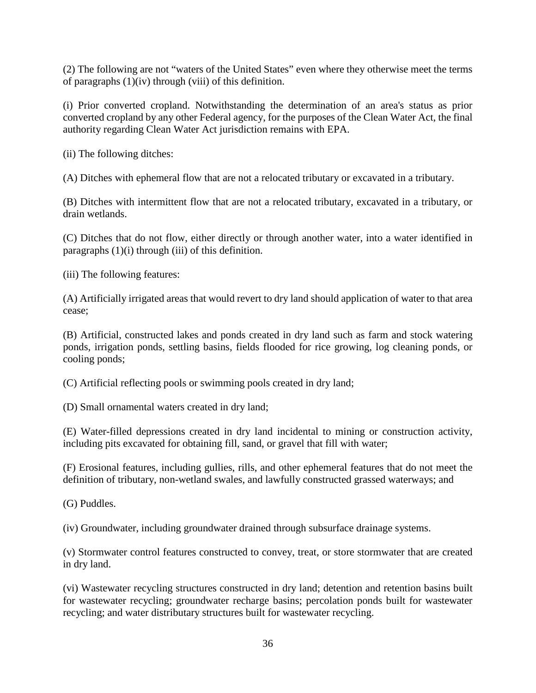(2) The following are not "waters of the United States" even where they otherwise meet the terms of paragraphs (1)(iv) through (viii) of this definition.

(i) Prior converted cropland. Notwithstanding the determination of an area's status as prior converted cropland by any other Federal agency, for the purposes of the Clean Water Act, the final authority regarding Clean Water Act jurisdiction remains with EPA.

(ii) The following ditches:

(A) Ditches with ephemeral flow that are not a relocated tributary or excavated in a tributary.

(B) Ditches with intermittent flow that are not a relocated tributary, excavated in a tributary, or drain wetlands.

(C) Ditches that do not flow, either directly or through another water, into a water identified in paragraphs (1)(i) through (iii) of this definition.

(iii) The following features:

(A) Artificially irrigated areas that would revert to dry land should application of water to that area cease;

(B) Artificial, constructed lakes and ponds created in dry land such as farm and stock watering ponds, irrigation ponds, settling basins, fields flooded for rice growing, log cleaning ponds, or cooling ponds;

(C) Artificial reflecting pools or swimming pools created in dry land;

(D) Small ornamental waters created in dry land;

(E) Water-filled depressions created in dry land incidental to mining or construction activity, including pits excavated for obtaining fill, sand, or gravel that fill with water;

(F) Erosional features, including gullies, rills, and other ephemeral features that do not meet the definition of tributary, non-wetland swales, and lawfully constructed grassed waterways; and

(G) Puddles.

(iv) Groundwater, including groundwater drained through subsurface drainage systems.

(v) Stormwater control features constructed to convey, treat, or store stormwater that are created in dry land.

(vi) Wastewater recycling structures constructed in dry land; detention and retention basins built for wastewater recycling; groundwater recharge basins; percolation ponds built for wastewater recycling; and water distributary structures built for wastewater recycling.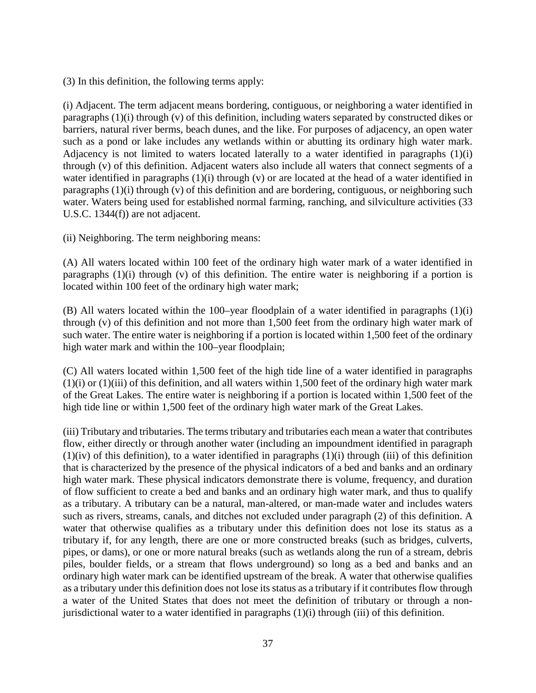(3) In this definition, the following terms apply:

(i) Adjacent. The term adjacent means bordering, contiguous, or neighboring a water identified in paragraphs (1)(i) through (v) of this definition, including waters separated by constructed dikes or barriers, natural river berms, beach dunes, and the like. For purposes of adjacency, an open water such as a pond or lake includes any wetlands within or abutting its ordinary high water mark. Adjacency is not limited to waters located laterally to a water identified in paragraphs (1)(i) through (v) of this definition. Adjacent waters also include all waters that connect segments of a water identified in paragraphs (1)(i) through (v) or are located at the head of a water identified in paragraphs (1)(i) through (v) of this definition and are bordering, contiguous, or neighboring such water. Waters being used for established normal farming, ranching, and silviculture activities (33 U.S.C. 1344(f)) are not adjacent.

(ii) Neighboring. The term neighboring means:

(A) All waters located within 100 feet of the ordinary high water mark of a water identified in paragraphs (1)(i) through (v) of this definition. The entire water is neighboring if a portion is located within 100 feet of the ordinary high water mark;

(B) All waters located within the 100–year floodplain of a water identified in paragraphs (1)(i) through (v) of this definition and not more than 1,500 feet from the ordinary high water mark of such water. The entire water is neighboring if a portion is located within 1,500 feet of the ordinary high water mark and within the 100–year floodplain;

(C) All waters located within 1,500 feet of the high tide line of a water identified in paragraphs (1)(i) or (1)(iii) of this definition, and all waters within 1,500 feet of the ordinary high water mark of the Great Lakes. The entire water is neighboring if a portion is located within 1,500 feet of the high tide line or within 1,500 feet of the ordinary high water mark of the Great Lakes.

(iii) Tributary and tributaries. The terms tributary and tributaries each mean a water that contributes flow, either directly or through another water (including an impoundment identified in paragraph  $(1)(iv)$  of this definition), to a water identified in paragraphs  $(1)(i)$  through  $(iii)$  of this definition that is characterized by the presence of the physical indicators of a bed and banks and an ordinary high water mark. These physical indicators demonstrate there is volume, frequency, and duration of flow sufficient to create a bed and banks and an ordinary high water mark, and thus to qualify as a tributary. A tributary can be a natural, man-altered, or man-made water and includes waters such as rivers, streams, canals, and ditches not excluded under paragraph (2) of this definition. A water that otherwise qualifies as a tributary under this definition does not lose its status as a tributary if, for any length, there are one or more constructed breaks (such as bridges, culverts, pipes, or dams), or one or more natural breaks (such as wetlands along the run of a stream, debris piles, boulder fields, or a stream that flows underground) so long as a bed and banks and an ordinary high water mark can be identified upstream of the break. A water that otherwise qualifies as a tributary under this definition does not lose its status as a tributary if it contributes flow through a water of the United States that does not meet the definition of tributary or through a nonjurisdictional water to a water identified in paragraphs (1)(i) through (iii) of this definition.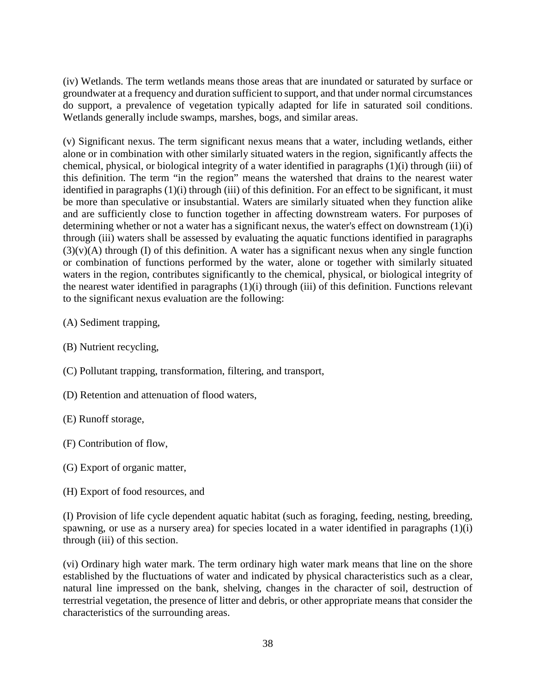(iv) Wetlands. The term wetlands means those areas that are inundated or saturated by surface or groundwater at a frequency and duration sufficient to support, and that under normal circumstances do support, a prevalence of vegetation typically adapted for life in saturated soil conditions. Wetlands generally include swamps, marshes, bogs, and similar areas.

(v) Significant nexus. The term significant nexus means that a water, including wetlands, either alone or in combination with other similarly situated waters in the region, significantly affects the chemical, physical, or biological integrity of a water identified in paragraphs (1)(i) through (iii) of this definition. The term "in the region" means the watershed that drains to the nearest water identified in paragraphs (1)(i) through (iii) of this definition. For an effect to be significant, it must be more than speculative or insubstantial. Waters are similarly situated when they function alike and are sufficiently close to function together in affecting downstream waters. For purposes of determining whether or not a water has a significant nexus, the water's effect on downstream (1)(i) through (iii) waters shall be assessed by evaluating the aquatic functions identified in paragraphs  $(3)(v)(A)$  through (I) of this definition. A water has a significant nexus when any single function or combination of functions performed by the water, alone or together with similarly situated waters in the region, contributes significantly to the chemical, physical, or biological integrity of the nearest water identified in paragraphs (1)(i) through (iii) of this definition. Functions relevant to the significant nexus evaluation are the following:

- (A) Sediment trapping,
- (B) Nutrient recycling,
- (C) Pollutant trapping, transformation, filtering, and transport,
- (D) Retention and attenuation of flood waters,
- (E) Runoff storage,
- (F) Contribution of flow,
- (G) Export of organic matter,
- (H) Export of food resources, and

(I) Provision of life cycle dependent aquatic habitat (such as foraging, feeding, nesting, breeding, spawning, or use as a nursery area) for species located in a water identified in paragraphs (1)(i) through (iii) of this section.

(vi) Ordinary high water mark. The term ordinary high water mark means that line on the shore established by the fluctuations of water and indicated by physical characteristics such as a clear, natural line impressed on the bank, shelving, changes in the character of soil, destruction of terrestrial vegetation, the presence of litter and debris, or other appropriate means that consider the characteristics of the surrounding areas.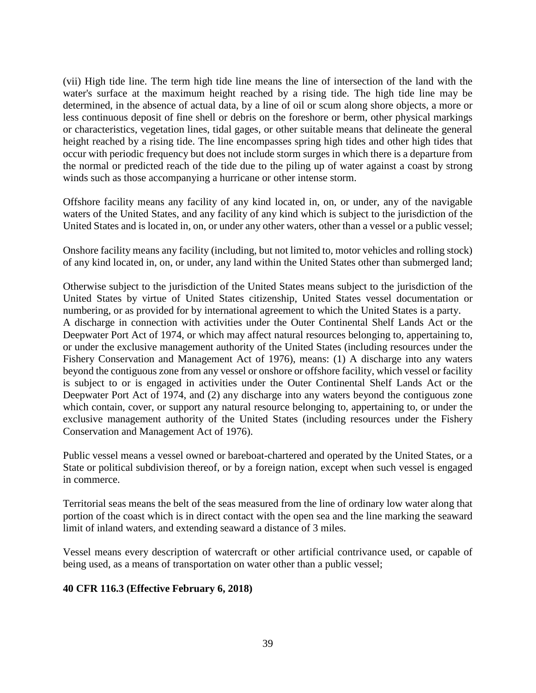(vii) High tide line. The term high tide line means the line of intersection of the land with the water's surface at the maximum height reached by a rising tide. The high tide line may be determined, in the absence of actual data, by a line of oil or scum along shore objects, a more or less continuous deposit of fine shell or debris on the foreshore or berm, other physical markings or characteristics, vegetation lines, tidal gages, or other suitable means that delineate the general height reached by a rising tide. The line encompasses spring high tides and other high tides that occur with periodic frequency but does not include storm surges in which there is a departure from the normal or predicted reach of the tide due to the piling up of water against a coast by strong winds such as those accompanying a hurricane or other intense storm.

Offshore facility means any facility of any kind located in, on, or under, any of the navigable waters of the United States, and any facility of any kind which is subject to the jurisdiction of the United States and is located in, on, or under any other waters, other than a vessel or a public vessel;

Onshore facility means any facility (including, but not limited to, motor vehicles and rolling stock) of any kind located in, on, or under, any land within the United States other than submerged land;

Otherwise subject to the jurisdiction of the United States means subject to the jurisdiction of the United States by virtue of United States citizenship, United States vessel documentation or numbering, or as provided for by international agreement to which the United States is a party. A discharge in connection with activities under the Outer Continental Shelf Lands Act or the Deepwater Port Act of 1974, or which may affect natural resources belonging to, appertaining to, or under the exclusive management authority of the United States (including resources under the Fishery Conservation and Management Act of 1976), means: (1) A discharge into any waters beyond the contiguous zone from any vessel or onshore or offshore facility, which vessel or facility is subject to or is engaged in activities under the Outer Continental Shelf Lands Act or the Deepwater Port Act of 1974, and (2) any discharge into any waters beyond the contiguous zone which contain, cover, or support any natural resource belonging to, appertaining to, or under the exclusive management authority of the United States (including resources under the Fishery Conservation and Management Act of 1976).

Public vessel means a vessel owned or bareboat-chartered and operated by the United States, or a State or political subdivision thereof, or by a foreign nation, except when such vessel is engaged in commerce.

Territorial seas means the belt of the seas measured from the line of ordinary low water along that portion of the coast which is in direct contact with the open sea and the line marking the seaward limit of inland waters, and extending seaward a distance of 3 miles.

Vessel means every description of watercraft or other artificial contrivance used, or capable of being used, as a means of transportation on water other than a public vessel;

## **40 CFR 116.3 (Effective February 6, 2018)**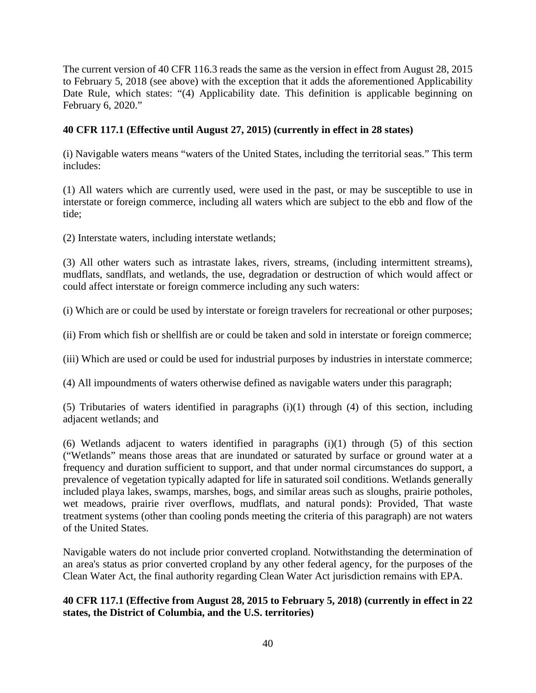The current version of 40 CFR 116.3 reads the same as the version in effect from August 28, 2015 to February 5, 2018 (see above) with the exception that it adds the aforementioned Applicability Date Rule, which states: "(4) Applicability date. This definition is applicable beginning on February 6, 2020."

# **40 CFR 117.1 (Effective until August 27, 2015) (currently in effect in 28 states)**

(i) Navigable waters means "waters of the United States, including the territorial seas." This term includes:

(1) All waters which are currently used, were used in the past, or may be susceptible to use in interstate or foreign commerce, including all waters which are subject to the ebb and flow of the tide;

(2) Interstate waters, including interstate wetlands;

(3) All other waters such as intrastate lakes, rivers, streams, (including intermittent streams), mudflats, sandflats, and wetlands, the use, degradation or destruction of which would affect or could affect interstate or foreign commerce including any such waters:

(i) Which are or could be used by interstate or foreign travelers for recreational or other purposes;

(ii) From which fish or shellfish are or could be taken and sold in interstate or foreign commerce;

(iii) Which are used or could be used for industrial purposes by industries in interstate commerce;

(4) All impoundments of waters otherwise defined as navigable waters under this paragraph;

(5) Tributaries of waters identified in paragraphs  $(i)(1)$  through  $(4)$  of this section, including adjacent wetlands; and

(6) Wetlands adjacent to waters identified in paragraphs  $(i)(1)$  through (5) of this section ("Wetlands" means those areas that are inundated or saturated by surface or ground water at a frequency and duration sufficient to support, and that under normal circumstances do support, a prevalence of vegetation typically adapted for life in saturated soil conditions. Wetlands generally included playa lakes, swamps, marshes, bogs, and similar areas such as sloughs, prairie potholes, wet meadows, prairie river overflows, mudflats, and natural ponds): Provided, That waste treatment systems (other than cooling ponds meeting the criteria of this paragraph) are not waters of the United States.

Navigable waters do not include prior converted cropland. Notwithstanding the determination of an area's status as prior converted cropland by any other federal agency, for the purposes of the Clean Water Act, the final authority regarding Clean Water Act jurisdiction remains with EPA.

# **40 CFR 117.1 (Effective from August 28, 2015 to February 5, 2018) (currently in effect in 22 states, the District of Columbia, and the U.S. territories)**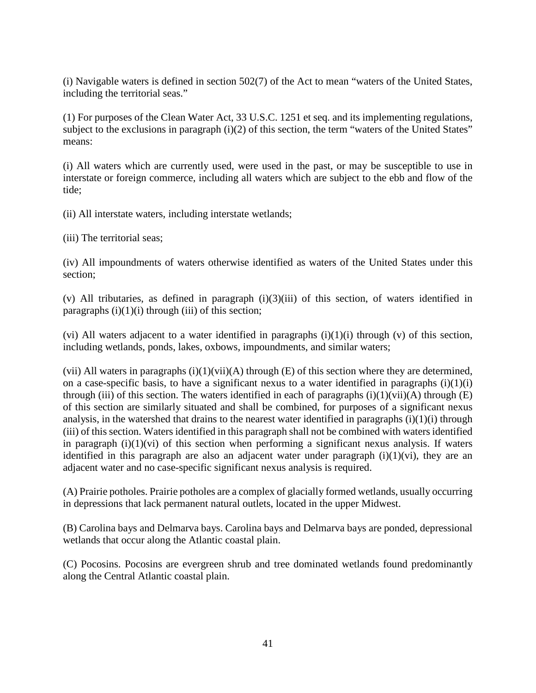(i) Navigable waters is defined in section 502(7) of the Act to mean "waters of the United States, including the territorial seas."

(1) For purposes of the Clean Water Act, 33 U.S.C. 1251 et seq. and its implementing regulations, subject to the exclusions in paragraph (i)(2) of this section, the term "waters of the United States" means:

(i) All waters which are currently used, were used in the past, or may be susceptible to use in interstate or foreign commerce, including all waters which are subject to the ebb and flow of the tide;

(ii) All interstate waters, including interstate wetlands;

(iii) The territorial seas;

(iv) All impoundments of waters otherwise identified as waters of the United States under this section;

(v) All tributaries, as defined in paragraph (i)(3)(iii) of this section, of waters identified in paragraphs  $(i)(1)(i)$  through  $(iii)$  of this section;

(vi) All waters adjacent to a water identified in paragraphs  $(i)(1)(i)$  through (v) of this section, including wetlands, ponds, lakes, oxbows, impoundments, and similar waters;

(vii) All waters in paragraphs  $(i)(1)(vii)(A)$  through  $(E)$  of this section where they are determined, on a case-specific basis, to have a significant nexus to a water identified in paragraphs  $(i)(1)(i)$ through (iii) of this section. The waters identified in each of paragraphs (i)(1)(vii)(A) through (E) of this section are similarly situated and shall be combined, for purposes of a significant nexus analysis, in the watershed that drains to the nearest water identified in paragraphs  $(i)(1)(i)$  through (iii) of this section. Waters identified in this paragraph shall not be combined with waters identified in paragraph  $(i)(1)(vi)$  of this section when performing a significant nexus analysis. If waters identified in this paragraph are also an adjacent water under paragraph  $(i)(1)(vi)$ , they are an adjacent water and no case-specific significant nexus analysis is required.

(A) Prairie potholes. Prairie potholes are a complex of glacially formed wetlands, usually occurring in depressions that lack permanent natural outlets, located in the upper Midwest.

(B) Carolina bays and Delmarva bays. Carolina bays and Delmarva bays are ponded, depressional wetlands that occur along the Atlantic coastal plain.

(C) Pocosins. Pocosins are evergreen shrub and tree dominated wetlands found predominantly along the Central Atlantic coastal plain.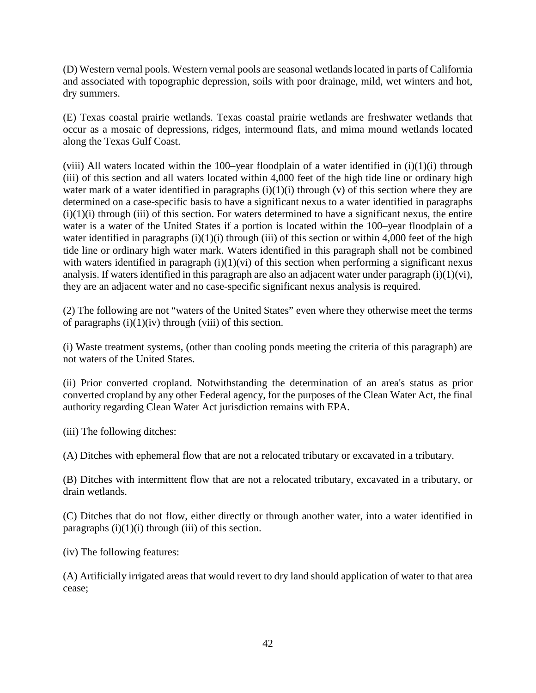(D) Western vernal pools. Western vernal pools are seasonal wetlands located in parts of California and associated with topographic depression, soils with poor drainage, mild, wet winters and hot, dry summers.

(E) Texas coastal prairie wetlands. Texas coastal prairie wetlands are freshwater wetlands that occur as a mosaic of depressions, ridges, intermound flats, and mima mound wetlands located along the Texas Gulf Coast.

(viii) All waters located within the 100–year floodplain of a water identified in  $(i)(1)(i)$  through (iii) of this section and all waters located within 4,000 feet of the high tide line or ordinary high water mark of a water identified in paragraphs  $(i)(1)(i)$  through  $(v)$  of this section where they are determined on a case-specific basis to have a significant nexus to a water identified in paragraphs  $(i)(1)(i)$  through  $(iii)$  of this section. For waters determined to have a significant nexus, the entire water is a water of the United States if a portion is located within the 100–year floodplain of a water identified in paragraphs  $(i)(1)(i)$  through  $(iii)$  of this section or within 4,000 feet of the high tide line or ordinary high water mark. Waters identified in this paragraph shall not be combined with waters identified in paragraph  $(i)(1)(vi)$  of this section when performing a significant nexus analysis. If waters identified in this paragraph are also an adjacent water under paragraph  $(i)(1)(vi)$ , they are an adjacent water and no case-specific significant nexus analysis is required.

(2) The following are not "waters of the United States" even where they otherwise meet the terms of paragraphs  $(i)(1)(iv)$  through (viii) of this section.

(i) Waste treatment systems, (other than cooling ponds meeting the criteria of this paragraph) are not waters of the United States.

(ii) Prior converted cropland. Notwithstanding the determination of an area's status as prior converted cropland by any other Federal agency, for the purposes of the Clean Water Act, the final authority regarding Clean Water Act jurisdiction remains with EPA.

(iii) The following ditches:

(A) Ditches with ephemeral flow that are not a relocated tributary or excavated in a tributary.

(B) Ditches with intermittent flow that are not a relocated tributary, excavated in a tributary, or drain wetlands.

(C) Ditches that do not flow, either directly or through another water, into a water identified in paragraphs  $(i)(1)(i)$  through  $(iii)$  of this section.

(iv) The following features:

(A) Artificially irrigated areas that would revert to dry land should application of water to that area cease;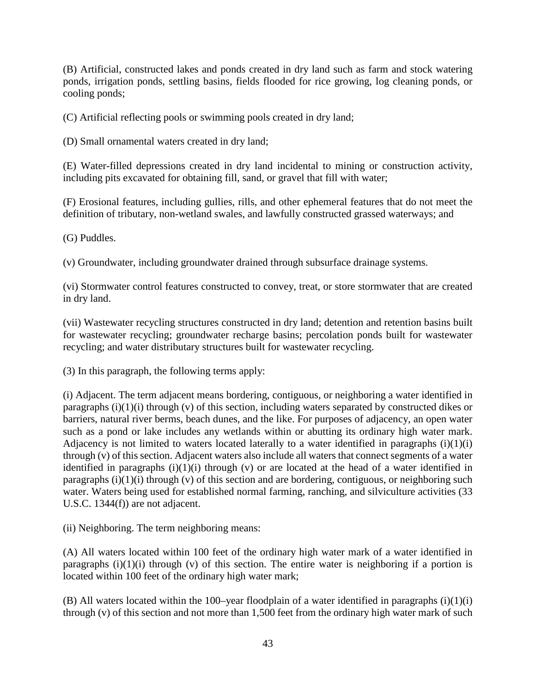(B) Artificial, constructed lakes and ponds created in dry land such as farm and stock watering ponds, irrigation ponds, settling basins, fields flooded for rice growing, log cleaning ponds, or cooling ponds;

(C) Artificial reflecting pools or swimming pools created in dry land;

(D) Small ornamental waters created in dry land;

(E) Water-filled depressions created in dry land incidental to mining or construction activity, including pits excavated for obtaining fill, sand, or gravel that fill with water;

(F) Erosional features, including gullies, rills, and other ephemeral features that do not meet the definition of tributary, non-wetland swales, and lawfully constructed grassed waterways; and

(G) Puddles.

(v) Groundwater, including groundwater drained through subsurface drainage systems.

(vi) Stormwater control features constructed to convey, treat, or store stormwater that are created in dry land.

(vii) Wastewater recycling structures constructed in dry land; detention and retention basins built for wastewater recycling; groundwater recharge basins; percolation ponds built for wastewater recycling; and water distributary structures built for wastewater recycling.

(3) In this paragraph, the following terms apply:

(i) Adjacent. The term adjacent means bordering, contiguous, or neighboring a water identified in paragraphs  $(i)(1)(i)$  through  $(v)$  of this section, including waters separated by constructed dikes or barriers, natural river berms, beach dunes, and the like. For purposes of adjacency, an open water such as a pond or lake includes any wetlands within or abutting its ordinary high water mark. Adjacency is not limited to waters located laterally to a water identified in paragraphs  $(i)(1)(i)$ through (v) of this section. Adjacent waters also include all waters that connect segments of a water identified in paragraphs  $(i)(1)(i)$  through  $(v)$  or are located at the head of a water identified in paragraphs  $(i)(1)(i)$  through  $(v)$  of this section and are bordering, contiguous, or neighboring such water. Waters being used for established normal farming, ranching, and silviculture activities (33) U.S.C. 1344(f)) are not adjacent.

(ii) Neighboring. The term neighboring means:

(A) All waters located within 100 feet of the ordinary high water mark of a water identified in paragraphs  $(i)(1)(i)$  through  $(v)$  of this section. The entire water is neighboring if a portion is located within 100 feet of the ordinary high water mark;

(B) All waters located within the 100–year floodplain of a water identified in paragraphs  $(i)(1)(i)$ through (v) of this section and not more than 1,500 feet from the ordinary high water mark of such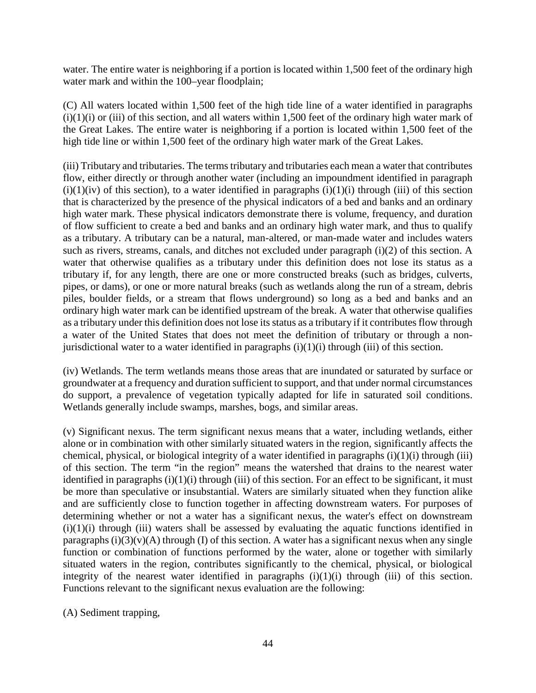water. The entire water is neighboring if a portion is located within 1,500 feet of the ordinary high water mark and within the 100–year floodplain;

(C) All waters located within 1,500 feet of the high tide line of a water identified in paragraphs  $(i)(1)(i)$  or  $(iii)$  of this section, and all waters within 1,500 feet of the ordinary high water mark of the Great Lakes. The entire water is neighboring if a portion is located within 1,500 feet of the high tide line or within 1,500 feet of the ordinary high water mark of the Great Lakes.

(iii) Tributary and tributaries. The terms tributary and tributaries each mean a water that contributes flow, either directly or through another water (including an impoundment identified in paragraph  $(i)(1)(iv)$  of this section), to a water identified in paragraphs  $(i)(1)(i)$  through (iii) of this section that is characterized by the presence of the physical indicators of a bed and banks and an ordinary high water mark. These physical indicators demonstrate there is volume, frequency, and duration of flow sufficient to create a bed and banks and an ordinary high water mark, and thus to qualify as a tributary. A tributary can be a natural, man-altered, or man-made water and includes waters such as rivers, streams, canals, and ditches not excluded under paragraph (i)(2) of this section. A water that otherwise qualifies as a tributary under this definition does not lose its status as a tributary if, for any length, there are one or more constructed breaks (such as bridges, culverts, pipes, or dams), or one or more natural breaks (such as wetlands along the run of a stream, debris piles, boulder fields, or a stream that flows underground) so long as a bed and banks and an ordinary high water mark can be identified upstream of the break. A water that otherwise qualifies as a tributary under this definition does not lose its status as a tributary if it contributes flow through a water of the United States that does not meet the definition of tributary or through a nonjurisdictional water to a water identified in paragraphs  $(i)(1)(i)$  through  $(iii)$  of this section.

(iv) Wetlands. The term wetlands means those areas that are inundated or saturated by surface or groundwater at a frequency and duration sufficient to support, and that under normal circumstances do support, a prevalence of vegetation typically adapted for life in saturated soil conditions. Wetlands generally include swamps, marshes, bogs, and similar areas.

(v) Significant nexus. The term significant nexus means that a water, including wetlands, either alone or in combination with other similarly situated waters in the region, significantly affects the chemical, physical, or biological integrity of a water identified in paragraphs  $(i)(1)(i)$  through  $(iii)$ of this section. The term "in the region" means the watershed that drains to the nearest water identified in paragraphs (i)(1)(i) through (iii) of this section. For an effect to be significant, it must be more than speculative or insubstantial. Waters are similarly situated when they function alike and are sufficiently close to function together in affecting downstream waters. For purposes of determining whether or not a water has a significant nexus, the water's effect on downstream  $(i)(1)(i)$  through  $(iii)$  waters shall be assessed by evaluating the aquatic functions identified in paragraphs  $(i)(3)(v)(A)$  through (I) of this section. A water has a significant nexus when any single function or combination of functions performed by the water, alone or together with similarly situated waters in the region, contributes significantly to the chemical, physical, or biological integrity of the nearest water identified in paragraphs  $(i)(1)(i)$  through  $(iii)$  of this section. Functions relevant to the significant nexus evaluation are the following:

(A) Sediment trapping,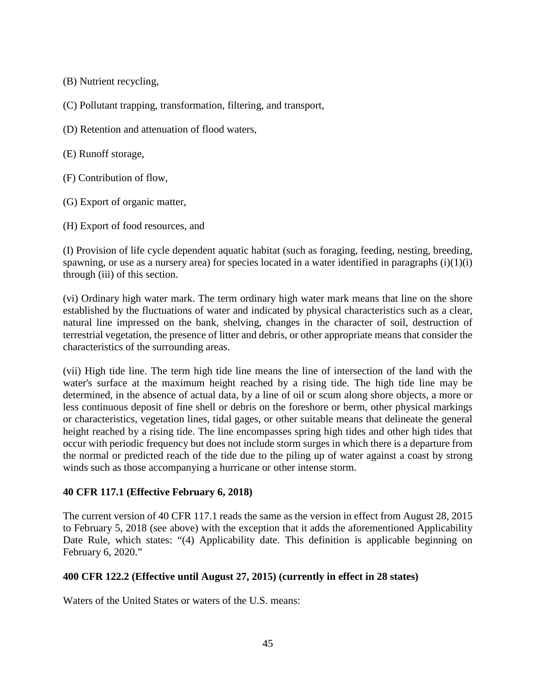(B) Nutrient recycling,

(C) Pollutant trapping, transformation, filtering, and transport,

(D) Retention and attenuation of flood waters,

(E) Runoff storage,

(F) Contribution of flow,

(G) Export of organic matter,

(H) Export of food resources, and

(I) Provision of life cycle dependent aquatic habitat (such as foraging, feeding, nesting, breeding, spawning, or use as a nursery area) for species located in a water identified in paragraphs  $(i)(1)(i)$ through (iii) of this section.

(vi) Ordinary high water mark. The term ordinary high water mark means that line on the shore established by the fluctuations of water and indicated by physical characteristics such as a clear, natural line impressed on the bank, shelving, changes in the character of soil, destruction of terrestrial vegetation, the presence of litter and debris, or other appropriate means that consider the characteristics of the surrounding areas.

(vii) High tide line. The term high tide line means the line of intersection of the land with the water's surface at the maximum height reached by a rising tide. The high tide line may be determined, in the absence of actual data, by a line of oil or scum along shore objects, a more or less continuous deposit of fine shell or debris on the foreshore or berm, other physical markings or characteristics, vegetation lines, tidal gages, or other suitable means that delineate the general height reached by a rising tide. The line encompasses spring high tides and other high tides that occur with periodic frequency but does not include storm surges in which there is a departure from the normal or predicted reach of the tide due to the piling up of water against a coast by strong winds such as those accompanying a hurricane or other intense storm.

#### **40 CFR 117.1 (Effective February 6, 2018)**

The current version of 40 CFR 117.1 reads the same as the version in effect from August 28, 2015 to February 5, 2018 (see above) with the exception that it adds the aforementioned Applicability Date Rule, which states: "(4) Applicability date. This definition is applicable beginning on February 6, 2020."

## **400 CFR 122.2 (Effective until August 27, 2015) (currently in effect in 28 states)**

Waters of the United States or waters of the U.S. means: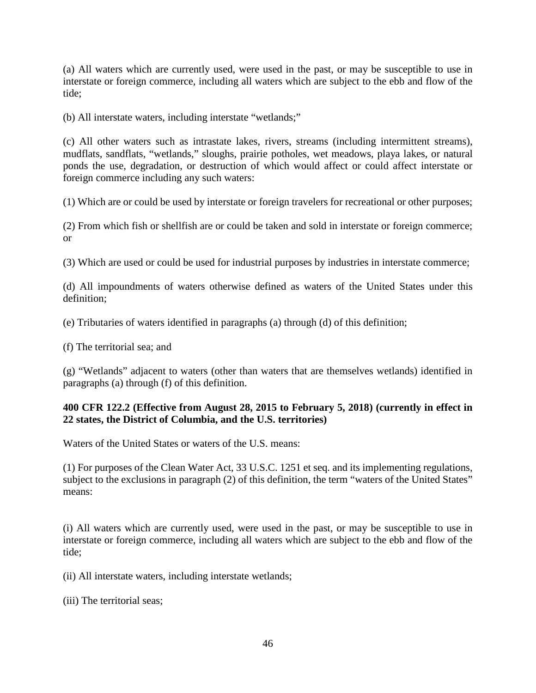(a) All waters which are currently used, were used in the past, or may be susceptible to use in interstate or foreign commerce, including all waters which are subject to the ebb and flow of the tide;

(b) All interstate waters, including interstate "wetlands;"

(c) All other waters such as intrastate lakes, rivers, streams (including intermittent streams), mudflats, sandflats, "wetlands," sloughs, prairie potholes, wet meadows, playa lakes, or natural ponds the use, degradation, or destruction of which would affect or could affect interstate or foreign commerce including any such waters:

(1) Which are or could be used by interstate or foreign travelers for recreational or other purposes;

(2) From which fish or shellfish are or could be taken and sold in interstate or foreign commerce; or

(3) Which are used or could be used for industrial purposes by industries in interstate commerce;

(d) All impoundments of waters otherwise defined as waters of the United States under this definition;

(e) Tributaries of waters identified in paragraphs (a) through (d) of this definition;

(f) The territorial sea; and

(g) "Wetlands" adjacent to waters (other than waters that are themselves wetlands) identified in paragraphs (a) through (f) of this definition.

### **400 CFR 122.2 (Effective from August 28, 2015 to February 5, 2018) (currently in effect in 22 states, the District of Columbia, and the U.S. territories)**

Waters of the United States or waters of the U.S. means:

(1) For purposes of the Clean Water Act, 33 U.S.C. 1251 et seq. and its implementing regulations, subject to the exclusions in paragraph (2) of this definition, the term "waters of the United States" means:

(i) All waters which are currently used, were used in the past, or may be susceptible to use in interstate or foreign commerce, including all waters which are subject to the ebb and flow of the tide;

(ii) All interstate waters, including interstate wetlands;

(iii) The territorial seas;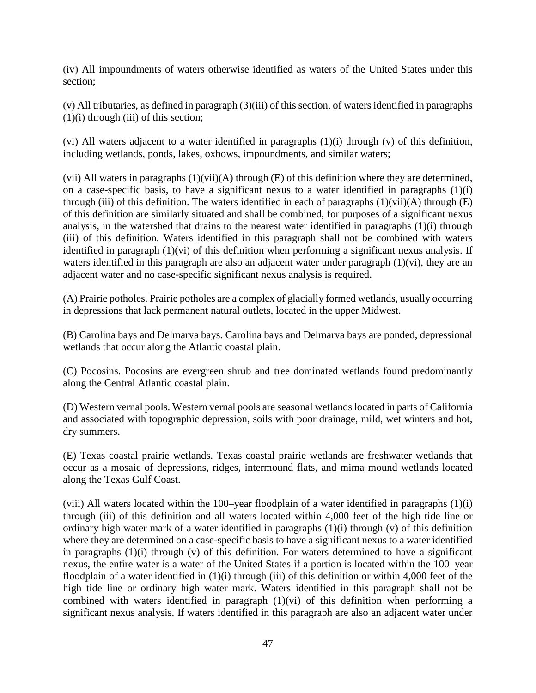(iv) All impoundments of waters otherwise identified as waters of the United States under this section;

(v) All tributaries, as defined in paragraph (3)(iii) of this section, of waters identified in paragraphs  $(1)(i)$  through  $(iii)$  of this section;

(vi) All waters adjacent to a water identified in paragraphs (1)(i) through (v) of this definition, including wetlands, ponds, lakes, oxbows, impoundments, and similar waters;

(vii) All waters in paragraphs (1)(vii)(A) through (E) of this definition where they are determined, on a case-specific basis, to have a significant nexus to a water identified in paragraphs (1)(i) through (iii) of this definition. The waters identified in each of paragraphs  $(1)(\n{\rm vii})(A)$  through  $(E)$ of this definition are similarly situated and shall be combined, for purposes of a significant nexus analysis, in the watershed that drains to the nearest water identified in paragraphs (1)(i) through (iii) of this definition. Waters identified in this paragraph shall not be combined with waters identified in paragraph (1)(vi) of this definition when performing a significant nexus analysis. If waters identified in this paragraph are also an adjacent water under paragraph (1)(vi), they are an adjacent water and no case-specific significant nexus analysis is required.

(A) Prairie potholes. Prairie potholes are a complex of glacially formed wetlands, usually occurring in depressions that lack permanent natural outlets, located in the upper Midwest.

(B) Carolina bays and Delmarva bays. Carolina bays and Delmarva bays are ponded, depressional wetlands that occur along the Atlantic coastal plain.

(C) Pocosins. Pocosins are evergreen shrub and tree dominated wetlands found predominantly along the Central Atlantic coastal plain.

(D) Western vernal pools. Western vernal pools are seasonal wetlands located in parts of California and associated with topographic depression, soils with poor drainage, mild, wet winters and hot, dry summers.

(E) Texas coastal prairie wetlands. Texas coastal prairie wetlands are freshwater wetlands that occur as a mosaic of depressions, ridges, intermound flats, and mima mound wetlands located along the Texas Gulf Coast.

(viii) All waters located within the 100–year floodplain of a water identified in paragraphs (1)(i) through (iii) of this definition and all waters located within 4,000 feet of the high tide line or ordinary high water mark of a water identified in paragraphs (1)(i) through (v) of this definition where they are determined on a case-specific basis to have a significant nexus to a water identified in paragraphs (1)(i) through (v) of this definition. For waters determined to have a significant nexus, the entire water is a water of the United States if a portion is located within the 100–year floodplain of a water identified in (1)(i) through (iii) of this definition or within 4,000 feet of the high tide line or ordinary high water mark. Waters identified in this paragraph shall not be combined with waters identified in paragraph (1)(vi) of this definition when performing a significant nexus analysis. If waters identified in this paragraph are also an adjacent water under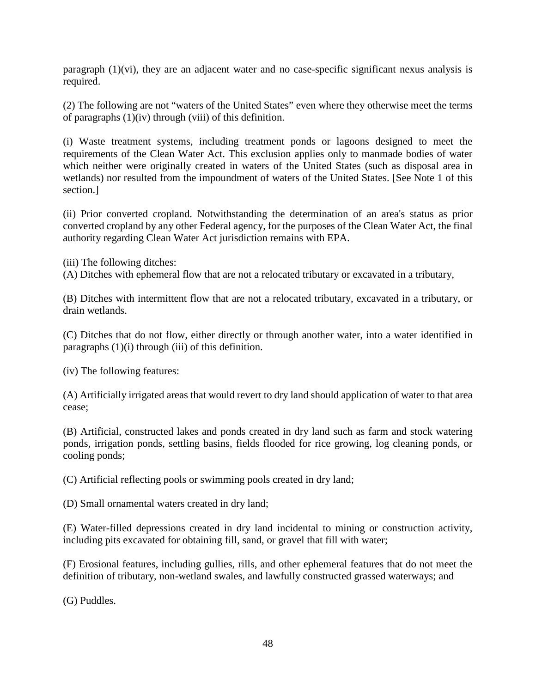paragraph (1)(vi), they are an adjacent water and no case-specific significant nexus analysis is required.

(2) The following are not "waters of the United States" even where they otherwise meet the terms of paragraphs (1)(iv) through (viii) of this definition.

(i) Waste treatment systems, including treatment ponds or lagoons designed to meet the requirements of the Clean Water Act. This exclusion applies only to manmade bodies of water which neither were originally created in waters of the United States (such as disposal area in wetlands) nor resulted from the impoundment of waters of the United States. [See Note 1 of this section.]

(ii) Prior converted cropland. Notwithstanding the determination of an area's status as prior converted cropland by any other Federal agency, for the purposes of the Clean Water Act, the final authority regarding Clean Water Act jurisdiction remains with EPA.

(iii) The following ditches:

(A) Ditches with ephemeral flow that are not a relocated tributary or excavated in a tributary,

(B) Ditches with intermittent flow that are not a relocated tributary, excavated in a tributary, or drain wetlands.

(C) Ditches that do not flow, either directly or through another water, into a water identified in paragraphs (1)(i) through (iii) of this definition.

(iv) The following features:

(A) Artificially irrigated areas that would revert to dry land should application of water to that area cease;

(B) Artificial, constructed lakes and ponds created in dry land such as farm and stock watering ponds, irrigation ponds, settling basins, fields flooded for rice growing, log cleaning ponds, or cooling ponds;

(C) Artificial reflecting pools or swimming pools created in dry land;

(D) Small ornamental waters created in dry land;

(E) Water-filled depressions created in dry land incidental to mining or construction activity, including pits excavated for obtaining fill, sand, or gravel that fill with water;

(F) Erosional features, including gullies, rills, and other ephemeral features that do not meet the definition of tributary, non-wetland swales, and lawfully constructed grassed waterways; and

(G) Puddles.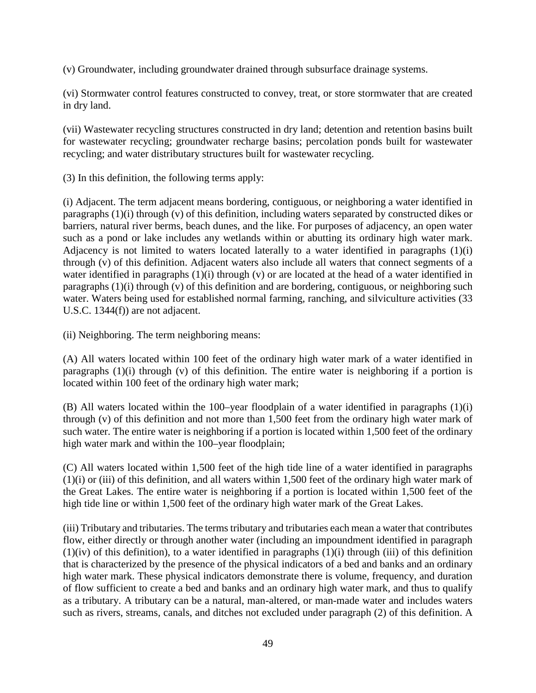(v) Groundwater, including groundwater drained through subsurface drainage systems.

(vi) Stormwater control features constructed to convey, treat, or store stormwater that are created in dry land.

(vii) Wastewater recycling structures constructed in dry land; detention and retention basins built for wastewater recycling; groundwater recharge basins; percolation ponds built for wastewater recycling; and water distributary structures built for wastewater recycling.

(3) In this definition, the following terms apply:

(i) Adjacent. The term adjacent means bordering, contiguous, or neighboring a water identified in paragraphs (1)(i) through (v) of this definition, including waters separated by constructed dikes or barriers, natural river berms, beach dunes, and the like. For purposes of adjacency, an open water such as a pond or lake includes any wetlands within or abutting its ordinary high water mark. Adjacency is not limited to waters located laterally to a water identified in paragraphs (1)(i) through (v) of this definition. Adjacent waters also include all waters that connect segments of a water identified in paragraphs (1)(i) through (v) or are located at the head of a water identified in paragraphs (1)(i) through (v) of this definition and are bordering, contiguous, or neighboring such water. Waters being used for established normal farming, ranching, and silviculture activities (33 U.S.C. 1344(f)) are not adjacent.

(ii) Neighboring. The term neighboring means:

(A) All waters located within 100 feet of the ordinary high water mark of a water identified in paragraphs (1)(i) through (v) of this definition. The entire water is neighboring if a portion is located within 100 feet of the ordinary high water mark;

(B) All waters located within the 100–year floodplain of a water identified in paragraphs (1)(i) through (v) of this definition and not more than 1,500 feet from the ordinary high water mark of such water. The entire water is neighboring if a portion is located within 1,500 feet of the ordinary high water mark and within the 100–year floodplain;

(C) All waters located within 1,500 feet of the high tide line of a water identified in paragraphs (1)(i) or (iii) of this definition, and all waters within 1,500 feet of the ordinary high water mark of the Great Lakes. The entire water is neighboring if a portion is located within 1,500 feet of the high tide line or within 1,500 feet of the ordinary high water mark of the Great Lakes.

(iii) Tributary and tributaries. The terms tributary and tributaries each mean a water that contributes flow, either directly or through another water (including an impoundment identified in paragraph  $(1)(iv)$  of this definition), to a water identified in paragraphs  $(1)(i)$  through  $(iii)$  of this definition that is characterized by the presence of the physical indicators of a bed and banks and an ordinary high water mark. These physical indicators demonstrate there is volume, frequency, and duration of flow sufficient to create a bed and banks and an ordinary high water mark, and thus to qualify as a tributary. A tributary can be a natural, man-altered, or man-made water and includes waters such as rivers, streams, canals, and ditches not excluded under paragraph (2) of this definition. A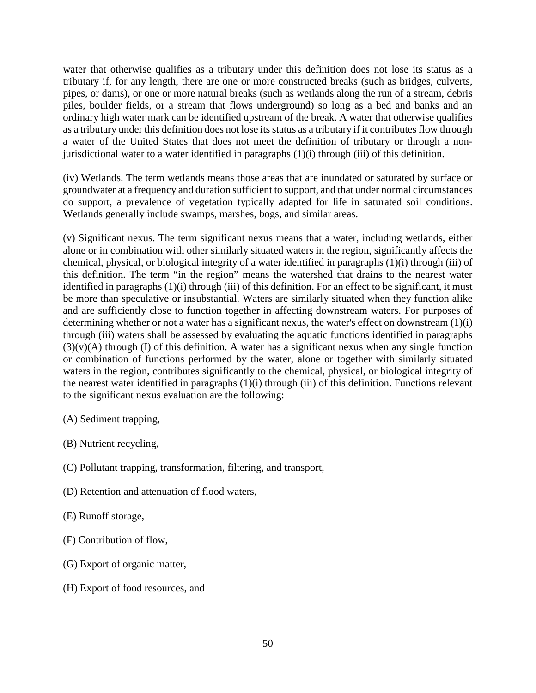water that otherwise qualifies as a tributary under this definition does not lose its status as a tributary if, for any length, there are one or more constructed breaks (such as bridges, culverts, pipes, or dams), or one or more natural breaks (such as wetlands along the run of a stream, debris piles, boulder fields, or a stream that flows underground) so long as a bed and banks and an ordinary high water mark can be identified upstream of the break. A water that otherwise qualifies as a tributary under this definition does not lose its status as a tributary if it contributes flow through a water of the United States that does not meet the definition of tributary or through a nonjurisdictional water to a water identified in paragraphs (1)(i) through (iii) of this definition.

(iv) Wetlands. The term wetlands means those areas that are inundated or saturated by surface or groundwater at a frequency and duration sufficient to support, and that under normal circumstances do support, a prevalence of vegetation typically adapted for life in saturated soil conditions. Wetlands generally include swamps, marshes, bogs, and similar areas.

(v) Significant nexus. The term significant nexus means that a water, including wetlands, either alone or in combination with other similarly situated waters in the region, significantly affects the chemical, physical, or biological integrity of a water identified in paragraphs (1)(i) through (iii) of this definition. The term "in the region" means the watershed that drains to the nearest water identified in paragraphs (1)(i) through (iii) of this definition. For an effect to be significant, it must be more than speculative or insubstantial. Waters are similarly situated when they function alike and are sufficiently close to function together in affecting downstream waters. For purposes of determining whether or not a water has a significant nexus, the water's effect on downstream (1)(i) through (iii) waters shall be assessed by evaluating the aquatic functions identified in paragraphs  $(3)(v)(A)$  through (I) of this definition. A water has a significant nexus when any single function or combination of functions performed by the water, alone or together with similarly situated waters in the region, contributes significantly to the chemical, physical, or biological integrity of the nearest water identified in paragraphs (1)(i) through (iii) of this definition. Functions relevant to the significant nexus evaluation are the following:

- (A) Sediment trapping,
- (B) Nutrient recycling,
- (C) Pollutant trapping, transformation, filtering, and transport,
- (D) Retention and attenuation of flood waters,
- (E) Runoff storage,
- (F) Contribution of flow,
- (G) Export of organic matter,
- (H) Export of food resources, and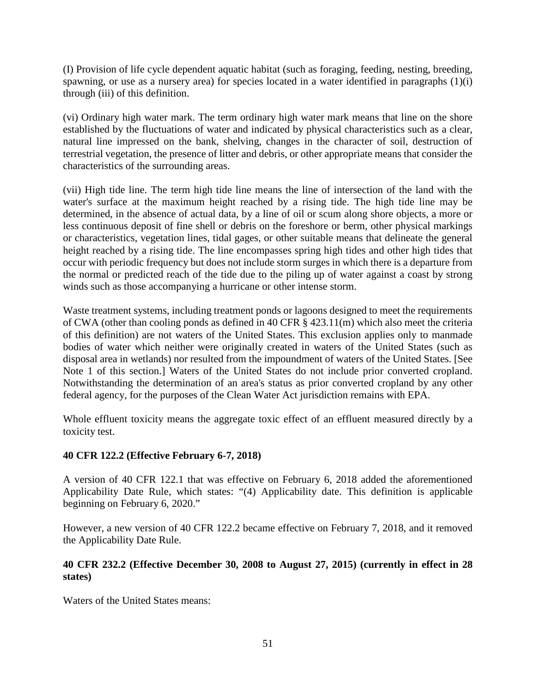(I) Provision of life cycle dependent aquatic habitat (such as foraging, feeding, nesting, breeding, spawning, or use as a nursery area) for species located in a water identified in paragraphs (1)(i) through (iii) of this definition.

(vi) Ordinary high water mark. The term ordinary high water mark means that line on the shore established by the fluctuations of water and indicated by physical characteristics such as a clear, natural line impressed on the bank, shelving, changes in the character of soil, destruction of terrestrial vegetation, the presence of litter and debris, or other appropriate means that consider the characteristics of the surrounding areas.

(vii) High tide line. The term high tide line means the line of intersection of the land with the water's surface at the maximum height reached by a rising tide. The high tide line may be determined, in the absence of actual data, by a line of oil or scum along shore objects, a more or less continuous deposit of fine shell or debris on the foreshore or berm, other physical markings or characteristics, vegetation lines, tidal gages, or other suitable means that delineate the general height reached by a rising tide. The line encompasses spring high tides and other high tides that occur with periodic frequency but does not include storm surges in which there is a departure from the normal or predicted reach of the tide due to the piling up of water against a coast by strong winds such as those accompanying a hurricane or other intense storm.

Waste treatment systems, including treatment ponds or lagoons designed to meet the requirements of CWA (other than cooling ponds as defined in 40 CFR § 423.11(m) which also meet the criteria of this definition) are not waters of the United States. This exclusion applies only to manmade bodies of water which neither were originally created in waters of the United States (such as disposal area in wetlands) nor resulted from the impoundment of waters of the United States. [See Note 1 of this section.] Waters of the United States do not include prior converted cropland. Notwithstanding the determination of an area's status as prior converted cropland by any other federal agency, for the purposes of the Clean Water Act jurisdiction remains with EPA.

Whole effluent toxicity means the aggregate toxic effect of an effluent measured directly by a toxicity test.

## **40 CFR 122.2 (Effective February 6-7, 2018)**

A version of 40 CFR 122.1 that was effective on February 6, 2018 added the aforementioned Applicability Date Rule, which states: "(4) Applicability date. This definition is applicable beginning on February 6, 2020."

However, a new version of 40 CFR 122.2 became effective on February 7, 2018, and it removed the Applicability Date Rule.

## **40 CFR 232.2 (Effective December 30, 2008 to August 27, 2015) (currently in effect in 28 states)**

Waters of the United States means: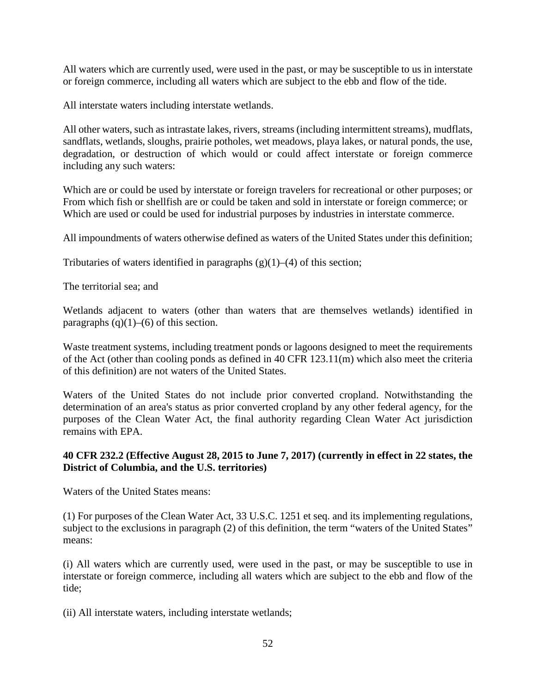All waters which are currently used, were used in the past, or may be susceptible to us in interstate or foreign commerce, including all waters which are subject to the ebb and flow of the tide.

All interstate waters including interstate wetlands.

All other waters, such as intrastate lakes, rivers, streams (including intermittent streams), mudflats, sandflats, wetlands, sloughs, prairie potholes, wet meadows, playa lakes, or natural ponds, the use, degradation, or destruction of which would or could affect interstate or foreign commerce including any such waters:

Which are or could be used by interstate or foreign travelers for recreational or other purposes; or From which fish or shellfish are or could be taken and sold in interstate or foreign commerce; or Which are used or could be used for industrial purposes by industries in interstate commerce.

All impoundments of waters otherwise defined as waters of the United States under this definition;

Tributaries of waters identified in paragraphs  $(g)(1)$ – $(4)$  of this section;

The territorial sea; and

Wetlands adjacent to waters (other than waters that are themselves wetlands) identified in paragraphs  $(q)(1)$ – $(6)$  of this section.

Waste treatment systems, including treatment ponds or lagoons designed to meet the requirements of the Act (other than cooling ponds as defined in 40 CFR 123.11(m) which also meet the criteria of this definition) are not waters of the United States.

Waters of the United States do not include prior converted cropland. Notwithstanding the determination of an area's status as prior converted cropland by any other federal agency, for the purposes of the Clean Water Act, the final authority regarding Clean Water Act jurisdiction remains with EPA.

### **40 CFR 232.2 (Effective August 28, 2015 to June 7, 2017) (currently in effect in 22 states, the District of Columbia, and the U.S. territories)**

Waters of the United States means:

(1) For purposes of the Clean Water Act, 33 U.S.C. 1251 et seq. and its implementing regulations, subject to the exclusions in paragraph (2) of this definition, the term "waters of the United States" means:

(i) All waters which are currently used, were used in the past, or may be susceptible to use in interstate or foreign commerce, including all waters which are subject to the ebb and flow of the tide;

(ii) All interstate waters, including interstate wetlands;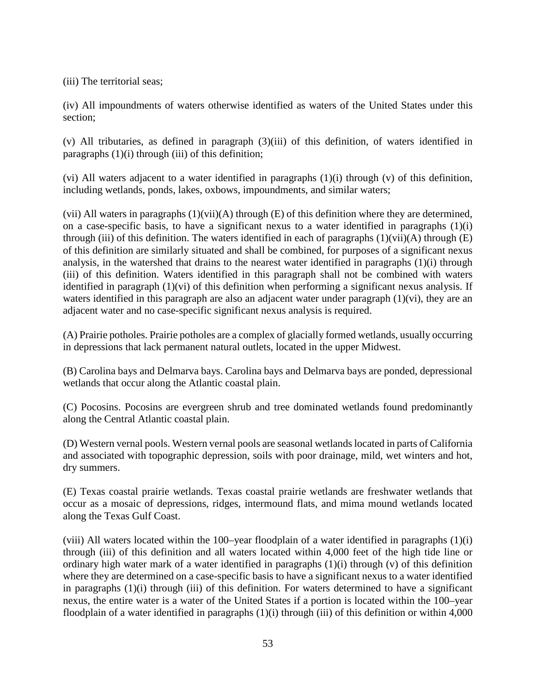(iii) The territorial seas;

(iv) All impoundments of waters otherwise identified as waters of the United States under this section;

(v) All tributaries, as defined in paragraph (3)(iii) of this definition, of waters identified in paragraphs  $(1)(i)$  through  $(iii)$  of this definition;

(vi) All waters adjacent to a water identified in paragraphs (1)(i) through (v) of this definition, including wetlands, ponds, lakes, oxbows, impoundments, and similar waters;

(vii) All waters in paragraphs (1)(vii)(A) through (E) of this definition where they are determined, on a case-specific basis, to have a significant nexus to a water identified in paragraphs (1)(i) through (iii) of this definition. The waters identified in each of paragraphs  $(1)(\n{\rm vii})(A)$  through  $(E)$ of this definition are similarly situated and shall be combined, for purposes of a significant nexus analysis, in the watershed that drains to the nearest water identified in paragraphs (1)(i) through (iii) of this definition. Waters identified in this paragraph shall not be combined with waters identified in paragraph (1)(vi) of this definition when performing a significant nexus analysis. If waters identified in this paragraph are also an adjacent water under paragraph (1)(vi), they are an adjacent water and no case-specific significant nexus analysis is required.

(A) Prairie potholes. Prairie potholes are a complex of glacially formed wetlands, usually occurring in depressions that lack permanent natural outlets, located in the upper Midwest.

(B) Carolina bays and Delmarva bays. Carolina bays and Delmarva bays are ponded, depressional wetlands that occur along the Atlantic coastal plain.

(C) Pocosins. Pocosins are evergreen shrub and tree dominated wetlands found predominantly along the Central Atlantic coastal plain.

(D) Western vernal pools. Western vernal pools are seasonal wetlands located in parts of California and associated with topographic depression, soils with poor drainage, mild, wet winters and hot, dry summers.

(E) Texas coastal prairie wetlands. Texas coastal prairie wetlands are freshwater wetlands that occur as a mosaic of depressions, ridges, intermound flats, and mima mound wetlands located along the Texas Gulf Coast.

(viii) All waters located within the 100–year floodplain of a water identified in paragraphs (1)(i) through (iii) of this definition and all waters located within 4,000 feet of the high tide line or ordinary high water mark of a water identified in paragraphs (1)(i) through (v) of this definition where they are determined on a case-specific basis to have a significant nexus to a water identified in paragraphs (1)(i) through (iii) of this definition. For waters determined to have a significant nexus, the entire water is a water of the United States if a portion is located within the 100–year floodplain of a water identified in paragraphs (1)(i) through (iii) of this definition or within 4,000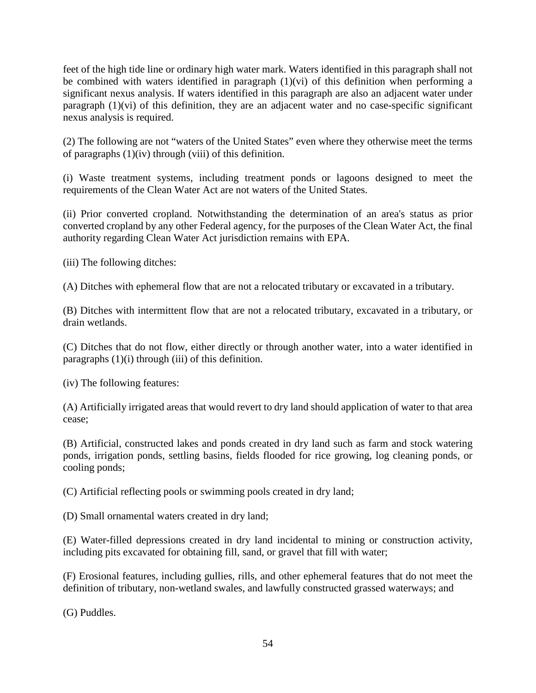feet of the high tide line or ordinary high water mark. Waters identified in this paragraph shall not be combined with waters identified in paragraph (1)(vi) of this definition when performing a significant nexus analysis. If waters identified in this paragraph are also an adjacent water under paragraph (1)(vi) of this definition, they are an adjacent water and no case-specific significant nexus analysis is required.

(2) The following are not "waters of the United States" even where they otherwise meet the terms of paragraphs  $(1)(iv)$  through (viii) of this definition.

(i) Waste treatment systems, including treatment ponds or lagoons designed to meet the requirements of the Clean Water Act are not waters of the United States.

(ii) Prior converted cropland. Notwithstanding the determination of an area's status as prior converted cropland by any other Federal agency, for the purposes of the Clean Water Act, the final authority regarding Clean Water Act jurisdiction remains with EPA.

(iii) The following ditches:

(A) Ditches with ephemeral flow that are not a relocated tributary or excavated in a tributary.

(B) Ditches with intermittent flow that are not a relocated tributary, excavated in a tributary, or drain wetlands.

(C) Ditches that do not flow, either directly or through another water, into a water identified in paragraphs (1)(i) through (iii) of this definition.

(iv) The following features:

(A) Artificially irrigated areas that would revert to dry land should application of water to that area cease;

(B) Artificial, constructed lakes and ponds created in dry land such as farm and stock watering ponds, irrigation ponds, settling basins, fields flooded for rice growing, log cleaning ponds, or cooling ponds;

(C) Artificial reflecting pools or swimming pools created in dry land;

(D) Small ornamental waters created in dry land;

(E) Water-filled depressions created in dry land incidental to mining or construction activity, including pits excavated for obtaining fill, sand, or gravel that fill with water;

(F) Erosional features, including gullies, rills, and other ephemeral features that do not meet the definition of tributary, non-wetland swales, and lawfully constructed grassed waterways; and

(G) Puddles.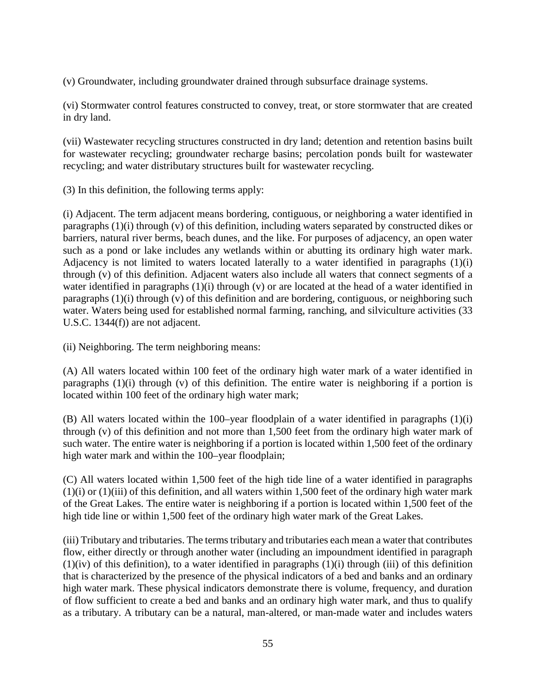(v) Groundwater, including groundwater drained through subsurface drainage systems.

(vi) Stormwater control features constructed to convey, treat, or store stormwater that are created in dry land.

(vii) Wastewater recycling structures constructed in dry land; detention and retention basins built for wastewater recycling; groundwater recharge basins; percolation ponds built for wastewater recycling; and water distributary structures built for wastewater recycling.

(3) In this definition, the following terms apply:

(i) Adjacent. The term adjacent means bordering, contiguous, or neighboring a water identified in paragraphs (1)(i) through (v) of this definition, including waters separated by constructed dikes or barriers, natural river berms, beach dunes, and the like. For purposes of adjacency, an open water such as a pond or lake includes any wetlands within or abutting its ordinary high water mark. Adjacency is not limited to waters located laterally to a water identified in paragraphs (1)(i) through (v) of this definition. Adjacent waters also include all waters that connect segments of a water identified in paragraphs (1)(i) through (v) or are located at the head of a water identified in paragraphs (1)(i) through (v) of this definition and are bordering, contiguous, or neighboring such water. Waters being used for established normal farming, ranching, and silviculture activities (33 U.S.C. 1344(f)) are not adjacent.

(ii) Neighboring. The term neighboring means:

(A) All waters located within 100 feet of the ordinary high water mark of a water identified in paragraphs (1)(i) through (v) of this definition. The entire water is neighboring if a portion is located within 100 feet of the ordinary high water mark;

(B) All waters located within the 100–year floodplain of a water identified in paragraphs (1)(i) through (v) of this definition and not more than 1,500 feet from the ordinary high water mark of such water. The entire water is neighboring if a portion is located within 1,500 feet of the ordinary high water mark and within the 100–year floodplain;

(C) All waters located within 1,500 feet of the high tide line of a water identified in paragraphs (1)(i) or (1)(iii) of this definition, and all waters within 1,500 feet of the ordinary high water mark of the Great Lakes. The entire water is neighboring if a portion is located within 1,500 feet of the high tide line or within 1,500 feet of the ordinary high water mark of the Great Lakes.

(iii) Tributary and tributaries. The terms tributary and tributaries each mean a water that contributes flow, either directly or through another water (including an impoundment identified in paragraph (1)(iv) of this definition), to a water identified in paragraphs (1)(i) through (iii) of this definition that is characterized by the presence of the physical indicators of a bed and banks and an ordinary high water mark. These physical indicators demonstrate there is volume, frequency, and duration of flow sufficient to create a bed and banks and an ordinary high water mark, and thus to qualify as a tributary. A tributary can be a natural, man-altered, or man-made water and includes waters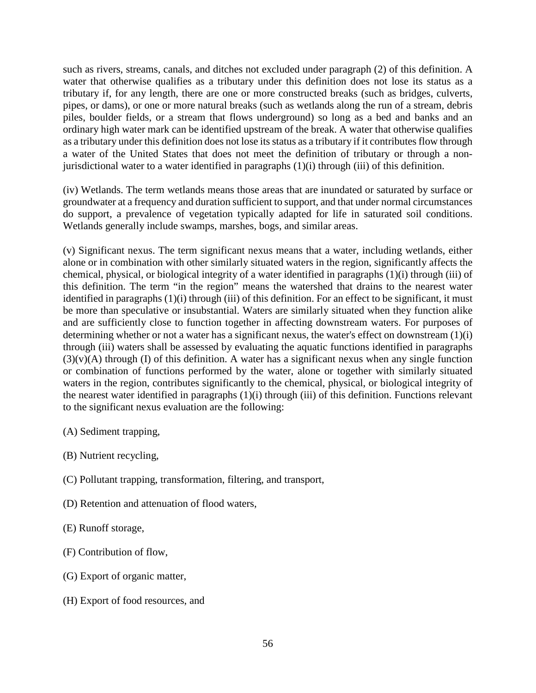such as rivers, streams, canals, and ditches not excluded under paragraph (2) of this definition. A water that otherwise qualifies as a tributary under this definition does not lose its status as a tributary if, for any length, there are one or more constructed breaks (such as bridges, culverts, pipes, or dams), or one or more natural breaks (such as wetlands along the run of a stream, debris piles, boulder fields, or a stream that flows underground) so long as a bed and banks and an ordinary high water mark can be identified upstream of the break. A water that otherwise qualifies as a tributary under this definition does not lose its status as a tributary if it contributes flow through a water of the United States that does not meet the definition of tributary or through a nonjurisdictional water to a water identified in paragraphs (1)(i) through (iii) of this definition.

(iv) Wetlands. The term wetlands means those areas that are inundated or saturated by surface or groundwater at a frequency and duration sufficient to support, and that under normal circumstances do support, a prevalence of vegetation typically adapted for life in saturated soil conditions. Wetlands generally include swamps, marshes, bogs, and similar areas.

(v) Significant nexus. The term significant nexus means that a water, including wetlands, either alone or in combination with other similarly situated waters in the region, significantly affects the chemical, physical, or biological integrity of a water identified in paragraphs (1)(i) through (iii) of this definition. The term "in the region" means the watershed that drains to the nearest water identified in paragraphs (1)(i) through (iii) of this definition. For an effect to be significant, it must be more than speculative or insubstantial. Waters are similarly situated when they function alike and are sufficiently close to function together in affecting downstream waters. For purposes of determining whether or not a water has a significant nexus, the water's effect on downstream (1)(i) through (iii) waters shall be assessed by evaluating the aquatic functions identified in paragraphs  $(3)(v)(A)$  through (I) of this definition. A water has a significant nexus when any single function or combination of functions performed by the water, alone or together with similarly situated waters in the region, contributes significantly to the chemical, physical, or biological integrity of the nearest water identified in paragraphs (1)(i) through (iii) of this definition. Functions relevant to the significant nexus evaluation are the following:

- (A) Sediment trapping,
- (B) Nutrient recycling,
- (C) Pollutant trapping, transformation, filtering, and transport,
- (D) Retention and attenuation of flood waters,
- (E) Runoff storage,
- (F) Contribution of flow,
- (G) Export of organic matter,
- (H) Export of food resources, and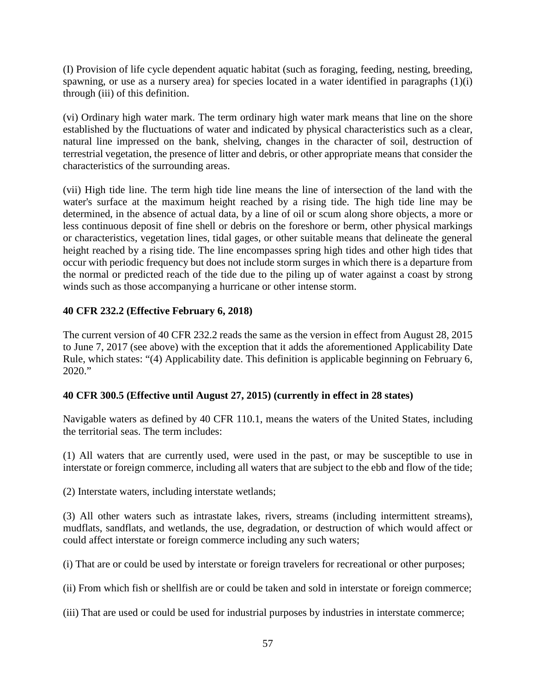(I) Provision of life cycle dependent aquatic habitat (such as foraging, feeding, nesting, breeding, spawning, or use as a nursery area) for species located in a water identified in paragraphs (1)(i) through (iii) of this definition.

(vi) Ordinary high water mark. The term ordinary high water mark means that line on the shore established by the fluctuations of water and indicated by physical characteristics such as a clear, natural line impressed on the bank, shelving, changes in the character of soil, destruction of terrestrial vegetation, the presence of litter and debris, or other appropriate means that consider the characteristics of the surrounding areas.

(vii) High tide line. The term high tide line means the line of intersection of the land with the water's surface at the maximum height reached by a rising tide. The high tide line may be determined, in the absence of actual data, by a line of oil or scum along shore objects, a more or less continuous deposit of fine shell or debris on the foreshore or berm, other physical markings or characteristics, vegetation lines, tidal gages, or other suitable means that delineate the general height reached by a rising tide. The line encompasses spring high tides and other high tides that occur with periodic frequency but does not include storm surges in which there is a departure from the normal or predicted reach of the tide due to the piling up of water against a coast by strong winds such as those accompanying a hurricane or other intense storm.

# **40 CFR 232.2 (Effective February 6, 2018)**

The current version of 40 CFR 232.2 reads the same as the version in effect from August 28, 2015 to June 7, 2017 (see above) with the exception that it adds the aforementioned Applicability Date Rule, which states: "(4) Applicability date. This definition is applicable beginning on February 6, 2020."

# **40 CFR 300.5 (Effective until August 27, 2015) (currently in effect in 28 states)**

Navigable waters as defined by 40 CFR 110.1, means the waters of the United States, including the territorial seas. The term includes:

(1) All waters that are currently used, were used in the past, or may be susceptible to use in interstate or foreign commerce, including all waters that are subject to the ebb and flow of the tide;

(2) Interstate waters, including interstate wetlands;

(3) All other waters such as intrastate lakes, rivers, streams (including intermittent streams), mudflats, sandflats, and wetlands, the use, degradation, or destruction of which would affect or could affect interstate or foreign commerce including any such waters;

(i) That are or could be used by interstate or foreign travelers for recreational or other purposes;

(ii) From which fish or shellfish are or could be taken and sold in interstate or foreign commerce;

(iii) That are used or could be used for industrial purposes by industries in interstate commerce;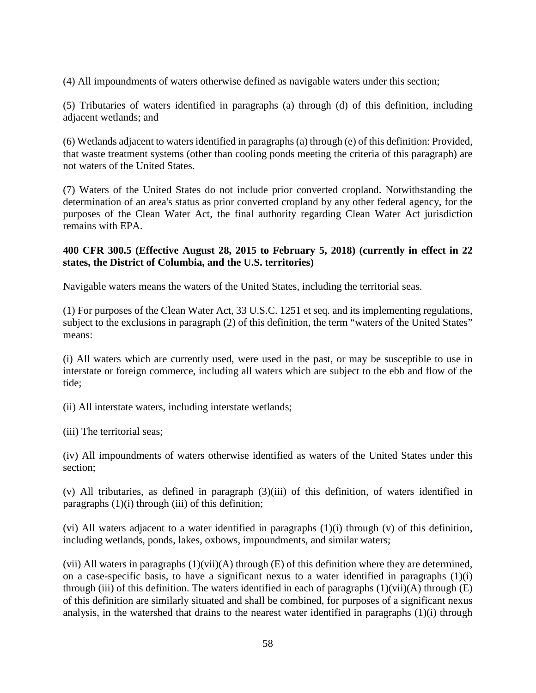(4) All impoundments of waters otherwise defined as navigable waters under this section;

(5) Tributaries of waters identified in paragraphs (a) through (d) of this definition, including adjacent wetlands; and

(6) Wetlands adjacent to waters identified in paragraphs (a) through (e) of this definition: Provided, that waste treatment systems (other than cooling ponds meeting the criteria of this paragraph) are not waters of the United States.

(7) Waters of the United States do not include prior converted cropland. Notwithstanding the determination of an area's status as prior converted cropland by any other federal agency, for the purposes of the Clean Water Act, the final authority regarding Clean Water Act jurisdiction remains with EPA.

#### **400 CFR 300.5 (Effective August 28, 2015 to February 5, 2018) (currently in effect in 22 states, the District of Columbia, and the U.S. territories)**

Navigable waters means the waters of the United States, including the territorial seas.

(1) For purposes of the Clean Water Act, 33 U.S.C. 1251 et seq. and its implementing regulations, subject to the exclusions in paragraph (2) of this definition, the term "waters of the United States" means:

(i) All waters which are currently used, were used in the past, or may be susceptible to use in interstate or foreign commerce, including all waters which are subject to the ebb and flow of the tide;

(ii) All interstate waters, including interstate wetlands;

(iii) The territorial seas;

(iv) All impoundments of waters otherwise identified as waters of the United States under this section;

(v) All tributaries, as defined in paragraph (3)(iii) of this definition, of waters identified in paragraphs (1)(i) through (iii) of this definition;

(vi) All waters adjacent to a water identified in paragraphs (1)(i) through (v) of this definition, including wetlands, ponds, lakes, oxbows, impoundments, and similar waters;

(vii) All waters in paragraphs  $(1)(vii)(A)$  through  $(E)$  of this definition where they are determined, on a case-specific basis, to have a significant nexus to a water identified in paragraphs (1)(i) through (iii) of this definition. The waters identified in each of paragraphs  $(1)(\n{\rm vii})(A)$  through  $(E)$ of this definition are similarly situated and shall be combined, for purposes of a significant nexus analysis, in the watershed that drains to the nearest water identified in paragraphs (1)(i) through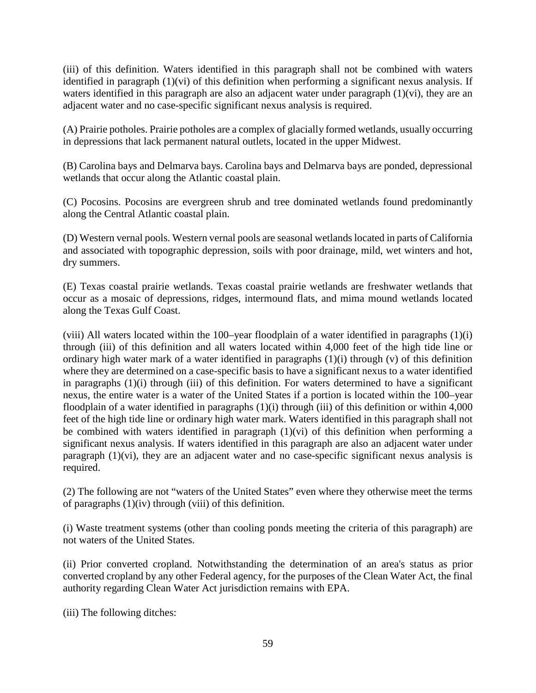(iii) of this definition. Waters identified in this paragraph shall not be combined with waters identified in paragraph (1)(vi) of this definition when performing a significant nexus analysis. If waters identified in this paragraph are also an adjacent water under paragraph (1)(vi), they are an adjacent water and no case-specific significant nexus analysis is required.

(A) Prairie potholes. Prairie potholes are a complex of glacially formed wetlands, usually occurring in depressions that lack permanent natural outlets, located in the upper Midwest.

(B) Carolina bays and Delmarva bays. Carolina bays and Delmarva bays are ponded, depressional wetlands that occur along the Atlantic coastal plain.

(C) Pocosins. Pocosins are evergreen shrub and tree dominated wetlands found predominantly along the Central Atlantic coastal plain.

(D) Western vernal pools. Western vernal pools are seasonal wetlands located in parts of California and associated with topographic depression, soils with poor drainage, mild, wet winters and hot, dry summers.

(E) Texas coastal prairie wetlands. Texas coastal prairie wetlands are freshwater wetlands that occur as a mosaic of depressions, ridges, intermound flats, and mima mound wetlands located along the Texas Gulf Coast.

(viii) All waters located within the 100–year floodplain of a water identified in paragraphs  $(1)(i)$ through (iii) of this definition and all waters located within 4,000 feet of the high tide line or ordinary high water mark of a water identified in paragraphs (1)(i) through (v) of this definition where they are determined on a case-specific basis to have a significant nexus to a water identified in paragraphs (1)(i) through (iii) of this definition. For waters determined to have a significant nexus, the entire water is a water of the United States if a portion is located within the 100–year floodplain of a water identified in paragraphs (1)(i) through (iii) of this definition or within 4,000 feet of the high tide line or ordinary high water mark. Waters identified in this paragraph shall not be combined with waters identified in paragraph (1)(vi) of this definition when performing a significant nexus analysis. If waters identified in this paragraph are also an adjacent water under paragraph (1)(vi), they are an adjacent water and no case-specific significant nexus analysis is required.

(2) The following are not "waters of the United States" even where they otherwise meet the terms of paragraphs (1)(iv) through (viii) of this definition.

(i) Waste treatment systems (other than cooling ponds meeting the criteria of this paragraph) are not waters of the United States.

(ii) Prior converted cropland. Notwithstanding the determination of an area's status as prior converted cropland by any other Federal agency, for the purposes of the Clean Water Act, the final authority regarding Clean Water Act jurisdiction remains with EPA.

(iii) The following ditches: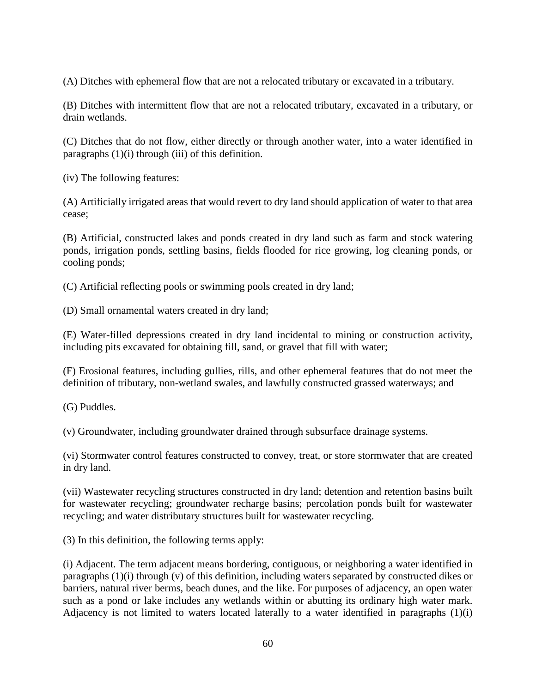(A) Ditches with ephemeral flow that are not a relocated tributary or excavated in a tributary.

(B) Ditches with intermittent flow that are not a relocated tributary, excavated in a tributary, or drain wetlands.

(C) Ditches that do not flow, either directly or through another water, into a water identified in paragraphs (1)(i) through (iii) of this definition.

(iv) The following features:

(A) Artificially irrigated areas that would revert to dry land should application of water to that area cease;

(B) Artificial, constructed lakes and ponds created in dry land such as farm and stock watering ponds, irrigation ponds, settling basins, fields flooded for rice growing, log cleaning ponds, or cooling ponds;

(C) Artificial reflecting pools or swimming pools created in dry land;

(D) Small ornamental waters created in dry land;

(E) Water-filled depressions created in dry land incidental to mining or construction activity, including pits excavated for obtaining fill, sand, or gravel that fill with water;

(F) Erosional features, including gullies, rills, and other ephemeral features that do not meet the definition of tributary, non-wetland swales, and lawfully constructed grassed waterways; and

(G) Puddles.

(v) Groundwater, including groundwater drained through subsurface drainage systems.

(vi) Stormwater control features constructed to convey, treat, or store stormwater that are created in dry land.

(vii) Wastewater recycling structures constructed in dry land; detention and retention basins built for wastewater recycling; groundwater recharge basins; percolation ponds built for wastewater recycling; and water distributary structures built for wastewater recycling.

(3) In this definition, the following terms apply:

(i) Adjacent. The term adjacent means bordering, contiguous, or neighboring a water identified in paragraphs (1)(i) through (v) of this definition, including waters separated by constructed dikes or barriers, natural river berms, beach dunes, and the like. For purposes of adjacency, an open water such as a pond or lake includes any wetlands within or abutting its ordinary high water mark. Adjacency is not limited to waters located laterally to a water identified in paragraphs (1)(i)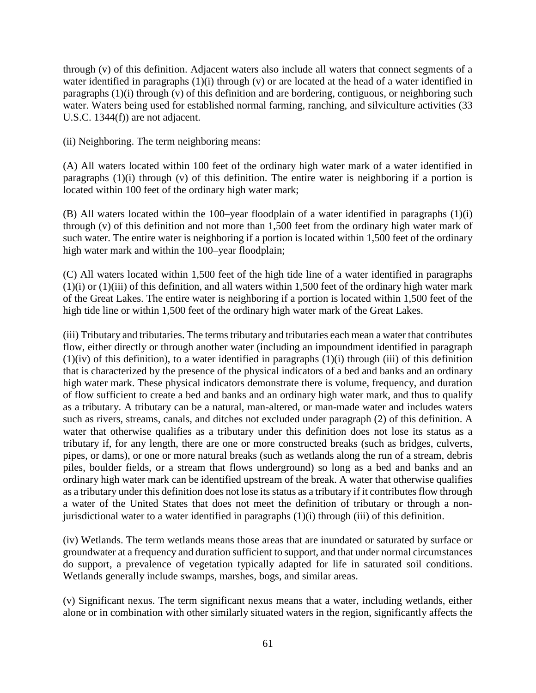through (v) of this definition. Adjacent waters also include all waters that connect segments of a water identified in paragraphs (1)(i) through (v) or are located at the head of a water identified in paragraphs (1)(i) through (v) of this definition and are bordering, contiguous, or neighboring such water. Waters being used for established normal farming, ranching, and silviculture activities (33) U.S.C. 1344(f)) are not adjacent.

(ii) Neighboring. The term neighboring means:

(A) All waters located within 100 feet of the ordinary high water mark of a water identified in paragraphs (1)(i) through (v) of this definition. The entire water is neighboring if a portion is located within 100 feet of the ordinary high water mark;

(B) All waters located within the 100–year floodplain of a water identified in paragraphs (1)(i) through (v) of this definition and not more than 1,500 feet from the ordinary high water mark of such water. The entire water is neighboring if a portion is located within 1,500 feet of the ordinary high water mark and within the 100–year floodplain;

(C) All waters located within 1,500 feet of the high tide line of a water identified in paragraphs  $(1)(i)$  or  $(1)(iii)$  of this definition, and all waters within 1,500 feet of the ordinary high water mark of the Great Lakes. The entire water is neighboring if a portion is located within 1,500 feet of the high tide line or within 1,500 feet of the ordinary high water mark of the Great Lakes.

(iii) Tributary and tributaries. The terms tributary and tributaries each mean a water that contributes flow, either directly or through another water (including an impoundment identified in paragraph (1)(iv) of this definition), to a water identified in paragraphs (1)(i) through (iii) of this definition that is characterized by the presence of the physical indicators of a bed and banks and an ordinary high water mark. These physical indicators demonstrate there is volume, frequency, and duration of flow sufficient to create a bed and banks and an ordinary high water mark, and thus to qualify as a tributary. A tributary can be a natural, man-altered, or man-made water and includes waters such as rivers, streams, canals, and ditches not excluded under paragraph (2) of this definition. A water that otherwise qualifies as a tributary under this definition does not lose its status as a tributary if, for any length, there are one or more constructed breaks (such as bridges, culverts, pipes, or dams), or one or more natural breaks (such as wetlands along the run of a stream, debris piles, boulder fields, or a stream that flows underground) so long as a bed and banks and an ordinary high water mark can be identified upstream of the break. A water that otherwise qualifies as a tributary under this definition does not lose its status as a tributary if it contributes flow through a water of the United States that does not meet the definition of tributary or through a nonjurisdictional water to a water identified in paragraphs (1)(i) through (iii) of this definition.

(iv) Wetlands. The term wetlands means those areas that are inundated or saturated by surface or groundwater at a frequency and duration sufficient to support, and that under normal circumstances do support, a prevalence of vegetation typically adapted for life in saturated soil conditions. Wetlands generally include swamps, marshes, bogs, and similar areas.

(v) Significant nexus. The term significant nexus means that a water, including wetlands, either alone or in combination with other similarly situated waters in the region, significantly affects the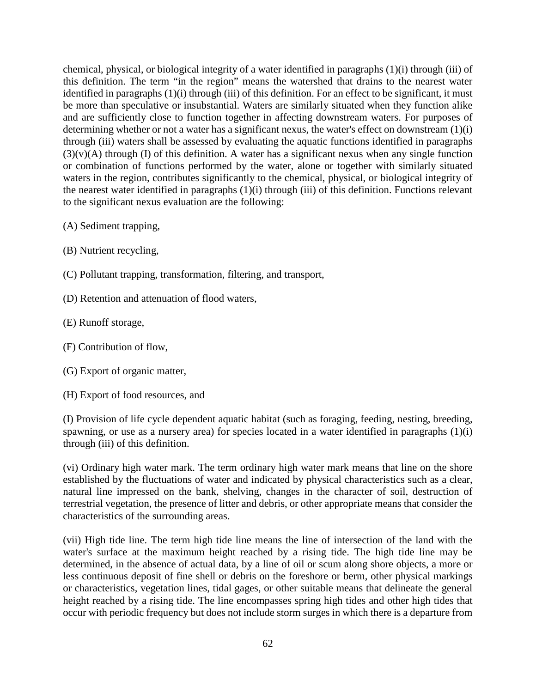chemical, physical, or biological integrity of a water identified in paragraphs (1)(i) through (iii) of this definition. The term "in the region" means the watershed that drains to the nearest water identified in paragraphs (1)(i) through (iii) of this definition. For an effect to be significant, it must be more than speculative or insubstantial. Waters are similarly situated when they function alike and are sufficiently close to function together in affecting downstream waters. For purposes of determining whether or not a water has a significant nexus, the water's effect on downstream (1)(i) through (iii) waters shall be assessed by evaluating the aquatic functions identified in paragraphs  $(3)(v)(A)$  through (I) of this definition. A water has a significant nexus when any single function or combination of functions performed by the water, alone or together with similarly situated waters in the region, contributes significantly to the chemical, physical, or biological integrity of the nearest water identified in paragraphs (1)(i) through (iii) of this definition. Functions relevant to the significant nexus evaluation are the following:

- (A) Sediment trapping,
- (B) Nutrient recycling,
- (C) Pollutant trapping, transformation, filtering, and transport,
- (D) Retention and attenuation of flood waters,
- (E) Runoff storage,
- (F) Contribution of flow,
- (G) Export of organic matter,
- (H) Export of food resources, and

(I) Provision of life cycle dependent aquatic habitat (such as foraging, feeding, nesting, breeding, spawning, or use as a nursery area) for species located in a water identified in paragraphs (1)(i) through (iii) of this definition.

(vi) Ordinary high water mark. The term ordinary high water mark means that line on the shore established by the fluctuations of water and indicated by physical characteristics such as a clear, natural line impressed on the bank, shelving, changes in the character of soil, destruction of terrestrial vegetation, the presence of litter and debris, or other appropriate means that consider the characteristics of the surrounding areas.

(vii) High tide line. The term high tide line means the line of intersection of the land with the water's surface at the maximum height reached by a rising tide. The high tide line may be determined, in the absence of actual data, by a line of oil or scum along shore objects, a more or less continuous deposit of fine shell or debris on the foreshore or berm, other physical markings or characteristics, vegetation lines, tidal gages, or other suitable means that delineate the general height reached by a rising tide. The line encompasses spring high tides and other high tides that occur with periodic frequency but does not include storm surges in which there is a departure from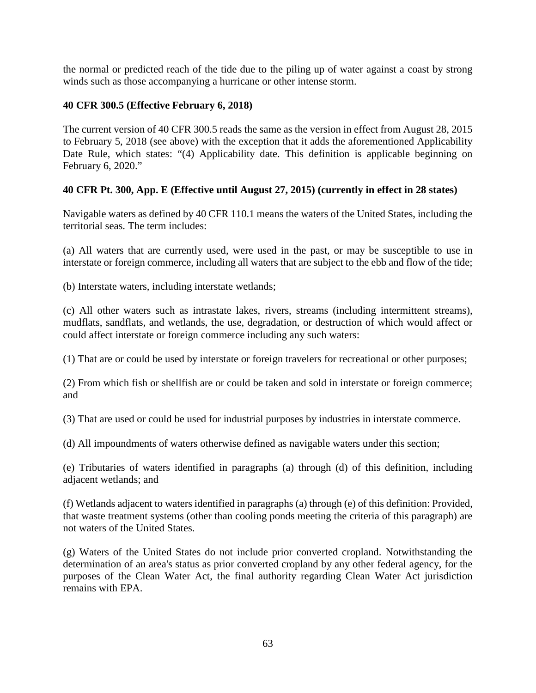the normal or predicted reach of the tide due to the piling up of water against a coast by strong winds such as those accompanying a hurricane or other intense storm.

## **40 CFR 300.5 (Effective February 6, 2018)**

The current version of 40 CFR 300.5 reads the same as the version in effect from August 28, 2015 to February 5, 2018 (see above) with the exception that it adds the aforementioned Applicability Date Rule, which states: "(4) Applicability date. This definition is applicable beginning on February 6, 2020."

### **40 CFR Pt. 300, App. E (Effective until August 27, 2015) (currently in effect in 28 states)**

Navigable waters as defined by 40 CFR 110.1 means the waters of the United States, including the territorial seas. The term includes:

(a) All waters that are currently used, were used in the past, or may be susceptible to use in interstate or foreign commerce, including all waters that are subject to the ebb and flow of the tide;

(b) Interstate waters, including interstate wetlands;

(c) All other waters such as intrastate lakes, rivers, streams (including intermittent streams), mudflats, sandflats, and wetlands, the use, degradation, or destruction of which would affect or could affect interstate or foreign commerce including any such waters:

(1) That are or could be used by interstate or foreign travelers for recreational or other purposes;

(2) From which fish or shellfish are or could be taken and sold in interstate or foreign commerce; and

(3) That are used or could be used for industrial purposes by industries in interstate commerce.

(d) All impoundments of waters otherwise defined as navigable waters under this section;

(e) Tributaries of waters identified in paragraphs (a) through (d) of this definition, including adjacent wetlands; and

(f) Wetlands adjacent to waters identified in paragraphs (a) through (e) of this definition: Provided, that waste treatment systems (other than cooling ponds meeting the criteria of this paragraph) are not waters of the United States.

(g) Waters of the United States do not include prior converted cropland. Notwithstanding the determination of an area's status as prior converted cropland by any other federal agency, for the purposes of the Clean Water Act, the final authority regarding Clean Water Act jurisdiction remains with EPA.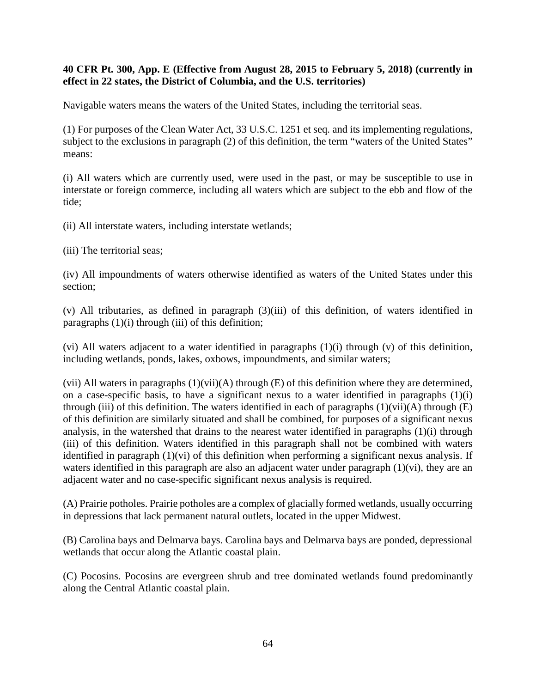## **40 CFR Pt. 300, App. E (Effective from August 28, 2015 to February 5, 2018) (currently in effect in 22 states, the District of Columbia, and the U.S. territories)**

Navigable waters means the waters of the United States, including the territorial seas.

(1) For purposes of the Clean Water Act, 33 U.S.C. 1251 et seq. and its implementing regulations, subject to the exclusions in paragraph (2) of this definition, the term "waters of the United States" means:

(i) All waters which are currently used, were used in the past, or may be susceptible to use in interstate or foreign commerce, including all waters which are subject to the ebb and flow of the tide;

(ii) All interstate waters, including interstate wetlands;

(iii) The territorial seas;

(iv) All impoundments of waters otherwise identified as waters of the United States under this section;

(v) All tributaries, as defined in paragraph (3)(iii) of this definition, of waters identified in paragraphs  $(1)(i)$  through  $(iii)$  of this definition;

(vi) All waters adjacent to a water identified in paragraphs (1)(i) through (v) of this definition, including wetlands, ponds, lakes, oxbows, impoundments, and similar waters;

(vii) All waters in paragraphs  $(1)(vii)(A)$  through  $(E)$  of this definition where they are determined, on a case-specific basis, to have a significant nexus to a water identified in paragraphs (1)(i) through (iii) of this definition. The waters identified in each of paragraphs  $(1)(\n{\rm vii})(A)$  through  $(E)$ of this definition are similarly situated and shall be combined, for purposes of a significant nexus analysis, in the watershed that drains to the nearest water identified in paragraphs (1)(i) through (iii) of this definition. Waters identified in this paragraph shall not be combined with waters identified in paragraph (1)(vi) of this definition when performing a significant nexus analysis. If waters identified in this paragraph are also an adjacent water under paragraph (1)(vi), they are an adjacent water and no case-specific significant nexus analysis is required.

(A) Prairie potholes. Prairie potholes are a complex of glacially formed wetlands, usually occurring in depressions that lack permanent natural outlets, located in the upper Midwest.

(B) Carolina bays and Delmarva bays. Carolina bays and Delmarva bays are ponded, depressional wetlands that occur along the Atlantic coastal plain.

(C) Pocosins. Pocosins are evergreen shrub and tree dominated wetlands found predominantly along the Central Atlantic coastal plain.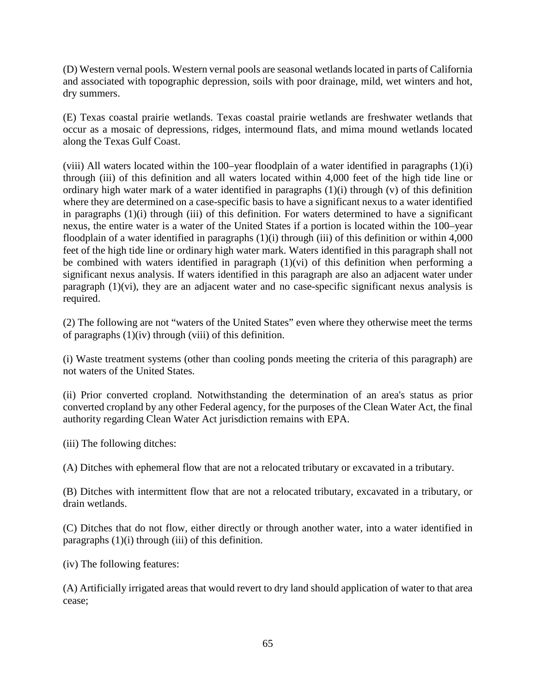(D) Western vernal pools. Western vernal pools are seasonal wetlands located in parts of California and associated with topographic depression, soils with poor drainage, mild, wet winters and hot, dry summers.

(E) Texas coastal prairie wetlands. Texas coastal prairie wetlands are freshwater wetlands that occur as a mosaic of depressions, ridges, intermound flats, and mima mound wetlands located along the Texas Gulf Coast.

(viii) All waters located within the 100–year floodplain of a water identified in paragraphs  $(1)(i)$ through (iii) of this definition and all waters located within 4,000 feet of the high tide line or ordinary high water mark of a water identified in paragraphs (1)(i) through (v) of this definition where they are determined on a case-specific basis to have a significant nexus to a water identified in paragraphs (1)(i) through (iii) of this definition. For waters determined to have a significant nexus, the entire water is a water of the United States if a portion is located within the 100–year floodplain of a water identified in paragraphs  $(1)(i)$  through  $(iii)$  of this definition or within 4,000 feet of the high tide line or ordinary high water mark. Waters identified in this paragraph shall not be combined with waters identified in paragraph (1)(vi) of this definition when performing a significant nexus analysis. If waters identified in this paragraph are also an adjacent water under paragraph (1)(vi), they are an adjacent water and no case-specific significant nexus analysis is required.

(2) The following are not "waters of the United States" even where they otherwise meet the terms of paragraphs (1)(iv) through (viii) of this definition.

(i) Waste treatment systems (other than cooling ponds meeting the criteria of this paragraph) are not waters of the United States.

(ii) Prior converted cropland. Notwithstanding the determination of an area's status as prior converted cropland by any other Federal agency, for the purposes of the Clean Water Act, the final authority regarding Clean Water Act jurisdiction remains with EPA.

(iii) The following ditches:

(A) Ditches with ephemeral flow that are not a relocated tributary or excavated in a tributary.

(B) Ditches with intermittent flow that are not a relocated tributary, excavated in a tributary, or drain wetlands.

(C) Ditches that do not flow, either directly or through another water, into a water identified in paragraphs (1)(i) through (iii) of this definition.

(iv) The following features:

(A) Artificially irrigated areas that would revert to dry land should application of water to that area cease;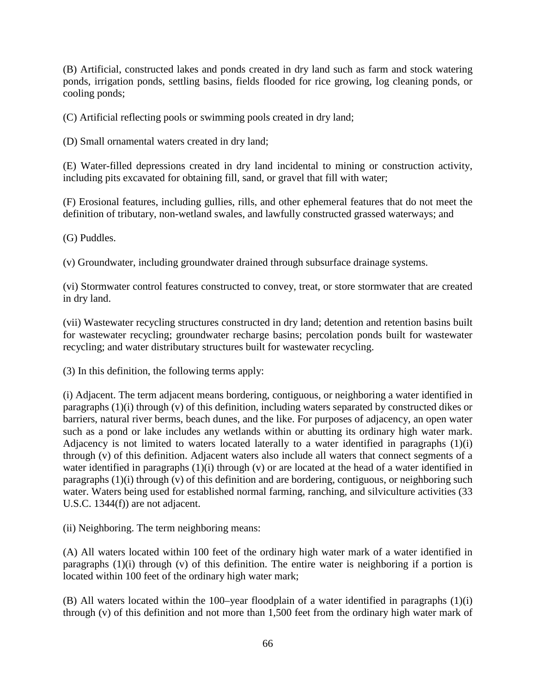(B) Artificial, constructed lakes and ponds created in dry land such as farm and stock watering ponds, irrigation ponds, settling basins, fields flooded for rice growing, log cleaning ponds, or cooling ponds;

(C) Artificial reflecting pools or swimming pools created in dry land;

(D) Small ornamental waters created in dry land;

(E) Water-filled depressions created in dry land incidental to mining or construction activity, including pits excavated for obtaining fill, sand, or gravel that fill with water;

(F) Erosional features, including gullies, rills, and other ephemeral features that do not meet the definition of tributary, non-wetland swales, and lawfully constructed grassed waterways; and

(G) Puddles.

(v) Groundwater, including groundwater drained through subsurface drainage systems.

(vi) Stormwater control features constructed to convey, treat, or store stormwater that are created in dry land.

(vii) Wastewater recycling structures constructed in dry land; detention and retention basins built for wastewater recycling; groundwater recharge basins; percolation ponds built for wastewater recycling; and water distributary structures built for wastewater recycling.

(3) In this definition, the following terms apply:

(i) Adjacent. The term adjacent means bordering, contiguous, or neighboring a water identified in paragraphs (1)(i) through (v) of this definition, including waters separated by constructed dikes or barriers, natural river berms, beach dunes, and the like. For purposes of adjacency, an open water such as a pond or lake includes any wetlands within or abutting its ordinary high water mark. Adjacency is not limited to waters located laterally to a water identified in paragraphs (1)(i) through (v) of this definition. Adjacent waters also include all waters that connect segments of a water identified in paragraphs (1)(i) through (v) or are located at the head of a water identified in paragraphs (1)(i) through (v) of this definition and are bordering, contiguous, or neighboring such water. Waters being used for established normal farming, ranching, and silviculture activities (33) U.S.C. 1344(f)) are not adjacent.

(ii) Neighboring. The term neighboring means:

(A) All waters located within 100 feet of the ordinary high water mark of a water identified in paragraphs (1)(i) through (v) of this definition. The entire water is neighboring if a portion is located within 100 feet of the ordinary high water mark;

(B) All waters located within the 100–year floodplain of a water identified in paragraphs (1)(i) through (v) of this definition and not more than 1,500 feet from the ordinary high water mark of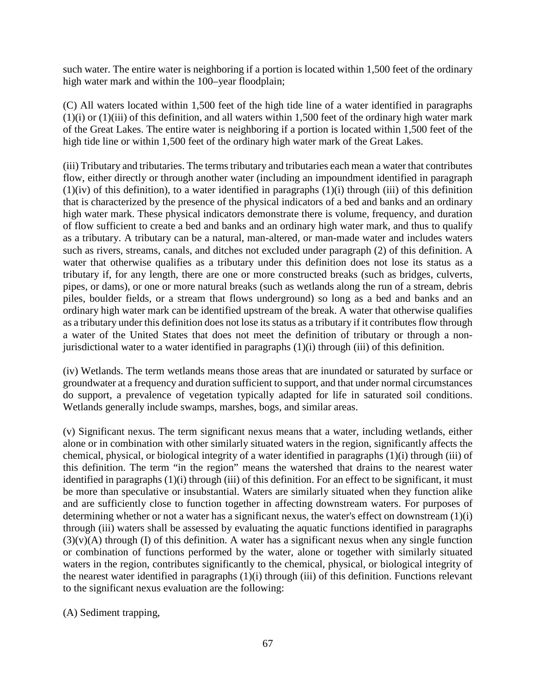such water. The entire water is neighboring if a portion is located within 1,500 feet of the ordinary high water mark and within the 100–year floodplain;

(C) All waters located within 1,500 feet of the high tide line of a water identified in paragraphs (1)(i) or (1)(iii) of this definition, and all waters within 1,500 feet of the ordinary high water mark of the Great Lakes. The entire water is neighboring if a portion is located within 1,500 feet of the high tide line or within 1,500 feet of the ordinary high water mark of the Great Lakes.

(iii) Tributary and tributaries. The terms tributary and tributaries each mean a water that contributes flow, either directly or through another water (including an impoundment identified in paragraph  $(1)(iv)$  of this definition), to a water identified in paragraphs  $(1)(i)$  through  $(iii)$  of this definition that is characterized by the presence of the physical indicators of a bed and banks and an ordinary high water mark. These physical indicators demonstrate there is volume, frequency, and duration of flow sufficient to create a bed and banks and an ordinary high water mark, and thus to qualify as a tributary. A tributary can be a natural, man-altered, or man-made water and includes waters such as rivers, streams, canals, and ditches not excluded under paragraph (2) of this definition. A water that otherwise qualifies as a tributary under this definition does not lose its status as a tributary if, for any length, there are one or more constructed breaks (such as bridges, culverts, pipes, or dams), or one or more natural breaks (such as wetlands along the run of a stream, debris piles, boulder fields, or a stream that flows underground) so long as a bed and banks and an ordinary high water mark can be identified upstream of the break. A water that otherwise qualifies as a tributary under this definition does not lose its status as a tributary if it contributes flow through a water of the United States that does not meet the definition of tributary or through a nonjurisdictional water to a water identified in paragraphs (1)(i) through (iii) of this definition.

(iv) Wetlands. The term wetlands means those areas that are inundated or saturated by surface or groundwater at a frequency and duration sufficient to support, and that under normal circumstances do support, a prevalence of vegetation typically adapted for life in saturated soil conditions. Wetlands generally include swamps, marshes, bogs, and similar areas.

(v) Significant nexus. The term significant nexus means that a water, including wetlands, either alone or in combination with other similarly situated waters in the region, significantly affects the chemical, physical, or biological integrity of a water identified in paragraphs (1)(i) through (iii) of this definition. The term "in the region" means the watershed that drains to the nearest water identified in paragraphs (1)(i) through (iii) of this definition. For an effect to be significant, it must be more than speculative or insubstantial. Waters are similarly situated when they function alike and are sufficiently close to function together in affecting downstream waters. For purposes of determining whether or not a water has a significant nexus, the water's effect on downstream (1)(i) through (iii) waters shall be assessed by evaluating the aquatic functions identified in paragraphs  $(3)(v)(A)$  through (I) of this definition. A water has a significant nexus when any single function or combination of functions performed by the water, alone or together with similarly situated waters in the region, contributes significantly to the chemical, physical, or biological integrity of the nearest water identified in paragraphs (1)(i) through (iii) of this definition. Functions relevant to the significant nexus evaluation are the following:

(A) Sediment trapping,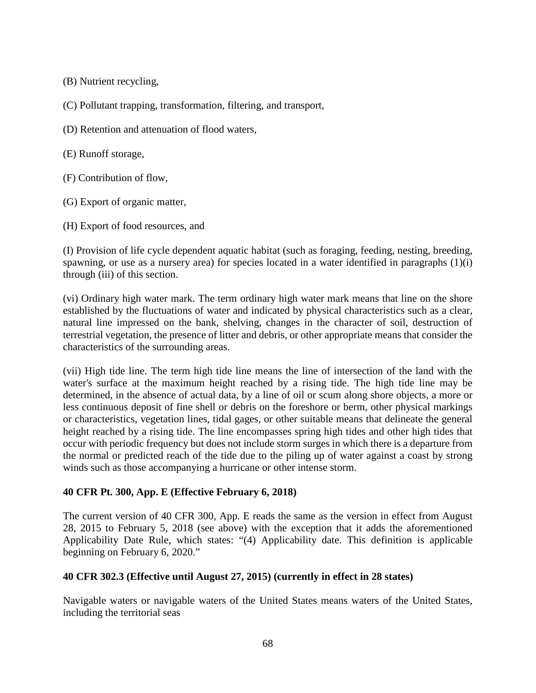(B) Nutrient recycling,

(C) Pollutant trapping, transformation, filtering, and transport,

(D) Retention and attenuation of flood waters,

(E) Runoff storage,

(F) Contribution of flow,

(G) Export of organic matter,

(H) Export of food resources, and

(I) Provision of life cycle dependent aquatic habitat (such as foraging, feeding, nesting, breeding, spawning, or use as a nursery area) for species located in a water identified in paragraphs (1)(i) through (iii) of this section.

(vi) Ordinary high water mark. The term ordinary high water mark means that line on the shore established by the fluctuations of water and indicated by physical characteristics such as a clear, natural line impressed on the bank, shelving, changes in the character of soil, destruction of terrestrial vegetation, the presence of litter and debris, or other appropriate means that consider the characteristics of the surrounding areas.

(vii) High tide line. The term high tide line means the line of intersection of the land with the water's surface at the maximum height reached by a rising tide. The high tide line may be determined, in the absence of actual data, by a line of oil or scum along shore objects, a more or less continuous deposit of fine shell or debris on the foreshore or berm, other physical markings or characteristics, vegetation lines, tidal gages, or other suitable means that delineate the general height reached by a rising tide. The line encompasses spring high tides and other high tides that occur with periodic frequency but does not include storm surges in which there is a departure from the normal or predicted reach of the tide due to the piling up of water against a coast by strong winds such as those accompanying a hurricane or other intense storm.

#### **40 CFR Pt. 300, App. E (Effective February 6, 2018)**

The current version of 40 CFR 300, App. E reads the same as the version in effect from August 28, 2015 to February 5, 2018 (see above) with the exception that it adds the aforementioned Applicability Date Rule, which states: "(4) Applicability date. This definition is applicable beginning on February 6, 2020."

#### **40 CFR 302.3 (Effective until August 27, 2015) (currently in effect in 28 states)**

Navigable waters or navigable waters of the United States means waters of the United States, including the territorial seas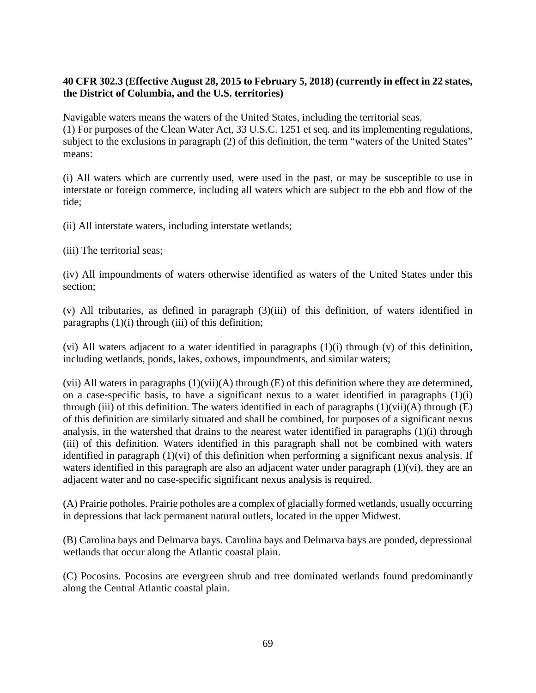## **40 CFR 302.3 (Effective August 28, 2015 to February 5, 2018) (currently in effect in 22 states, the District of Columbia, and the U.S. territories)**

Navigable waters means the waters of the United States, including the territorial seas. (1) For purposes of the Clean Water Act, 33 U.S.C. 1251 et seq. and its implementing regulations, subject to the exclusions in paragraph (2) of this definition, the term "waters of the United States" means:

(i) All waters which are currently used, were used in the past, or may be susceptible to use in interstate or foreign commerce, including all waters which are subject to the ebb and flow of the tide;

(ii) All interstate waters, including interstate wetlands;

(iii) The territorial seas;

(iv) All impoundments of waters otherwise identified as waters of the United States under this section;

(v) All tributaries, as defined in paragraph (3)(iii) of this definition, of waters identified in paragraphs  $(1)(i)$  through  $(iii)$  of this definition;

(vi) All waters adjacent to a water identified in paragraphs (1)(i) through (v) of this definition, including wetlands, ponds, lakes, oxbows, impoundments, and similar waters;

(vii) All waters in paragraphs  $(1)(vii)(A)$  through  $(E)$  of this definition where they are determined, on a case-specific basis, to have a significant nexus to a water identified in paragraphs (1)(i) through (iii) of this definition. The waters identified in each of paragraphs  $(1)(\n{\rm vii})(A)$  through  $(E)$ of this definition are similarly situated and shall be combined, for purposes of a significant nexus analysis, in the watershed that drains to the nearest water identified in paragraphs (1)(i) through (iii) of this definition. Waters identified in this paragraph shall not be combined with waters identified in paragraph (1)(vi) of this definition when performing a significant nexus analysis. If waters identified in this paragraph are also an adjacent water under paragraph (1)(vi), they are an adjacent water and no case-specific significant nexus analysis is required.

(A) Prairie potholes. Prairie potholes are a complex of glacially formed wetlands, usually occurring in depressions that lack permanent natural outlets, located in the upper Midwest.

(B) Carolina bays and Delmarva bays. Carolina bays and Delmarva bays are ponded, depressional wetlands that occur along the Atlantic coastal plain.

(C) Pocosins. Pocosins are evergreen shrub and tree dominated wetlands found predominantly along the Central Atlantic coastal plain.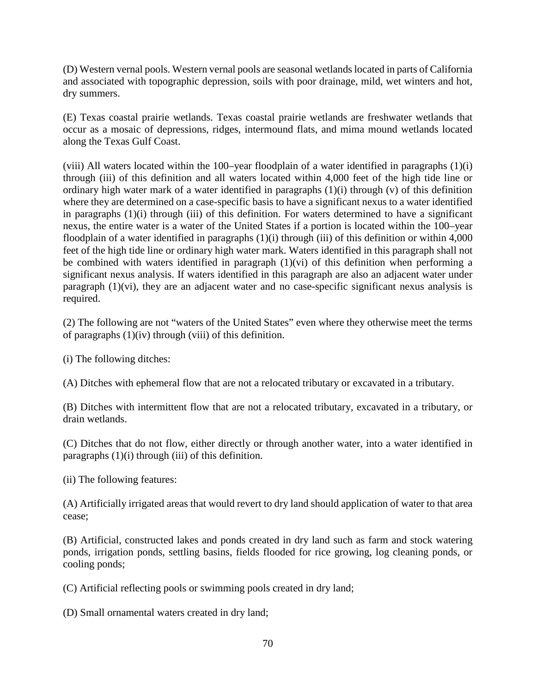(D) Western vernal pools. Western vernal pools are seasonal wetlands located in parts of California and associated with topographic depression, soils with poor drainage, mild, wet winters and hot, dry summers.

(E) Texas coastal prairie wetlands. Texas coastal prairie wetlands are freshwater wetlands that occur as a mosaic of depressions, ridges, intermound flats, and mima mound wetlands located along the Texas Gulf Coast.

(viii) All waters located within the 100–year floodplain of a water identified in paragraphs  $(1)(i)$ through (iii) of this definition and all waters located within 4,000 feet of the high tide line or ordinary high water mark of a water identified in paragraphs (1)(i) through (v) of this definition where they are determined on a case-specific basis to have a significant nexus to a water identified in paragraphs (1)(i) through (iii) of this definition. For waters determined to have a significant nexus, the entire water is a water of the United States if a portion is located within the 100–year floodplain of a water identified in paragraphs  $(1)(i)$  through  $(iii)$  of this definition or within 4,000 feet of the high tide line or ordinary high water mark. Waters identified in this paragraph shall not be combined with waters identified in paragraph (1)(vi) of this definition when performing a significant nexus analysis. If waters identified in this paragraph are also an adjacent water under paragraph (1)(vi), they are an adjacent water and no case-specific significant nexus analysis is required.

(2) The following are not "waters of the United States" even where they otherwise meet the terms of paragraphs (1)(iv) through (viii) of this definition.

(i) The following ditches:

(A) Ditches with ephemeral flow that are not a relocated tributary or excavated in a tributary.

(B) Ditches with intermittent flow that are not a relocated tributary, excavated in a tributary, or drain wetlands.

(C) Ditches that do not flow, either directly or through another water, into a water identified in paragraphs (1)(i) through (iii) of this definition.

(ii) The following features:

(A) Artificially irrigated areas that would revert to dry land should application of water to that area cease;

(B) Artificial, constructed lakes and ponds created in dry land such as farm and stock watering ponds, irrigation ponds, settling basins, fields flooded for rice growing, log cleaning ponds, or cooling ponds;

(C) Artificial reflecting pools or swimming pools created in dry land;

(D) Small ornamental waters created in dry land;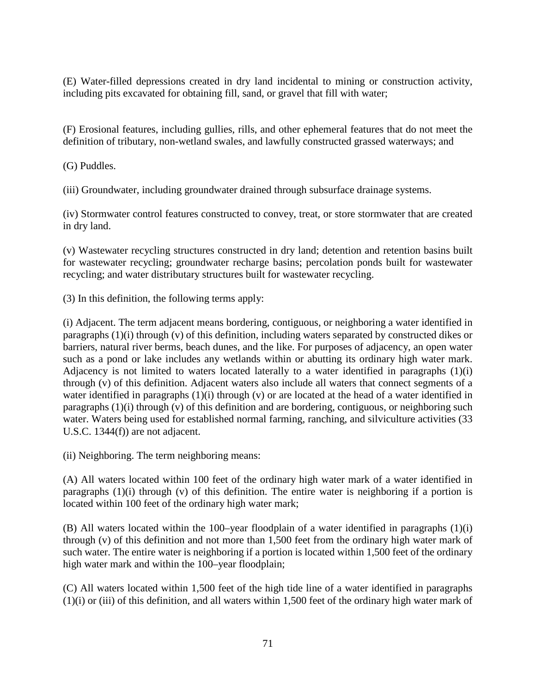(E) Water-filled depressions created in dry land incidental to mining or construction activity, including pits excavated for obtaining fill, sand, or gravel that fill with water;

(F) Erosional features, including gullies, rills, and other ephemeral features that do not meet the definition of tributary, non-wetland swales, and lawfully constructed grassed waterways; and

(G) Puddles.

(iii) Groundwater, including groundwater drained through subsurface drainage systems.

(iv) Stormwater control features constructed to convey, treat, or store stormwater that are created in dry land.

(v) Wastewater recycling structures constructed in dry land; detention and retention basins built for wastewater recycling; groundwater recharge basins; percolation ponds built for wastewater recycling; and water distributary structures built for wastewater recycling.

(3) In this definition, the following terms apply:

(i) Adjacent. The term adjacent means bordering, contiguous, or neighboring a water identified in paragraphs (1)(i) through (v) of this definition, including waters separated by constructed dikes or barriers, natural river berms, beach dunes, and the like. For purposes of adjacency, an open water such as a pond or lake includes any wetlands within or abutting its ordinary high water mark. Adjacency is not limited to waters located laterally to a water identified in paragraphs (1)(i) through (v) of this definition. Adjacent waters also include all waters that connect segments of a water identified in paragraphs  $(1)(i)$  through  $(v)$  or are located at the head of a water identified in paragraphs (1)(i) through (v) of this definition and are bordering, contiguous, or neighboring such water. Waters being used for established normal farming, ranching, and silviculture activities (33) U.S.C. 1344(f)) are not adjacent.

(ii) Neighboring. The term neighboring means:

(A) All waters located within 100 feet of the ordinary high water mark of a water identified in paragraphs (1)(i) through (v) of this definition. The entire water is neighboring if a portion is located within 100 feet of the ordinary high water mark;

(B) All waters located within the 100–year floodplain of a water identified in paragraphs (1)(i) through (v) of this definition and not more than 1,500 feet from the ordinary high water mark of such water. The entire water is neighboring if a portion is located within 1,500 feet of the ordinary high water mark and within the 100–year floodplain;

(C) All waters located within 1,500 feet of the high tide line of a water identified in paragraphs (1)(i) or (iii) of this definition, and all waters within 1,500 feet of the ordinary high water mark of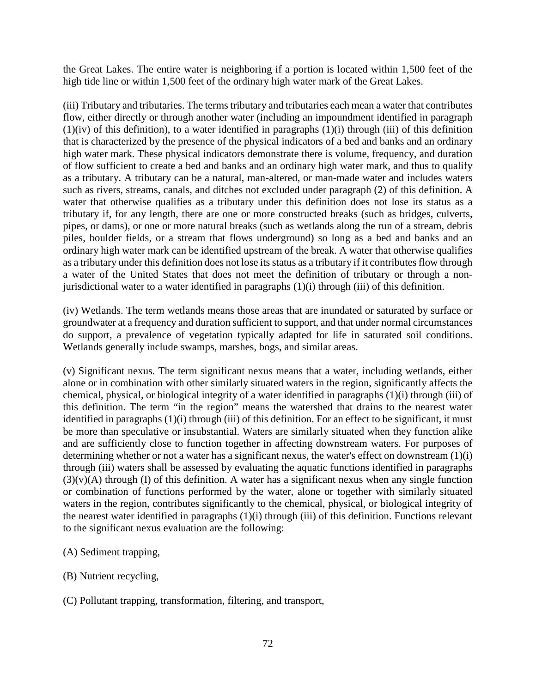the Great Lakes. The entire water is neighboring if a portion is located within 1,500 feet of the high tide line or within 1,500 feet of the ordinary high water mark of the Great Lakes.

(iii) Tributary and tributaries. The terms tributary and tributaries each mean a water that contributes flow, either directly or through another water (including an impoundment identified in paragraph (1)(iv) of this definition), to a water identified in paragraphs (1)(i) through (iii) of this definition that is characterized by the presence of the physical indicators of a bed and banks and an ordinary high water mark. These physical indicators demonstrate there is volume, frequency, and duration of flow sufficient to create a bed and banks and an ordinary high water mark, and thus to qualify as a tributary. A tributary can be a natural, man-altered, or man-made water and includes waters such as rivers, streams, canals, and ditches not excluded under paragraph (2) of this definition. A water that otherwise qualifies as a tributary under this definition does not lose its status as a tributary if, for any length, there are one or more constructed breaks (such as bridges, culverts, pipes, or dams), or one or more natural breaks (such as wetlands along the run of a stream, debris piles, boulder fields, or a stream that flows underground) so long as a bed and banks and an ordinary high water mark can be identified upstream of the break. A water that otherwise qualifies as a tributary under this definition does not lose its status as a tributary if it contributes flow through a water of the United States that does not meet the definition of tributary or through a nonjurisdictional water to a water identified in paragraphs (1)(i) through (iii) of this definition.

(iv) Wetlands. The term wetlands means those areas that are inundated or saturated by surface or groundwater at a frequency and duration sufficient to support, and that under normal circumstances do support, a prevalence of vegetation typically adapted for life in saturated soil conditions. Wetlands generally include swamps, marshes, bogs, and similar areas.

(v) Significant nexus. The term significant nexus means that a water, including wetlands, either alone or in combination with other similarly situated waters in the region, significantly affects the chemical, physical, or biological integrity of a water identified in paragraphs (1)(i) through (iii) of this definition. The term "in the region" means the watershed that drains to the nearest water identified in paragraphs (1)(i) through (iii) of this definition. For an effect to be significant, it must be more than speculative or insubstantial. Waters are similarly situated when they function alike and are sufficiently close to function together in affecting downstream waters. For purposes of determining whether or not a water has a significant nexus, the water's effect on downstream (1)(i) through (iii) waters shall be assessed by evaluating the aquatic functions identified in paragraphs  $(3)(v)(A)$  through (I) of this definition. A water has a significant nexus when any single function or combination of functions performed by the water, alone or together with similarly situated waters in the region, contributes significantly to the chemical, physical, or biological integrity of the nearest water identified in paragraphs (1)(i) through (iii) of this definition. Functions relevant to the significant nexus evaluation are the following:

- (A) Sediment trapping,
- (B) Nutrient recycling,
- (C) Pollutant trapping, transformation, filtering, and transport,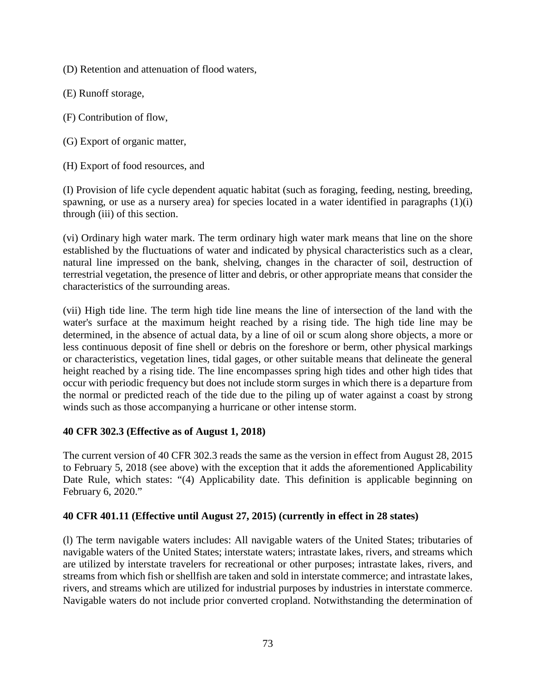(D) Retention and attenuation of flood waters,

- (E) Runoff storage,
- (F) Contribution of flow,
- (G) Export of organic matter,
- (H) Export of food resources, and

(I) Provision of life cycle dependent aquatic habitat (such as foraging, feeding, nesting, breeding, spawning, or use as a nursery area) for species located in a water identified in paragraphs (1)(i) through (iii) of this section.

(vi) Ordinary high water mark. The term ordinary high water mark means that line on the shore established by the fluctuations of water and indicated by physical characteristics such as a clear, natural line impressed on the bank, shelving, changes in the character of soil, destruction of terrestrial vegetation, the presence of litter and debris, or other appropriate means that consider the characteristics of the surrounding areas.

(vii) High tide line. The term high tide line means the line of intersection of the land with the water's surface at the maximum height reached by a rising tide. The high tide line may be determined, in the absence of actual data, by a line of oil or scum along shore objects, a more or less continuous deposit of fine shell or debris on the foreshore or berm, other physical markings or characteristics, vegetation lines, tidal gages, or other suitable means that delineate the general height reached by a rising tide. The line encompasses spring high tides and other high tides that occur with periodic frequency but does not include storm surges in which there is a departure from the normal or predicted reach of the tide due to the piling up of water against a coast by strong winds such as those accompanying a hurricane or other intense storm.

## **40 CFR 302.3 (Effective as of August 1, 2018)**

The current version of 40 CFR 302.3 reads the same as the version in effect from August 28, 2015 to February 5, 2018 (see above) with the exception that it adds the aforementioned Applicability Date Rule, which states: "(4) Applicability date. This definition is applicable beginning on February 6, 2020."

## **40 CFR 401.11 (Effective until August 27, 2015) (currently in effect in 28 states)**

(l) The term navigable waters includes: All navigable waters of the United States; tributaries of navigable waters of the United States; interstate waters; intrastate lakes, rivers, and streams which are utilized by interstate travelers for recreational or other purposes; intrastate lakes, rivers, and streams from which fish or shellfish are taken and sold in interstate commerce; and intrastate lakes, rivers, and streams which are utilized for industrial purposes by industries in interstate commerce. Navigable waters do not include prior converted cropland. Notwithstanding the determination of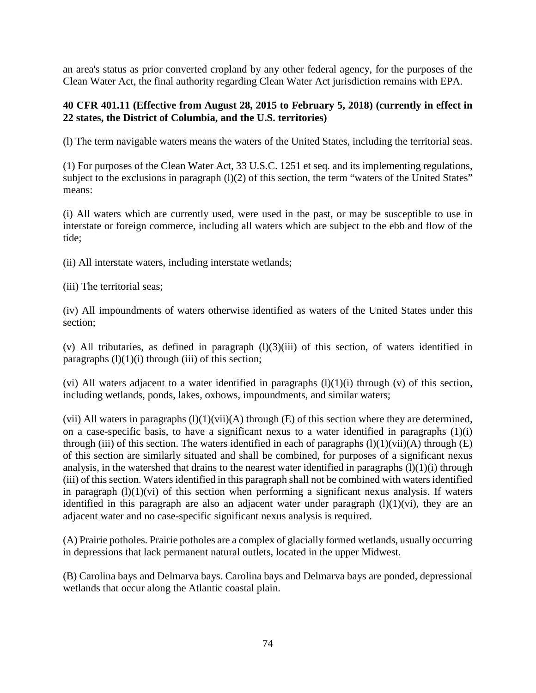an area's status as prior converted cropland by any other federal agency, for the purposes of the Clean Water Act, the final authority regarding Clean Water Act jurisdiction remains with EPA.

## **40 CFR 401.11 (Effective from August 28, 2015 to February 5, 2018) (currently in effect in 22 states, the District of Columbia, and the U.S. territories)**

(l) The term navigable waters means the waters of the United States, including the territorial seas.

(1) For purposes of the Clean Water Act, 33 U.S.C. 1251 et seq. and its implementing regulations, subject to the exclusions in paragraph (1)(2) of this section, the term "waters of the United States" means:

(i) All waters which are currently used, were used in the past, or may be susceptible to use in interstate or foreign commerce, including all waters which are subject to the ebb and flow of the tide;

(ii) All interstate waters, including interstate wetlands;

(iii) The territorial seas;

(iv) All impoundments of waters otherwise identified as waters of the United States under this section;

(v) All tributaries, as defined in paragraph  $(1)(3)(iii)$  of this section, of waters identified in paragraphs  $(l)(1)(i)$  through (iii) of this section;

(vi) All waters adjacent to a water identified in paragraphs  $(l)(1)(i)$  through (v) of this section, including wetlands, ponds, lakes, oxbows, impoundments, and similar waters;

(vii) All waters in paragraphs  $(l)(1)(vii)(A)$  through (E) of this section where they are determined, on a case-specific basis, to have a significant nexus to a water identified in paragraphs (1)(i) through (iii) of this section. The waters identified in each of paragraphs  $(l)(1)(\n{\rm vii})(A)$  through  $(E)$ of this section are similarly situated and shall be combined, for purposes of a significant nexus analysis, in the watershed that drains to the nearest water identified in paragraphs  $(l)(1)(i)$  through (iii) of this section. Waters identified in this paragraph shall not be combined with waters identified in paragraph  $(l)(1)(vi)$  of this section when performing a significant nexus analysis. If waters identified in this paragraph are also an adjacent water under paragraph  $(l)(1)(vi)$ , they are an adjacent water and no case-specific significant nexus analysis is required.

(A) Prairie potholes. Prairie potholes are a complex of glacially formed wetlands, usually occurring in depressions that lack permanent natural outlets, located in the upper Midwest.

(B) Carolina bays and Delmarva bays. Carolina bays and Delmarva bays are ponded, depressional wetlands that occur along the Atlantic coastal plain.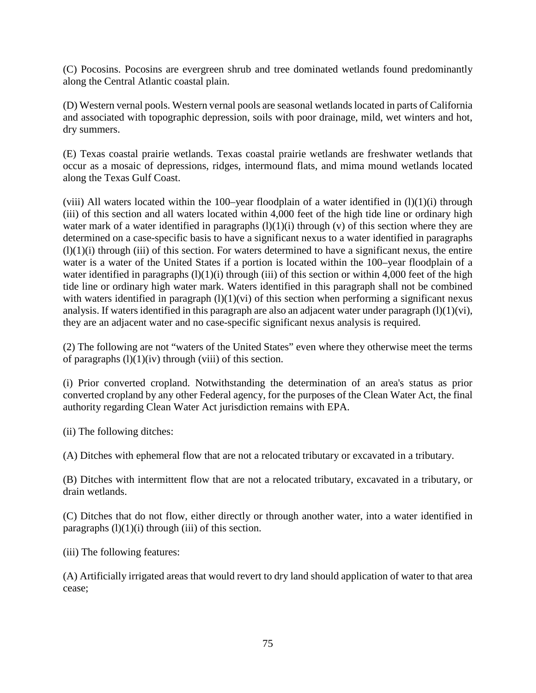(C) Pocosins. Pocosins are evergreen shrub and tree dominated wetlands found predominantly along the Central Atlantic coastal plain.

(D) Western vernal pools. Western vernal pools are seasonal wetlands located in parts of California and associated with topographic depression, soils with poor drainage, mild, wet winters and hot, dry summers.

(E) Texas coastal prairie wetlands. Texas coastal prairie wetlands are freshwater wetlands that occur as a mosaic of depressions, ridges, intermound flats, and mima mound wetlands located along the Texas Gulf Coast.

(viii) All waters located within the 100–year floodplain of a water identified in  $(l)(1)(i)$  through (iii) of this section and all waters located within 4,000 feet of the high tide line or ordinary high water mark of a water identified in paragraphs  $(l)(1)(i)$  through  $(v)$  of this section where they are determined on a case-specific basis to have a significant nexus to a water identified in paragraphs  $(l)(1)(i)$  through (iii) of this section. For waters determined to have a significant nexus, the entire water is a water of the United States if a portion is located within the 100–year floodplain of a water identified in paragraphs  $(l)(1)(i)$  through (iii) of this section or within 4,000 feet of the high tide line or ordinary high water mark. Waters identified in this paragraph shall not be combined with waters identified in paragraph  $(l)(1)(vi)$  of this section when performing a significant nexus analysis. If waters identified in this paragraph are also an adjacent water under paragraph  $(l)(1)(vi)$ , they are an adjacent water and no case-specific significant nexus analysis is required.

(2) The following are not "waters of the United States" even where they otherwise meet the terms of paragraphs  $(l)(1)(iv)$  through (viii) of this section.

(i) Prior converted cropland. Notwithstanding the determination of an area's status as prior converted cropland by any other Federal agency, for the purposes of the Clean Water Act, the final authority regarding Clean Water Act jurisdiction remains with EPA.

(ii) The following ditches:

(A) Ditches with ephemeral flow that are not a relocated tributary or excavated in a tributary.

(B) Ditches with intermittent flow that are not a relocated tributary, excavated in a tributary, or drain wetlands.

(C) Ditches that do not flow, either directly or through another water, into a water identified in paragraphs  $(l)(1)(i)$  through (iii) of this section.

(iii) The following features:

(A) Artificially irrigated areas that would revert to dry land should application of water to that area cease;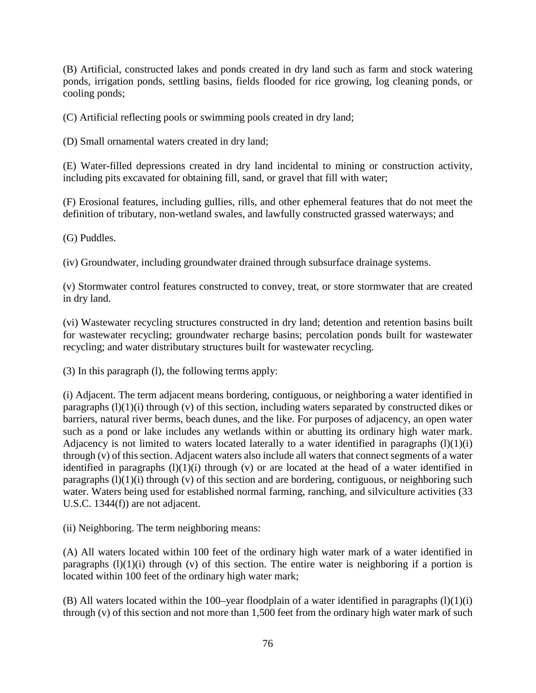(B) Artificial, constructed lakes and ponds created in dry land such as farm and stock watering ponds, irrigation ponds, settling basins, fields flooded for rice growing, log cleaning ponds, or cooling ponds;

(C) Artificial reflecting pools or swimming pools created in dry land;

(D) Small ornamental waters created in dry land;

(E) Water-filled depressions created in dry land incidental to mining or construction activity, including pits excavated for obtaining fill, sand, or gravel that fill with water;

(F) Erosional features, including gullies, rills, and other ephemeral features that do not meet the definition of tributary, non-wetland swales, and lawfully constructed grassed waterways; and

(G) Puddles.

(iv) Groundwater, including groundwater drained through subsurface drainage systems.

(v) Stormwater control features constructed to convey, treat, or store stormwater that are created in dry land.

(vi) Wastewater recycling structures constructed in dry land; detention and retention basins built for wastewater recycling; groundwater recharge basins; percolation ponds built for wastewater recycling; and water distributary structures built for wastewater recycling.

(3) In this paragraph (l), the following terms apply:

(i) Adjacent. The term adjacent means bordering, contiguous, or neighboring a water identified in paragraphs  $(l)(1)(i)$  through (v) of this section, including waters separated by constructed dikes or barriers, natural river berms, beach dunes, and the like. For purposes of adjacency, an open water such as a pond or lake includes any wetlands within or abutting its ordinary high water mark. Adjacency is not limited to waters located laterally to a water identified in paragraphs  $(1)(1)(i)$ through (v) of this section. Adjacent waters also include all waters that connect segments of a water identified in paragraphs  $(l)(1)(i)$  through  $(v)$  or are located at the head of a water identified in paragraphs  $(l)(1)(i)$  through (v) of this section and are bordering, contiguous, or neighboring such water. Waters being used for established normal farming, ranching, and silviculture activities (33) U.S.C. 1344(f)) are not adjacent.

(ii) Neighboring. The term neighboring means:

(A) All waters located within 100 feet of the ordinary high water mark of a water identified in paragraphs  $(1)(1)(i)$  through  $(v)$  of this section. The entire water is neighboring if a portion is located within 100 feet of the ordinary high water mark;

(B) All waters located within the 100–year floodplain of a water identified in paragraphs  $(l)(1)(i)$ through (v) of this section and not more than 1,500 feet from the ordinary high water mark of such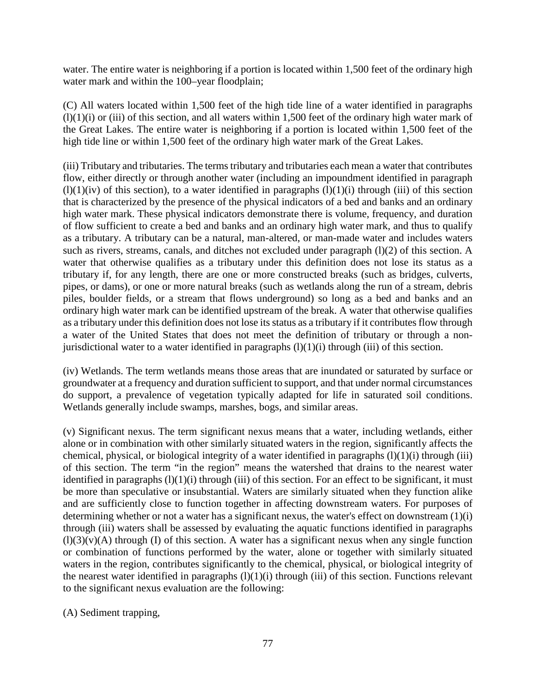water. The entire water is neighboring if a portion is located within 1,500 feet of the ordinary high water mark and within the 100–year floodplain;

(C) All waters located within 1,500 feet of the high tide line of a water identified in paragraphs  $(l)(1)(i)$  or (iii) of this section, and all waters within 1,500 feet of the ordinary high water mark of the Great Lakes. The entire water is neighboring if a portion is located within 1,500 feet of the high tide line or within 1,500 feet of the ordinary high water mark of the Great Lakes.

(iii) Tributary and tributaries. The terms tributary and tributaries each mean a water that contributes flow, either directly or through another water (including an impoundment identified in paragraph  $(l)(1)(iv)$  of this section), to a water identified in paragraphs  $(l)(1)(i)$  through (iii) of this section that is characterized by the presence of the physical indicators of a bed and banks and an ordinary high water mark. These physical indicators demonstrate there is volume, frequency, and duration of flow sufficient to create a bed and banks and an ordinary high water mark, and thus to qualify as a tributary. A tributary can be a natural, man-altered, or man-made water and includes waters such as rivers, streams, canals, and ditches not excluded under paragraph (l)(2) of this section. A water that otherwise qualifies as a tributary under this definition does not lose its status as a tributary if, for any length, there are one or more constructed breaks (such as bridges, culverts, pipes, or dams), or one or more natural breaks (such as wetlands along the run of a stream, debris piles, boulder fields, or a stream that flows underground) so long as a bed and banks and an ordinary high water mark can be identified upstream of the break. A water that otherwise qualifies as a tributary under this definition does not lose its status as a tributary if it contributes flow through a water of the United States that does not meet the definition of tributary or through a nonjurisdictional water to a water identified in paragraphs  $(l)(1)(i)$  through (iii) of this section.

(iv) Wetlands. The term wetlands means those areas that are inundated or saturated by surface or groundwater at a frequency and duration sufficient to support, and that under normal circumstances do support, a prevalence of vegetation typically adapted for life in saturated soil conditions. Wetlands generally include swamps, marshes, bogs, and similar areas.

(v) Significant nexus. The term significant nexus means that a water, including wetlands, either alone or in combination with other similarly situated waters in the region, significantly affects the chemical, physical, or biological integrity of a water identified in paragraphs  $(l)(1)(i)$  through (iii) of this section. The term "in the region" means the watershed that drains to the nearest water identified in paragraphs  $(l)(1)(i)$  through (iii) of this section. For an effect to be significant, it must be more than speculative or insubstantial. Waters are similarly situated when they function alike and are sufficiently close to function together in affecting downstream waters. For purposes of determining whether or not a water has a significant nexus, the water's effect on downstream (1)(i) through (iii) waters shall be assessed by evaluating the aquatic functions identified in paragraphs  $(l)(3)(v)(A)$  through (I) of this section. A water has a significant nexus when any single function or combination of functions performed by the water, alone or together with similarly situated waters in the region, contributes significantly to the chemical, physical, or biological integrity of the nearest water identified in paragraphs  $(l)(1)(i)$  through (iii) of this section. Functions relevant to the significant nexus evaluation are the following:

(A) Sediment trapping,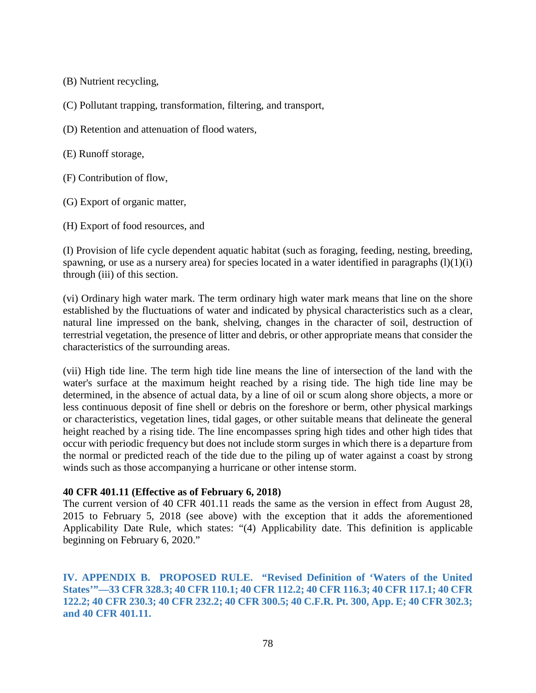(B) Nutrient recycling,

(C) Pollutant trapping, transformation, filtering, and transport,

(D) Retention and attenuation of flood waters,

(E) Runoff storage,

(F) Contribution of flow,

(G) Export of organic matter,

(H) Export of food resources, and

(I) Provision of life cycle dependent aquatic habitat (such as foraging, feeding, nesting, breeding, spawning, or use as a nursery area) for species located in a water identified in paragraphs  $(l)(1)(i)$ through (iii) of this section.

(vi) Ordinary high water mark. The term ordinary high water mark means that line on the shore established by the fluctuations of water and indicated by physical characteristics such as a clear, natural line impressed on the bank, shelving, changes in the character of soil, destruction of terrestrial vegetation, the presence of litter and debris, or other appropriate means that consider the characteristics of the surrounding areas.

(vii) High tide line. The term high tide line means the line of intersection of the land with the water's surface at the maximum height reached by a rising tide. The high tide line may be determined, in the absence of actual data, by a line of oil or scum along shore objects, a more or less continuous deposit of fine shell or debris on the foreshore or berm, other physical markings or characteristics, vegetation lines, tidal gages, or other suitable means that delineate the general height reached by a rising tide. The line encompasses spring high tides and other high tides that occur with periodic frequency but does not include storm surges in which there is a departure from the normal or predicted reach of the tide due to the piling up of water against a coast by strong winds such as those accompanying a hurricane or other intense storm.

## **40 CFR 401.11 (Effective as of February 6, 2018)**

The current version of 40 CFR 401.11 reads the same as the version in effect from August 28, 2015 to February 5, 2018 (see above) with the exception that it adds the aforementioned Applicability Date Rule, which states: "(4) Applicability date. This definition is applicable beginning on February 6, 2020."

**IV. APPENDIX B. PROPOSED RULE. "Revised Definition of 'Waters of the United States'"—33 CFR 328.3; 40 CFR 110.1; 40 CFR 112.2; 40 CFR 116.3; 40 CFR 117.1; 40 CFR 122.2; 40 CFR 230.3; 40 CFR 232.2; 40 CFR 300.5; 40 C.F.R. Pt. 300, App. E; 40 CFR 302.3; and 40 CFR 401.11.**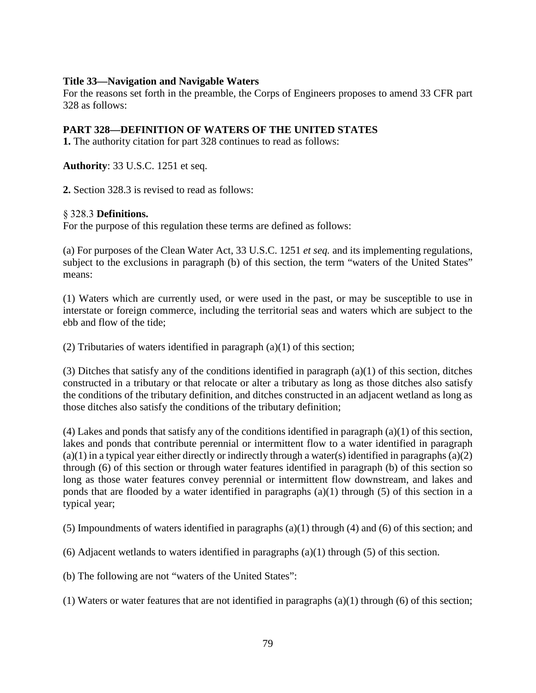## **Title 33—Navigation and Navigable Waters**

For the reasons set forth in the preamble, the Corps of Engineers proposes to amend 33 CFR part 328 as follows:

## **PART 328—DEFINITION OF WATERS OF THE UNITED STATES**

**1.** The authority citation for part 328 continues to read as follows:

**Authority**: 33 U.S.C. 1251 et seq.

**2.** Section 328.3 is revised to read as follows:

## § 328.3 **Definitions.**

For the purpose of this regulation these terms are defined as follows:

(a) For purposes of the Clean Water Act, 33 U.S.C. 1251 *et seq.* and its implementing regulations, subject to the exclusions in paragraph (b) of this section, the term "waters of the United States" means:

(1) Waters which are currently used, or were used in the past, or may be susceptible to use in interstate or foreign commerce, including the territorial seas and waters which are subject to the ebb and flow of the tide;

(2) Tributaries of waters identified in paragraph (a)(1) of this section;

(3) Ditches that satisfy any of the conditions identified in paragraph (a)(1) of this section, ditches constructed in a tributary or that relocate or alter a tributary as long as those ditches also satisfy the conditions of the tributary definition, and ditches constructed in an adjacent wetland as long as those ditches also satisfy the conditions of the tributary definition;

(4) Lakes and ponds that satisfy any of the conditions identified in paragraph (a)(1) of this section, lakes and ponds that contribute perennial or intermittent flow to a water identified in paragraph  $(a)(1)$  in a typical year either directly or indirectly through a water(s) identified in paragraphs  $(a)(2)$ through (6) of this section or through water features identified in paragraph (b) of this section so long as those water features convey perennial or intermittent flow downstream, and lakes and ponds that are flooded by a water identified in paragraphs (a)(1) through (5) of this section in a typical year;

(5) Impoundments of waters identified in paragraphs (a)(1) through (4) and (6) of this section; and

(6) Adjacent wetlands to waters identified in paragraphs (a)(1) through (5) of this section.

(b) The following are not "waters of the United States":

(1) Waters or water features that are not identified in paragraphs (a)(1) through (6) of this section;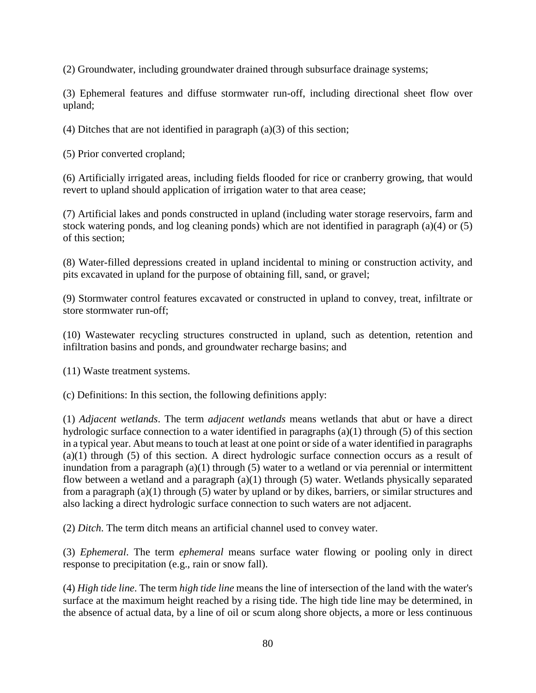(2) Groundwater, including groundwater drained through subsurface drainage systems;

(3) Ephemeral features and diffuse stormwater run-off, including directional sheet flow over upland;

(4) Ditches that are not identified in paragraph  $(a)(3)$  of this section;

(5) Prior converted cropland;

(6) Artificially irrigated areas, including fields flooded for rice or cranberry growing, that would revert to upland should application of irrigation water to that area cease;

(7) Artificial lakes and ponds constructed in upland (including water storage reservoirs, farm and stock watering ponds, and log cleaning ponds) which are not identified in paragraph (a)(4) or (5) of this section;

(8) Water-filled depressions created in upland incidental to mining or construction activity, and pits excavated in upland for the purpose of obtaining fill, sand, or gravel;

(9) Stormwater control features excavated or constructed in upland to convey, treat, infiltrate or store stormwater run-off;

(10) Wastewater recycling structures constructed in upland, such as detention, retention and infiltration basins and ponds, and groundwater recharge basins; and

(11) Waste treatment systems.

(c) Definitions: In this section, the following definitions apply:

(1) *Adjacent wetlands*. The term *adjacent wetlands* means wetlands that abut or have a direct hydrologic surface connection to a water identified in paragraphs (a)(1) through (5) of this section in a typical year. Abut means to touch at least at one point or side of a water identified in paragraphs  $(a)(1)$  through (5) of this section. A direct hydrologic surface connection occurs as a result of inundation from a paragraph  $(a)(1)$  through (5) water to a wetland or via perennial or intermittent flow between a wetland and a paragraph (a)(1) through (5) water. Wetlands physically separated from a paragraph (a)(1) through (5) water by upland or by dikes, barriers, or similar structures and also lacking a direct hydrologic surface connection to such waters are not adjacent.

(2) *Ditch*. The term ditch means an artificial channel used to convey water.

(3) *Ephemeral*. The term *ephemeral* means surface water flowing or pooling only in direct response to precipitation (e.g., rain or snow fall).

(4) *High tide line*. The term *high tide line* means the line of intersection of the land with the water's surface at the maximum height reached by a rising tide. The high tide line may be determined, in the absence of actual data, by a line of oil or scum along shore objects, a more or less continuous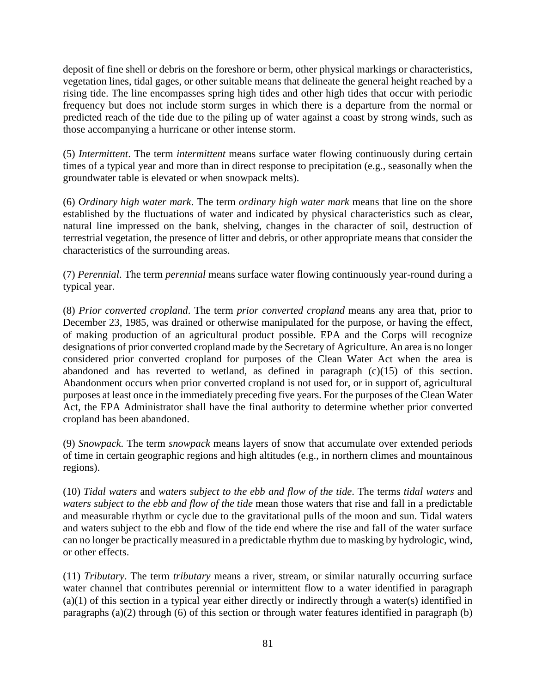deposit of fine shell or debris on the foreshore or berm, other physical markings or characteristics, vegetation lines, tidal gages, or other suitable means that delineate the general height reached by a rising tide. The line encompasses spring high tides and other high tides that occur with periodic frequency but does not include storm surges in which there is a departure from the normal or predicted reach of the tide due to the piling up of water against a coast by strong winds, such as those accompanying a hurricane or other intense storm.

(5) *Intermittent*. The term *intermittent* means surface water flowing continuously during certain times of a typical year and more than in direct response to precipitation (e.g., seasonally when the groundwater table is elevated or when snowpack melts).

(6) *Ordinary high water mark*. The term *ordinary high water mark* means that line on the shore established by the fluctuations of water and indicated by physical characteristics such as clear, natural line impressed on the bank, shelving, changes in the character of soil, destruction of terrestrial vegetation, the presence of litter and debris, or other appropriate means that consider the characteristics of the surrounding areas.

(7) *Perennial*. The term *perennial* means surface water flowing continuously year-round during a typical year.

(8) *Prior converted cropland*. The term *prior converted cropland* means any area that, prior to December 23, 1985, was drained or otherwise manipulated for the purpose, or having the effect, of making production of an agricultural product possible. EPA and the Corps will recognize designations of prior converted cropland made by the Secretary of Agriculture. An area is no longer considered prior converted cropland for purposes of the Clean Water Act when the area is abandoned and has reverted to wetland, as defined in paragraph (c)(15) of this section. Abandonment occurs when prior converted cropland is not used for, or in support of, agricultural purposes at least once in the immediately preceding five years. For the purposes of the Clean Water Act, the EPA Administrator shall have the final authority to determine whether prior converted cropland has been abandoned.

(9) *Snowpack*. The term *snowpack* means layers of snow that accumulate over extended periods of time in certain geographic regions and high altitudes (e.g., in northern climes and mountainous regions).

(10) *Tidal waters* and *waters subject to the ebb and flow of the tide*. The terms *tidal waters* and *waters subject to the ebb and flow of the tide* mean those waters that rise and fall in a predictable and measurable rhythm or cycle due to the gravitational pulls of the moon and sun. Tidal waters and waters subject to the ebb and flow of the tide end where the rise and fall of the water surface can no longer be practically measured in a predictable rhythm due to masking by hydrologic, wind, or other effects.

(11) *Tributary*. The term *tributary* means a river, stream, or similar naturally occurring surface water channel that contributes perennial or intermittent flow to a water identified in paragraph (a)(1) of this section in a typical year either directly or indirectly through a water(s) identified in paragraphs (a)(2) through (6) of this section or through water features identified in paragraph (b)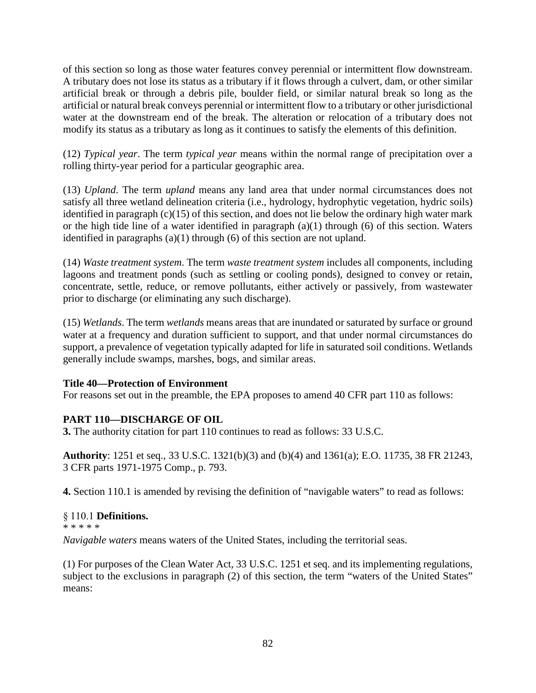of this section so long as those water features convey perennial or intermittent flow downstream. A tributary does not lose its status as a tributary if it flows through a culvert, dam, or other similar artificial break or through a debris pile, boulder field, or similar natural break so long as the artificial or natural break conveys perennial or intermittent flow to a tributary or other jurisdictional water at the downstream end of the break. The alteration or relocation of a tributary does not modify its status as a tributary as long as it continues to satisfy the elements of this definition.

(12) *Typical year*. The term *typical year* means within the normal range of precipitation over a rolling thirty-year period for a particular geographic area.

(13) *Upland*. The term *upland* means any land area that under normal circumstances does not satisfy all three wetland delineation criteria (i.e., hydrology, hydrophytic vegetation, hydric soils) identified in paragraph (c)(15) of this section, and does not lie below the ordinary high water mark or the high tide line of a water identified in paragraph (a)(1) through (6) of this section. Waters identified in paragraphs (a)(1) through (6) of this section are not upland.

(14) *Waste treatment system*. The term *waste treatment system* includes all components, including lagoons and treatment ponds (such as settling or cooling ponds), designed to convey or retain, concentrate, settle, reduce, or remove pollutants, either actively or passively, from wastewater prior to discharge (or eliminating any such discharge).

(15) *Wetlands*. The term *wetlands* means areas that are inundated or saturated by surface or ground water at a frequency and duration sufficient to support, and that under normal circumstances do support, a prevalence of vegetation typically adapted for life in saturated soil conditions. Wetlands generally include swamps, marshes, bogs, and similar areas.

## **Title 40—Protection of Environment**

For reasons set out in the preamble, the EPA proposes to amend 40 CFR part 110 as follows:

# **PART 110—DISCHARGE OF OIL**

**3.** The authority citation for part 110 continues to read as follows: 33 U.S.C.

**Authority**: 1251 et seq., 33 U.S.C. 1321(b)(3) and (b)(4) and 1361(a); E.O. 11735, 38 FR 21243, 3 CFR parts 1971-1975 Comp., p. 793.

**4.** Section 110.1 is amended by revising the definition of "navigable waters" to read as follows:

## § 110.1 **Definitions.**

\* \* \* \* \*

*Navigable waters* means waters of the United States, including the territorial seas.

(1) For purposes of the Clean Water Act, 33 U.S.C. 1251 et seq. and its implementing regulations, subject to the exclusions in paragraph (2) of this section, the term "waters of the United States" means: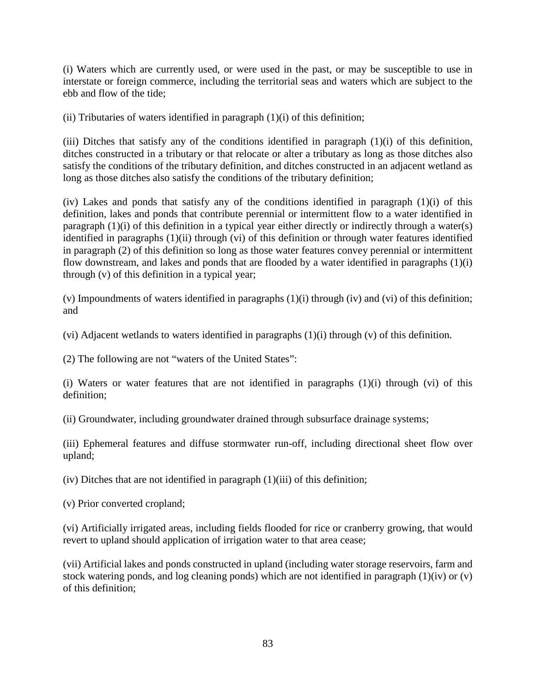(i) Waters which are currently used, or were used in the past, or may be susceptible to use in interstate or foreign commerce, including the territorial seas and waters which are subject to the ebb and flow of the tide;

(ii) Tributaries of waters identified in paragraph  $(1)(i)$  of this definition;

(iii) Ditches that satisfy any of the conditions identified in paragraph  $(1)(i)$  of this definition, ditches constructed in a tributary or that relocate or alter a tributary as long as those ditches also satisfy the conditions of the tributary definition, and ditches constructed in an adjacent wetland as long as those ditches also satisfy the conditions of the tributary definition;

(iv) Lakes and ponds that satisfy any of the conditions identified in paragraph (1)(i) of this definition, lakes and ponds that contribute perennial or intermittent flow to a water identified in paragraph (1)(i) of this definition in a typical year either directly or indirectly through a water(s) identified in paragraphs (1)(ii) through (vi) of this definition or through water features identified in paragraph (2) of this definition so long as those water features convey perennial or intermittent flow downstream, and lakes and ponds that are flooded by a water identified in paragraphs  $(1)(i)$ through (v) of this definition in a typical year;

(v) Impoundments of waters identified in paragraphs (1)(i) through (iv) and (vi) of this definition; and

(vi) Adjacent wetlands to waters identified in paragraphs  $(1)(i)$  through (v) of this definition.

(2) The following are not "waters of the United States":

(i) Waters or water features that are not identified in paragraphs (1)(i) through (vi) of this definition;

(ii) Groundwater, including groundwater drained through subsurface drainage systems;

(iii) Ephemeral features and diffuse stormwater run-off, including directional sheet flow over upland;

(iv) Ditches that are not identified in paragraph (1)(iii) of this definition;

(v) Prior converted cropland;

(vi) Artificially irrigated areas, including fields flooded for rice or cranberry growing, that would revert to upland should application of irrigation water to that area cease;

(vii) Artificial lakes and ponds constructed in upland (including water storage reservoirs, farm and stock watering ponds, and log cleaning ponds) which are not identified in paragraph (1)(iv) or (v) of this definition;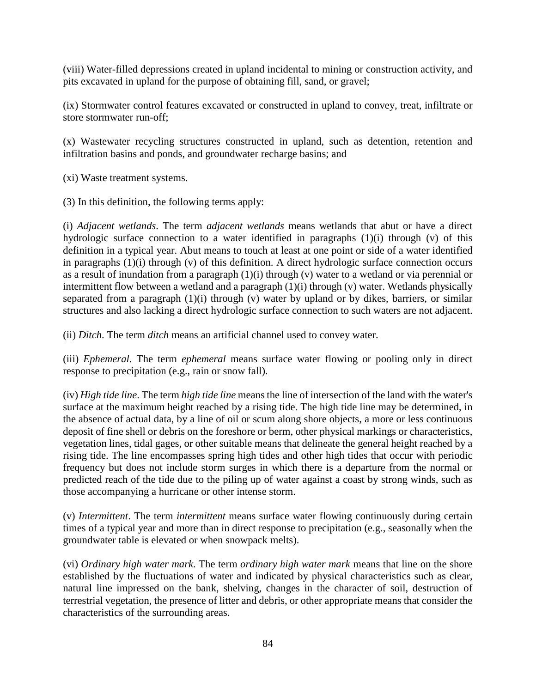(viii) Water-filled depressions created in upland incidental to mining or construction activity, and pits excavated in upland for the purpose of obtaining fill, sand, or gravel;

(ix) Stormwater control features excavated or constructed in upland to convey, treat, infiltrate or store stormwater run-off;

(x) Wastewater recycling structures constructed in upland, such as detention, retention and infiltration basins and ponds, and groundwater recharge basins; and

(xi) Waste treatment systems.

(3) In this definition, the following terms apply:

(i) *Adjacent wetlands*. The term *adjacent wetlands* means wetlands that abut or have a direct hydrologic surface connection to a water identified in paragraphs (1)(i) through (v) of this definition in a typical year. Abut means to touch at least at one point or side of a water identified in paragraphs (1)(i) through (v) of this definition. A direct hydrologic surface connection occurs as a result of inundation from a paragraph (1)(i) through (v) water to a wetland or via perennial or intermittent flow between a wetland and a paragraph (1)(i) through (v) water. Wetlands physically separated from a paragraph (1)(i) through (v) water by upland or by dikes, barriers, or similar structures and also lacking a direct hydrologic surface connection to such waters are not adjacent.

(ii) *Ditch*. The term *ditch* means an artificial channel used to convey water.

(iii) *Ephemeral*. The term *ephemeral* means surface water flowing or pooling only in direct response to precipitation (e.g., rain or snow fall).

(iv) *High tide line*. The term *high tide line* means the line of intersection of the land with the water's surface at the maximum height reached by a rising tide. The high tide line may be determined, in the absence of actual data, by a line of oil or scum along shore objects, a more or less continuous deposit of fine shell or debris on the foreshore or berm, other physical markings or characteristics, vegetation lines, tidal gages, or other suitable means that delineate the general height reached by a rising tide. The line encompasses spring high tides and other high tides that occur with periodic frequency but does not include storm surges in which there is a departure from the normal or predicted reach of the tide due to the piling up of water against a coast by strong winds, such as those accompanying a hurricane or other intense storm.

(v) *Intermittent*. The term *intermittent* means surface water flowing continuously during certain times of a typical year and more than in direct response to precipitation (e.g., seasonally when the groundwater table is elevated or when snowpack melts).

(vi) *Ordinary high water mark*. The term *ordinary high water mark* means that line on the shore established by the fluctuations of water and indicated by physical characteristics such as clear, natural line impressed on the bank, shelving, changes in the character of soil, destruction of terrestrial vegetation, the presence of litter and debris, or other appropriate means that consider the characteristics of the surrounding areas.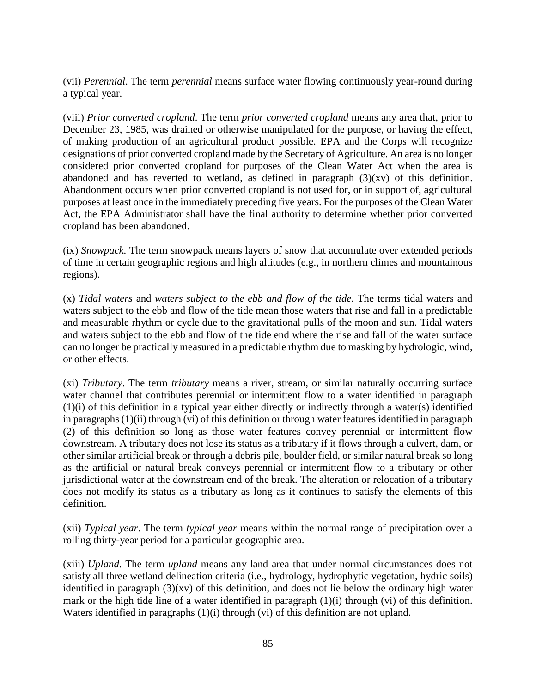(vii) *Perennial*. The term *perennial* means surface water flowing continuously year-round during a typical year.

(viii) *Prior converted cropland*. The term *prior converted cropland* means any area that, prior to December 23, 1985, was drained or otherwise manipulated for the purpose, or having the effect, of making production of an agricultural product possible. EPA and the Corps will recognize designations of prior converted cropland made by the Secretary of Agriculture. An area is no longer considered prior converted cropland for purposes of the Clean Water Act when the area is abandoned and has reverted to wetland, as defined in paragraph  $(3)(xv)$  of this definition. Abandonment occurs when prior converted cropland is not used for, or in support of, agricultural purposes at least once in the immediately preceding five years. For the purposes of the Clean Water Act, the EPA Administrator shall have the final authority to determine whether prior converted cropland has been abandoned.

(ix) *Snowpack*. The term snowpack means layers of snow that accumulate over extended periods of time in certain geographic regions and high altitudes (e.g., in northern climes and mountainous regions).

(x) *Tidal waters* and *waters subject to the ebb and flow of the tide*. The terms tidal waters and waters subject to the ebb and flow of the tide mean those waters that rise and fall in a predictable and measurable rhythm or cycle due to the gravitational pulls of the moon and sun. Tidal waters and waters subject to the ebb and flow of the tide end where the rise and fall of the water surface can no longer be practically measured in a predictable rhythm due to masking by hydrologic, wind, or other effects.

(xi) *Tributary*. The term *tributary* means a river, stream, or similar naturally occurring surface water channel that contributes perennial or intermittent flow to a water identified in paragraph (1)(i) of this definition in a typical year either directly or indirectly through a water(s) identified in paragraphs (1)(ii) through (vi) of this definition or through water features identified in paragraph (2) of this definition so long as those water features convey perennial or intermittent flow downstream. A tributary does not lose its status as a tributary if it flows through a culvert, dam, or other similar artificial break or through a debris pile, boulder field, or similar natural break so long as the artificial or natural break conveys perennial or intermittent flow to a tributary or other jurisdictional water at the downstream end of the break. The alteration or relocation of a tributary does not modify its status as a tributary as long as it continues to satisfy the elements of this definition.

(xii) *Typical year*. The term *typical year* means within the normal range of precipitation over a rolling thirty-year period for a particular geographic area.

(xiii) *Upland*. The term *upland* means any land area that under normal circumstances does not satisfy all three wetland delineation criteria (i.e., hydrology, hydrophytic vegetation, hydric soils) identified in paragraph (3)(xv) of this definition, and does not lie below the ordinary high water mark or the high tide line of a water identified in paragraph (1)(i) through (vi) of this definition. Waters identified in paragraphs (1)(i) through (vi) of this definition are not upland.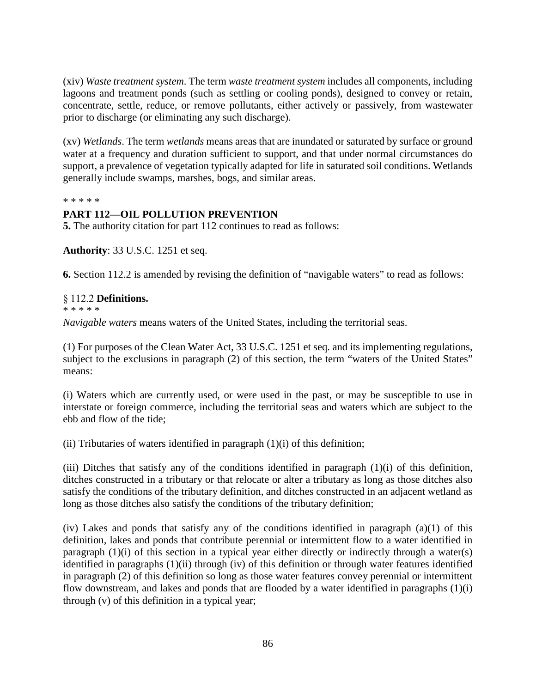(xiv) *Waste treatment system*. The term *waste treatment system* includes all components, including lagoons and treatment ponds (such as settling or cooling ponds), designed to convey or retain, concentrate, settle, reduce, or remove pollutants, either actively or passively, from wastewater prior to discharge (or eliminating any such discharge).

(xv) *Wetlands*. The term *wetlands* means areas that are inundated or saturated by surface or ground water at a frequency and duration sufficient to support, and that under normal circumstances do support, a prevalence of vegetation typically adapted for life in saturated soil conditions. Wetlands generally include swamps, marshes, bogs, and similar areas.

#### \* \* \* \* \*

## **PART 112—OIL POLLUTION PREVENTION**

**5.** The authority citation for part 112 continues to read as follows:

**Authority**: 33 U.S.C. 1251 et seq.

**6.** Section 112.2 is amended by revising the definition of "navigable waters" to read as follows:

## § 112.2 **Definitions.**

\* \* \* \* \*

*Navigable waters* means waters of the United States, including the territorial seas.

(1) For purposes of the Clean Water Act, 33 U.S.C. 1251 et seq. and its implementing regulations, subject to the exclusions in paragraph (2) of this section, the term "waters of the United States" means:

(i) Waters which are currently used, or were used in the past, or may be susceptible to use in interstate or foreign commerce, including the territorial seas and waters which are subject to the ebb and flow of the tide;

(ii) Tributaries of waters identified in paragraph  $(1)(i)$  of this definition;

(iii) Ditches that satisfy any of the conditions identified in paragraph  $(1)(i)$  of this definition, ditches constructed in a tributary or that relocate or alter a tributary as long as those ditches also satisfy the conditions of the tributary definition, and ditches constructed in an adjacent wetland as long as those ditches also satisfy the conditions of the tributary definition;

(iv) Lakes and ponds that satisfy any of the conditions identified in paragraph  $(a)(1)$  of this definition, lakes and ponds that contribute perennial or intermittent flow to a water identified in paragraph (1)(i) of this section in a typical year either directly or indirectly through a water(s) identified in paragraphs (1)(ii) through (iv) of this definition or through water features identified in paragraph (2) of this definition so long as those water features convey perennial or intermittent flow downstream, and lakes and ponds that are flooded by a water identified in paragraphs (1)(i) through (v) of this definition in a typical year;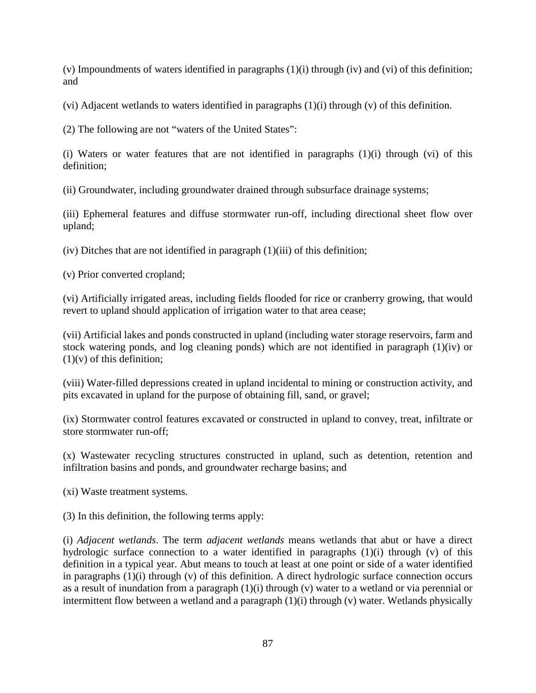(v) Impoundments of waters identified in paragraphs (1)(i) through (iv) and (vi) of this definition; and

(vi) Adjacent wetlands to waters identified in paragraphs (1)(i) through (v) of this definition.

(2) The following are not "waters of the United States":

(i) Waters or water features that are not identified in paragraphs (1)(i) through (vi) of this definition;

(ii) Groundwater, including groundwater drained through subsurface drainage systems;

(iii) Ephemeral features and diffuse stormwater run-off, including directional sheet flow over upland;

(iv) Ditches that are not identified in paragraph (1)(iii) of this definition;

(v) Prior converted cropland;

(vi) Artificially irrigated areas, including fields flooded for rice or cranberry growing, that would revert to upland should application of irrigation water to that area cease;

(vii) Artificial lakes and ponds constructed in upland (including water storage reservoirs, farm and stock watering ponds, and log cleaning ponds) which are not identified in paragraph (1)(iv) or  $(1)(v)$  of this definition:

(viii) Water-filled depressions created in upland incidental to mining or construction activity, and pits excavated in upland for the purpose of obtaining fill, sand, or gravel;

(ix) Stormwater control features excavated or constructed in upland to convey, treat, infiltrate or store stormwater run-off;

(x) Wastewater recycling structures constructed in upland, such as detention, retention and infiltration basins and ponds, and groundwater recharge basins; and

(xi) Waste treatment systems.

(3) In this definition, the following terms apply:

(i) *Adjacent wetlands*. The term *adjacent wetlands* means wetlands that abut or have a direct hydrologic surface connection to a water identified in paragraphs (1)(i) through (v) of this definition in a typical year. Abut means to touch at least at one point or side of a water identified in paragraphs (1)(i) through (v) of this definition. A direct hydrologic surface connection occurs as a result of inundation from a paragraph  $(1)(i)$  through  $(v)$  water to a wetland or via perennial or intermittent flow between a wetland and a paragraph (1)(i) through (v) water. Wetlands physically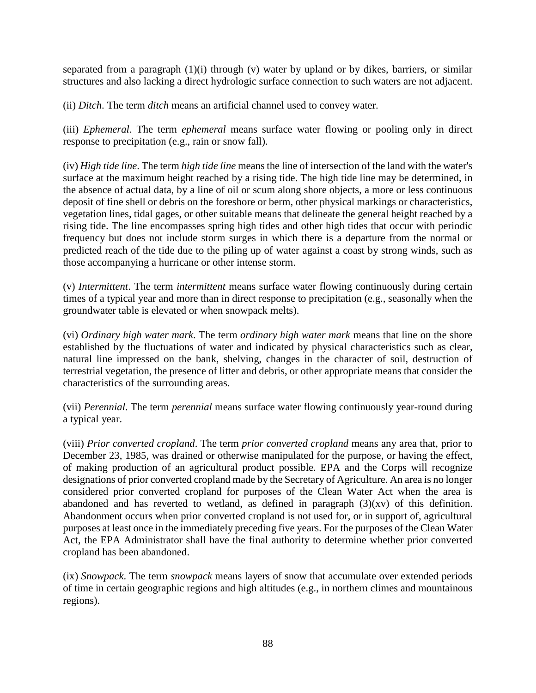separated from a paragraph  $(1)(i)$  through (v) water by upland or by dikes, barriers, or similar structures and also lacking a direct hydrologic surface connection to such waters are not adjacent.

(ii) *Ditch*. The term *ditch* means an artificial channel used to convey water.

(iii) *Ephemeral*. The term *ephemeral* means surface water flowing or pooling only in direct response to precipitation (e.g., rain or snow fall).

(iv) *High tide line*. The term *high tide line* means the line of intersection of the land with the water's surface at the maximum height reached by a rising tide. The high tide line may be determined, in the absence of actual data, by a line of oil or scum along shore objects, a more or less continuous deposit of fine shell or debris on the foreshore or berm, other physical markings or characteristics, vegetation lines, tidal gages, or other suitable means that delineate the general height reached by a rising tide. The line encompasses spring high tides and other high tides that occur with periodic frequency but does not include storm surges in which there is a departure from the normal or predicted reach of the tide due to the piling up of water against a coast by strong winds, such as those accompanying a hurricane or other intense storm.

(v) *Intermittent*. The term *intermittent* means surface water flowing continuously during certain times of a typical year and more than in direct response to precipitation (e.g., seasonally when the groundwater table is elevated or when snowpack melts).

(vi) *Ordinary high water mark*. The term *ordinary high water mark* means that line on the shore established by the fluctuations of water and indicated by physical characteristics such as clear, natural line impressed on the bank, shelving, changes in the character of soil, destruction of terrestrial vegetation, the presence of litter and debris, or other appropriate means that consider the characteristics of the surrounding areas.

(vii) *Perennial*. The term *perennial* means surface water flowing continuously year-round during a typical year.

(viii) *Prior converted cropland*. The term *prior converted cropland* means any area that, prior to December 23, 1985, was drained or otherwise manipulated for the purpose, or having the effect, of making production of an agricultural product possible. EPA and the Corps will recognize designations of prior converted cropland made by the Secretary of Agriculture. An area is no longer considered prior converted cropland for purposes of the Clean Water Act when the area is abandoned and has reverted to wetland, as defined in paragraph  $(3)(xv)$  of this definition. Abandonment occurs when prior converted cropland is not used for, or in support of, agricultural purposes at least once in the immediately preceding five years. For the purposes of the Clean Water Act, the EPA Administrator shall have the final authority to determine whether prior converted cropland has been abandoned.

(ix) *Snowpack*. The term *snowpack* means layers of snow that accumulate over extended periods of time in certain geographic regions and high altitudes (e.g., in northern climes and mountainous regions).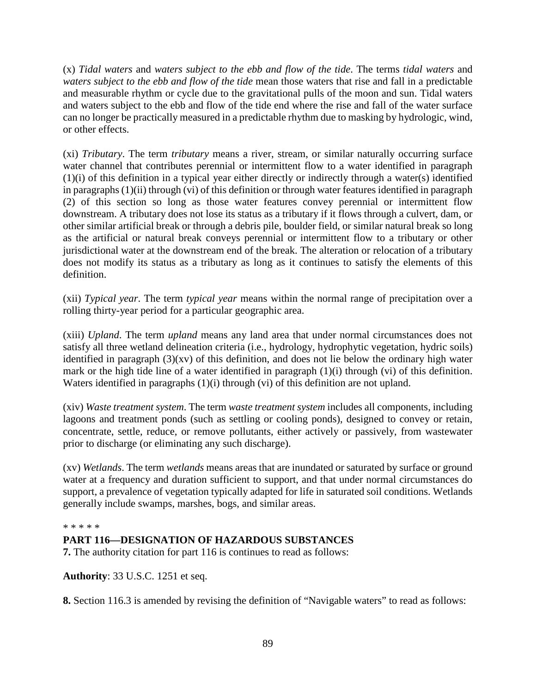(x) *Tidal waters* and *waters subject to the ebb and flow of the tide*. The terms *tidal waters* and *waters subject to the ebb and flow of the tide* mean those waters that rise and fall in a predictable and measurable rhythm or cycle due to the gravitational pulls of the moon and sun. Tidal waters and waters subject to the ebb and flow of the tide end where the rise and fall of the water surface can no longer be practically measured in a predictable rhythm due to masking by hydrologic, wind, or other effects.

(xi) *Tributary*. The term *tributary* means a river, stream, or similar naturally occurring surface water channel that contributes perennial or intermittent flow to a water identified in paragraph (1)(i) of this definition in a typical year either directly or indirectly through a water(s) identified in paragraphs (1)(ii) through (vi) of this definition or through water features identified in paragraph (2) of this section so long as those water features convey perennial or intermittent flow downstream. A tributary does not lose its status as a tributary if it flows through a culvert, dam, or other similar artificial break or through a debris pile, boulder field, or similar natural break so long as the artificial or natural break conveys perennial or intermittent flow to a tributary or other jurisdictional water at the downstream end of the break. The alteration or relocation of a tributary does not modify its status as a tributary as long as it continues to satisfy the elements of this definition.

(xii) *Typical year*. The term *typical year* means within the normal range of precipitation over a rolling thirty-year period for a particular geographic area.

(xiii) *Upland*. The term *upland* means any land area that under normal circumstances does not satisfy all three wetland delineation criteria (i.e., hydrology, hydrophytic vegetation, hydric soils) identified in paragraph (3)(xv) of this definition, and does not lie below the ordinary high water mark or the high tide line of a water identified in paragraph (1)(i) through (vi) of this definition. Waters identified in paragraphs (1)(i) through (vi) of this definition are not upland.

(xiv) *Waste treatment system*. The term *waste treatment system* includes all components, including lagoons and treatment ponds (such as settling or cooling ponds), designed to convey or retain, concentrate, settle, reduce, or remove pollutants, either actively or passively, from wastewater prior to discharge (or eliminating any such discharge).

(xv) *Wetlands*. The term *wetlands* means areas that are inundated or saturated by surface or ground water at a frequency and duration sufficient to support, and that under normal circumstances do support, a prevalence of vegetation typically adapted for life in saturated soil conditions. Wetlands generally include swamps, marshes, bogs, and similar areas.

#### \* \* \* \* \*

# **PART 116—DESIGNATION OF HAZARDOUS SUBSTANCES**

**7.** The authority citation for part 116 is continues to read as follows:

**Authority**: 33 U.S.C. 1251 et seq.

**8.** Section 116.3 is amended by revising the definition of "Navigable waters" to read as follows: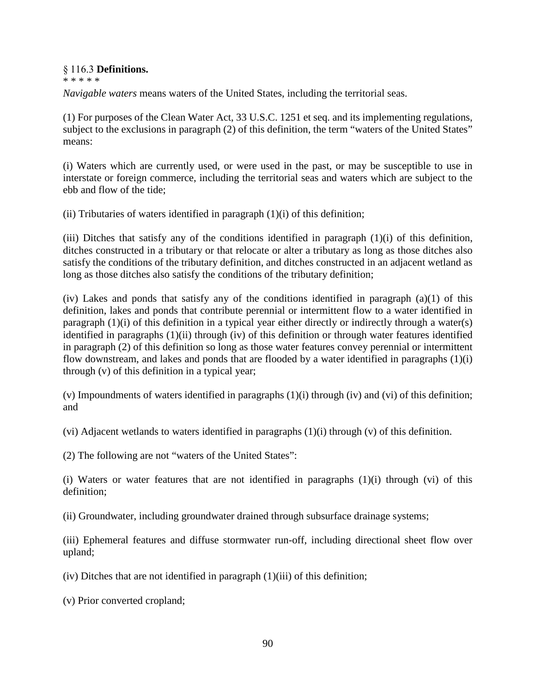## § 116.3 **Definitions.**

\* \* \* \* \*

*Navigable waters* means waters of the United States, including the territorial seas.

(1) For purposes of the Clean Water Act, 33 U.S.C. 1251 et seq. and its implementing regulations, subject to the exclusions in paragraph (2) of this definition, the term "waters of the United States" means:

(i) Waters which are currently used, or were used in the past, or may be susceptible to use in interstate or foreign commerce, including the territorial seas and waters which are subject to the ebb and flow of the tide;

(ii) Tributaries of waters identified in paragraph (1)(i) of this definition;

(iii) Ditches that satisfy any of the conditions identified in paragraph  $(1)(i)$  of this definition, ditches constructed in a tributary or that relocate or alter a tributary as long as those ditches also satisfy the conditions of the tributary definition, and ditches constructed in an adjacent wetland as long as those ditches also satisfy the conditions of the tributary definition;

(iv) Lakes and ponds that satisfy any of the conditions identified in paragraph (a)(1) of this definition, lakes and ponds that contribute perennial or intermittent flow to a water identified in paragraph (1)(i) of this definition in a typical year either directly or indirectly through a water(s) identified in paragraphs (1)(ii) through (iv) of this definition or through water features identified in paragraph (2) of this definition so long as those water features convey perennial or intermittent flow downstream, and lakes and ponds that are flooded by a water identified in paragraphs (1)(i) through (v) of this definition in a typical year;

(v) Impoundments of waters identified in paragraphs  $(1)(i)$  through (iv) and (vi) of this definition; and

(vi) Adjacent wetlands to waters identified in paragraphs  $(1)(i)$  through  $(v)$  of this definition.

(2) The following are not "waters of the United States":

(i) Waters or water features that are not identified in paragraphs (1)(i) through (vi) of this definition;

(ii) Groundwater, including groundwater drained through subsurface drainage systems;

(iii) Ephemeral features and diffuse stormwater run-off, including directional sheet flow over upland;

(iv) Ditches that are not identified in paragraph (1)(iii) of this definition;

(v) Prior converted cropland;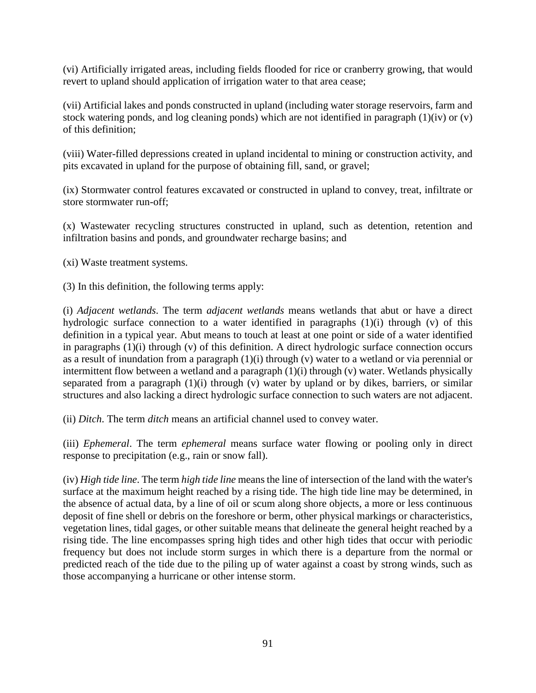(vi) Artificially irrigated areas, including fields flooded for rice or cranberry growing, that would revert to upland should application of irrigation water to that area cease;

(vii) Artificial lakes and ponds constructed in upland (including water storage reservoirs, farm and stock watering ponds, and log cleaning ponds) which are not identified in paragraph (1)(iv) or (v) of this definition;

(viii) Water-filled depressions created in upland incidental to mining or construction activity, and pits excavated in upland for the purpose of obtaining fill, sand, or gravel;

(ix) Stormwater control features excavated or constructed in upland to convey, treat, infiltrate or store stormwater run-off;

(x) Wastewater recycling structures constructed in upland, such as detention, retention and infiltration basins and ponds, and groundwater recharge basins; and

(xi) Waste treatment systems.

(3) In this definition, the following terms apply:

(i) *Adjacent wetlands*. The term *adjacent wetlands* means wetlands that abut or have a direct hydrologic surface connection to a water identified in paragraphs (1)(i) through (v) of this definition in a typical year. Abut means to touch at least at one point or side of a water identified in paragraphs (1)(i) through (v) of this definition. A direct hydrologic surface connection occurs as a result of inundation from a paragraph  $(1)(i)$  through  $(v)$  water to a wetland or via perennial or intermittent flow between a wetland and a paragraph (1)(i) through (v) water. Wetlands physically separated from a paragraph (1)(i) through (v) water by upland or by dikes, barriers, or similar structures and also lacking a direct hydrologic surface connection to such waters are not adjacent.

(ii) *Ditch*. The term *ditch* means an artificial channel used to convey water.

(iii) *Ephemeral*. The term *ephemeral* means surface water flowing or pooling only in direct response to precipitation (e.g., rain or snow fall).

(iv) *High tide line*. The term *high tide line* means the line of intersection of the land with the water's surface at the maximum height reached by a rising tide. The high tide line may be determined, in the absence of actual data, by a line of oil or scum along shore objects, a more or less continuous deposit of fine shell or debris on the foreshore or berm, other physical markings or characteristics, vegetation lines, tidal gages, or other suitable means that delineate the general height reached by a rising tide. The line encompasses spring high tides and other high tides that occur with periodic frequency but does not include storm surges in which there is a departure from the normal or predicted reach of the tide due to the piling up of water against a coast by strong winds, such as those accompanying a hurricane or other intense storm.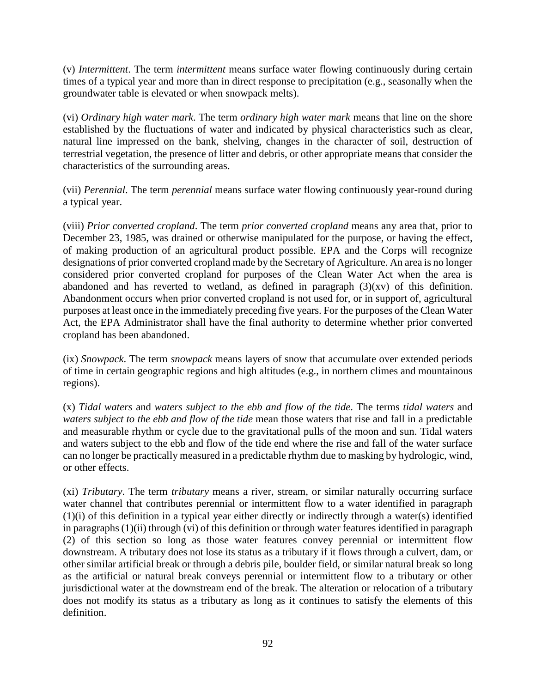(v) *Intermittent*. The term *intermittent* means surface water flowing continuously during certain times of a typical year and more than in direct response to precipitation (e.g., seasonally when the groundwater table is elevated or when snowpack melts).

(vi) *Ordinary high water mark*. The term *ordinary high water mark* means that line on the shore established by the fluctuations of water and indicated by physical characteristics such as clear, natural line impressed on the bank, shelving, changes in the character of soil, destruction of terrestrial vegetation, the presence of litter and debris, or other appropriate means that consider the characteristics of the surrounding areas.

(vii) *Perennial*. The term *perennial* means surface water flowing continuously year-round during a typical year.

(viii) *Prior converted cropland*. The term *prior converted cropland* means any area that, prior to December 23, 1985, was drained or otherwise manipulated for the purpose, or having the effect, of making production of an agricultural product possible. EPA and the Corps will recognize designations of prior converted cropland made by the Secretary of Agriculture. An area is no longer considered prior converted cropland for purposes of the Clean Water Act when the area is abandoned and has reverted to wetland, as defined in paragraph  $(3)(xy)$  of this definition. Abandonment occurs when prior converted cropland is not used for, or in support of, agricultural purposes at least once in the immediately preceding five years. For the purposes of the Clean Water Act, the EPA Administrator shall have the final authority to determine whether prior converted cropland has been abandoned.

(ix) *Snowpack*. The term *snowpack* means layers of snow that accumulate over extended periods of time in certain geographic regions and high altitudes (e.g., in northern climes and mountainous regions).

(x) *Tidal waters* and *waters subject to the ebb and flow of the tide*. The terms *tidal waters* and *waters subject to the ebb and flow of the tide* mean those waters that rise and fall in a predictable and measurable rhythm or cycle due to the gravitational pulls of the moon and sun. Tidal waters and waters subject to the ebb and flow of the tide end where the rise and fall of the water surface can no longer be practically measured in a predictable rhythm due to masking by hydrologic, wind, or other effects.

(xi) *Tributary*. The term *tributary* means a river, stream, or similar naturally occurring surface water channel that contributes perennial or intermittent flow to a water identified in paragraph (1)(i) of this definition in a typical year either directly or indirectly through a water(s) identified in paragraphs (1)(ii) through (vi) of this definition or through water features identified in paragraph (2) of this section so long as those water features convey perennial or intermittent flow downstream. A tributary does not lose its status as a tributary if it flows through a culvert, dam, or other similar artificial break or through a debris pile, boulder field, or similar natural break so long as the artificial or natural break conveys perennial or intermittent flow to a tributary or other jurisdictional water at the downstream end of the break. The alteration or relocation of a tributary does not modify its status as a tributary as long as it continues to satisfy the elements of this definition.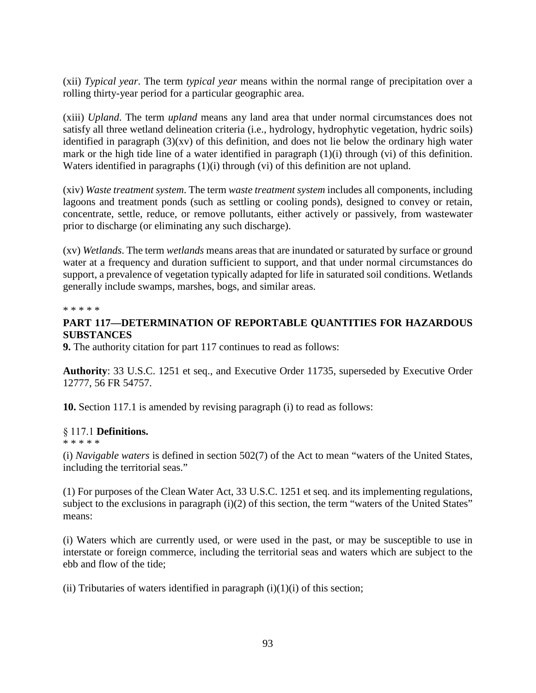(xii) *Typical year*. The term *typical year* means within the normal range of precipitation over a rolling thirty-year period for a particular geographic area.

(xiii) *Upland*. The term *upland* means any land area that under normal circumstances does not satisfy all three wetland delineation criteria (i.e., hydrology, hydrophytic vegetation, hydric soils) identified in paragraph (3)(xv) of this definition, and does not lie below the ordinary high water mark or the high tide line of a water identified in paragraph (1)(i) through (vi) of this definition. Waters identified in paragraphs (1)(i) through (vi) of this definition are not upland.

(xiv) *Waste treatment system*. The term *waste treatment system* includes all components, including lagoons and treatment ponds (such as settling or cooling ponds), designed to convey or retain, concentrate, settle, reduce, or remove pollutants, either actively or passively, from wastewater prior to discharge (or eliminating any such discharge).

(xv) *Wetlands*. The term *wetlands* means areas that are inundated or saturated by surface or ground water at a frequency and duration sufficient to support, and that under normal circumstances do support, a prevalence of vegetation typically adapted for life in saturated soil conditions. Wetlands generally include swamps, marshes, bogs, and similar areas.

#### \* \* \* \* \*

## **PART 117—DETERMINATION OF REPORTABLE QUANTITIES FOR HAZARDOUS SUBSTANCES**

**9.** The authority citation for part 117 continues to read as follows:

**Authority**: 33 U.S.C. 1251 et seq., and Executive Order 11735, superseded by Executive Order 12777, 56 FR 54757.

**10.** Section 117.1 is amended by revising paragraph (i) to read as follows:

## § 117.1 **Definitions.**

\* \* \* \* \*

(i) *Navigable waters* is defined in section 502(7) of the Act to mean "waters of the United States, including the territorial seas."

(1) For purposes of the Clean Water Act, 33 U.S.C. 1251 et seq. and its implementing regulations, subject to the exclusions in paragraph (i)(2) of this section, the term "waters of the United States" means:

(i) Waters which are currently used, or were used in the past, or may be susceptible to use in interstate or foreign commerce, including the territorial seas and waters which are subject to the ebb and flow of the tide;

(ii) Tributaries of waters identified in paragraph  $(i)(1)(i)$  of this section;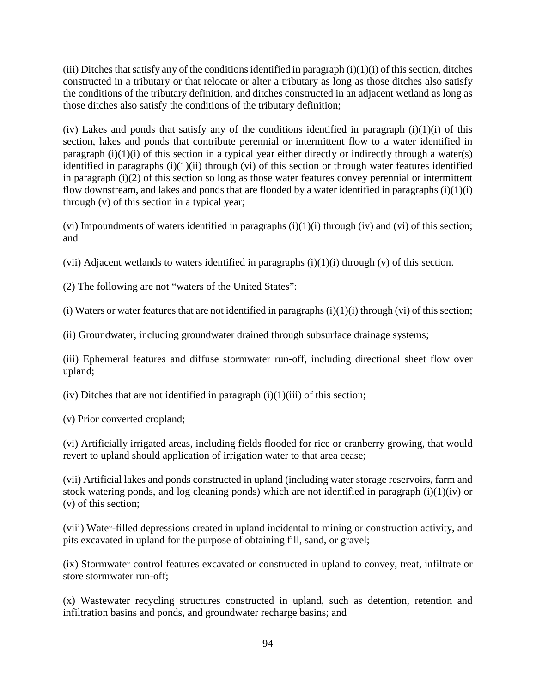(iii) Ditches that satisfy any of the conditions identified in paragraph  $(i)(1)(i)$  of this section, ditches constructed in a tributary or that relocate or alter a tributary as long as those ditches also satisfy the conditions of the tributary definition, and ditches constructed in an adjacent wetland as long as those ditches also satisfy the conditions of the tributary definition;

(iv) Lakes and ponds that satisfy any of the conditions identified in paragraph  $(i)(1)(i)$  of this section, lakes and ponds that contribute perennial or intermittent flow to a water identified in paragraph  $(i)(1)(i)$  of this section in a typical year either directly or indirectly through a water(s) identified in paragraphs  $(i)(1)(ii)$  through  $(vi)$  of this section or through water features identified in paragraph (i)(2) of this section so long as those water features convey perennial or intermittent flow downstream, and lakes and ponds that are flooded by a water identified in paragraphs  $(i)(1)(i)$ through (v) of this section in a typical year;

(vi) Impoundments of waters identified in paragraphs  $(i)(1)(i)$  through  $(iv)$  and  $(vi)$  of this section; and

(vii) Adjacent wetlands to waters identified in paragraphs  $(i)(1)(i)$  through  $(v)$  of this section.

(2) The following are not "waters of the United States":

(i) Waters or water features that are not identified in paragraphs  $(i)(1)(i)$  through  $(vi)$  of this section;

(ii) Groundwater, including groundwater drained through subsurface drainage systems;

(iii) Ephemeral features and diffuse stormwater run-off, including directional sheet flow over upland;

(iv) Ditches that are not identified in paragraph  $(i)(1)(iii)$  of this section;

(v) Prior converted cropland;

(vi) Artificially irrigated areas, including fields flooded for rice or cranberry growing, that would revert to upland should application of irrigation water to that area cease;

(vii) Artificial lakes and ponds constructed in upland (including water storage reservoirs, farm and stock watering ponds, and log cleaning ponds) which are not identified in paragraph (i)(1)(iv) or (v) of this section;

(viii) Water-filled depressions created in upland incidental to mining or construction activity, and pits excavated in upland for the purpose of obtaining fill, sand, or gravel;

(ix) Stormwater control features excavated or constructed in upland to convey, treat, infiltrate or store stormwater run-off;

(x) Wastewater recycling structures constructed in upland, such as detention, retention and infiltration basins and ponds, and groundwater recharge basins; and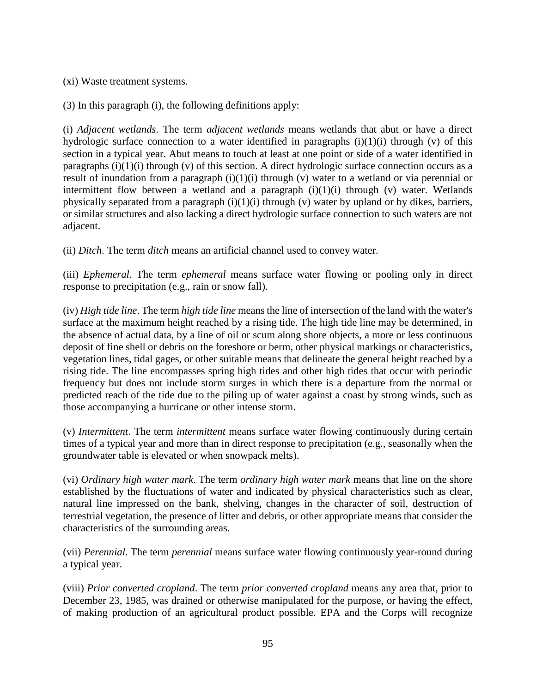(xi) Waste treatment systems.

(3) In this paragraph (i), the following definitions apply:

(i) *Adjacent wetlands*. The term *adjacent wetlands* means wetlands that abut or have a direct hydrologic surface connection to a water identified in paragraphs  $(i)(1)(i)$  through  $(v)$  of this section in a typical year. Abut means to touch at least at one point or side of a water identified in paragraphs  $(i)(1)(i)$  through  $(v)$  of this section. A direct hydrologic surface connection occurs as a result of inundation from a paragraph  $(i)(1)(i)$  through  $(v)$  water to a wetland or via perennial or intermittent flow between a wetland and a paragraph  $(i)(1)(i)$  through  $(v)$  water. Wetlands physically separated from a paragraph (i)(1)(i) through (v) water by upland or by dikes, barriers, or similar structures and also lacking a direct hydrologic surface connection to such waters are not adjacent.

(ii) *Ditch*. The term *ditch* means an artificial channel used to convey water.

(iii) *Ephemeral*. The term *ephemeral* means surface water flowing or pooling only in direct response to precipitation (e.g., rain or snow fall).

(iv) *High tide line*. The term *high tide line* means the line of intersection of the land with the water's surface at the maximum height reached by a rising tide. The high tide line may be determined, in the absence of actual data, by a line of oil or scum along shore objects, a more or less continuous deposit of fine shell or debris on the foreshore or berm, other physical markings or characteristics, vegetation lines, tidal gages, or other suitable means that delineate the general height reached by a rising tide. The line encompasses spring high tides and other high tides that occur with periodic frequency but does not include storm surges in which there is a departure from the normal or predicted reach of the tide due to the piling up of water against a coast by strong winds, such as those accompanying a hurricane or other intense storm.

(v) *Intermittent*. The term *intermittent* means surface water flowing continuously during certain times of a typical year and more than in direct response to precipitation (e.g., seasonally when the groundwater table is elevated or when snowpack melts).

(vi) *Ordinary high water mark*. The term *ordinary high water mark* means that line on the shore established by the fluctuations of water and indicated by physical characteristics such as clear, natural line impressed on the bank, shelving, changes in the character of soil, destruction of terrestrial vegetation, the presence of litter and debris, or other appropriate means that consider the characteristics of the surrounding areas.

(vii) *Perennial*. The term *perennial* means surface water flowing continuously year-round during a typical year.

(viii) *Prior converted cropland*. The term *prior converted cropland* means any area that, prior to December 23, 1985, was drained or otherwise manipulated for the purpose, or having the effect, of making production of an agricultural product possible. EPA and the Corps will recognize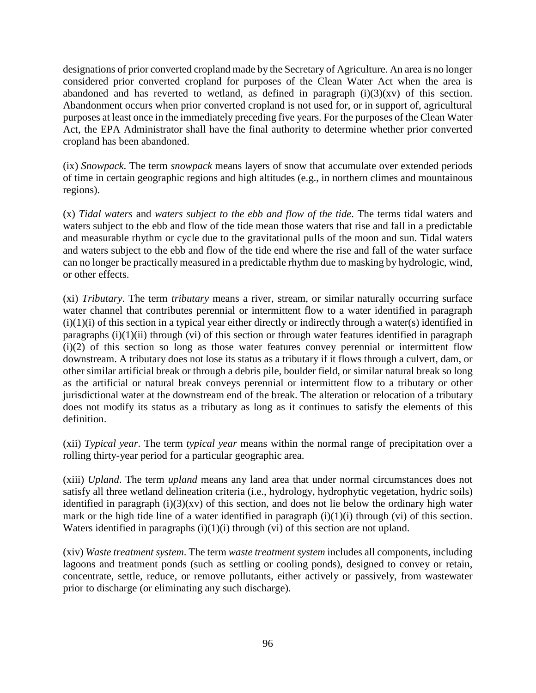designations of prior converted cropland made by the Secretary of Agriculture. An area is no longer considered prior converted cropland for purposes of the Clean Water Act when the area is abandoned and has reverted to wetland, as defined in paragraph  $(i)(3)(xv)$  of this section. Abandonment occurs when prior converted cropland is not used for, or in support of, agricultural purposes at least once in the immediately preceding five years. For the purposes of the Clean Water Act, the EPA Administrator shall have the final authority to determine whether prior converted cropland has been abandoned.

(ix) *Snowpack*. The term *snowpack* means layers of snow that accumulate over extended periods of time in certain geographic regions and high altitudes (e.g., in northern climes and mountainous regions).

(x) *Tidal waters* and *waters subject to the ebb and flow of the tide*. The terms tidal waters and waters subject to the ebb and flow of the tide mean those waters that rise and fall in a predictable and measurable rhythm or cycle due to the gravitational pulls of the moon and sun. Tidal waters and waters subject to the ebb and flow of the tide end where the rise and fall of the water surface can no longer be practically measured in a predictable rhythm due to masking by hydrologic, wind, or other effects.

(xi) *Tributary*. The term *tributary* means a river, stream, or similar naturally occurring surface water channel that contributes perennial or intermittent flow to a water identified in paragraph  $(i)(1)(i)$  of this section in a typical year either directly or indirectly through a water(s) identified in paragraphs  $(i)(1)(ii)$  through (vi) of this section or through water features identified in paragraph  $(i)(2)$  of this section so long as those water features convey perennial or intermittent flow downstream. A tributary does not lose its status as a tributary if it flows through a culvert, dam, or other similar artificial break or through a debris pile, boulder field, or similar natural break so long as the artificial or natural break conveys perennial or intermittent flow to a tributary or other jurisdictional water at the downstream end of the break. The alteration or relocation of a tributary does not modify its status as a tributary as long as it continues to satisfy the elements of this definition.

(xii) *Typical year*. The term *typical year* means within the normal range of precipitation over a rolling thirty-year period for a particular geographic area.

(xiii) *Upland*. The term *upland* means any land area that under normal circumstances does not satisfy all three wetland delineation criteria (i.e., hydrology, hydrophytic vegetation, hydric soils) identified in paragraph  $(i)(3)(xv)$  of this section, and does not lie below the ordinary high water mark or the high tide line of a water identified in paragraph  $(i)(1)(i)$  through  $(vi)$  of this section. Waters identified in paragraphs  $(i)(1)(i)$  through  $(vi)$  of this section are not upland.

(xiv) *Waste treatment system*. The term *waste treatment system* includes all components, including lagoons and treatment ponds (such as settling or cooling ponds), designed to convey or retain, concentrate, settle, reduce, or remove pollutants, either actively or passively, from wastewater prior to discharge (or eliminating any such discharge).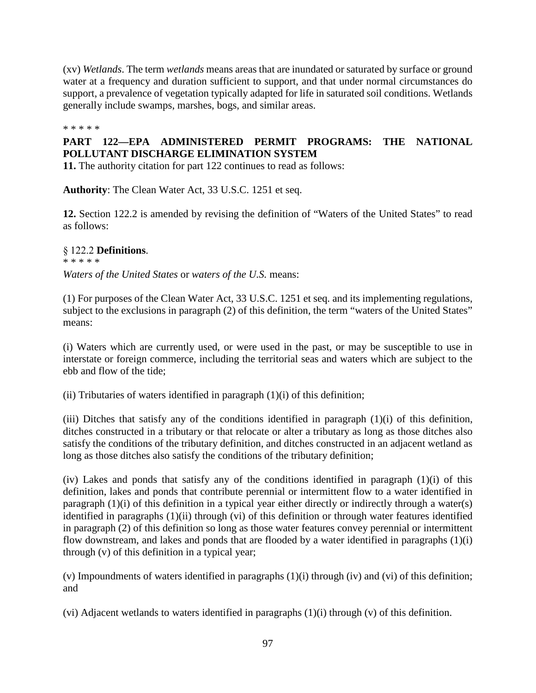(xv) *Wetlands*. The term *wetlands* means areas that are inundated or saturated by surface or ground water at a frequency and duration sufficient to support, and that under normal circumstances do support, a prevalence of vegetation typically adapted for life in saturated soil conditions. Wetlands generally include swamps, marshes, bogs, and similar areas.

\* \* \* \* \*

## **PART 122—EPA ADMINISTERED PERMIT PROGRAMS: THE NATIONAL POLLUTANT DISCHARGE ELIMINATION SYSTEM**

**11.** The authority citation for part 122 continues to read as follows:

**Authority**: The Clean Water Act, 33 U.S.C. 1251 et seq.

**12.** Section 122.2 is amended by revising the definition of "Waters of the United States" to read as follows:

## § 122.2 **Definitions**.

\* \* \* \* \* *Waters of the United States* or *waters of the U.S.* means:

(1) For purposes of the Clean Water Act, 33 U.S.C. 1251 et seq. and its implementing regulations, subject to the exclusions in paragraph (2) of this definition, the term "waters of the United States" means:

(i) Waters which are currently used, or were used in the past, or may be susceptible to use in interstate or foreign commerce, including the territorial seas and waters which are subject to the ebb and flow of the tide;

(ii) Tributaries of waters identified in paragraph (1)(i) of this definition;

(iii) Ditches that satisfy any of the conditions identified in paragraph  $(1)(i)$  of this definition, ditches constructed in a tributary or that relocate or alter a tributary as long as those ditches also satisfy the conditions of the tributary definition, and ditches constructed in an adjacent wetland as long as those ditches also satisfy the conditions of the tributary definition;

(iv) Lakes and ponds that satisfy any of the conditions identified in paragraph (1)(i) of this definition, lakes and ponds that contribute perennial or intermittent flow to a water identified in paragraph (1)(i) of this definition in a typical year either directly or indirectly through a water(s) identified in paragraphs (1)(ii) through (vi) of this definition or through water features identified in paragraph (2) of this definition so long as those water features convey perennial or intermittent flow downstream, and lakes and ponds that are flooded by a water identified in paragraphs  $(1)(i)$ through (v) of this definition in a typical year;

(v) Impoundments of waters identified in paragraphs (1)(i) through (iv) and (vi) of this definition; and

(vi) Adjacent wetlands to waters identified in paragraphs  $(1)(i)$  through  $(v)$  of this definition.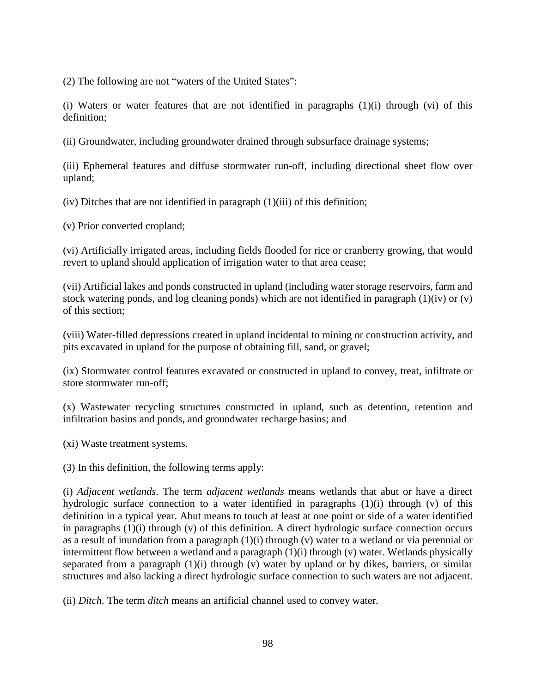(2) The following are not "waters of the United States":

(i) Waters or water features that are not identified in paragraphs (1)(i) through (vi) of this definition;

(ii) Groundwater, including groundwater drained through subsurface drainage systems;

(iii) Ephemeral features and diffuse stormwater run-off, including directional sheet flow over upland;

(iv) Ditches that are not identified in paragraph (1)(iii) of this definition;

(v) Prior converted cropland;

(vi) Artificially irrigated areas, including fields flooded for rice or cranberry growing, that would revert to upland should application of irrigation water to that area cease;

(vii) Artificial lakes and ponds constructed in upland (including water storage reservoirs, farm and stock watering ponds, and log cleaning ponds) which are not identified in paragraph (1)(iv) or (v) of this section;

(viii) Water-filled depressions created in upland incidental to mining or construction activity, and pits excavated in upland for the purpose of obtaining fill, sand, or gravel;

(ix) Stormwater control features excavated or constructed in upland to convey, treat, infiltrate or store stormwater run-off;

(x) Wastewater recycling structures constructed in upland, such as detention, retention and infiltration basins and ponds, and groundwater recharge basins; and

(xi) Waste treatment systems.

(3) In this definition, the following terms apply:

(i) *Adjacent wetlands*. The term *adjacent wetlands* means wetlands that abut or have a direct hydrologic surface connection to a water identified in paragraphs (1)(i) through (v) of this definition in a typical year. Abut means to touch at least at one point or side of a water identified in paragraphs (1)(i) through (v) of this definition. A direct hydrologic surface connection occurs as a result of inundation from a paragraph  $(1)(i)$  through  $(v)$  water to a wetland or via perennial or intermittent flow between a wetland and a paragraph (1)(i) through (v) water. Wetlands physically separated from a paragraph  $(1)(i)$  through  $(v)$  water by upland or by dikes, barriers, or similar structures and also lacking a direct hydrologic surface connection to such waters are not adjacent.

(ii) *Ditch*. The term *ditch* means an artificial channel used to convey water.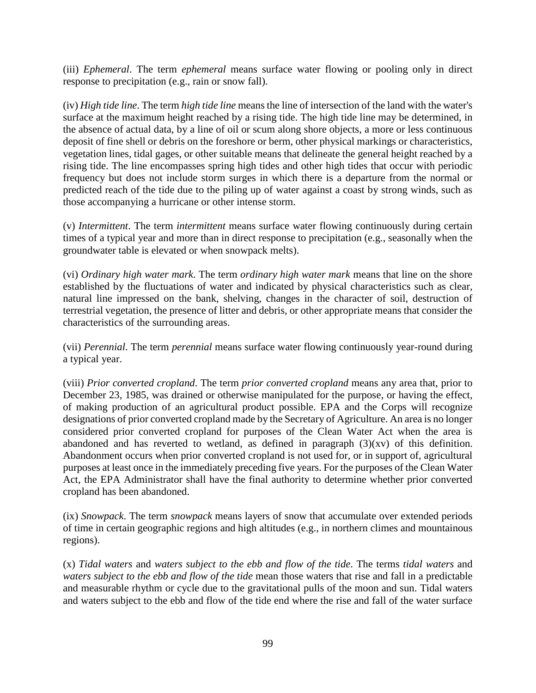(iii) *Ephemeral*. The term *ephemeral* means surface water flowing or pooling only in direct response to precipitation (e.g., rain or snow fall).

(iv) *High tide line*. The term *high tide line* means the line of intersection of the land with the water's surface at the maximum height reached by a rising tide. The high tide line may be determined, in the absence of actual data, by a line of oil or scum along shore objects, a more or less continuous deposit of fine shell or debris on the foreshore or berm, other physical markings or characteristics, vegetation lines, tidal gages, or other suitable means that delineate the general height reached by a rising tide. The line encompasses spring high tides and other high tides that occur with periodic frequency but does not include storm surges in which there is a departure from the normal or predicted reach of the tide due to the piling up of water against a coast by strong winds, such as those accompanying a hurricane or other intense storm.

(v) *Intermittent*. The term *intermittent* means surface water flowing continuously during certain times of a typical year and more than in direct response to precipitation (e.g., seasonally when the groundwater table is elevated or when snowpack melts).

(vi) *Ordinary high water mark*. The term *ordinary high water mark* means that line on the shore established by the fluctuations of water and indicated by physical characteristics such as clear, natural line impressed on the bank, shelving, changes in the character of soil, destruction of terrestrial vegetation, the presence of litter and debris, or other appropriate means that consider the characteristics of the surrounding areas.

(vii) *Perennial*. The term *perennial* means surface water flowing continuously year-round during a typical year.

(viii) *Prior converted cropland*. The term *prior converted cropland* means any area that, prior to December 23, 1985, was drained or otherwise manipulated for the purpose, or having the effect, of making production of an agricultural product possible. EPA and the Corps will recognize designations of prior converted cropland made by the Secretary of Agriculture. An area is no longer considered prior converted cropland for purposes of the Clean Water Act when the area is abandoned and has reverted to wetland, as defined in paragraph  $(3)(xy)$  of this definition. Abandonment occurs when prior converted cropland is not used for, or in support of, agricultural purposes at least once in the immediately preceding five years. For the purposes of the Clean Water Act, the EPA Administrator shall have the final authority to determine whether prior converted cropland has been abandoned.

(ix) *Snowpack*. The term *snowpack* means layers of snow that accumulate over extended periods of time in certain geographic regions and high altitudes (e.g., in northern climes and mountainous regions).

(x) *Tidal waters* and *waters subject to the ebb and flow of the tide*. The terms *tidal waters* and *waters subject to the ebb and flow of the tide* mean those waters that rise and fall in a predictable and measurable rhythm or cycle due to the gravitational pulls of the moon and sun. Tidal waters and waters subject to the ebb and flow of the tide end where the rise and fall of the water surface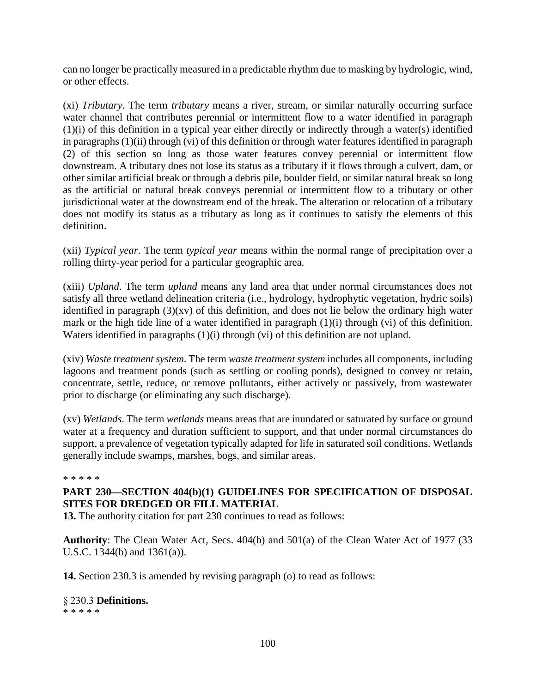can no longer be practically measured in a predictable rhythm due to masking by hydrologic, wind, or other effects.

(xi) *Tributary*. The term *tributary* means a river, stream, or similar naturally occurring surface water channel that contributes perennial or intermittent flow to a water identified in paragraph (1)(i) of this definition in a typical year either directly or indirectly through a water(s) identified in paragraphs (1)(ii) through (vi) of this definition or through water features identified in paragraph (2) of this section so long as those water features convey perennial or intermittent flow downstream. A tributary does not lose its status as a tributary if it flows through a culvert, dam, or other similar artificial break or through a debris pile, boulder field, or similar natural break so long as the artificial or natural break conveys perennial or intermittent flow to a tributary or other jurisdictional water at the downstream end of the break. The alteration or relocation of a tributary does not modify its status as a tributary as long as it continues to satisfy the elements of this definition.

(xii) *Typical year*. The term *typical year* means within the normal range of precipitation over a rolling thirty-year period for a particular geographic area.

(xiii) *Upland*. The term *upland* means any land area that under normal circumstances does not satisfy all three wetland delineation criteria (i.e., hydrology, hydrophytic vegetation, hydric soils) identified in paragraph (3)(xv) of this definition, and does not lie below the ordinary high water mark or the high tide line of a water identified in paragraph (1)(i) through (vi) of this definition. Waters identified in paragraphs (1)(i) through (vi) of this definition are not upland.

(xiv) *Waste treatment system*. The term *waste treatment system* includes all components, including lagoons and treatment ponds (such as settling or cooling ponds), designed to convey or retain, concentrate, settle, reduce, or remove pollutants, either actively or passively, from wastewater prior to discharge (or eliminating any such discharge).

(xv) *Wetlands*. The term *wetlands* means areas that are inundated or saturated by surface or ground water at a frequency and duration sufficient to support, and that under normal circumstances do support, a prevalence of vegetation typically adapted for life in saturated soil conditions. Wetlands generally include swamps, marshes, bogs, and similar areas.

#### \* \* \* \* \*

## **PART 230—SECTION 404(b)(1) GUIDELINES FOR SPECIFICATION OF DISPOSAL SITES FOR DREDGED OR FILL MATERIAL**

**13.** The authority citation for part 230 continues to read as follows:

**Authority**: The Clean Water Act, Secs. 404(b) and 501(a) of the Clean Water Act of 1977 (33 U.S.C. 1344(b) and 1361(a)).

**14.** Section 230.3 is amended by revising paragraph (o) to read as follows:

§ 230.3 **Definitions.** \* \* \* \* \*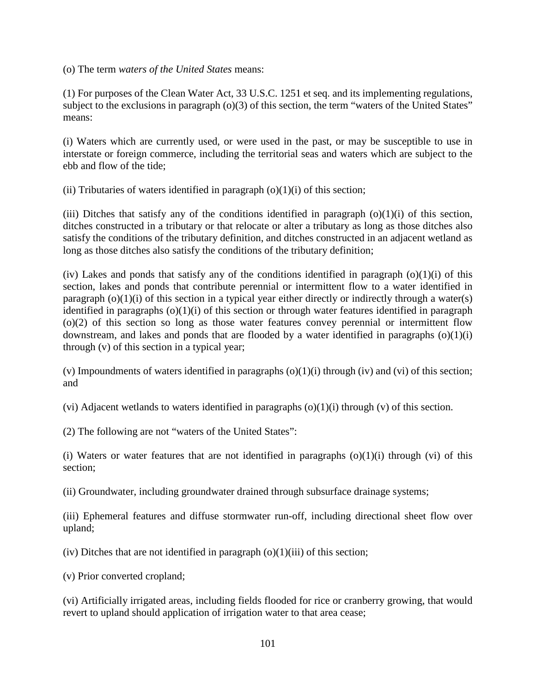(o) The term *waters of the United States* means:

(1) For purposes of the Clean Water Act, 33 U.S.C. 1251 et seq. and its implementing regulations, subject to the exclusions in paragraph (o)(3) of this section, the term "waters of the United States" means:

(i) Waters which are currently used, or were used in the past, or may be susceptible to use in interstate or foreign commerce, including the territorial seas and waters which are subject to the ebb and flow of the tide;

(ii) Tributaries of waters identified in paragraph  $(o)(1)(i)$  of this section;

(iii) Ditches that satisfy any of the conditions identified in paragraph  $(o)(1)(i)$  of this section, ditches constructed in a tributary or that relocate or alter a tributary as long as those ditches also satisfy the conditions of the tributary definition, and ditches constructed in an adjacent wetland as long as those ditches also satisfy the conditions of the tributary definition;

(iv) Lakes and ponds that satisfy any of the conditions identified in paragraph  $(0)(1)(i)$  of this section, lakes and ponds that contribute perennial or intermittent flow to a water identified in paragraph (o)(1)(i) of this section in a typical year either directly or indirectly through a water(s) identified in paragraphs  $(o)(1)(i)$  of this section or through water features identified in paragraph (o)(2) of this section so long as those water features convey perennial or intermittent flow downstream, and lakes and ponds that are flooded by a water identified in paragraphs  $(o)(1)(i)$ through (v) of this section in a typical year;

(v) Impoundments of waters identified in paragraphs  $(o)(1)(i)$  through (iv) and (vi) of this section; and

(vi) Adjacent wetlands to waters identified in paragraphs  $(o)(1)(i)$  through  $(v)$  of this section.

(2) The following are not "waters of the United States":

(i) Waters or water features that are not identified in paragraphs  $(o)(1)(i)$  through (vi) of this section;

(ii) Groundwater, including groundwater drained through subsurface drainage systems;

(iii) Ephemeral features and diffuse stormwater run-off, including directional sheet flow over upland;

(iv) Ditches that are not identified in paragraph  $(o)(1)(iii)$  of this section;

(v) Prior converted cropland;

(vi) Artificially irrigated areas, including fields flooded for rice or cranberry growing, that would revert to upland should application of irrigation water to that area cease;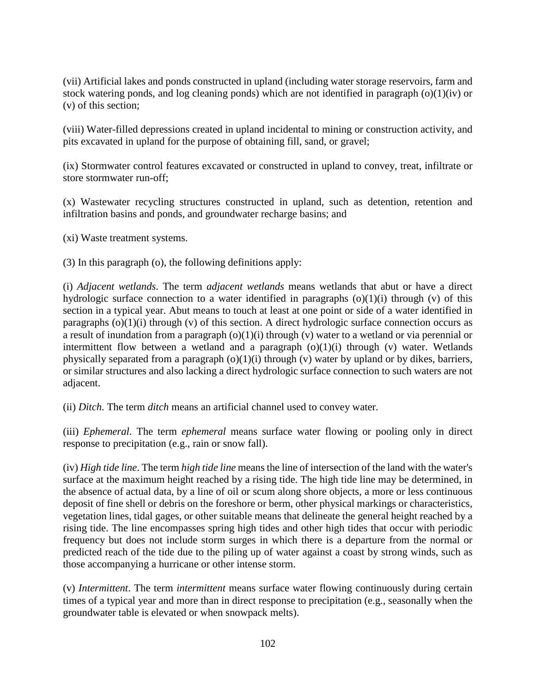(vii) Artificial lakes and ponds constructed in upland (including water storage reservoirs, farm and stock watering ponds, and log cleaning ponds) which are not identified in paragraph (o)(1)(iv) or (v) of this section;

(viii) Water-filled depressions created in upland incidental to mining or construction activity, and pits excavated in upland for the purpose of obtaining fill, sand, or gravel;

(ix) Stormwater control features excavated or constructed in upland to convey, treat, infiltrate or store stormwater run-off;

(x) Wastewater recycling structures constructed in upland, such as detention, retention and infiltration basins and ponds, and groundwater recharge basins; and

(xi) Waste treatment systems.

(3) In this paragraph (o), the following definitions apply:

(i) *Adjacent wetlands*. The term *adjacent wetlands* means wetlands that abut or have a direct hydrologic surface connection to a water identified in paragraphs  $(o)(1)(i)$  through  $(v)$  of this section in a typical year. Abut means to touch at least at one point or side of a water identified in paragraphs  $(o)(1)(i)$  through  $(v)$  of this section. A direct hydrologic surface connection occurs as a result of inundation from a paragraph  $(o)(1)(i)$  through  $(v)$  water to a wetland or via perennial or intermittent flow between a wetland and a paragraph  $(o)(1)(i)$  through  $(v)$  water. Wetlands physically separated from a paragraph (o)(1)(i) through (v) water by upland or by dikes, barriers, or similar structures and also lacking a direct hydrologic surface connection to such waters are not adjacent.

(ii) *Ditch*. The term *ditch* means an artificial channel used to convey water.

(iii) *Ephemeral*. The term *ephemeral* means surface water flowing or pooling only in direct response to precipitation (e.g., rain or snow fall).

(iv) *High tide line*. The term *high tide line* means the line of intersection of the land with the water's surface at the maximum height reached by a rising tide. The high tide line may be determined, in the absence of actual data, by a line of oil or scum along shore objects, a more or less continuous deposit of fine shell or debris on the foreshore or berm, other physical markings or characteristics, vegetation lines, tidal gages, or other suitable means that delineate the general height reached by a rising tide. The line encompasses spring high tides and other high tides that occur with periodic frequency but does not include storm surges in which there is a departure from the normal or predicted reach of the tide due to the piling up of water against a coast by strong winds, such as those accompanying a hurricane or other intense storm.

(v) *Intermittent*. The term *intermittent* means surface water flowing continuously during certain times of a typical year and more than in direct response to precipitation (e.g., seasonally when the groundwater table is elevated or when snowpack melts).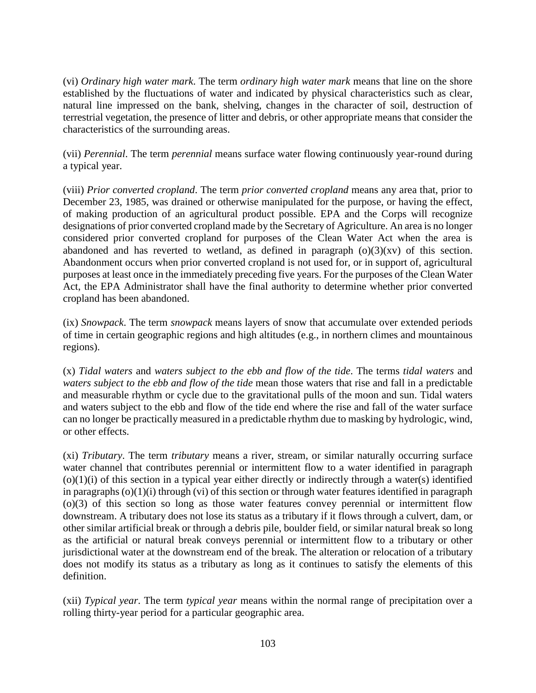(vi) *Ordinary high water mark*. The term *ordinary high water mark* means that line on the shore established by the fluctuations of water and indicated by physical characteristics such as clear, natural line impressed on the bank, shelving, changes in the character of soil, destruction of terrestrial vegetation, the presence of litter and debris, or other appropriate means that consider the characteristics of the surrounding areas.

(vii) *Perennial*. The term *perennial* means surface water flowing continuously year-round during a typical year.

(viii) *Prior converted cropland*. The term *prior converted cropland* means any area that, prior to December 23, 1985, was drained or otherwise manipulated for the purpose, or having the effect, of making production of an agricultural product possible. EPA and the Corps will recognize designations of prior converted cropland made by the Secretary of Agriculture. An area is no longer considered prior converted cropland for purposes of the Clean Water Act when the area is abandoned and has reverted to wetland, as defined in paragraph  $(o)(3)(xv)$  of this section. Abandonment occurs when prior converted cropland is not used for, or in support of, agricultural purposes at least once in the immediately preceding five years. For the purposes of the Clean Water Act, the EPA Administrator shall have the final authority to determine whether prior converted cropland has been abandoned.

(ix) *Snowpack*. The term *snowpack* means layers of snow that accumulate over extended periods of time in certain geographic regions and high altitudes (e.g., in northern climes and mountainous regions).

(x) *Tidal waters* and *waters subject to the ebb and flow of the tide*. The terms *tidal waters* and *waters subject to the ebb and flow of the tide* mean those waters that rise and fall in a predictable and measurable rhythm or cycle due to the gravitational pulls of the moon and sun. Tidal waters and waters subject to the ebb and flow of the tide end where the rise and fall of the water surface can no longer be practically measured in a predictable rhythm due to masking by hydrologic, wind, or other effects.

(xi) *Tributary*. The term *tributary* means a river, stream, or similar naturally occurring surface water channel that contributes perennial or intermittent flow to a water identified in paragraph  $(o)(1)(i)$  of this section in a typical year either directly or indirectly through a water(s) identified in paragraphs (o)(1)(i) through (vi) of this section or through water features identified in paragraph (o)(3) of this section so long as those water features convey perennial or intermittent flow downstream. A tributary does not lose its status as a tributary if it flows through a culvert, dam, or other similar artificial break or through a debris pile, boulder field, or similar natural break so long as the artificial or natural break conveys perennial or intermittent flow to a tributary or other jurisdictional water at the downstream end of the break. The alteration or relocation of a tributary does not modify its status as a tributary as long as it continues to satisfy the elements of this definition.

(xii) *Typical year*. The term *typical year* means within the normal range of precipitation over a rolling thirty-year period for a particular geographic area.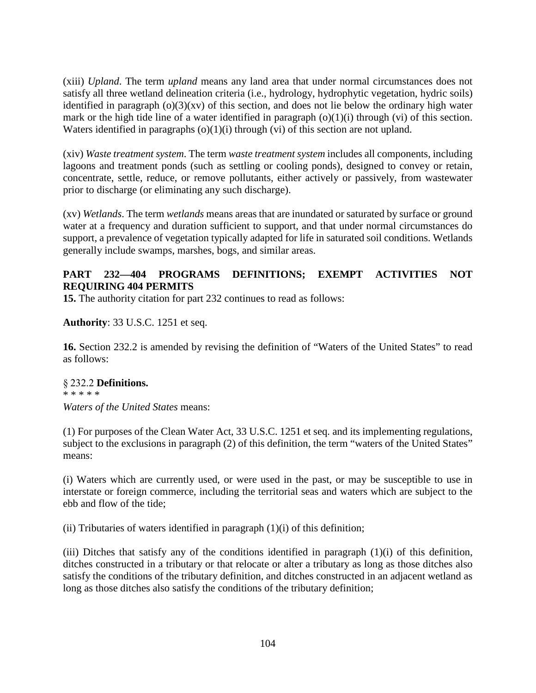(xiii) *Upland*. The term *upland* means any land area that under normal circumstances does not satisfy all three wetland delineation criteria (i.e., hydrology, hydrophytic vegetation, hydric soils) identified in paragraph  $(o)(3)(xv)$  of this section, and does not lie below the ordinary high water mark or the high tide line of a water identified in paragraph  $(o)(1)(i)$  through  $(vi)$  of this section. Waters identified in paragraphs (o)(1)(i) through (vi) of this section are not upland.

(xiv) *Waste treatment system*. The term *waste treatment system* includes all components, including lagoons and treatment ponds (such as settling or cooling ponds), designed to convey or retain, concentrate, settle, reduce, or remove pollutants, either actively or passively, from wastewater prior to discharge (or eliminating any such discharge).

(xv) *Wetlands*. The term *wetlands* means areas that are inundated or saturated by surface or ground water at a frequency and duration sufficient to support, and that under normal circumstances do support, a prevalence of vegetation typically adapted for life in saturated soil conditions. Wetlands generally include swamps, marshes, bogs, and similar areas.

## **PART 232—404 PROGRAMS DEFINITIONS; EXEMPT ACTIVITIES NOT REQUIRING 404 PERMITS**

**15.** The authority citation for part 232 continues to read as follows:

**Authority**: 33 U.S.C. 1251 et seq.

**16.** Section 232.2 is amended by revising the definition of "Waters of the United States" to read as follows:

## § 232.2 **Definitions.**

\* \* \* \* \* *Waters of the United States* means:

(1) For purposes of the Clean Water Act, 33 U.S.C. 1251 et seq. and its implementing regulations, subject to the exclusions in paragraph (2) of this definition, the term "waters of the United States" means:

(i) Waters which are currently used, or were used in the past, or may be susceptible to use in interstate or foreign commerce, including the territorial seas and waters which are subject to the ebb and flow of the tide;

(ii) Tributaries of waters identified in paragraph  $(1)(i)$  of this definition;

(iii) Ditches that satisfy any of the conditions identified in paragraph  $(1)(i)$  of this definition, ditches constructed in a tributary or that relocate or alter a tributary as long as those ditches also satisfy the conditions of the tributary definition, and ditches constructed in an adjacent wetland as long as those ditches also satisfy the conditions of the tributary definition;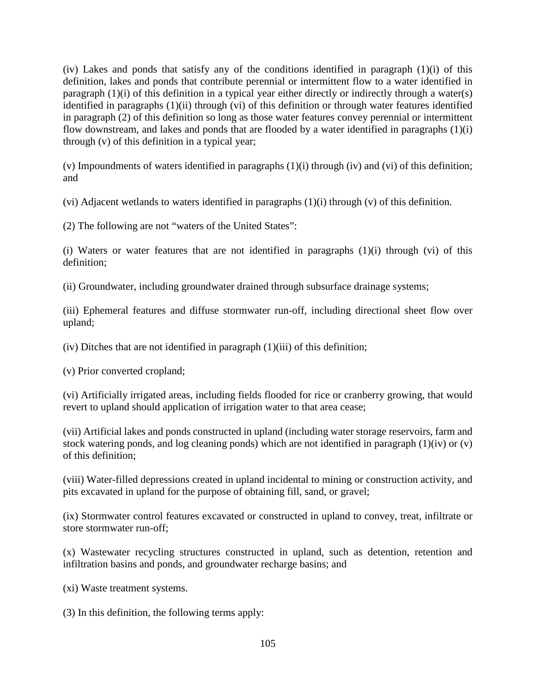(iv) Lakes and ponds that satisfy any of the conditions identified in paragraph  $(1)(i)$  of this definition, lakes and ponds that contribute perennial or intermittent flow to a water identified in paragraph (1)(i) of this definition in a typical year either directly or indirectly through a water(s) identified in paragraphs (1)(ii) through (vi) of this definition or through water features identified in paragraph (2) of this definition so long as those water features convey perennial or intermittent flow downstream, and lakes and ponds that are flooded by a water identified in paragraphs (1)(i) through (v) of this definition in a typical year;

(v) Impoundments of waters identified in paragraphs  $(1)(i)$  through (iv) and (vi) of this definition; and

(vi) Adjacent wetlands to waters identified in paragraphs (1)(i) through (v) of this definition.

(2) The following are not "waters of the United States":

(i) Waters or water features that are not identified in paragraphs (1)(i) through (vi) of this definition;

(ii) Groundwater, including groundwater drained through subsurface drainage systems;

(iii) Ephemeral features and diffuse stormwater run-off, including directional sheet flow over upland;

(iv) Ditches that are not identified in paragraph (1)(iii) of this definition;

(v) Prior converted cropland;

(vi) Artificially irrigated areas, including fields flooded for rice or cranberry growing, that would revert to upland should application of irrigation water to that area cease;

(vii) Artificial lakes and ponds constructed in upland (including water storage reservoirs, farm and stock watering ponds, and log cleaning ponds) which are not identified in paragraph (1)(iv) or (v) of this definition;

(viii) Water-filled depressions created in upland incidental to mining or construction activity, and pits excavated in upland for the purpose of obtaining fill, sand, or gravel;

(ix) Stormwater control features excavated or constructed in upland to convey, treat, infiltrate or store stormwater run-off;

(x) Wastewater recycling structures constructed in upland, such as detention, retention and infiltration basins and ponds, and groundwater recharge basins; and

(xi) Waste treatment systems.

(3) In this definition, the following terms apply: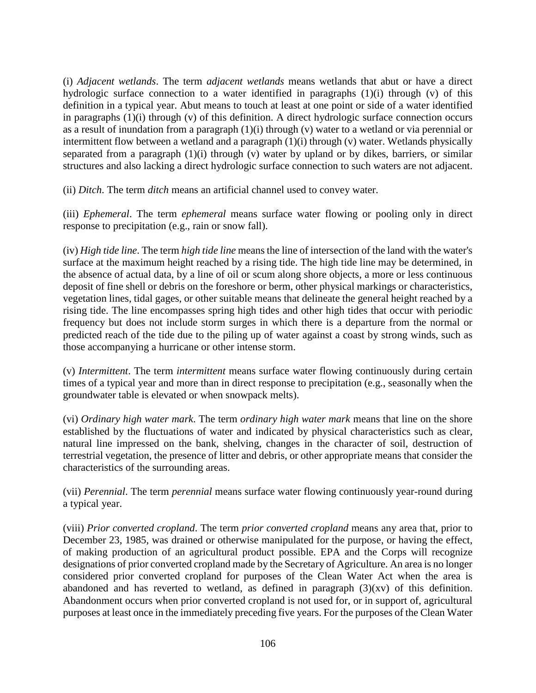(i) *Adjacent wetlands*. The term *adjacent wetlands* means wetlands that abut or have a direct hydrologic surface connection to a water identified in paragraphs (1)(i) through (v) of this definition in a typical year. Abut means to touch at least at one point or side of a water identified in paragraphs (1)(i) through (v) of this definition. A direct hydrologic surface connection occurs as a result of inundation from a paragraph  $(1)(i)$  through  $(v)$  water to a wetland or via perennial or intermittent flow between a wetland and a paragraph (1)(i) through (v) water. Wetlands physically separated from a paragraph  $(1)(i)$  through  $(v)$  water by upland or by dikes, barriers, or similar structures and also lacking a direct hydrologic surface connection to such waters are not adjacent.

(ii) *Ditch*. The term *ditch* means an artificial channel used to convey water.

(iii) *Ephemeral*. The term *ephemeral* means surface water flowing or pooling only in direct response to precipitation (e.g., rain or snow fall).

(iv) *High tide line*. The term *high tide line* means the line of intersection of the land with the water's surface at the maximum height reached by a rising tide. The high tide line may be determined, in the absence of actual data, by a line of oil or scum along shore objects, a more or less continuous deposit of fine shell or debris on the foreshore or berm, other physical markings or characteristics, vegetation lines, tidal gages, or other suitable means that delineate the general height reached by a rising tide. The line encompasses spring high tides and other high tides that occur with periodic frequency but does not include storm surges in which there is a departure from the normal or predicted reach of the tide due to the piling up of water against a coast by strong winds, such as those accompanying a hurricane or other intense storm.

(v) *Intermittent*. The term *intermittent* means surface water flowing continuously during certain times of a typical year and more than in direct response to precipitation (e.g., seasonally when the groundwater table is elevated or when snowpack melts).

(vi) *Ordinary high water mark*. The term *ordinary high water mark* means that line on the shore established by the fluctuations of water and indicated by physical characteristics such as clear, natural line impressed on the bank, shelving, changes in the character of soil, destruction of terrestrial vegetation, the presence of litter and debris, or other appropriate means that consider the characteristics of the surrounding areas.

(vii) *Perennial*. The term *perennial* means surface water flowing continuously year-round during a typical year.

(viii) *Prior converted cropland*. The term *prior converted cropland* means any area that, prior to December 23, 1985, was drained or otherwise manipulated for the purpose, or having the effect, of making production of an agricultural product possible. EPA and the Corps will recognize designations of prior converted cropland made by the Secretary of Agriculture. An area is no longer considered prior converted cropland for purposes of the Clean Water Act when the area is abandoned and has reverted to wetland, as defined in paragraph  $(3)(xy)$  of this definition. Abandonment occurs when prior converted cropland is not used for, or in support of, agricultural purposes at least once in the immediately preceding five years. For the purposes of the Clean Water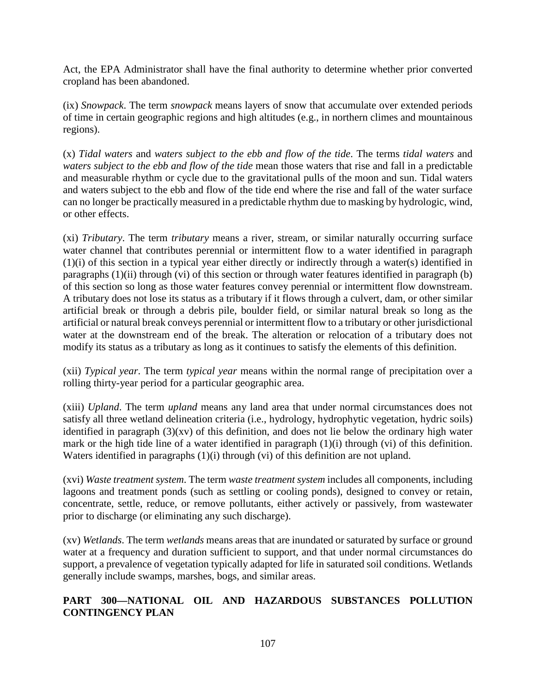Act, the EPA Administrator shall have the final authority to determine whether prior converted cropland has been abandoned.

(ix) *Snowpack*. The term *snowpack* means layers of snow that accumulate over extended periods of time in certain geographic regions and high altitudes (e.g., in northern climes and mountainous regions).

(x) *Tidal waters* and *waters subject to the ebb and flow of the tide*. The terms *tidal waters* and *waters subject to the ebb and flow of the tide* mean those waters that rise and fall in a predictable and measurable rhythm or cycle due to the gravitational pulls of the moon and sun. Tidal waters and waters subject to the ebb and flow of the tide end where the rise and fall of the water surface can no longer be practically measured in a predictable rhythm due to masking by hydrologic, wind, or other effects.

(xi) *Tributary*. The term *tributary* means a river, stream, or similar naturally occurring surface water channel that contributes perennial or intermittent flow to a water identified in paragraph (1)(i) of this section in a typical year either directly or indirectly through a water(s) identified in paragraphs (1)(ii) through (vi) of this section or through water features identified in paragraph (b) of this section so long as those water features convey perennial or intermittent flow downstream. A tributary does not lose its status as a tributary if it flows through a culvert, dam, or other similar artificial break or through a debris pile, boulder field, or similar natural break so long as the artificial or natural break conveys perennial or intermittent flow to a tributary or other jurisdictional water at the downstream end of the break. The alteration or relocation of a tributary does not modify its status as a tributary as long as it continues to satisfy the elements of this definition.

(xii) *Typical year*. The term *typical year* means within the normal range of precipitation over a rolling thirty-year period for a particular geographic area.

(xiii) *Upland*. The term *upland* means any land area that under normal circumstances does not satisfy all three wetland delineation criteria (i.e., hydrology, hydrophytic vegetation, hydric soils) identified in paragraph (3)(xv) of this definition, and does not lie below the ordinary high water mark or the high tide line of a water identified in paragraph (1)(i) through (vi) of this definition. Waters identified in paragraphs (1)(i) through (vi) of this definition are not upland.

(xvi) *Waste treatment system*. The term *waste treatment system* includes all components, including lagoons and treatment ponds (such as settling or cooling ponds), designed to convey or retain, concentrate, settle, reduce, or remove pollutants, either actively or passively, from wastewater prior to discharge (or eliminating any such discharge).

(xv) *Wetlands*. The term *wetlands* means areas that are inundated or saturated by surface or ground water at a frequency and duration sufficient to support, and that under normal circumstances do support, a prevalence of vegetation typically adapted for life in saturated soil conditions. Wetlands generally include swamps, marshes, bogs, and similar areas.

## **PART 300—NATIONAL OIL AND HAZARDOUS SUBSTANCES POLLUTION CONTINGENCY PLAN**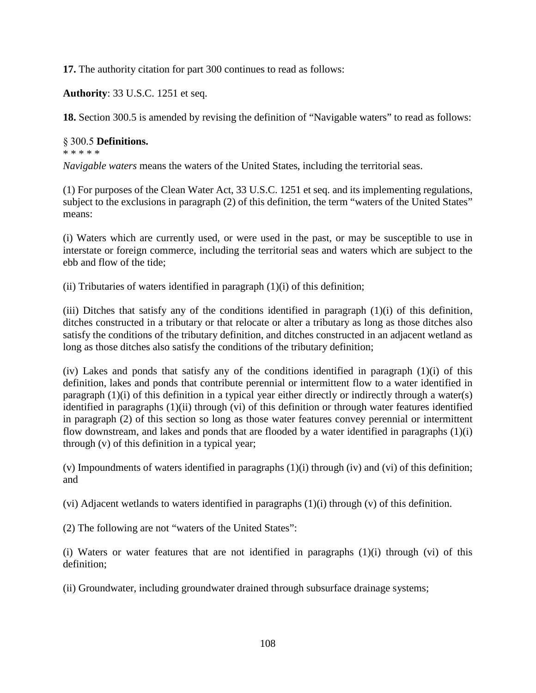**17.** The authority citation for part 300 continues to read as follows:

**Authority**: 33 U.S.C. 1251 et seq.

**18.** Section 300.5 is amended by revising the definition of "Navigable waters" to read as follows:

#### § 300.5 **Definitions.** \* \* \* \* \*

*Navigable waters* means the waters of the United States, including the territorial seas.

(1) For purposes of the Clean Water Act, 33 U.S.C. 1251 et seq. and its implementing regulations, subject to the exclusions in paragraph (2) of this definition, the term "waters of the United States" means:

(i) Waters which are currently used, or were used in the past, or may be susceptible to use in interstate or foreign commerce, including the territorial seas and waters which are subject to the ebb and flow of the tide;

(ii) Tributaries of waters identified in paragraph  $(1)(i)$  of this definition;

(iii) Ditches that satisfy any of the conditions identified in paragraph  $(1)(i)$  of this definition, ditches constructed in a tributary or that relocate or alter a tributary as long as those ditches also satisfy the conditions of the tributary definition, and ditches constructed in an adjacent wetland as long as those ditches also satisfy the conditions of the tributary definition;

(iv) Lakes and ponds that satisfy any of the conditions identified in paragraph (1)(i) of this definition, lakes and ponds that contribute perennial or intermittent flow to a water identified in paragraph (1)(i) of this definition in a typical year either directly or indirectly through a water(s) identified in paragraphs (1)(ii) through (vi) of this definition or through water features identified in paragraph (2) of this section so long as those water features convey perennial or intermittent flow downstream, and lakes and ponds that are flooded by a water identified in paragraphs (1)(i) through (v) of this definition in a typical year;

(v) Impoundments of waters identified in paragraphs  $(1)(i)$  through (iv) and (vi) of this definition; and

(vi) Adjacent wetlands to waters identified in paragraphs (1)(i) through (v) of this definition.

(2) The following are not "waters of the United States":

(i) Waters or water features that are not identified in paragraphs (1)(i) through (vi) of this definition;

(ii) Groundwater, including groundwater drained through subsurface drainage systems;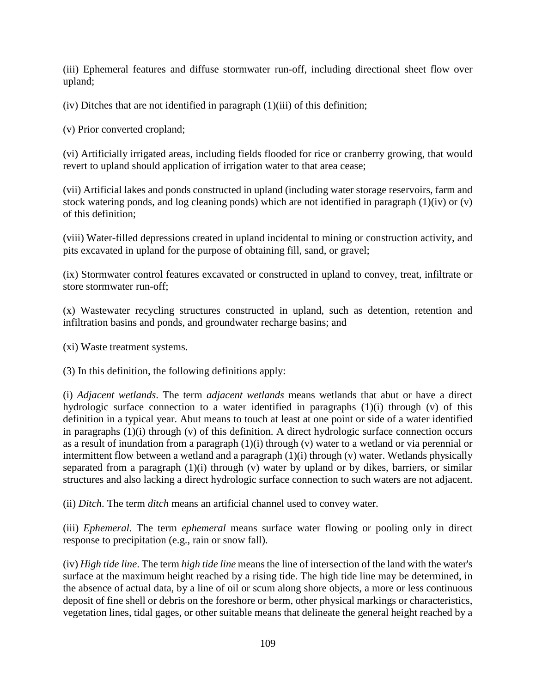(iii) Ephemeral features and diffuse stormwater run-off, including directional sheet flow over upland;

(iv) Ditches that are not identified in paragraph (1)(iii) of this definition;

(v) Prior converted cropland;

(vi) Artificially irrigated areas, including fields flooded for rice or cranberry growing, that would revert to upland should application of irrigation water to that area cease;

(vii) Artificial lakes and ponds constructed in upland (including water storage reservoirs, farm and stock watering ponds, and log cleaning ponds) which are not identified in paragraph (1)(iv) or (v) of this definition;

(viii) Water-filled depressions created in upland incidental to mining or construction activity, and pits excavated in upland for the purpose of obtaining fill, sand, or gravel;

(ix) Stormwater control features excavated or constructed in upland to convey, treat, infiltrate or store stormwater run-off;

(x) Wastewater recycling structures constructed in upland, such as detention, retention and infiltration basins and ponds, and groundwater recharge basins; and

(xi) Waste treatment systems.

(3) In this definition, the following definitions apply:

(i) *Adjacent wetlands*. The term *adjacent wetlands* means wetlands that abut or have a direct hydrologic surface connection to a water identified in paragraphs (1)(i) through (v) of this definition in a typical year. Abut means to touch at least at one point or side of a water identified in paragraphs (1)(i) through (v) of this definition. A direct hydrologic surface connection occurs as a result of inundation from a paragraph  $(1)(i)$  through  $(v)$  water to a wetland or via perennial or intermittent flow between a wetland and a paragraph (1)(i) through (v) water. Wetlands physically separated from a paragraph  $(1)(i)$  through  $(v)$  water by upland or by dikes, barriers, or similar structures and also lacking a direct hydrologic surface connection to such waters are not adjacent.

(ii) *Ditch*. The term *ditch* means an artificial channel used to convey water.

(iii) *Ephemeral*. The term *ephemeral* means surface water flowing or pooling only in direct response to precipitation (e.g., rain or snow fall).

(iv) *High tide line*. The term *high tide line* means the line of intersection of the land with the water's surface at the maximum height reached by a rising tide. The high tide line may be determined, in the absence of actual data, by a line of oil or scum along shore objects, a more or less continuous deposit of fine shell or debris on the foreshore or berm, other physical markings or characteristics, vegetation lines, tidal gages, or other suitable means that delineate the general height reached by a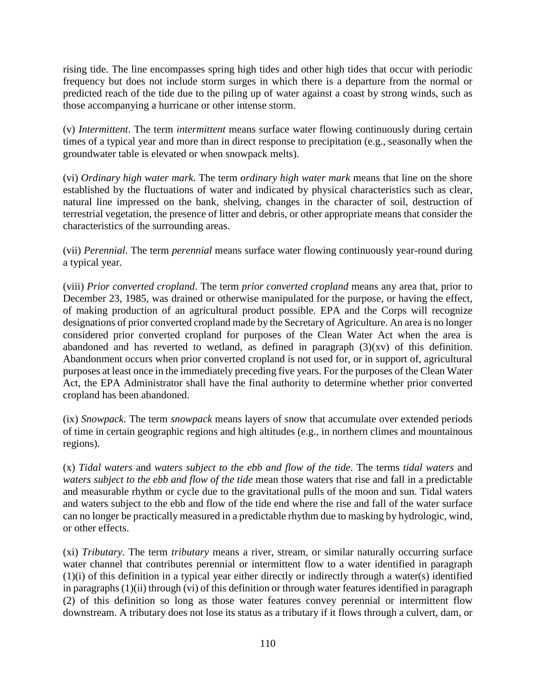rising tide. The line encompasses spring high tides and other high tides that occur with periodic frequency but does not include storm surges in which there is a departure from the normal or predicted reach of the tide due to the piling up of water against a coast by strong winds, such as those accompanying a hurricane or other intense storm.

(v) *Intermittent*. The term *intermittent* means surface water flowing continuously during certain times of a typical year and more than in direct response to precipitation (e.g., seasonally when the groundwater table is elevated or when snowpack melts).

(vi) *Ordinary high water mark*. The term *ordinary high water mark* means that line on the shore established by the fluctuations of water and indicated by physical characteristics such as clear, natural line impressed on the bank, shelving, changes in the character of soil, destruction of terrestrial vegetation, the presence of litter and debris, or other appropriate means that consider the characteristics of the surrounding areas.

(vii) *Perennial*. The term *perennial* means surface water flowing continuously year-round during a typical year.

(viii) *Prior converted cropland*. The term *prior converted cropland* means any area that, prior to December 23, 1985, was drained or otherwise manipulated for the purpose, or having the effect, of making production of an agricultural product possible. EPA and the Corps will recognize designations of prior converted cropland made by the Secretary of Agriculture. An area is no longer considered prior converted cropland for purposes of the Clean Water Act when the area is abandoned and has reverted to wetland, as defined in paragraph  $(3)(xy)$  of this definition. Abandonment occurs when prior converted cropland is not used for, or in support of, agricultural purposes at least once in the immediately preceding five years. For the purposes of the Clean Water Act, the EPA Administrator shall have the final authority to determine whether prior converted cropland has been abandoned.

(ix) *Snowpack*. The term *snowpack* means layers of snow that accumulate over extended periods of time in certain geographic regions and high altitudes (e.g., in northern climes and mountainous regions).

(x) *Tidal waters* and *waters subject to the ebb and flow of the tide*. The terms *tidal waters* and *waters subject to the ebb and flow of the tide* mean those waters that rise and fall in a predictable and measurable rhythm or cycle due to the gravitational pulls of the moon and sun. Tidal waters and waters subject to the ebb and flow of the tide end where the rise and fall of the water surface can no longer be practically measured in a predictable rhythm due to masking by hydrologic, wind, or other effects.

(xi) *Tributary*. The term *tributary* means a river, stream, or similar naturally occurring surface water channel that contributes perennial or intermittent flow to a water identified in paragraph (1)(i) of this definition in a typical year either directly or indirectly through a water(s) identified in paragraphs (1)(ii) through (vi) of this definition or through water features identified in paragraph (2) of this definition so long as those water features convey perennial or intermittent flow downstream. A tributary does not lose its status as a tributary if it flows through a culvert, dam, or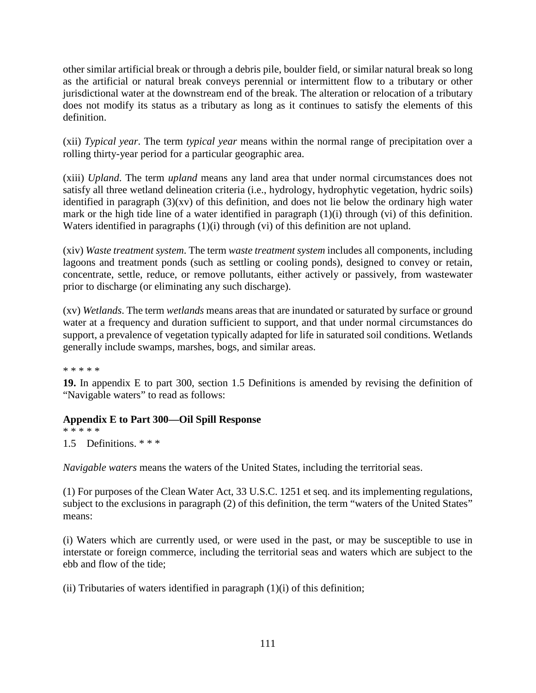other similar artificial break or through a debris pile, boulder field, or similar natural break so long as the artificial or natural break conveys perennial or intermittent flow to a tributary or other jurisdictional water at the downstream end of the break. The alteration or relocation of a tributary does not modify its status as a tributary as long as it continues to satisfy the elements of this definition.

(xii) *Typical year*. The term *typical year* means within the normal range of precipitation over a rolling thirty-year period for a particular geographic area.

(xiii) *Upland*. The term *upland* means any land area that under normal circumstances does not satisfy all three wetland delineation criteria (i.e., hydrology, hydrophytic vegetation, hydric soils) identified in paragraph (3)(xv) of this definition, and does not lie below the ordinary high water mark or the high tide line of a water identified in paragraph (1)(i) through (vi) of this definition. Waters identified in paragraphs (1)(i) through (vi) of this definition are not upland.

(xiv) *Waste treatment system*. The term *waste treatment system* includes all components, including lagoons and treatment ponds (such as settling or cooling ponds), designed to convey or retain, concentrate, settle, reduce, or remove pollutants, either actively or passively, from wastewater prior to discharge (or eliminating any such discharge).

(xv) *Wetlands*. The term *wetlands* means areas that are inundated or saturated by surface or ground water at a frequency and duration sufficient to support, and that under normal circumstances do support, a prevalence of vegetation typically adapted for life in saturated soil conditions. Wetlands generally include swamps, marshes, bogs, and similar areas.

\* \* \* \* \*

**19.** In appendix E to part 300, section 1.5 Definitions is amended by revising the definition of "Navigable waters" to read as follows:

# **Appendix E to Part 300—Oil Spill Response**

\* \* \* \* \* 1.5 Definitions. \* \* \*

*Navigable waters* means the waters of the United States, including the territorial seas.

(1) For purposes of the Clean Water Act, 33 U.S.C. 1251 et seq. and its implementing regulations, subject to the exclusions in paragraph (2) of this definition, the term "waters of the United States" means:

(i) Waters which are currently used, or were used in the past, or may be susceptible to use in interstate or foreign commerce, including the territorial seas and waters which are subject to the ebb and flow of the tide;

(ii) Tributaries of waters identified in paragraph  $(1)(i)$  of this definition;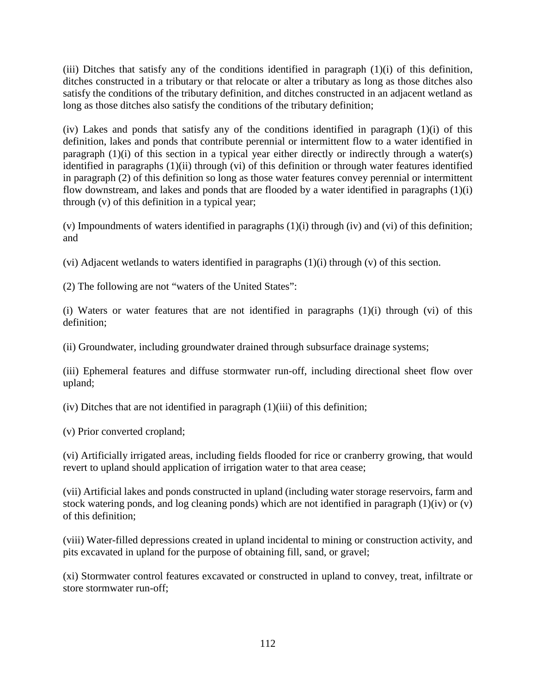(iii) Ditches that satisfy any of the conditions identified in paragraph  $(1)(i)$  of this definition, ditches constructed in a tributary or that relocate or alter a tributary as long as those ditches also satisfy the conditions of the tributary definition, and ditches constructed in an adjacent wetland as long as those ditches also satisfy the conditions of the tributary definition;

(iv) Lakes and ponds that satisfy any of the conditions identified in paragraph (1)(i) of this definition, lakes and ponds that contribute perennial or intermittent flow to a water identified in paragraph (1)(i) of this section in a typical year either directly or indirectly through a water(s) identified in paragraphs (1)(ii) through (vi) of this definition or through water features identified in paragraph (2) of this definition so long as those water features convey perennial or intermittent flow downstream, and lakes and ponds that are flooded by a water identified in paragraphs (1)(i) through (v) of this definition in a typical year;

(v) Impoundments of waters identified in paragraphs (1)(i) through (iv) and (vi) of this definition; and

(vi) Adjacent wetlands to waters identified in paragraphs  $(1)(i)$  through  $(v)$  of this section.

(2) The following are not "waters of the United States":

(i) Waters or water features that are not identified in paragraphs (1)(i) through (vi) of this definition;

(ii) Groundwater, including groundwater drained through subsurface drainage systems;

(iii) Ephemeral features and diffuse stormwater run-off, including directional sheet flow over upland;

(iv) Ditches that are not identified in paragraph (1)(iii) of this definition;

(v) Prior converted cropland;

(vi) Artificially irrigated areas, including fields flooded for rice or cranberry growing, that would revert to upland should application of irrigation water to that area cease;

(vii) Artificial lakes and ponds constructed in upland (including water storage reservoirs, farm and stock watering ponds, and log cleaning ponds) which are not identified in paragraph (1)(iv) or (v) of this definition;

(viii) Water-filled depressions created in upland incidental to mining or construction activity, and pits excavated in upland for the purpose of obtaining fill, sand, or gravel;

(xi) Stormwater control features excavated or constructed in upland to convey, treat, infiltrate or store stormwater run-off;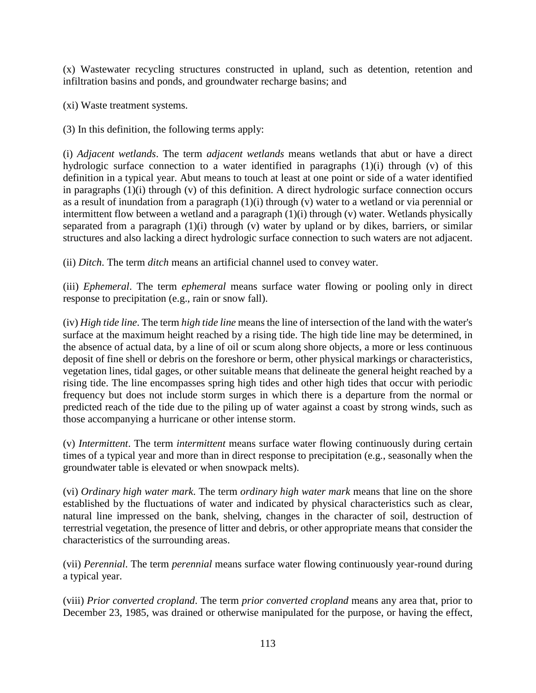(x) Wastewater recycling structures constructed in upland, such as detention, retention and infiltration basins and ponds, and groundwater recharge basins; and

(xi) Waste treatment systems.

(3) In this definition, the following terms apply:

(i) *Adjacent wetlands*. The term *adjacent wetlands* means wetlands that abut or have a direct hydrologic surface connection to a water identified in paragraphs (1)(i) through (v) of this definition in a typical year. Abut means to touch at least at one point or side of a water identified in paragraphs (1)(i) through (v) of this definition. A direct hydrologic surface connection occurs as a result of inundation from a paragraph  $(1)(i)$  through  $(v)$  water to a wetland or via perennial or intermittent flow between a wetland and a paragraph (1)(i) through (v) water. Wetlands physically separated from a paragraph (1)(i) through (v) water by upland or by dikes, barriers, or similar structures and also lacking a direct hydrologic surface connection to such waters are not adjacent.

(ii) *Ditch*. The term *ditch* means an artificial channel used to convey water.

(iii) *Ephemeral*. The term *ephemeral* means surface water flowing or pooling only in direct response to precipitation (e.g., rain or snow fall).

(iv) *High tide line*. The term *high tide line* means the line of intersection of the land with the water's surface at the maximum height reached by a rising tide. The high tide line may be determined, in the absence of actual data, by a line of oil or scum along shore objects, a more or less continuous deposit of fine shell or debris on the foreshore or berm, other physical markings or characteristics, vegetation lines, tidal gages, or other suitable means that delineate the general height reached by a rising tide. The line encompasses spring high tides and other high tides that occur with periodic frequency but does not include storm surges in which there is a departure from the normal or predicted reach of the tide due to the piling up of water against a coast by strong winds, such as those accompanying a hurricane or other intense storm.

(v) *Intermittent*. The term *intermittent* means surface water flowing continuously during certain times of a typical year and more than in direct response to precipitation (e.g., seasonally when the groundwater table is elevated or when snowpack melts).

(vi) *Ordinary high water mark*. The term *ordinary high water mark* means that line on the shore established by the fluctuations of water and indicated by physical characteristics such as clear, natural line impressed on the bank, shelving, changes in the character of soil, destruction of terrestrial vegetation, the presence of litter and debris, or other appropriate means that consider the characteristics of the surrounding areas.

(vii) *Perennial*. The term *perennial* means surface water flowing continuously year-round during a typical year.

(viii) *Prior converted cropland*. The term *prior converted cropland* means any area that, prior to December 23, 1985, was drained or otherwise manipulated for the purpose, or having the effect,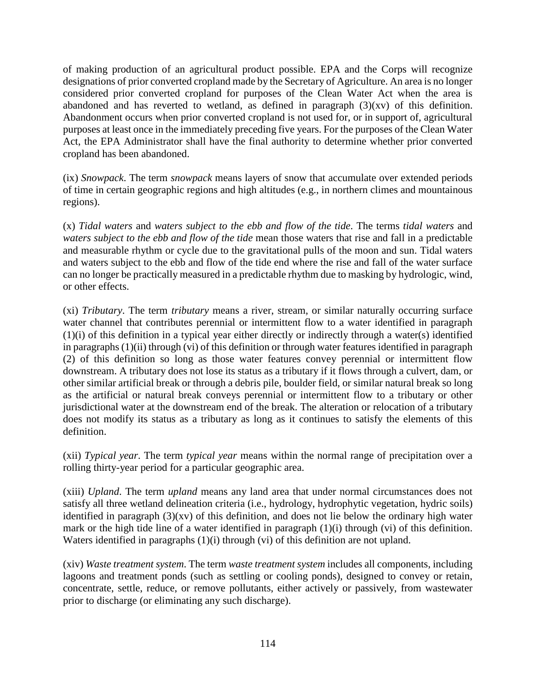of making production of an agricultural product possible. EPA and the Corps will recognize designations of prior converted cropland made by the Secretary of Agriculture. An area is no longer considered prior converted cropland for purposes of the Clean Water Act when the area is abandoned and has reverted to wetland, as defined in paragraph  $(3)(xv)$  of this definition. Abandonment occurs when prior converted cropland is not used for, or in support of, agricultural purposes at least once in the immediately preceding five years. For the purposes of the Clean Water Act, the EPA Administrator shall have the final authority to determine whether prior converted cropland has been abandoned.

(ix) *Snowpack*. The term *snowpack* means layers of snow that accumulate over extended periods of time in certain geographic regions and high altitudes (e.g., in northern climes and mountainous regions).

(x) *Tidal waters* and *waters subject to the ebb and flow of the tide*. The terms *tidal waters* and *waters subject to the ebb and flow of the tide* mean those waters that rise and fall in a predictable and measurable rhythm or cycle due to the gravitational pulls of the moon and sun. Tidal waters and waters subject to the ebb and flow of the tide end where the rise and fall of the water surface can no longer be practically measured in a predictable rhythm due to masking by hydrologic, wind, or other effects.

(xi) *Tributary*. The term *tributary* means a river, stream, or similar naturally occurring surface water channel that contributes perennial or intermittent flow to a water identified in paragraph (1)(i) of this definition in a typical year either directly or indirectly through a water(s) identified in paragraphs (1)(ii) through (vi) of this definition or through water features identified in paragraph (2) of this definition so long as those water features convey perennial or intermittent flow downstream. A tributary does not lose its status as a tributary if it flows through a culvert, dam, or other similar artificial break or through a debris pile, boulder field, or similar natural break so long as the artificial or natural break conveys perennial or intermittent flow to a tributary or other jurisdictional water at the downstream end of the break. The alteration or relocation of a tributary does not modify its status as a tributary as long as it continues to satisfy the elements of this definition.

(xii) *Typical year*. The term *typical year* means within the normal range of precipitation over a rolling thirty-year period for a particular geographic area.

(xiii) *Upland*. The term *upland* means any land area that under normal circumstances does not satisfy all three wetland delineation criteria (i.e., hydrology, hydrophytic vegetation, hydric soils) identified in paragraph (3)(xv) of this definition, and does not lie below the ordinary high water mark or the high tide line of a water identified in paragraph (1)(i) through (vi) of this definition. Waters identified in paragraphs (1)(i) through (vi) of this definition are not upland.

(xiv) *Waste treatment system*. The term *waste treatment system* includes all components, including lagoons and treatment ponds (such as settling or cooling ponds), designed to convey or retain, concentrate, settle, reduce, or remove pollutants, either actively or passively, from wastewater prior to discharge (or eliminating any such discharge).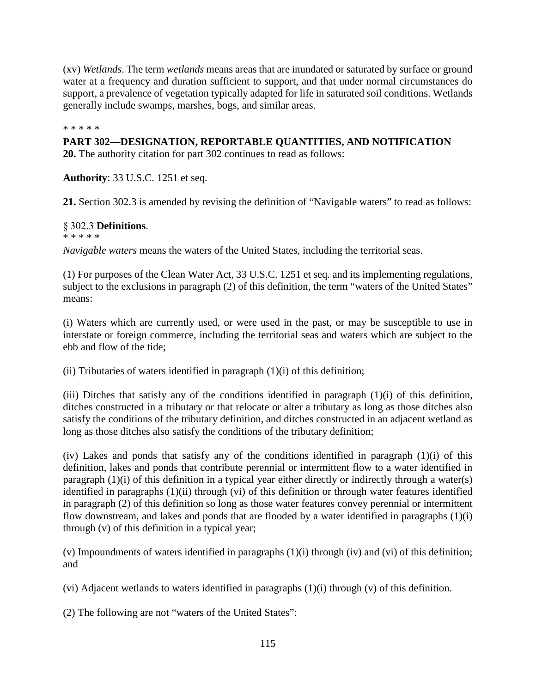(xv) *Wetlands*. The term *wetlands* means areas that are inundated or saturated by surface or ground water at a frequency and duration sufficient to support, and that under normal circumstances do support, a prevalence of vegetation typically adapted for life in saturated soil conditions. Wetlands generally include swamps, marshes, bogs, and similar areas.

\* \* \* \* \*

**PART 302—DESIGNATION, REPORTABLE QUANTITIES, AND NOTIFICATION 20.** The authority citation for part 302 continues to read as follows:

**Authority**: 33 U.S.C. 1251 et seq.

**21.** Section 302.3 is amended by revising the definition of "Navigable waters" to read as follows:

# § 302.3 **Definitions**.

\* \* \* \* \*

*Navigable waters* means the waters of the United States, including the territorial seas.

(1) For purposes of the Clean Water Act, 33 U.S.C. 1251 et seq. and its implementing regulations, subject to the exclusions in paragraph (2) of this definition, the term "waters of the United States" means:

(i) Waters which are currently used, or were used in the past, or may be susceptible to use in interstate or foreign commerce, including the territorial seas and waters which are subject to the ebb and flow of the tide;

(ii) Tributaries of waters identified in paragraph  $(1)(i)$  of this definition;

(iii) Ditches that satisfy any of the conditions identified in paragraph  $(1)(i)$  of this definition, ditches constructed in a tributary or that relocate or alter a tributary as long as those ditches also satisfy the conditions of the tributary definition, and ditches constructed in an adjacent wetland as long as those ditches also satisfy the conditions of the tributary definition;

(iv) Lakes and ponds that satisfy any of the conditions identified in paragraph  $(1)(i)$  of this definition, lakes and ponds that contribute perennial or intermittent flow to a water identified in paragraph (1)(i) of this definition in a typical year either directly or indirectly through a water(s) identified in paragraphs (1)(ii) through (vi) of this definition or through water features identified in paragraph (2) of this definition so long as those water features convey perennial or intermittent flow downstream, and lakes and ponds that are flooded by a water identified in paragraphs (1)(i) through (v) of this definition in a typical year;

(v) Impoundments of waters identified in paragraphs (1)(i) through (iv) and (vi) of this definition; and

(vi) Adjacent wetlands to waters identified in paragraphs  $(1)(i)$  through (v) of this definition.

(2) The following are not "waters of the United States":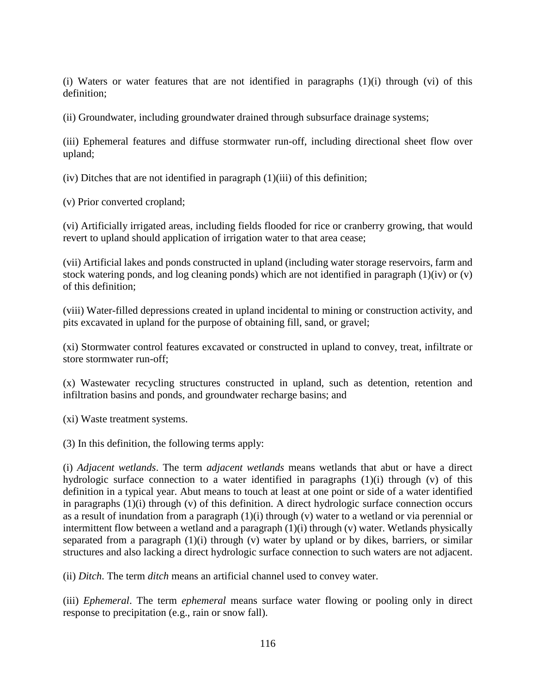(i) Waters or water features that are not identified in paragraphs (1)(i) through (vi) of this definition;

(ii) Groundwater, including groundwater drained through subsurface drainage systems;

(iii) Ephemeral features and diffuse stormwater run-off, including directional sheet flow over upland;

(iv) Ditches that are not identified in paragraph (1)(iii) of this definition;

(v) Prior converted cropland;

(vi) Artificially irrigated areas, including fields flooded for rice or cranberry growing, that would revert to upland should application of irrigation water to that area cease;

(vii) Artificial lakes and ponds constructed in upland (including water storage reservoirs, farm and stock watering ponds, and log cleaning ponds) which are not identified in paragraph (1)(iv) or (v) of this definition;

(viii) Water-filled depressions created in upland incidental to mining or construction activity, and pits excavated in upland for the purpose of obtaining fill, sand, or gravel;

(xi) Stormwater control features excavated or constructed in upland to convey, treat, infiltrate or store stormwater run-off;

(x) Wastewater recycling structures constructed in upland, such as detention, retention and infiltration basins and ponds, and groundwater recharge basins; and

(xi) Waste treatment systems.

(3) In this definition, the following terms apply:

(i) *Adjacent wetlands*. The term *adjacent wetlands* means wetlands that abut or have a direct hydrologic surface connection to a water identified in paragraphs (1)(i) through (v) of this definition in a typical year. Abut means to touch at least at one point or side of a water identified in paragraphs (1)(i) through (v) of this definition. A direct hydrologic surface connection occurs as a result of inundation from a paragraph  $(1)(i)$  through  $(v)$  water to a wetland or via perennial or intermittent flow between a wetland and a paragraph (1)(i) through (v) water. Wetlands physically separated from a paragraph  $(1)(i)$  through  $(v)$  water by upland or by dikes, barriers, or similar structures and also lacking a direct hydrologic surface connection to such waters are not adjacent.

(ii) *Ditch*. The term *ditch* means an artificial channel used to convey water.

(iii) *Ephemeral*. The term *ephemeral* means surface water flowing or pooling only in direct response to precipitation (e.g., rain or snow fall).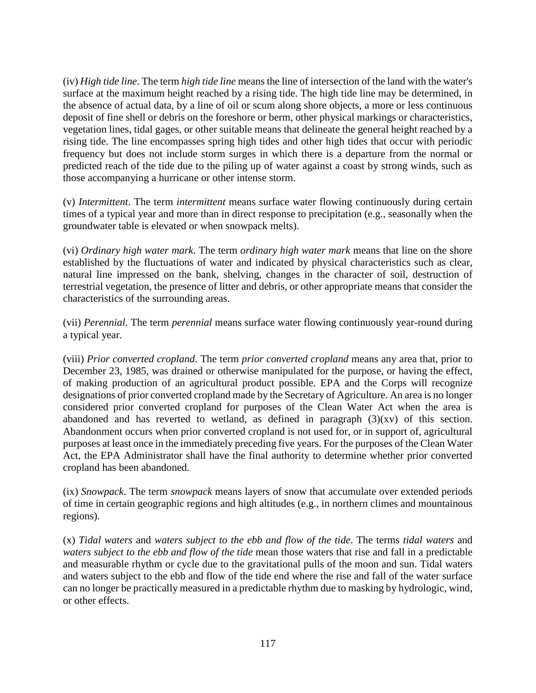(iv) *High tide line*. The term *high tide line* means the line of intersection of the land with the water's surface at the maximum height reached by a rising tide. The high tide line may be determined, in the absence of actual data, by a line of oil or scum along shore objects, a more or less continuous deposit of fine shell or debris on the foreshore or berm, other physical markings or characteristics, vegetation lines, tidal gages, or other suitable means that delineate the general height reached by a rising tide. The line encompasses spring high tides and other high tides that occur with periodic frequency but does not include storm surges in which there is a departure from the normal or predicted reach of the tide due to the piling up of water against a coast by strong winds, such as those accompanying a hurricane or other intense storm.

(v) *Intermittent*. The term *intermittent* means surface water flowing continuously during certain times of a typical year and more than in direct response to precipitation (e.g., seasonally when the groundwater table is elevated or when snowpack melts).

(vi) *Ordinary high water mark*. The term *ordinary high water mark* means that line on the shore established by the fluctuations of water and indicated by physical characteristics such as clear, natural line impressed on the bank, shelving, changes in the character of soil, destruction of terrestrial vegetation, the presence of litter and debris, or other appropriate means that consider the characteristics of the surrounding areas.

(vii) *Perennial*. The term *perennial* means surface water flowing continuously year-round during a typical year.

(viii) *Prior converted cropland*. The term *prior converted cropland* means any area that, prior to December 23, 1985, was drained or otherwise manipulated for the purpose, or having the effect, of making production of an agricultural product possible. EPA and the Corps will recognize designations of prior converted cropland made by the Secretary of Agriculture. An area is no longer considered prior converted cropland for purposes of the Clean Water Act when the area is abandoned and has reverted to wetland, as defined in paragraph  $(3)(xy)$  of this section. Abandonment occurs when prior converted cropland is not used for, or in support of, agricultural purposes at least once in the immediately preceding five years. For the purposes of the Clean Water Act, the EPA Administrator shall have the final authority to determine whether prior converted cropland has been abandoned.

(ix) *Snowpack*. The term *snowpack* means layers of snow that accumulate over extended periods of time in certain geographic regions and high altitudes (e.g., in northern climes and mountainous regions).

(x) *Tidal waters* and *waters subject to the ebb and flow of the tide*. The terms *tidal waters* and *waters subject to the ebb and flow of the tide* mean those waters that rise and fall in a predictable and measurable rhythm or cycle due to the gravitational pulls of the moon and sun. Tidal waters and waters subject to the ebb and flow of the tide end where the rise and fall of the water surface can no longer be practically measured in a predictable rhythm due to masking by hydrologic, wind, or other effects.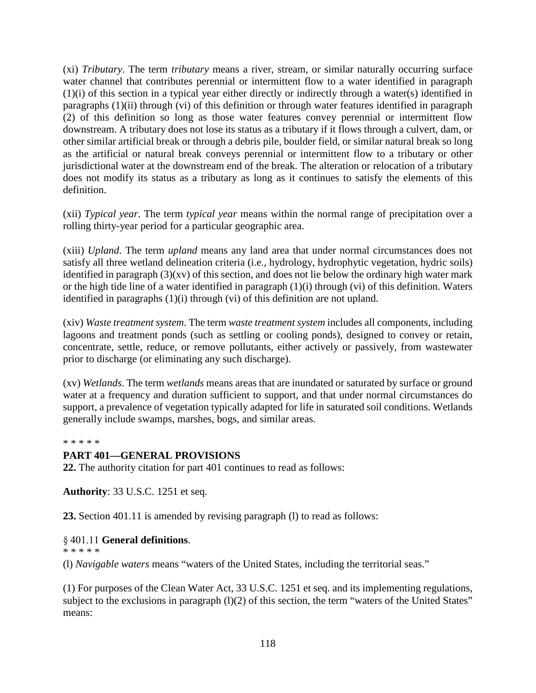(xi) *Tributary*. The term *tributary* means a river, stream, or similar naturally occurring surface water channel that contributes perennial or intermittent flow to a water identified in paragraph (1)(i) of this section in a typical year either directly or indirectly through a water(s) identified in paragraphs (1)(ii) through (vi) of this definition or through water features identified in paragraph (2) of this definition so long as those water features convey perennial or intermittent flow downstream. A tributary does not lose its status as a tributary if it flows through a culvert, dam, or other similar artificial break or through a debris pile, boulder field, or similar natural break so long as the artificial or natural break conveys perennial or intermittent flow to a tributary or other jurisdictional water at the downstream end of the break. The alteration or relocation of a tributary does not modify its status as a tributary as long as it continues to satisfy the elements of this definition.

(xii) *Typical year*. The term *typical year* means within the normal range of precipitation over a rolling thirty-year period for a particular geographic area.

(xiii) *Upland*. The term *upland* means any land area that under normal circumstances does not satisfy all three wetland delineation criteria (i.e., hydrology, hydrophytic vegetation, hydric soils) identified in paragraph (3)(xv) of this section, and does not lie below the ordinary high water mark or the high tide line of a water identified in paragraph (1)(i) through (vi) of this definition. Waters identified in paragraphs (1)(i) through (vi) of this definition are not upland.

(xiv) *Waste treatment system*. The term *waste treatment system* includes all components, including lagoons and treatment ponds (such as settling or cooling ponds), designed to convey or retain, concentrate, settle, reduce, or remove pollutants, either actively or passively, from wastewater prior to discharge (or eliminating any such discharge).

(xv) *Wetlands*. The term *wetlands* means areas that are inundated or saturated by surface or ground water at a frequency and duration sufficient to support, and that under normal circumstances do support, a prevalence of vegetation typically adapted for life in saturated soil conditions. Wetlands generally include swamps, marshes, bogs, and similar areas.

#### \* \* \* \* \*

### **PART 401—GENERAL PROVISIONS**

**22.** The authority citation for part 401 continues to read as follows:

**Authority**: 33 U.S.C. 1251 et seq.

**23.** Section 401.11 is amended by revising paragraph (l) to read as follows:

### § 401.11 **General definitions**.

\* \* \* \* \*

(l) *Navigable waters* means "waters of the United States, including the territorial seas."

(1) For purposes of the Clean Water Act, 33 U.S.C. 1251 et seq. and its implementing regulations, subject to the exclusions in paragraph (1)(2) of this section, the term "waters of the United States" means: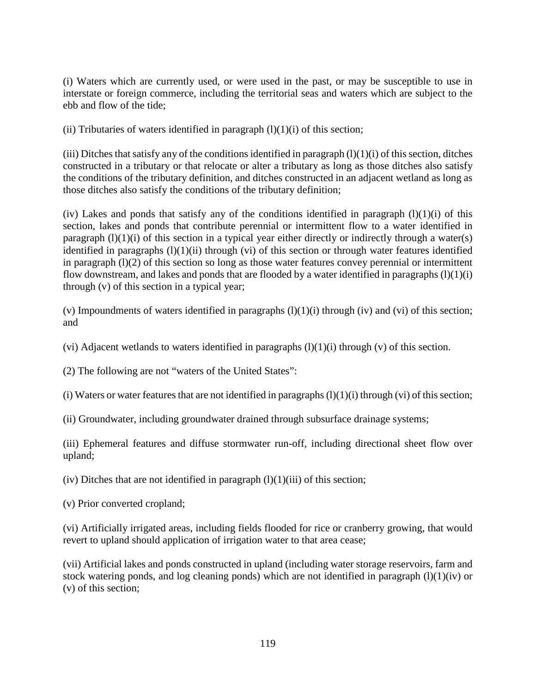(i) Waters which are currently used, or were used in the past, or may be susceptible to use in interstate or foreign commerce, including the territorial seas and waters which are subject to the ebb and flow of the tide;

(ii) Tributaries of waters identified in paragraph  $(l)(1)(i)$  of this section;

(iii) Ditches that satisfy any of the conditions identified in paragraph  $(1)(1)(i)$  of this section, ditches constructed in a tributary or that relocate or alter a tributary as long as those ditches also satisfy the conditions of the tributary definition, and ditches constructed in an adjacent wetland as long as those ditches also satisfy the conditions of the tributary definition;

(iv) Lakes and ponds that satisfy any of the conditions identified in paragraph  $(1)(1)(i)$  of this section, lakes and ponds that contribute perennial or intermittent flow to a water identified in paragraph  $(l)(1)(i)$  of this section in a typical year either directly or indirectly through a water(s) identified in paragraphs  $(l)(1)(ii)$  through (vi) of this section or through water features identified in paragraph (l)(2) of this section so long as those water features convey perennial or intermittent flow downstream, and lakes and ponds that are flooded by a water identified in paragraphs  $(l)(1)(i)$ through (v) of this section in a typical year;

(v) Impoundments of waters identified in paragraphs  $(l)(1)(i)$  through (iv) and (vi) of this section; and

(vi) Adjacent wetlands to waters identified in paragraphs  $(l)(1)(i)$  through (v) of this section.

(2) The following are not "waters of the United States":

(i) Waters or water features that are not identified in paragraphs  $(l)(1)(i)$  through (vi) of this section;

(ii) Groundwater, including groundwater drained through subsurface drainage systems;

(iii) Ephemeral features and diffuse stormwater run-off, including directional sheet flow over upland;

(iv) Ditches that are not identified in paragraph  $(l)(1)(iii)$  of this section;

(v) Prior converted cropland;

(vi) Artificially irrigated areas, including fields flooded for rice or cranberry growing, that would revert to upland should application of irrigation water to that area cease;

(vii) Artificial lakes and ponds constructed in upland (including water storage reservoirs, farm and stock watering ponds, and log cleaning ponds) which are not identified in paragraph  $(l)(1)(iv)$  or (v) of this section;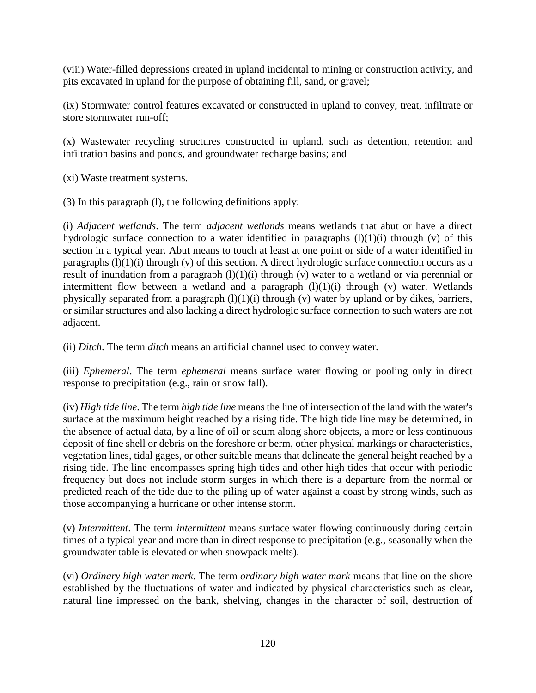(viii) Water-filled depressions created in upland incidental to mining or construction activity, and pits excavated in upland for the purpose of obtaining fill, sand, or gravel;

(ix) Stormwater control features excavated or constructed in upland to convey, treat, infiltrate or store stormwater run-off;

(x) Wastewater recycling structures constructed in upland, such as detention, retention and infiltration basins and ponds, and groundwater recharge basins; and

(xi) Waste treatment systems.

(3) In this paragraph (l), the following definitions apply:

(i) *Adjacent wetlands*. The term *adjacent wetlands* means wetlands that abut or have a direct hydrologic surface connection to a water identified in paragraphs  $(l)(1)(i)$  through  $(v)$  of this section in a typical year. Abut means to touch at least at one point or side of a water identified in paragraphs  $(l)(1)(i)$  through  $(v)$  of this section. A direct hydrologic surface connection occurs as a result of inundation from a paragraph  $(l)(1)(i)$  through (v) water to a wetland or via perennial or intermittent flow between a wetland and a paragraph  $(l)(1)(i)$  through  $(v)$  water. Wetlands physically separated from a paragraph  $(l)(1)(i)$  through (v) water by upland or by dikes, barriers, or similar structures and also lacking a direct hydrologic surface connection to such waters are not adjacent.

(ii) *Ditch*. The term *ditch* means an artificial channel used to convey water.

(iii) *Ephemeral*. The term *ephemeral* means surface water flowing or pooling only in direct response to precipitation (e.g., rain or snow fall).

(iv) *High tide line*. The term *high tide line* means the line of intersection of the land with the water's surface at the maximum height reached by a rising tide. The high tide line may be determined, in the absence of actual data, by a line of oil or scum along shore objects, a more or less continuous deposit of fine shell or debris on the foreshore or berm, other physical markings or characteristics, vegetation lines, tidal gages, or other suitable means that delineate the general height reached by a rising tide. The line encompasses spring high tides and other high tides that occur with periodic frequency but does not include storm surges in which there is a departure from the normal or predicted reach of the tide due to the piling up of water against a coast by strong winds, such as those accompanying a hurricane or other intense storm.

(v) *Intermittent*. The term *intermittent* means surface water flowing continuously during certain times of a typical year and more than in direct response to precipitation (e.g., seasonally when the groundwater table is elevated or when snowpack melts).

(vi) *Ordinary high water mark*. The term *ordinary high water mark* means that line on the shore established by the fluctuations of water and indicated by physical characteristics such as clear, natural line impressed on the bank, shelving, changes in the character of soil, destruction of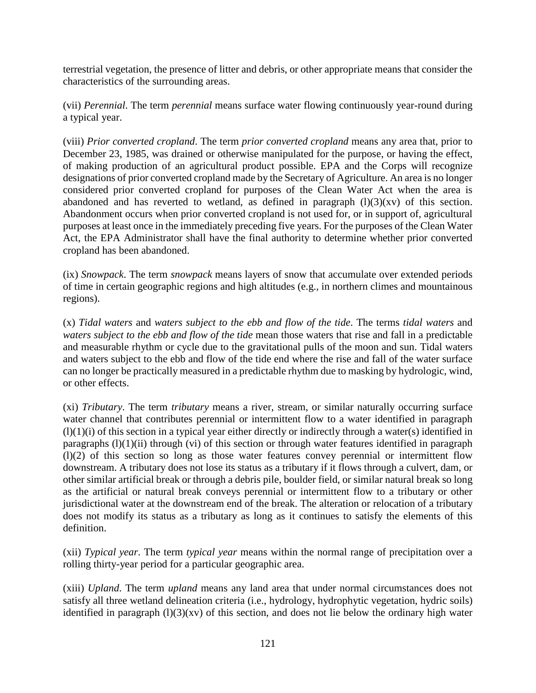terrestrial vegetation, the presence of litter and debris, or other appropriate means that consider the characteristics of the surrounding areas.

(vii) *Perennial*. The term *perennial* means surface water flowing continuously year-round during a typical year.

(viii) *Prior converted cropland*. The term *prior converted cropland* means any area that, prior to December 23, 1985, was drained or otherwise manipulated for the purpose, or having the effect, of making production of an agricultural product possible. EPA and the Corps will recognize designations of prior converted cropland made by the Secretary of Agriculture. An area is no longer considered prior converted cropland for purposes of the Clean Water Act when the area is abandoned and has reverted to wetland, as defined in paragraph  $(l)(3)(xv)$  of this section. Abandonment occurs when prior converted cropland is not used for, or in support of, agricultural purposes at least once in the immediately preceding five years. For the purposes of the Clean Water Act, the EPA Administrator shall have the final authority to determine whether prior converted cropland has been abandoned.

(ix) *Snowpack*. The term *snowpack* means layers of snow that accumulate over extended periods of time in certain geographic regions and high altitudes (e.g., in northern climes and mountainous regions).

(x) *Tidal waters* and *waters subject to the ebb and flow of the tide*. The terms *tidal waters* and *waters subject to the ebb and flow of the tide* mean those waters that rise and fall in a predictable and measurable rhythm or cycle due to the gravitational pulls of the moon and sun. Tidal waters and waters subject to the ebb and flow of the tide end where the rise and fall of the water surface can no longer be practically measured in a predictable rhythm due to masking by hydrologic, wind, or other effects.

(xi) *Tributary*. The term *tributary* means a river, stream, or similar naturally occurring surface water channel that contributes perennial or intermittent flow to a water identified in paragraph  $(l)(1)(i)$  of this section in a typical year either directly or indirectly through a water(s) identified in paragraphs  $(l)(1)(ii)$  through (vi) of this section or through water features identified in paragraph (l)(2) of this section so long as those water features convey perennial or intermittent flow downstream. A tributary does not lose its status as a tributary if it flows through a culvert, dam, or other similar artificial break or through a debris pile, boulder field, or similar natural break so long as the artificial or natural break conveys perennial or intermittent flow to a tributary or other jurisdictional water at the downstream end of the break. The alteration or relocation of a tributary does not modify its status as a tributary as long as it continues to satisfy the elements of this definition.

(xii) *Typical year*. The term *typical year* means within the normal range of precipitation over a rolling thirty-year period for a particular geographic area.

(xiii) *Upland*. The term *upland* means any land area that under normal circumstances does not satisfy all three wetland delineation criteria (i.e., hydrology, hydrophytic vegetation, hydric soils) identified in paragraph  $(l)(3)(xv)$  of this section, and does not lie below the ordinary high water